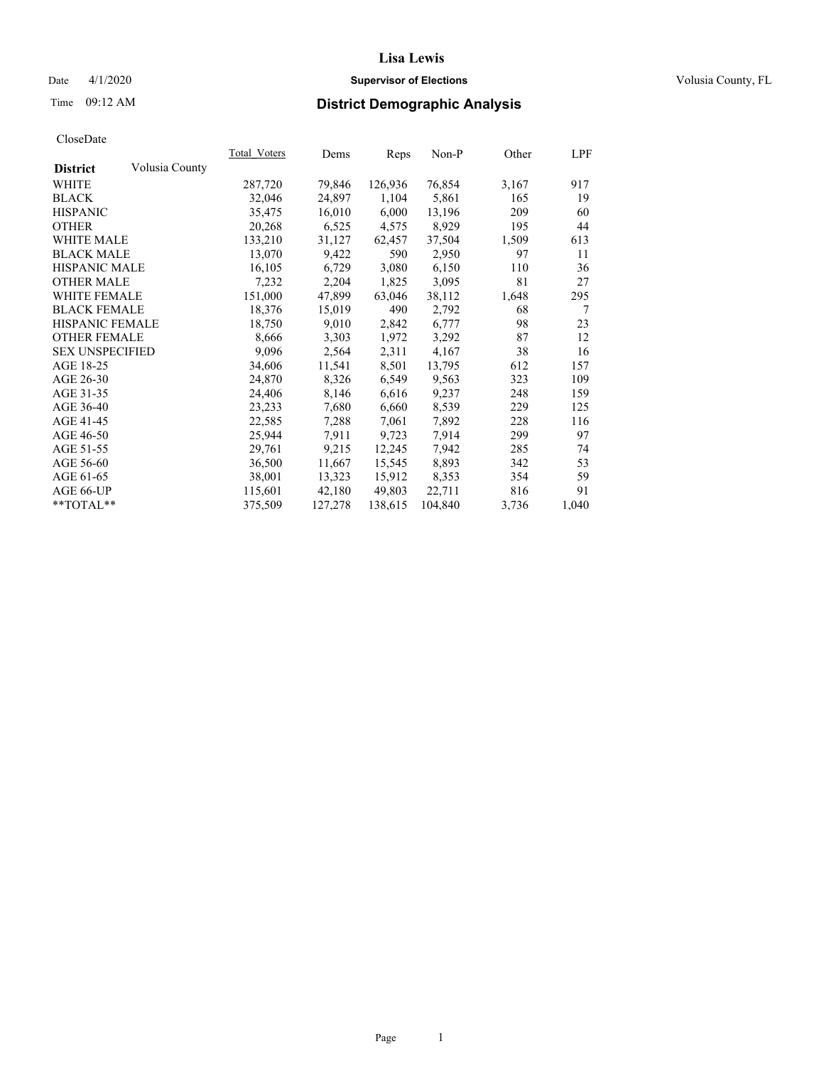## Date 4/1/2020 **Supervisor of Elections Supervisor of Elections** Volusia County, FL

# Time 09:12 AM **District Demographic Analysis**

|                        |                | Total Voters | Dems    | Reps    | Non-P   | Other | <u>LPF</u> |
|------------------------|----------------|--------------|---------|---------|---------|-------|------------|
| <b>District</b>        | Volusia County |              |         |         |         |       |            |
| WHITE                  |                | 287,720      | 79,846  | 126,936 | 76,854  | 3,167 | 917        |
| <b>BLACK</b>           |                | 32,046       | 24,897  | 1,104   | 5,861   | 165   | 19         |
| <b>HISPANIC</b>        |                | 35,475       | 16,010  | 6,000   | 13,196  | 209   | 60         |
| <b>OTHER</b>           |                | 20,268       | 6,525   | 4,575   | 8,929   | 195   | 44         |
| <b>WHITE MALE</b>      |                | 133,210      | 31,127  | 62,457  | 37,504  | 1,509 | 613        |
| <b>BLACK MALE</b>      |                | 13,070       | 9,422   | 590     | 2,950   | 97    | 11         |
| <b>HISPANIC MALE</b>   |                | 16,105       | 6,729   | 3,080   | 6,150   | 110   | 36         |
| <b>OTHER MALE</b>      |                | 7,232        | 2,204   | 1,825   | 3,095   | 81    | 27         |
| <b>WHITE FEMALE</b>    |                | 151,000      | 47,899  | 63,046  | 38,112  | 1,648 | 295        |
| <b>BLACK FEMALE</b>    |                | 18,376       | 15,019  | 490     | 2,792   | 68    | 7          |
| <b>HISPANIC FEMALE</b> |                | 18,750       | 9,010   | 2,842   | 6,777   | 98    | 23         |
| <b>OTHER FEMALE</b>    |                | 8,666        | 3,303   | 1,972   | 3,292   | 87    | 12         |
| <b>SEX UNSPECIFIED</b> |                | 9,096        | 2,564   | 2,311   | 4,167   | 38    | 16         |
| AGE 18-25              |                | 34,606       | 11,541  | 8,501   | 13,795  | 612   | 157        |
| AGE 26-30              |                | 24,870       | 8,326   | 6,549   | 9,563   | 323   | 109        |
| AGE 31-35              |                | 24,406       | 8,146   | 6,616   | 9,237   | 248   | 159        |
| AGE 36-40              |                | 23,233       | 7,680   | 6,660   | 8,539   | 229   | 125        |
| AGE 41-45              |                | 22,585       | 7,288   | 7,061   | 7,892   | 228   | 116        |
| AGE 46-50              |                | 25,944       | 7,911   | 9,723   | 7,914   | 299   | 97         |
| AGE 51-55              |                | 29,761       | 9,215   | 12,245  | 7,942   | 285   | 74         |
| AGE 56-60              |                | 36,500       | 11,667  | 15,545  | 8,893   | 342   | 53         |
| AGE 61-65              |                | 38,001       | 13,323  | 15,912  | 8,353   | 354   | 59         |
| AGE 66-UP              |                | 115,601      | 42,180  | 49,803  | 22,711  | 816   | 91         |
| $*$ TOTAL $*$          |                | 375,509      | 127,278 | 138,615 | 104,840 | 3,736 | 1,040      |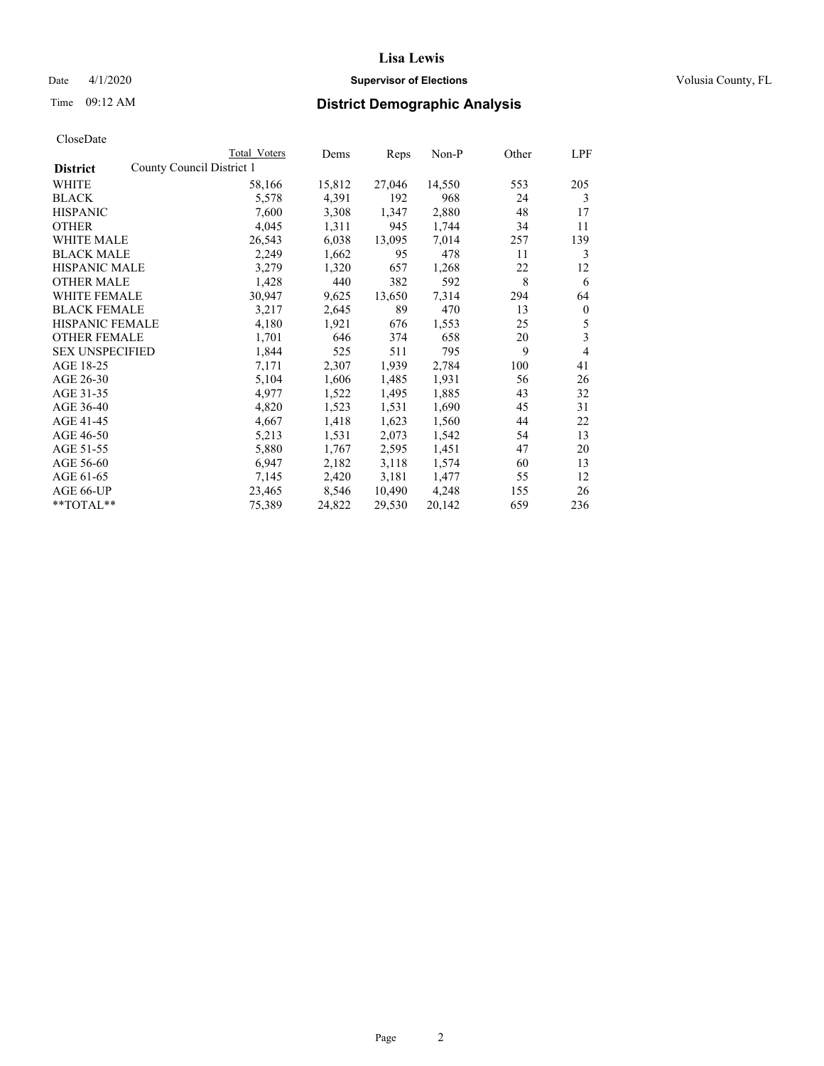# Date 4/1/2020 **Supervisor of Elections Supervisor of Elections** Volusia County, FL

| Total Voters | Dems                      |        | Non-P  | Other | LPF          |
|--------------|---------------------------|--------|--------|-------|--------------|
|              |                           |        |        |       |              |
| 58,166       | 15,812                    | 27,046 | 14,550 | 553   | 205          |
| 5,578        | 4,391                     | 192    | 968    | 24    | 3            |
| 7,600        | 3,308                     | 1,347  | 2,880  | 48    | 17           |
| 4,045        | 1,311                     | 945    | 1,744  | 34    | 11           |
| 26,543       | 6,038                     | 13,095 | 7,014  | 257   | 139          |
| 2,249        | 1,662                     | 95     | 478    | 11    | 3            |
| 3,279        | 1,320                     | 657    | 1,268  | 22    | 12           |
| 1,428        | 440                       | 382    | 592    | 8     | 6            |
| 30,947       | 9,625                     | 13,650 | 7,314  | 294   | 64           |
| 3,217        | 2,645                     | 89     | 470    | 13    | $\mathbf{0}$ |
| 4,180        | 1,921                     | 676    | 1,553  | 25    | 5            |
| 1,701        | 646                       | 374    | 658    | 20    | 3            |
| 1,844        | 525                       | 511    | 795    | 9     | 4            |
| 7,171        | 2,307                     | 1,939  | 2,784  | 100   | 41           |
| 5,104        | 1,606                     | 1,485  | 1,931  | 56    | 26           |
| 4,977        | 1,522                     | 1,495  | 1,885  | 43    | 32           |
| 4,820        | 1,523                     | 1,531  | 1,690  | 45    | 31           |
| 4,667        | 1,418                     | 1,623  | 1,560  | 44    | 22           |
| 5,213        | 1,531                     | 2,073  | 1,542  | 54    | 13           |
| 5,880        | 1,767                     | 2,595  | 1,451  | 47    | 20           |
| 6,947        | 2,182                     | 3,118  | 1,574  | 60    | 13           |
| 7,145        | 2,420                     | 3,181  | 1,477  | 55    | 12           |
| 23,465       | 8,546                     | 10,490 | 4,248  | 155   | 26           |
| 75,389       | 24,822                    | 29,530 | 20,142 | 659   | 236          |
|              | County Council District 1 |        | Reps   |       |              |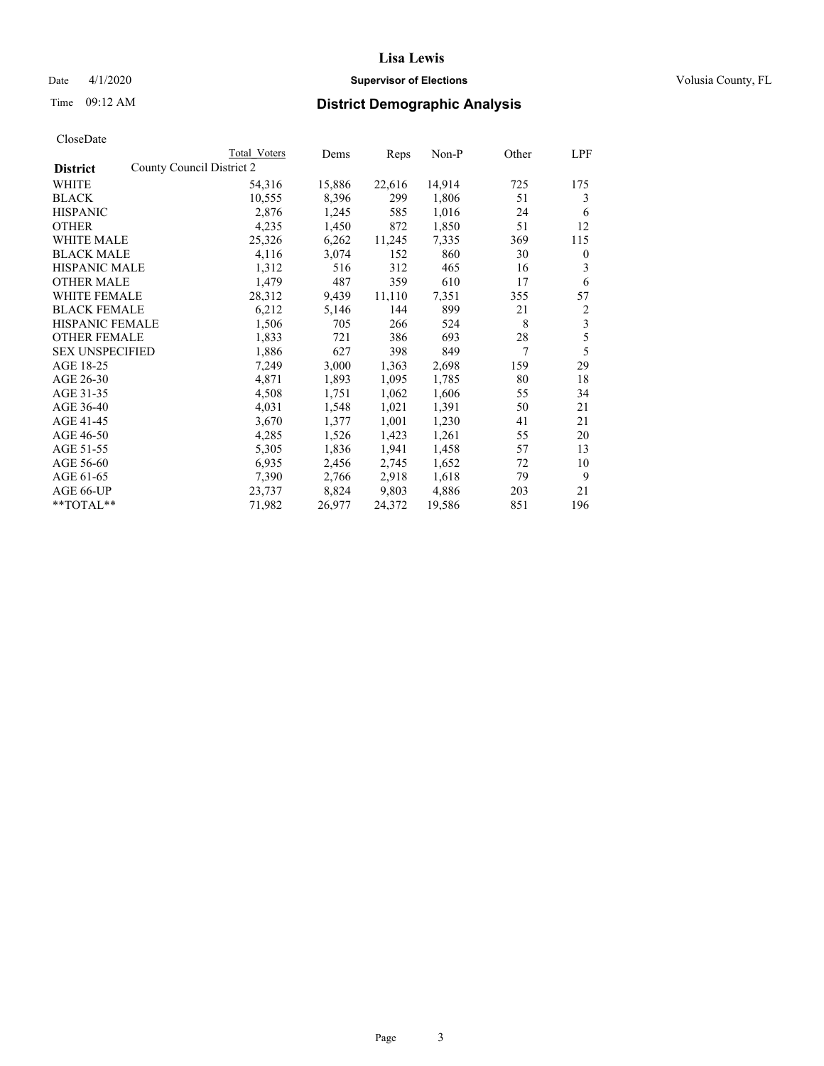# Date 4/1/2020 **Supervisor of Elections Supervisor of Elections** Volusia County, FL

|                                              | Total Voters | Dems   | Reps   | Non-P  | Other | LPF          |
|----------------------------------------------|--------------|--------|--------|--------|-------|--------------|
| County Council District 2<br><b>District</b> |              |        |        |        |       |              |
| WHITE                                        | 54,316       | 15,886 | 22,616 | 14,914 | 725   | 175          |
| <b>BLACK</b>                                 | 10,555       | 8,396  | 299    | 1,806  | 51    | 3            |
| <b>HISPANIC</b>                              | 2,876        | 1,245  | 585    | 1,016  | 24    | 6            |
| <b>OTHER</b>                                 | 4,235        | 1,450  | 872    | 1,850  | 51    | 12           |
| WHITE MALE                                   | 25,326       | 6,262  | 11,245 | 7,335  | 369   | 115          |
| <b>BLACK MALE</b>                            | 4,116        | 3,074  | 152    | 860    | 30    | $\mathbf{0}$ |
| <b>HISPANIC MALE</b>                         | 1,312        | 516    | 312    | 465    | 16    | 3            |
| <b>OTHER MALE</b>                            | 1,479        | 487    | 359    | 610    | 17    | 6            |
| <b>WHITE FEMALE</b>                          | 28,312       | 9,439  | 11,110 | 7,351  | 355   | 57           |
| <b>BLACK FEMALE</b>                          | 6,212        | 5,146  | 144    | 899    | 21    | 2            |
| <b>HISPANIC FEMALE</b>                       | 1,506        | 705    | 266    | 524    | 8     | 3            |
| <b>OTHER FEMALE</b>                          | 1,833        | 721    | 386    | 693    | 28    | 5            |
| <b>SEX UNSPECIFIED</b>                       | 1,886        | 627    | 398    | 849    | 7     | 5            |
| AGE 18-25                                    | 7,249        | 3,000  | 1,363  | 2,698  | 159   | 29           |
| AGE 26-30                                    | 4,871        | 1,893  | 1,095  | 1,785  | 80    | 18           |
| AGE 31-35                                    | 4,508        | 1,751  | 1,062  | 1,606  | 55    | 34           |
| AGE 36-40                                    | 4,031        | 1,548  | 1,021  | 1,391  | 50    | 21           |
| AGE 41-45                                    | 3,670        | 1,377  | 1,001  | 1,230  | 41    | 21           |
| AGE 46-50                                    | 4,285        | 1,526  | 1,423  | 1,261  | 55    | 20           |
| AGE 51-55                                    | 5,305        | 1,836  | 1,941  | 1,458  | 57    | 13           |
| AGE 56-60                                    | 6,935        | 2,456  | 2,745  | 1,652  | 72    | 10           |
| AGE 61-65                                    | 7,390        | 2,766  | 2,918  | 1,618  | 79    | 9            |
| AGE 66-UP                                    | 23,737       | 8,824  | 9,803  | 4,886  | 203   | 21           |
| $*$ $TOTAL**$                                | 71,982       | 26,977 | 24,372 | 19,586 | 851   | 196          |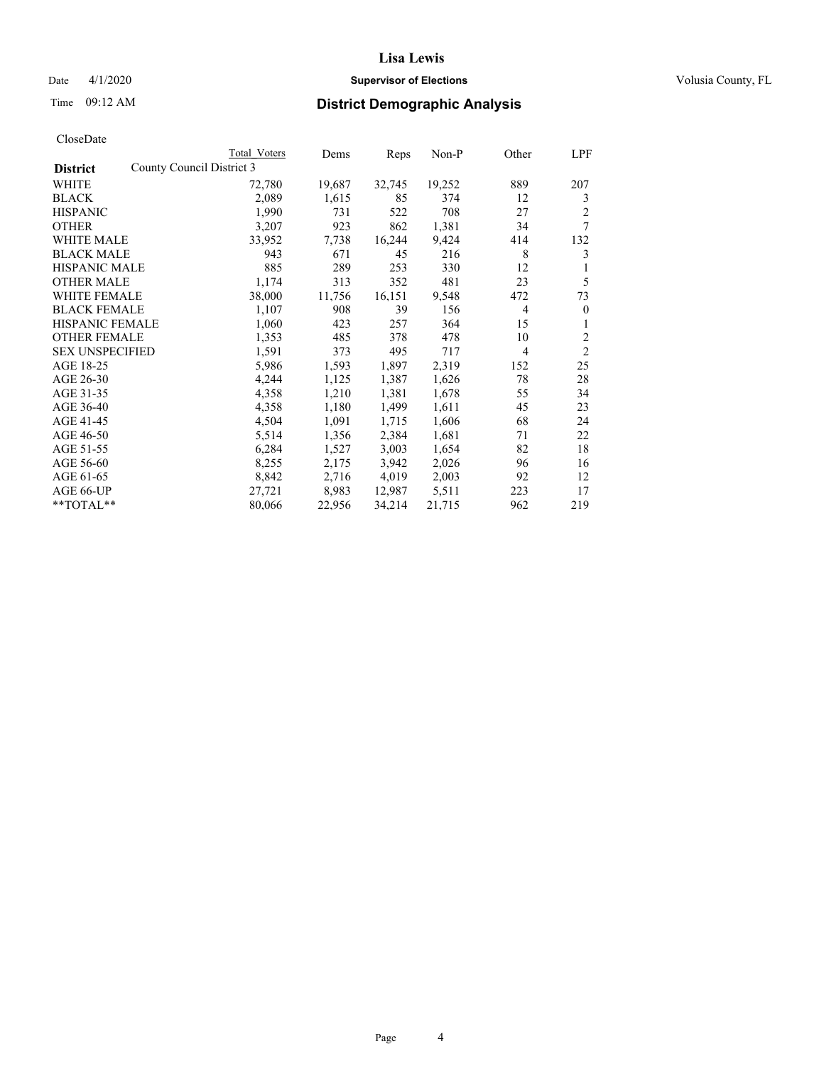# Date 4/1/2020 **Supervisor of Elections Supervisor of Elections** Volusia County, FL

| CloseDate |
|-----------|
|-----------|

|                                              | Total Voters | Dems   | Reps   | Non-P  | Other          | LPF            |
|----------------------------------------------|--------------|--------|--------|--------|----------------|----------------|
| County Council District 3<br><b>District</b> |              |        |        |        |                |                |
| WHITE                                        | 72,780       | 19,687 | 32,745 | 19,252 | 889            | 207            |
| <b>BLACK</b>                                 | 2,089        | 1,615  | 85     | 374    | 12             | 3              |
| <b>HISPANIC</b>                              | 1,990        | 731    | 522    | 708    | 27             | 2              |
| <b>OTHER</b>                                 | 3,207        | 923    | 862    | 1,381  | 34             | 7              |
| WHITE MALE                                   | 33,952       | 7,738  | 16,244 | 9,424  | 414            | 132            |
| <b>BLACK MALE</b>                            | 943          | 671    | 45     | 216    | 8              | 3              |
| <b>HISPANIC MALE</b>                         | 885          | 289    | 253    | 330    | 12             | 1              |
| <b>OTHER MALE</b>                            | 1,174        | 313    | 352    | 481    | 23             | 5              |
| WHITE FEMALE                                 | 38,000       | 11,756 | 16,151 | 9,548  | 472            | 73             |
| <b>BLACK FEMALE</b>                          | 1,107        | 908    | 39     | 156    | $\overline{4}$ | $\mathbf{0}$   |
| <b>HISPANIC FEMALE</b>                       | 1,060        | 423    | 257    | 364    | 15             | 1              |
| <b>OTHER FEMALE</b>                          | 1,353        | 485    | 378    | 478    | 10             | 2              |
| <b>SEX UNSPECIFIED</b>                       | 1,591        | 373    | 495    | 717    | $\overline{4}$ | $\overline{2}$ |
| AGE 18-25                                    | 5,986        | 1,593  | 1,897  | 2,319  | 152            | 25             |
| AGE 26-30                                    | 4,244        | 1,125  | 1,387  | 1,626  | 78             | 28             |
| AGE 31-35                                    | 4,358        | 1,210  | 1,381  | 1,678  | 55             | 34             |
| AGE 36-40                                    | 4,358        | 1,180  | 1,499  | 1,611  | 45             | 23             |
| AGE 41-45                                    | 4,504        | 1,091  | 1,715  | 1,606  | 68             | 24             |
| AGE 46-50                                    | 5,514        | 1,356  | 2,384  | 1,681  | 71             | 22             |
| AGE 51-55                                    | 6,284        | 1,527  | 3,003  | 1,654  | 82             | 18             |
| AGE 56-60                                    | 8,255        | 2,175  | 3,942  | 2,026  | 96             | 16             |
| AGE 61-65                                    | 8,842        | 2,716  | 4,019  | 2,003  | 92             | 12             |
| AGE 66-UP                                    | 27,721       | 8,983  | 12,987 | 5,511  | 223            | 17             |
| $*$ $TOTAL**$                                | 80,066       | 22,956 | 34,214 | 21,715 | 962            | 219            |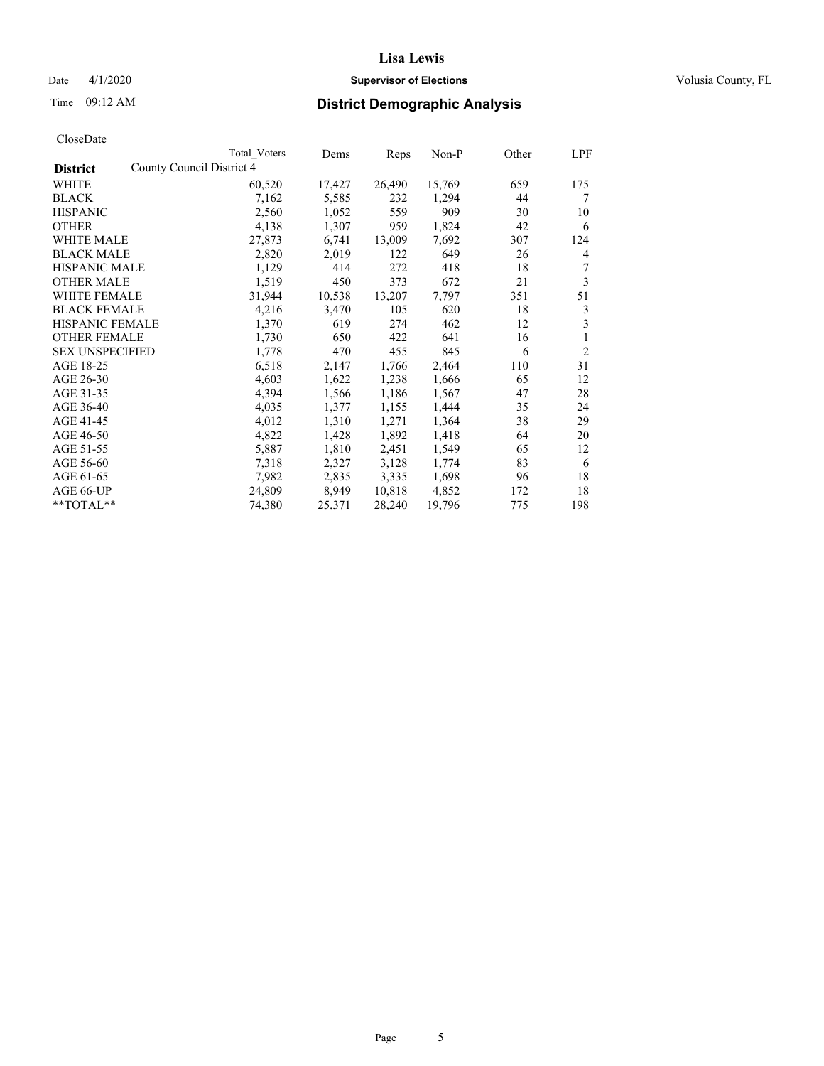# Date 4/1/2020 **Supervisor of Elections Supervisor of Elections** Volusia County, FL

|                                              | Total Voters | Dems   | Reps   | Non-P  | Other | LPF            |
|----------------------------------------------|--------------|--------|--------|--------|-------|----------------|
| County Council District 4<br><b>District</b> |              |        |        |        |       |                |
| WHITE                                        | 60,520       | 17,427 | 26,490 | 15,769 | 659   | 175            |
| <b>BLACK</b>                                 | 7,162        | 5,585  | 232    | 1,294  | 44    | 7              |
| <b>HISPANIC</b>                              | 2,560        | 1,052  | 559    | 909    | 30    | 10             |
| <b>OTHER</b>                                 | 4,138        | 1,307  | 959    | 1,824  | 42    | 6              |
| WHITE MALE                                   | 27,873       | 6,741  | 13,009 | 7,692  | 307   | 124            |
| <b>BLACK MALE</b>                            | 2,820        | 2,019  | 122    | 649    | 26    | 4              |
| <b>HISPANIC MALE</b>                         | 1,129        | 414    | 272    | 418    | 18    | 7              |
| <b>OTHER MALE</b>                            | 1,519        | 450    | 373    | 672    | 21    | 3              |
| <b>WHITE FEMALE</b>                          | 31,944       | 10,538 | 13,207 | 7,797  | 351   | 51             |
| <b>BLACK FEMALE</b>                          | 4,216        | 3,470  | 105    | 620    | 18    | 3              |
| HISPANIC FEMALE                              | 1,370        | 619    | 274    | 462    | 12    | 3              |
| <b>OTHER FEMALE</b>                          | 1,730        | 650    | 422    | 641    | 16    | 1              |
| <b>SEX UNSPECIFIED</b>                       | 1,778        | 470    | 455    | 845    | 6     | $\overline{2}$ |
| AGE 18-25                                    | 6,518        | 2,147  | 1,766  | 2,464  | 110   | 31             |
| AGE 26-30                                    | 4,603        | 1,622  | 1,238  | 1,666  | 65    | 12             |
| AGE 31-35                                    | 4,394        | 1,566  | 1,186  | 1,567  | 47    | 28             |
| AGE 36-40                                    | 4,035        | 1,377  | 1,155  | 1,444  | 35    | 24             |
| AGE 41-45                                    | 4,012        | 1,310  | 1,271  | 1,364  | 38    | 29             |
| AGE 46-50                                    | 4,822        | 1,428  | 1,892  | 1,418  | 64    | 20             |
| AGE 51-55                                    | 5,887        | 1,810  | 2,451  | 1,549  | 65    | 12             |
| AGE 56-60                                    | 7,318        | 2,327  | 3,128  | 1,774  | 83    | 6              |
| AGE 61-65                                    | 7,982        | 2,835  | 3,335  | 1,698  | 96    | 18             |
| AGE 66-UP                                    | 24,809       | 8,949  | 10,818 | 4,852  | 172   | 18             |
| **TOTAL**                                    | 74,380       | 25,371 | 28,240 | 19,796 | 775   | 198            |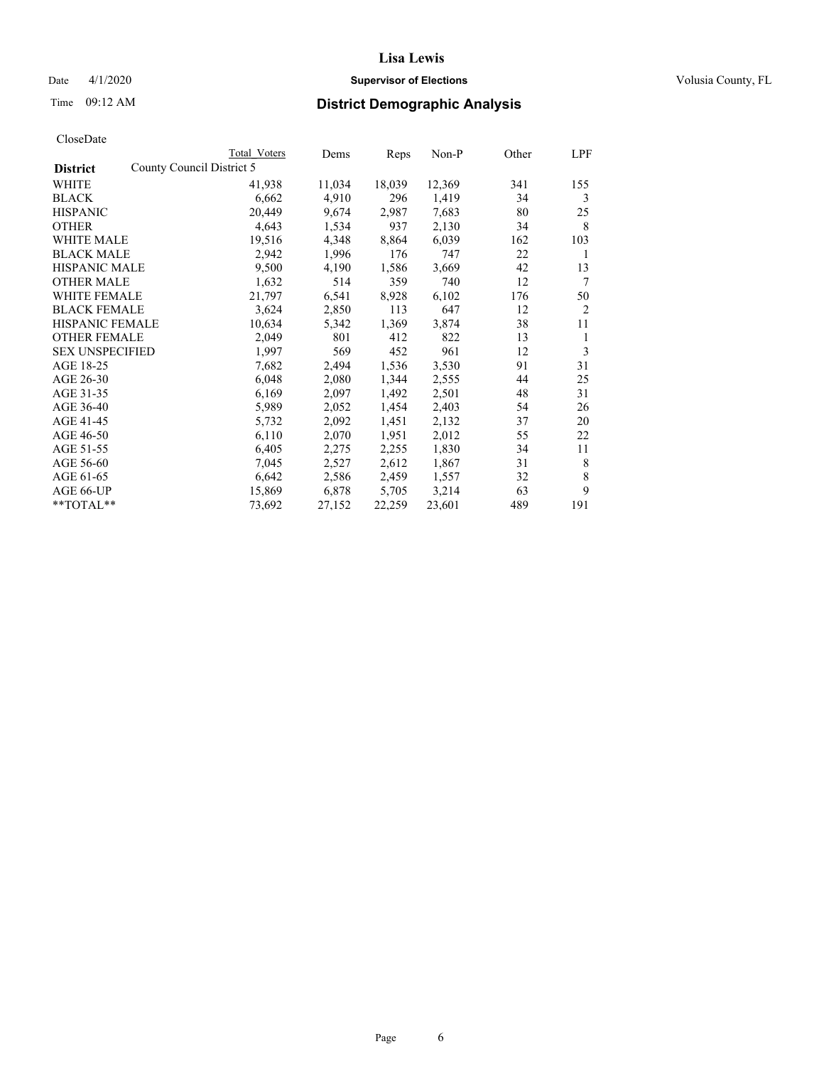# Date 4/1/2020 **Supervisor of Elections Supervisor of Elections** Volusia County, FL

|                        | Total Voters              | Dems   | Reps   | Non-P  | Other | LPF            |
|------------------------|---------------------------|--------|--------|--------|-------|----------------|
| <b>District</b>        | County Council District 5 |        |        |        |       |                |
| WHITE                  | 41,938                    | 11,034 | 18,039 | 12,369 | 341   | 155            |
| BLACK                  | 6,662                     | 4,910  | 296    | 1,419  | 34    | 3              |
| <b>HISPANIC</b>        | 20,449                    | 9,674  | 2,987  | 7,683  | 80    | 25             |
| OTHER                  | 4,643                     | 1,534  | 937    | 2,130  | 34    | 8              |
| <b>WHITE MALE</b>      | 19,516                    | 4,348  | 8,864  | 6,039  | 162   | 103            |
| <b>BLACK MALE</b>      | 2,942                     | 1,996  | 176    | 747    | 22    | 1              |
| <b>HISPANIC MALE</b>   | 9,500                     | 4,190  | 1,586  | 3,669  | 42    | 13             |
| OTHER MALE             | 1,632                     | 514    | 359    | 740    | 12    | 7              |
| WHITE FEMALE           | 21,797                    | 6,541  | 8,928  | 6,102  | 176   | 50             |
| <b>BLACK FEMALE</b>    | 3,624                     | 2,850  | 113    | 647    | 12    | $\overline{2}$ |
| <b>HISPANIC FEMALE</b> | 10,634                    | 5,342  | 1,369  | 3,874  | 38    | 11             |
| <b>OTHER FEMALE</b>    | 2,049                     | 801    | 412    | 822    | 13    | 1              |
| <b>SEX UNSPECIFIED</b> | 1,997                     | 569    | 452    | 961    | 12    | 3              |
| AGE 18-25              | 7,682                     | 2,494  | 1,536  | 3,530  | 91    | 31             |
| AGE 26-30              | 6,048                     | 2,080  | 1,344  | 2,555  | 44    | 25             |
| AGE 31-35              | 6,169                     | 2,097  | 1,492  | 2,501  | 48    | 31             |
| AGE 36-40              | 5,989                     | 2,052  | 1,454  | 2,403  | 54    | 26             |
| AGE 41-45              | 5,732                     | 2,092  | 1,451  | 2,132  | 37    | 20             |
| AGE 46-50              | 6,110                     | 2,070  | 1,951  | 2,012  | 55    | 22             |
| AGE 51-55              | 6,405                     | 2,275  | 2,255  | 1,830  | 34    | 11             |
| AGE 56-60              | 7,045                     | 2,527  | 2,612  | 1,867  | 31    | 8              |
| AGE 61-65              | 6,642                     | 2,586  | 2,459  | 1,557  | 32    | 8              |
| AGE 66-UP              | 15,869                    | 6,878  | 5,705  | 3,214  | 63    | 9              |
| **TOTAL**              | 73,692                    | 27,152 | 22,259 | 23,601 | 489   | 191            |
|                        |                           |        |        |        |       |                |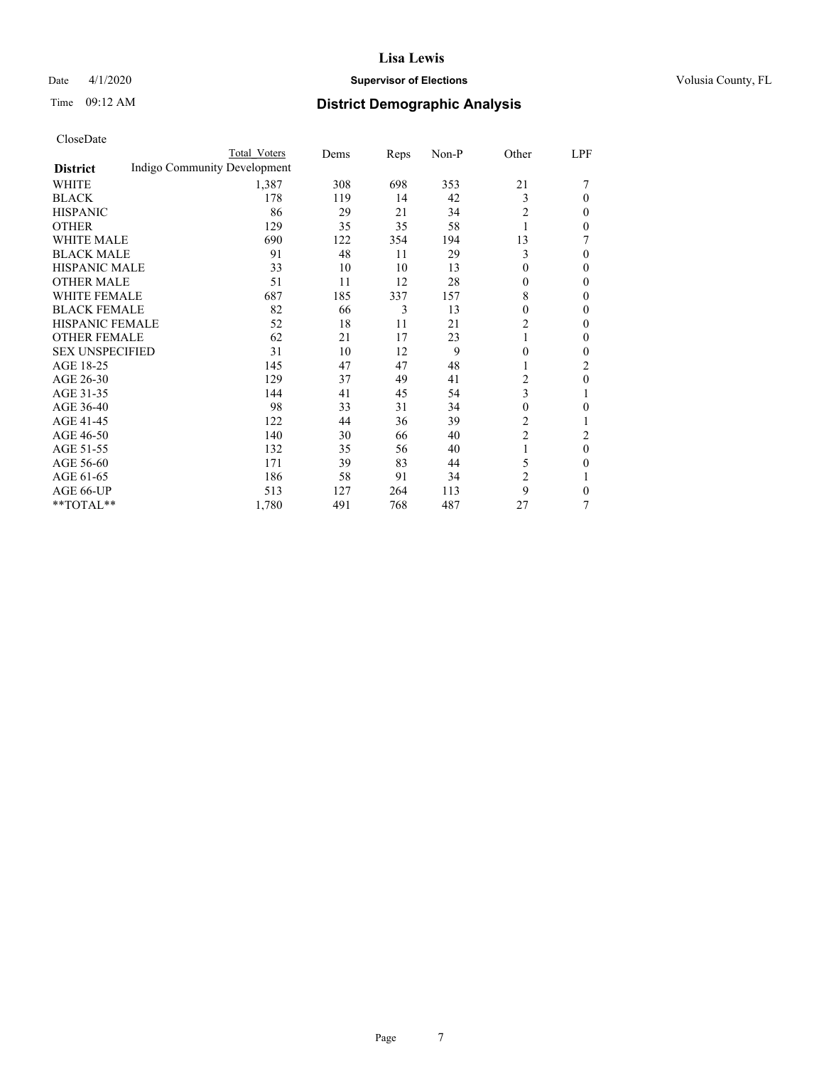# Date 4/1/2020 **Supervisor of Elections Supervisor of Elections** Volusia County, FL

# Time 09:12 AM **District Demographic Analysis**

|                        |                              | Total Voters | Dems | Reps | Non-P | Other          | LPF      |
|------------------------|------------------------------|--------------|------|------|-------|----------------|----------|
| <b>District</b>        | Indigo Community Development |              |      |      |       |                |          |
| WHITE                  |                              | 1,387        | 308  | 698  | 353   | 21             | 7        |
| <b>BLACK</b>           |                              | 178          | 119  | 14   | 42    | 3              | 0        |
| <b>HISPANIC</b>        |                              | 86           | 29   | 21   | 34    | 2              | 0        |
| <b>OTHER</b>           |                              | 129          | 35   | 35   | 58    | 1              | 0        |
| WHITE MALE             |                              | 690          | 122  | 354  | 194   | 13             |          |
| <b>BLACK MALE</b>      |                              | 91           | 48   | 11   | 29    | 3              | 0        |
| <b>HISPANIC MALE</b>   |                              | 33           | 10   | 10   | 13    | 0              | $\theta$ |
| <b>OTHER MALE</b>      |                              | 51           | 11   | 12   | 28    | $\theta$       | $\theta$ |
| <b>WHITE FEMALE</b>    |                              | 687          | 185  | 337  | 157   | 8              | 0        |
| <b>BLACK FEMALE</b>    |                              | 82           | 66   | 3    | 13    | 0              | 0        |
| <b>HISPANIC FEMALE</b> |                              | 52           | 18   | 11   | 21    | 2              | 0        |
| <b>OTHER FEMALE</b>    |                              | 62           | 21   | 17   | 23    | 1              | 0        |
| <b>SEX UNSPECIFIED</b> |                              | 31           | 10   | 12   | 9     | 0              | 0        |
| AGE 18-25              |                              | 145          | 47   | 47   | 48    |                | 2        |
| AGE 26-30              |                              | 129          | 37   | 49   | 41    | 2              | $\theta$ |
| AGE 31-35              |                              | 144          | 41   | 45   | 54    | 3              | 1        |
| AGE 36-40              |                              | 98           | 33   | 31   | 34    | 0              | 0        |
| AGE 41-45              |                              | 122          | 44   | 36   | 39    | 2              |          |
| AGE 46-50              |                              | 140          | 30   | 66   | 40    | $\overline{2}$ | 2        |
| AGE 51-55              |                              | 132          | 35   | 56   | 40    | 1              | $\theta$ |
| AGE 56-60              |                              | 171          | 39   | 83   | 44    | 5              | 0        |
| AGE 61-65              |                              | 186          | 58   | 91   | 34    | $\overline{c}$ | 1        |
| AGE 66-UP              |                              | 513          | 127  | 264  | 113   | 9              | 0        |
| **TOTAL**              |                              | 1,780        | 491  | 768  | 487   | 27             | 7        |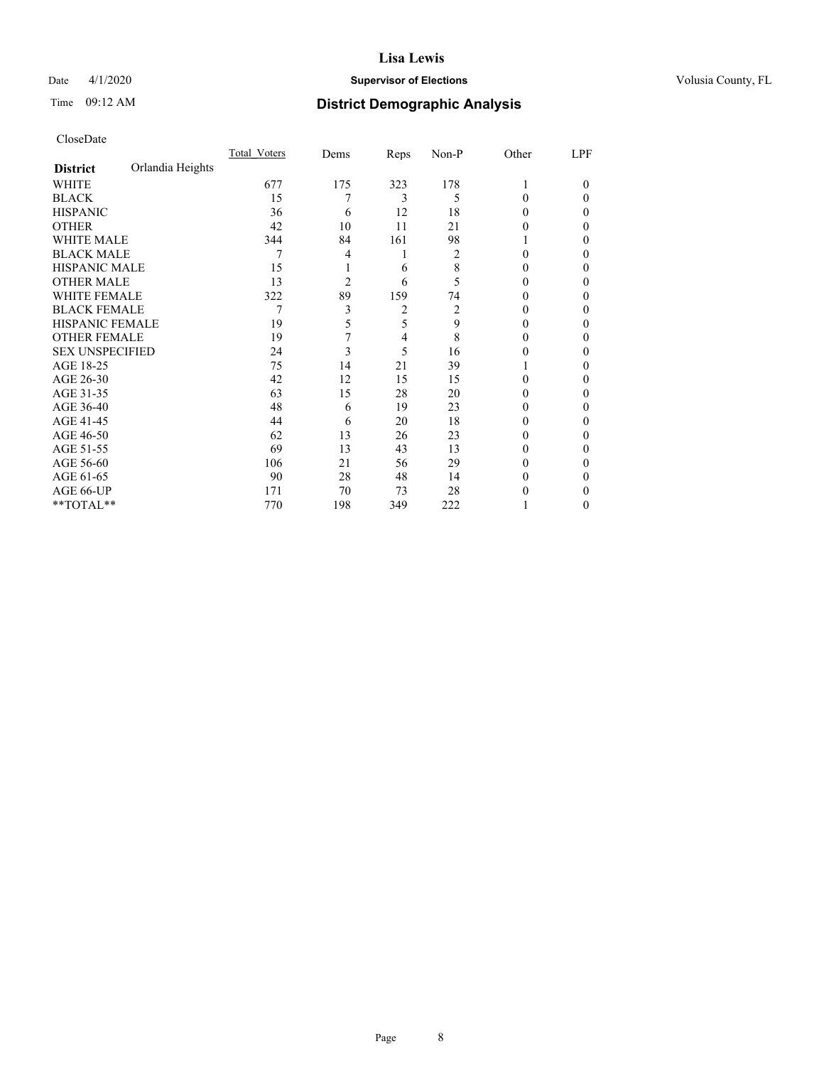# Date 4/1/2020 **Supervisor of Elections Supervisor of Elections** Volusia County, FL

# Time 09:12 AM **District Demographic Analysis**

|                        |                  | Total Voters | Dems           | Reps | Non-P | Other  | LPF |
|------------------------|------------------|--------------|----------------|------|-------|--------|-----|
| <b>District</b>        | Orlandia Heights |              |                |      |       |        |     |
| WHITE                  |                  | 677          | 175            | 323  | 178   | 1      | 0   |
| <b>BLACK</b>           |                  | 15           | 7              | 3    | 5     | 0      | 0   |
| <b>HISPANIC</b>        |                  | 36           | 6              | 12   | 18    | 0      | 0   |
| <b>OTHER</b>           |                  | 42           | 10             | 11   | 21    | $_{0}$ | 0   |
| WHITE MALE             |                  | 344          | 84             | 161  | 98    |        | 0   |
| <b>BLACK MALE</b>      |                  | 7            | 4              | 1    | 2     | 0      | 0   |
| <b>HISPANIC MALE</b>   |                  | 15           |                | 6    | 8     | $_{0}$ | 0   |
| <b>OTHER MALE</b>      |                  | 13           | $\overline{2}$ | 6    | 5     | $_{0}$ | 0   |
| WHITE FEMALE           |                  | 322          | 89             | 159  | 74    | 0      | 0   |
| <b>BLACK FEMALE</b>    |                  | 7            | 3              | 2    | 2     | 0      | 0   |
| <b>HISPANIC FEMALE</b> |                  | 19           | 5              | 5    | 9     | $_{0}$ | 0   |
| <b>OTHER FEMALE</b>    |                  | 19           | 7              | 4    | 8     | 0      | 0   |
| <b>SEX UNSPECIFIED</b> |                  | 24           | 3              | 5    | 16    | 0      | 0   |
| AGE 18-25              |                  | 75           | 14             | 21   | 39    |        | 0   |
| AGE 26-30              |                  | 42           | 12             | 15   | 15    | 0      | 0   |
| AGE 31-35              |                  | 63           | 15             | 28   | 20    | 0      | 0   |
| AGE 36-40              |                  | 48           | 6              | 19   | 23    | 0      | 0   |
| AGE 41-45              |                  | 44           | 6              | 20   | 18    | 0      | 0   |
| AGE 46-50              |                  | 62           | 13             | 26   | 23    | 0      | 0   |
| AGE 51-55              |                  | 69           | 13             | 43   | 13    | $_{0}$ | 0   |
| AGE 56-60              |                  | 106          | 21             | 56   | 29    | 0      | 0   |
| AGE 61-65              |                  | 90           | 28             | 48   | 14    | 0      | 0   |
| AGE 66-UP              |                  | 171          | 70             | 73   | 28    |        | 0   |
| **TOTAL**              |                  | 770          | 198            | 349  | 222   |        | 0   |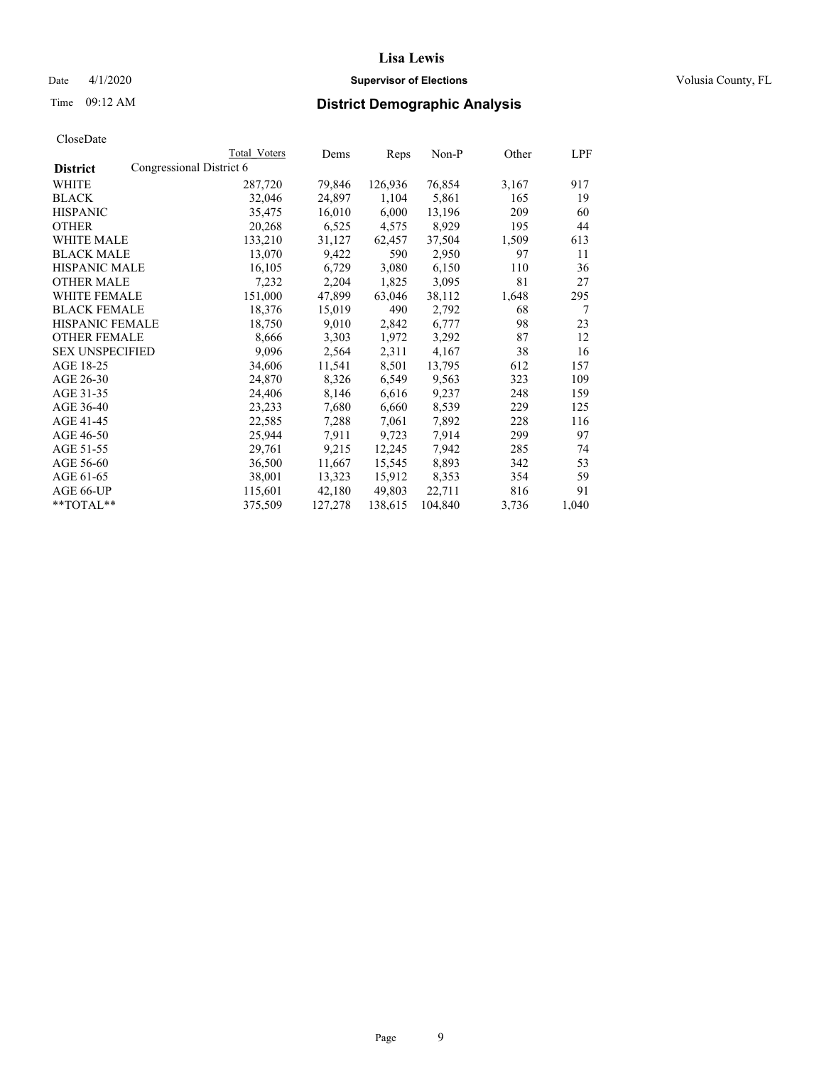# Date 4/1/2020 **Supervisor of Elections Supervisor of Elections** Volusia County, FL

|                                             | Total Voters | Dems    | Reps    | Non-P   | Other | <u>LPF</u> |
|---------------------------------------------|--------------|---------|---------|---------|-------|------------|
| Congressional District 6<br><b>District</b> |              |         |         |         |       |            |
| WHITE                                       | 287,720      | 79,846  | 126,936 | 76,854  | 3,167 | 917        |
| <b>BLACK</b>                                | 32,046       | 24,897  | 1,104   | 5,861   | 165   | 19         |
| <b>HISPANIC</b>                             | 35,475       | 16,010  | 6,000   | 13,196  | 209   | 60         |
| <b>OTHER</b>                                | 20,268       | 6,525   | 4,575   | 8,929   | 195   | 44         |
| <b>WHITE MALE</b>                           | 133,210      | 31,127  | 62,457  | 37,504  | 1,509 | 613        |
| <b>BLACK MALE</b>                           | 13,070       | 9,422   | 590     | 2,950   | 97    | 11         |
| <b>HISPANIC MALE</b>                        | 16,105       | 6,729   | 3,080   | 6,150   | 110   | 36         |
| <b>OTHER MALE</b>                           | 7,232        | 2,204   | 1,825   | 3,095   | 81    | 27         |
| <b>WHITE FEMALE</b>                         | 151,000      | 47,899  | 63,046  | 38,112  | 1,648 | 295        |
| <b>BLACK FEMALE</b>                         | 18,376       | 15,019  | 490     | 2,792   | 68    | 7          |
| <b>HISPANIC FEMALE</b>                      | 18,750       | 9,010   | 2,842   | 6,777   | 98    | 23         |
| <b>OTHER FEMALE</b>                         | 8,666        | 3,303   | 1,972   | 3,292   | 87    | 12         |
| <b>SEX UNSPECIFIED</b>                      | 9,096        | 2,564   | 2,311   | 4,167   | 38    | 16         |
| AGE 18-25                                   | 34,606       | 11,541  | 8,501   | 13,795  | 612   | 157        |
| AGE 26-30                                   | 24,870       | 8,326   | 6,549   | 9,563   | 323   | 109        |
| AGE 31-35                                   | 24,406       | 8,146   | 6,616   | 9,237   | 248   | 159        |
| AGE 36-40                                   | 23,233       | 7,680   | 6,660   | 8,539   | 229   | 125        |
| AGE 41-45                                   | 22,585       | 7,288   | 7,061   | 7,892   | 228   | 116        |
| AGE 46-50                                   | 25,944       | 7,911   | 9,723   | 7,914   | 299   | 97         |
| AGE 51-55                                   | 29,761       | 9,215   | 12,245  | 7,942   | 285   | 74         |
| AGE 56-60                                   | 36,500       | 11,667  | 15,545  | 8,893   | 342   | 53         |
| AGE 61-65                                   | 38,001       | 13,323  | 15,912  | 8,353   | 354   | 59         |
| AGE 66-UP                                   | 115,601      | 42,180  | 49,803  | 22,711  | 816   | 91         |
| $*$ $TOTAL**$                               | 375,509      | 127,278 | 138,615 | 104,840 | 3,736 | 1,040      |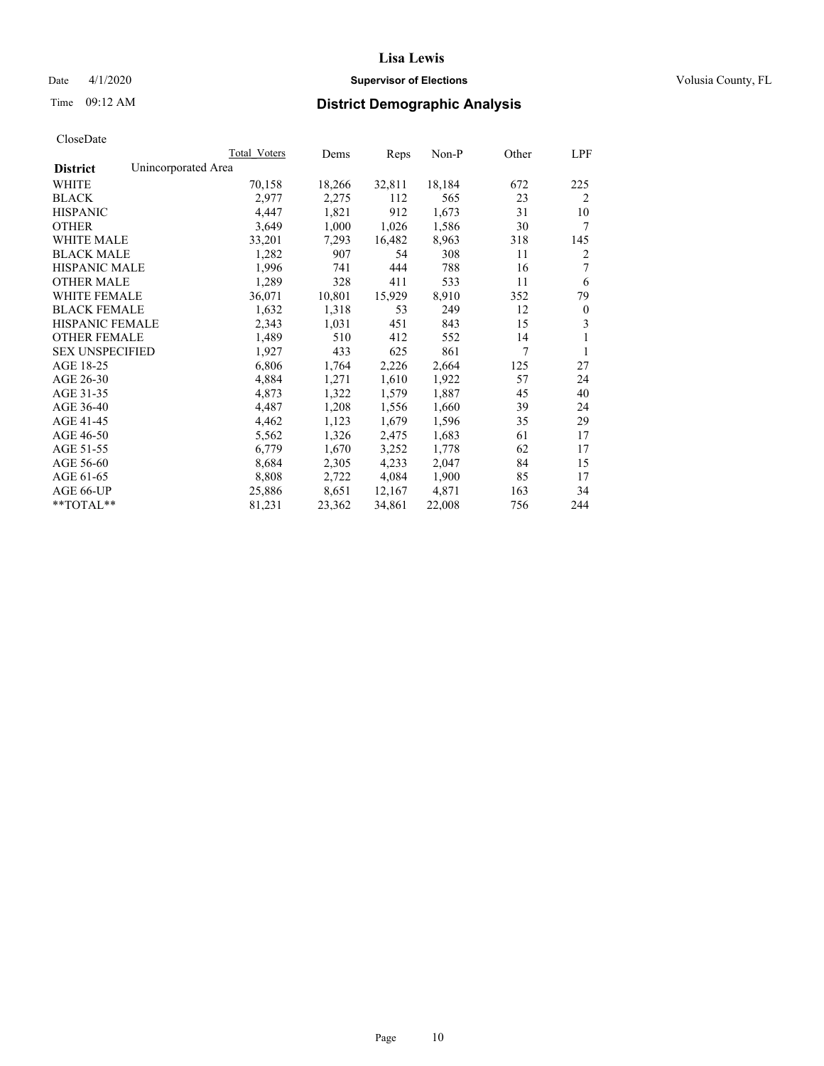# Date 4/1/2020 **Supervisor of Elections Supervisor of Elections** Volusia County, FL

# Time 09:12 AM **District Demographic Analysis**

|                        | Total Voters        | Dems   | Reps   | Non-P  | Other | LPF            |
|------------------------|---------------------|--------|--------|--------|-------|----------------|
| <b>District</b>        | Unincorporated Area |        |        |        |       |                |
| WHITE                  | 70,158              | 18,266 | 32,811 | 18,184 | 672   | 225            |
| <b>BLACK</b>           | 2,977               | 2,275  | 112    | 565    | 23    | $\overline{2}$ |
| <b>HISPANIC</b>        | 4,447               | 1,821  | 912    | 1,673  | 31    | 10             |
| <b>OTHER</b>           | 3,649               | 1,000  | 1,026  | 1,586  | 30    | 7              |
| <b>WHITE MALE</b>      | 33,201              | 7,293  | 16,482 | 8,963  | 318   | 145            |
| <b>BLACK MALE</b>      | 1,282               | 907    | 54     | 308    | 11    | 2              |
| <b>HISPANIC MALE</b>   | 1,996               | 741    | 444    | 788    | 16    | 7              |
| <b>OTHER MALE</b>      | 1,289               | 328    | 411    | 533    | 11    | 6              |
| <b>WHITE FEMALE</b>    | 36,071              | 10,801 | 15,929 | 8,910  | 352   | 79             |
| <b>BLACK FEMALE</b>    | 1,632               | 1,318  | 53     | 249    | 12    | $\mathbf{0}$   |
| <b>HISPANIC FEMALE</b> | 2,343               | 1,031  | 451    | 843    | 15    | 3              |
| <b>OTHER FEMALE</b>    | 1,489               | 510    | 412    | 552    | 14    | 1              |
| <b>SEX UNSPECIFIED</b> | 1,927               | 433    | 625    | 861    | 7     | 1              |
| AGE 18-25              | 6,806               | 1,764  | 2,226  | 2,664  | 125   | 27             |
| AGE 26-30              | 4,884               | 1,271  | 1,610  | 1,922  | 57    | 24             |
| AGE 31-35              | 4,873               | 1,322  | 1,579  | 1,887  | 45    | 40             |
| AGE 36-40              | 4,487               | 1,208  | 1,556  | 1,660  | 39    | 24             |
| AGE 41-45              | 4,462               | 1,123  | 1,679  | 1,596  | 35    | 29             |
| AGE 46-50              | 5,562               | 1,326  | 2,475  | 1,683  | 61    | 17             |
| AGE 51-55              | 6,779               | 1,670  | 3,252  | 1,778  | 62    | 17             |
| AGE 56-60              | 8,684               | 2,305  | 4,233  | 2,047  | 84    | 15             |
| AGE 61-65              | 8,808               | 2,722  | 4,084  | 1,900  | 85    | 17             |
| AGE 66-UP              | 25,886              | 8,651  | 12,167 | 4,871  | 163   | 34             |
| $*$ TOTAL $*$          | 81,231              | 23,362 | 34,861 | 22,008 | 756   | 244            |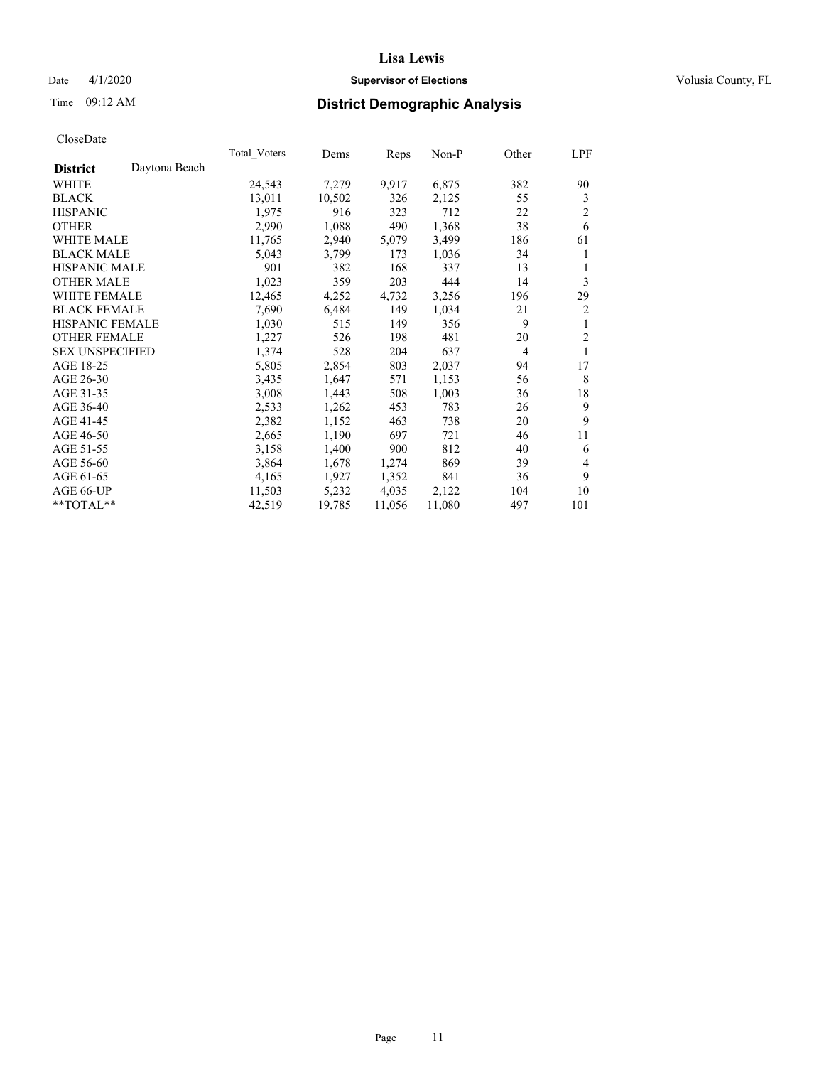# Date 4/1/2020 **Supervisor of Elections Supervisor of Elections** Volusia County, FL

# Time 09:12 AM **District Demographic Analysis**

| Total Voters | Dems   |        | Non-P  | Other          | LPF            |
|--------------|--------|--------|--------|----------------|----------------|
|              |        |        |        |                |                |
| 24,543       | 7,279  | 9,917  | 6,875  | 382            | 90             |
| 13,011       | 10,502 | 326    | 2,125  | 55             | 3              |
| 1,975        | 916    | 323    | 712    | 22             | $\overline{2}$ |
| 2,990        | 1,088  | 490    | 1,368  | 38             | 6              |
| 11,765       | 2,940  | 5,079  | 3,499  | 186            | 61             |
| 5,043        | 3,799  | 173    | 1,036  | 34             | 1              |
| 901          | 382    | 168    | 337    | 13             | 1              |
| 1,023        | 359    | 203    | 444    | 14             | 3              |
| 12,465       | 4,252  | 4,732  | 3,256  | 196            | 29             |
| 7,690        | 6,484  | 149    | 1,034  | 21             | 2              |
| 1,030        | 515    | 149    | 356    | 9              | 1              |
| 1,227        | 526    | 198    | 481    | 20             | $\overline{2}$ |
| 1,374        | 528    | 204    | 637    | $\overline{4}$ | 1              |
| 5,805        | 2,854  | 803    | 2,037  | 94             | 17             |
| 3,435        | 1,647  | 571    | 1,153  | 56             | 8              |
| 3,008        | 1,443  | 508    | 1,003  | 36             | 18             |
| 2,533        | 1,262  | 453    | 783    | 26             | 9              |
| 2,382        | 1,152  | 463    | 738    | 20             | 9              |
| 2,665        | 1,190  | 697    | 721    | 46             | 11             |
| 3,158        | 1,400  | 900    | 812    | 40             | 6              |
| 3,864        | 1,678  | 1,274  | 869    | 39             | 4              |
| 4,165        | 1,927  | 1,352  | 841    | 36             | 9              |
| 11,503       | 5,232  | 4,035  | 2,122  | 104            | 10             |
| 42,519       | 19,785 | 11,056 | 11,080 | 497            | 101            |
|              |        |        | Reps   |                |                |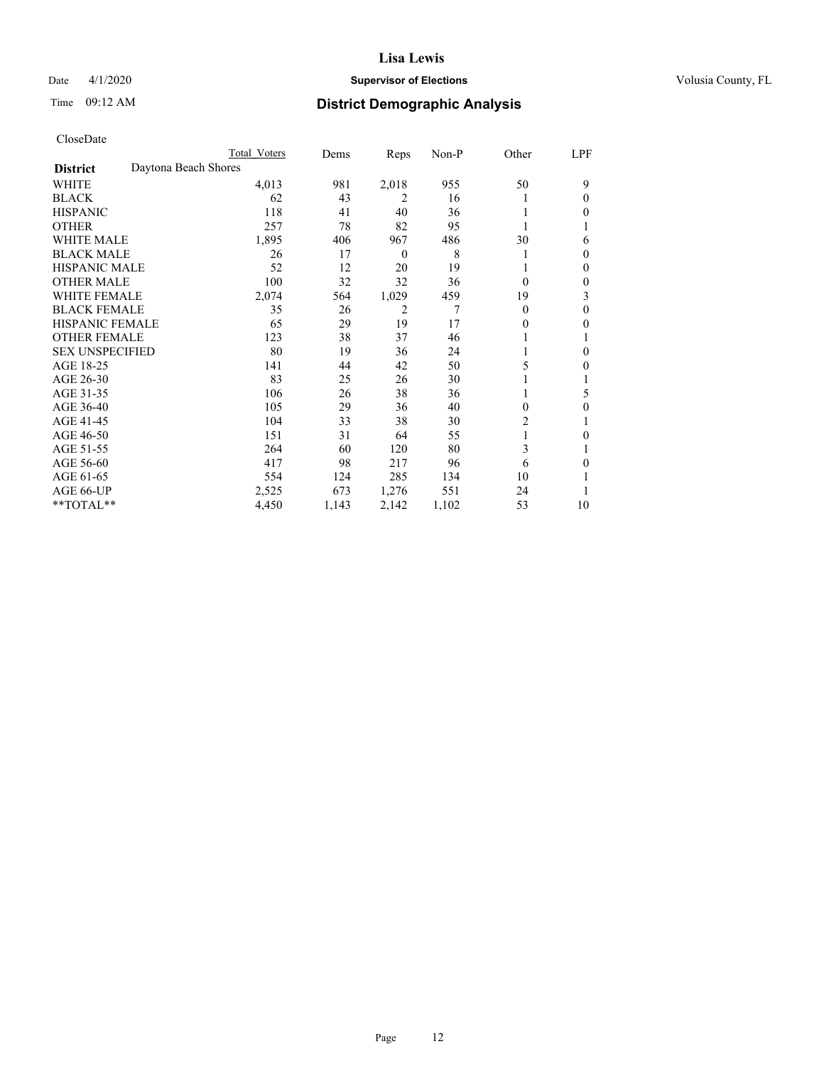# Date 4/1/2020 **Supervisor of Elections Supervisor of Elections** Volusia County, FL

# Time 09:12 AM **District Demographic Analysis**

|                        |                      | Total Voters | Dems  | Reps             | Non-P | Other    | LPF |
|------------------------|----------------------|--------------|-------|------------------|-------|----------|-----|
| <b>District</b>        | Daytona Beach Shores |              |       |                  |       |          |     |
| WHITE                  |                      | 4,013        | 981   | 2,018            | 955   | 50       | 9   |
| <b>BLACK</b>           |                      | 62           | 43    | 2                | 16    |          | 0   |
| <b>HISPANIC</b>        |                      | 118          | 41    | 40               | 36    |          | 0   |
| <b>OTHER</b>           |                      | 257          | 78    | 82               | 95    |          |     |
| WHITE MALE             |                      | 1,895        | 406   | 967              | 486   | 30       | 6   |
| <b>BLACK MALE</b>      |                      | 26           | 17    | $\boldsymbol{0}$ | 8     |          | 0   |
| <b>HISPANIC MALE</b>   |                      | 52           | 12    | 20               | 19    |          | 0   |
| <b>OTHER MALE</b>      |                      | 100          | 32    | 32               | 36    | $\Omega$ | 0   |
| WHITE FEMALE           |                      | 2,074        | 564   | 1,029            | 459   | 19       | 3   |
| <b>BLACK FEMALE</b>    |                      | 35           | 26    | 2                | 7     | $\Omega$ | 0   |
| <b>HISPANIC FEMALE</b> |                      | 65           | 29    | 19               | 17    | 0        | 0   |
| <b>OTHER FEMALE</b>    |                      | 123          | 38    | 37               | 46    |          |     |
| <b>SEX UNSPECIFIED</b> |                      | 80           | 19    | 36               | 24    |          | 0   |
| AGE 18-25              |                      | 141          | 44    | 42               | 50    | 5        | 0   |
| AGE 26-30              |                      | 83           | 25    | 26               | 30    |          |     |
| AGE 31-35              |                      | 106          | 26    | 38               | 36    |          | 5   |
| AGE 36-40              |                      | 105          | 29    | 36               | 40    | 0        | 0   |
| AGE 41-45              |                      | 104          | 33    | 38               | 30    | 2        |     |
| AGE 46-50              |                      | 151          | 31    | 64               | 55    | 1        | 0   |
| AGE 51-55              |                      | 264          | 60    | 120              | 80    | 3        |     |
| AGE 56-60              |                      | 417          | 98    | 217              | 96    | 6        | 0   |
| AGE 61-65              |                      | 554          | 124   | 285              | 134   | 10       |     |
| AGE 66-UP              |                      | 2,525        | 673   | 1,276            | 551   | 24       |     |
| **TOTAL**              |                      | 4,450        | 1,143 | 2,142            | 1,102 | 53       | 10  |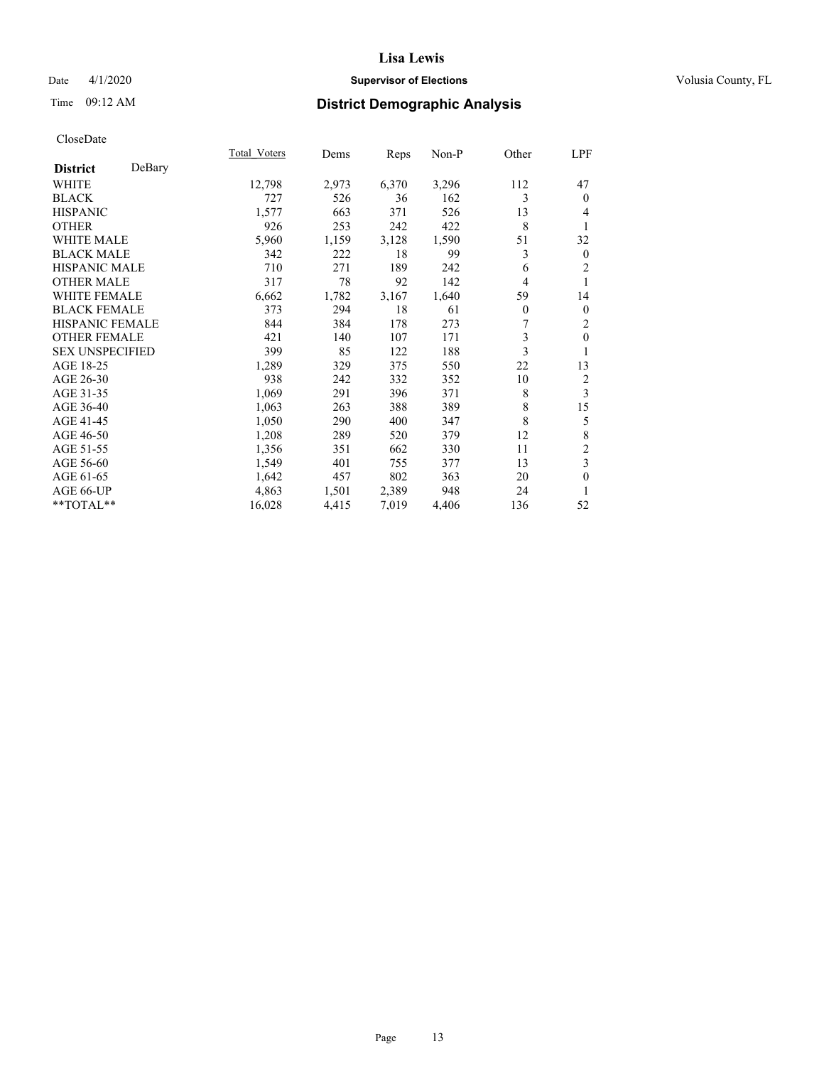# Date 4/1/2020 **Supervisor of Elections Supervisor of Elections** Volusia County, FL

# Time 09:12 AM **District Demographic Analysis**

|                        |        | Total Voters | Dems  | Reps  | Non-P | Other    | LPF                     |
|------------------------|--------|--------------|-------|-------|-------|----------|-------------------------|
| <b>District</b>        | DeBary |              |       |       |       |          |                         |
| WHITE                  |        | 12,798       | 2,973 | 6,370 | 3,296 | 112      | 47                      |
| <b>BLACK</b>           |        | 727          | 526   | 36    | 162   | 3        | $\theta$                |
| <b>HISPANIC</b>        |        | 1,577        | 663   | 371   | 526   | 13       | 4                       |
| <b>OTHER</b>           |        | 926          | 253   | 242   | 422   | 8        | 1                       |
| WHITE MALE             |        | 5,960        | 1,159 | 3,128 | 1,590 | 51       | 32                      |
| <b>BLACK MALE</b>      |        | 342          | 222   | 18    | 99    | 3        | $\mathbf{0}$            |
| <b>HISPANIC MALE</b>   |        | 710          | 271   | 189   | 242   | 6        | $\overline{c}$          |
| <b>OTHER MALE</b>      |        | 317          | 78    | 92    | 142   | 4        |                         |
| WHITE FEMALE           |        | 6,662        | 1,782 | 3,167 | 1,640 | 59       | 14                      |
| <b>BLACK FEMALE</b>    |        | 373          | 294   | 18    | 61    | $\theta$ | $\mathbf{0}$            |
| <b>HISPANIC FEMALE</b> |        | 844          | 384   | 178   | 273   | 7        | 2                       |
| <b>OTHER FEMALE</b>    |        | 421          | 140   | 107   | 171   | 3        | $\mathbf{0}$            |
| <b>SEX UNSPECIFIED</b> |        | 399          | 85    | 122   | 188   | 3        | 1                       |
| AGE 18-25              |        | 1,289        | 329   | 375   | 550   | 22       | 13                      |
| AGE 26-30              |        | 938          | 242   | 332   | 352   | 10       | 2                       |
| AGE 31-35              |        | 1,069        | 291   | 396   | 371   | 8        | 3                       |
| AGE 36-40              |        | 1,063        | 263   | 388   | 389   | 8        | 15                      |
| AGE 41-45              |        | 1,050        | 290   | 400   | 347   | 8        | 5                       |
| AGE 46-50              |        | 1,208        | 289   | 520   | 379   | 12       | 8                       |
| AGE 51-55              |        | 1,356        | 351   | 662   | 330   | 11       | $\overline{\mathbf{c}}$ |
| AGE 56-60              |        | 1,549        | 401   | 755   | 377   | 13       | 3                       |
| AGE 61-65              |        | 1,642        | 457   | 802   | 363   | 20       | $\mathbf{0}$            |
| AGE 66-UP              |        | 4,863        | 1,501 | 2,389 | 948   | 24       | 1                       |
| $*$ $TOTAL**$          |        | 16,028       | 4,415 | 7,019 | 4,406 | 136      | 52                      |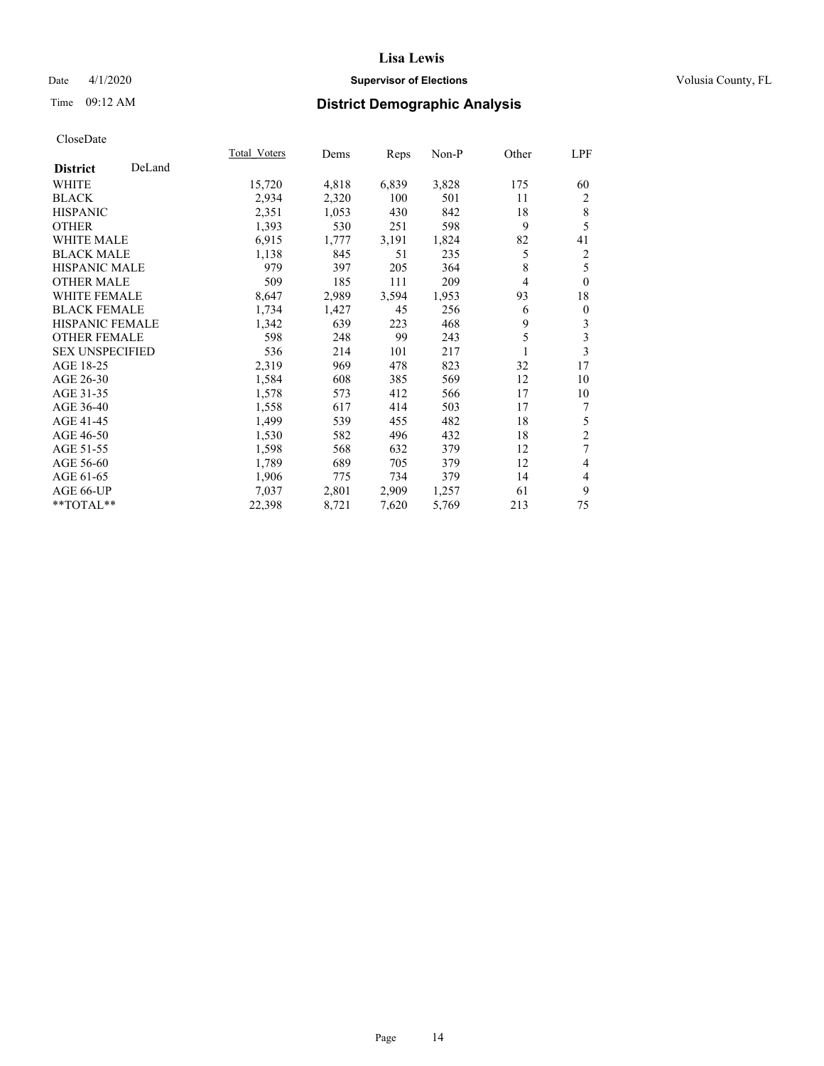# Date 4/1/2020 **Supervisor of Elections Supervisor of Elections** Volusia County, FL

# Time 09:12 AM **District Demographic Analysis**

|                        |        | Total Voters | Dems  | Reps  | Non-P | Other | LPF              |
|------------------------|--------|--------------|-------|-------|-------|-------|------------------|
| <b>District</b>        | DeLand |              |       |       |       |       |                  |
| WHITE                  |        | 15,720       | 4,818 | 6,839 | 3,828 | 175   | 60               |
| <b>BLACK</b>           |        | 2,934        | 2,320 | 100   | 501   | 11    | 2                |
| <b>HISPANIC</b>        |        | 2,351        | 1,053 | 430   | 842   | 18    | 8                |
| <b>OTHER</b>           |        | 1,393        | 530   | 251   | 598   | 9     | 5                |
| WHITE MALE             |        | 6,915        | 1,777 | 3,191 | 1,824 | 82    | 41               |
| <b>BLACK MALE</b>      |        | 1,138        | 845   | 51    | 235   | 5     | 2                |
| <b>HISPANIC MALE</b>   |        | 979          | 397   | 205   | 364   | 8     | 5                |
| <b>OTHER MALE</b>      |        | 509          | 185   | 111   | 209   | 4     | $\theta$         |
| WHITE FEMALE           |        | 8,647        | 2,989 | 3,594 | 1,953 | 93    | 18               |
| <b>BLACK FEMALE</b>    |        | 1,734        | 1,427 | 45    | 256   | 6     | $\boldsymbol{0}$ |
| <b>HISPANIC FEMALE</b> |        | 1,342        | 639   | 223   | 468   | 9     | 3                |
| <b>OTHER FEMALE</b>    |        | 598          | 248   | 99    | 243   | 5     | 3                |
| <b>SEX UNSPECIFIED</b> |        | 536          | 214   | 101   | 217   |       | 3                |
| AGE 18-25              |        | 2,319        | 969   | 478   | 823   | 32    | 17               |
| AGE 26-30              |        | 1,584        | 608   | 385   | 569   | 12    | 10               |
| AGE 31-35              |        | 1,578        | 573   | 412   | 566   | 17    | 10               |
| AGE 36-40              |        | 1,558        | 617   | 414   | 503   | 17    | 7                |
| AGE 41-45              |        | 1,499        | 539   | 455   | 482   | 18    | 5                |
| AGE 46-50              |        | 1,530        | 582   | 496   | 432   | 18    | $\overline{2}$   |
| AGE 51-55              |        | 1,598        | 568   | 632   | 379   | 12    | 7                |
| AGE 56-60              |        | 1,789        | 689   | 705   | 379   | 12    | 4                |
| AGE 61-65              |        | 1,906        | 775   | 734   | 379   | 14    | 4                |
| AGE 66-UP              |        | 7,037        | 2,801 | 2,909 | 1,257 | 61    | 9                |
| **TOTAL**              |        | 22,398       | 8,721 | 7,620 | 5,769 | 213   | 75               |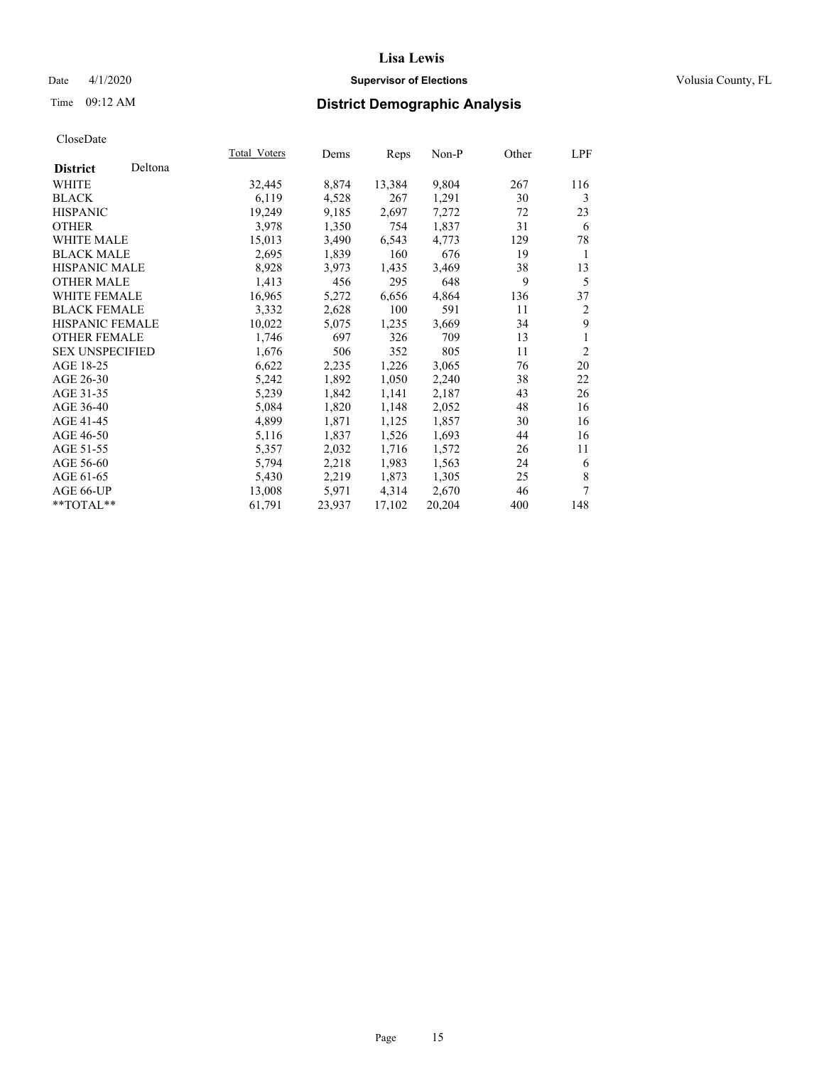# Date 4/1/2020 **Supervisor of Elections Supervisor of Elections** Volusia County, FL

| CloseDate |
|-----------|
|-----------|

|                        |         | Total Voters | Dems   | Reps   | Non-P  | Other | LPF            |
|------------------------|---------|--------------|--------|--------|--------|-------|----------------|
| <b>District</b>        | Deltona |              |        |        |        |       |                |
| WHITE                  |         | 32,445       | 8,874  | 13,384 | 9,804  | 267   | 116            |
| <b>BLACK</b>           |         | 6,119        | 4,528  | 267    | 1,291  | 30    | 3              |
| <b>HISPANIC</b>        |         | 19,249       | 9,185  | 2,697  | 7,272  | 72    | 23             |
| <b>OTHER</b>           |         | 3,978        | 1,350  | 754    | 1,837  | 31    | 6              |
| WHITE MALE             |         | 15,013       | 3,490  | 6,543  | 4,773  | 129   | 78             |
| <b>BLACK MALE</b>      |         | 2,695        | 1,839  | 160    | 676    | 19    | 1              |
| HISPANIC MALE          |         | 8,928        | 3,973  | 1,435  | 3,469  | 38    | 13             |
| OTHER MALE             |         | 1,413        | 456    | 295    | 648    | 9     | 5              |
| WHITE FEMALE           |         | 16,965       | 5,272  | 6,656  | 4,864  | 136   | 37             |
| <b>BLACK FEMALE</b>    |         | 3,332        | 2,628  | 100    | 591    | 11    | 2              |
| <b>HISPANIC FEMALE</b> |         | 10,022       | 5,075  | 1,235  | 3,669  | 34    | 9              |
| <b>OTHER FEMALE</b>    |         | 1,746        | 697    | 326    | 709    | 13    | 1              |
| <b>SEX UNSPECIFIED</b> |         | 1,676        | 506    | 352    | 805    | 11    | $\overline{2}$ |
| AGE 18-25              |         | 6,622        | 2,235  | 1,226  | 3,065  | 76    | 20             |
| AGE 26-30              |         | 5,242        | 1,892  | 1,050  | 2,240  | 38    | 22             |
| AGE 31-35              |         | 5,239        | 1,842  | 1,141  | 2,187  | 43    | 26             |
| AGE 36-40              |         | 5,084        | 1,820  | 1,148  | 2,052  | 48    | 16             |
| AGE 41-45              |         | 4,899        | 1,871  | 1,125  | 1,857  | 30    | 16             |
| AGE 46-50              |         | 5,116        | 1,837  | 1,526  | 1,693  | 44    | 16             |
| AGE 51-55              |         | 5,357        | 2,032  | 1,716  | 1,572  | 26    | 11             |
| AGE 56-60              |         | 5,794        | 2,218  | 1,983  | 1,563  | 24    | 6              |
| AGE 61-65              |         | 5,430        | 2,219  | 1,873  | 1,305  | 25    | 8              |
| AGE 66-UP              |         | 13,008       | 5,971  | 4,314  | 2,670  | 46    | 7              |
| $*$ $TOTAL**$          |         | 61,791       | 23,937 | 17,102 | 20,204 | 400   | 148            |
|                        |         |              |        |        |        |       |                |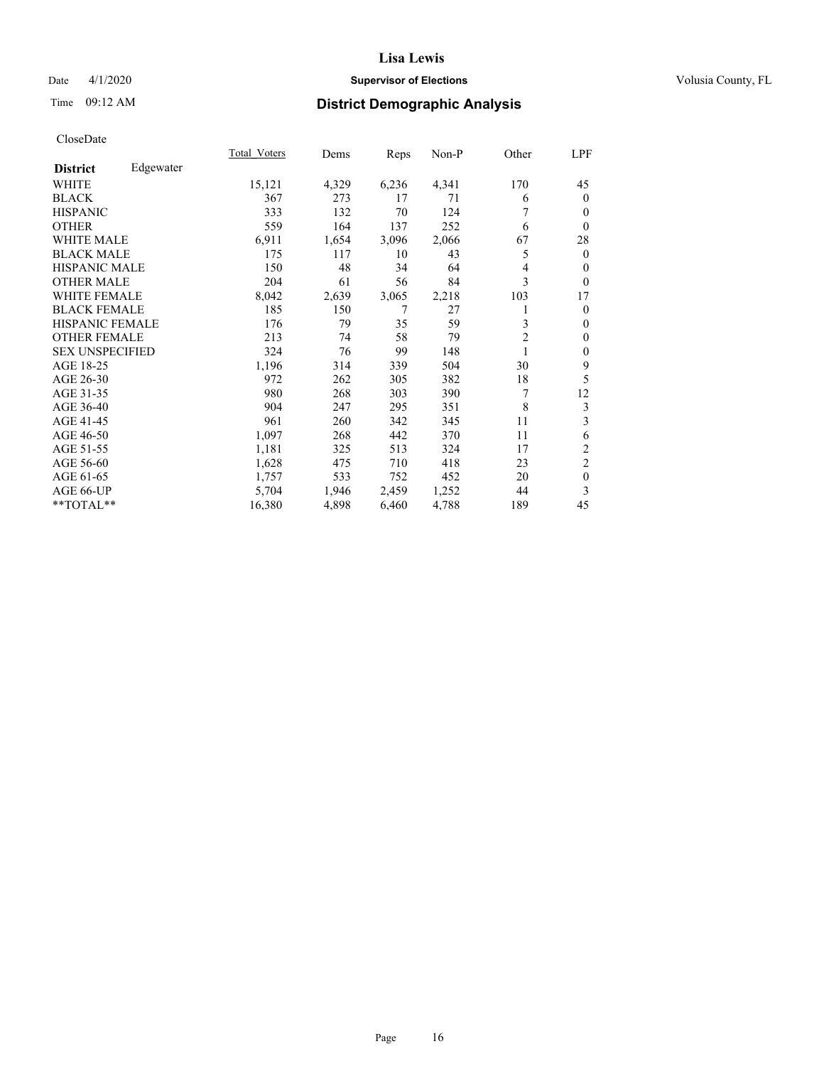# Date 4/1/2020 **Supervisor of Elections Supervisor of Elections** Volusia County, FL

# Time 09:12 AM **District Demographic Analysis**

|                        |           | Total Voters | Dems  | Reps  | Non-P | Other          | LPF            |
|------------------------|-----------|--------------|-------|-------|-------|----------------|----------------|
| <b>District</b>        | Edgewater |              |       |       |       |                |                |
| WHITE                  |           | 15,121       | 4,329 | 6,236 | 4,341 | 170            | 45             |
| <b>BLACK</b>           |           | 367          | 273   | 17    | 71    | 6              | $\mathbf{0}$   |
| <b>HISPANIC</b>        |           | 333          | 132   | 70    | 124   | 7              | $\mathbf{0}$   |
| <b>OTHER</b>           |           | 559          | 164   | 137   | 252   | 6              | $\theta$       |
| <b>WHITE MALE</b>      |           | 6,911        | 1,654 | 3,096 | 2,066 | 67             | 28             |
| <b>BLACK MALE</b>      |           | 175          | 117   | 10    | 43    | 5              | $\mathbf{0}$   |
| <b>HISPANIC MALE</b>   |           | 150          | 48    | 34    | 64    | 4              | $\theta$       |
| <b>OTHER MALE</b>      |           | 204          | 61    | 56    | 84    | 3              | $\theta$       |
| <b>WHITE FEMALE</b>    |           | 8,042        | 2,639 | 3,065 | 2,218 | 103            | 17             |
| <b>BLACK FEMALE</b>    |           | 185          | 150   | 7     | 27    | 1              | $\mathbf{0}$   |
| <b>HISPANIC FEMALE</b> |           | 176          | 79    | 35    | 59    | 3              | $\mathbf{0}$   |
| <b>OTHER FEMALE</b>    |           | 213          | 74    | 58    | 79    | $\overline{2}$ | $\theta$       |
| <b>SEX UNSPECIFIED</b> |           | 324          | 76    | 99    | 148   | 1              | $\mathbf{0}$   |
| AGE 18-25              |           | 1,196        | 314   | 339   | 504   | 30             | 9              |
| AGE 26-30              |           | 972          | 262   | 305   | 382   | 18             | 5              |
| AGE 31-35              |           | 980          | 268   | 303   | 390   | 7              | 12             |
| AGE 36-40              |           | 904          | 247   | 295   | 351   | 8              | 3              |
| AGE 41-45              |           | 961          | 260   | 342   | 345   | 11             | 3              |
| AGE 46-50              |           | 1,097        | 268   | 442   | 370   | 11             | 6              |
| AGE 51-55              |           | 1,181        | 325   | 513   | 324   | 17             | $\overline{c}$ |
| AGE 56-60              |           | 1,628        | 475   | 710   | 418   | 23             | $\overline{2}$ |
| AGE 61-65              |           | 1,757        | 533   | 752   | 452   | 20             | $\mathbf{0}$   |
| AGE 66-UP              |           | 5,704        | 1,946 | 2,459 | 1,252 | 44             | 3              |
| **TOTAL**              |           | 16,380       | 4,898 | 6,460 | 4,788 | 189            | 45             |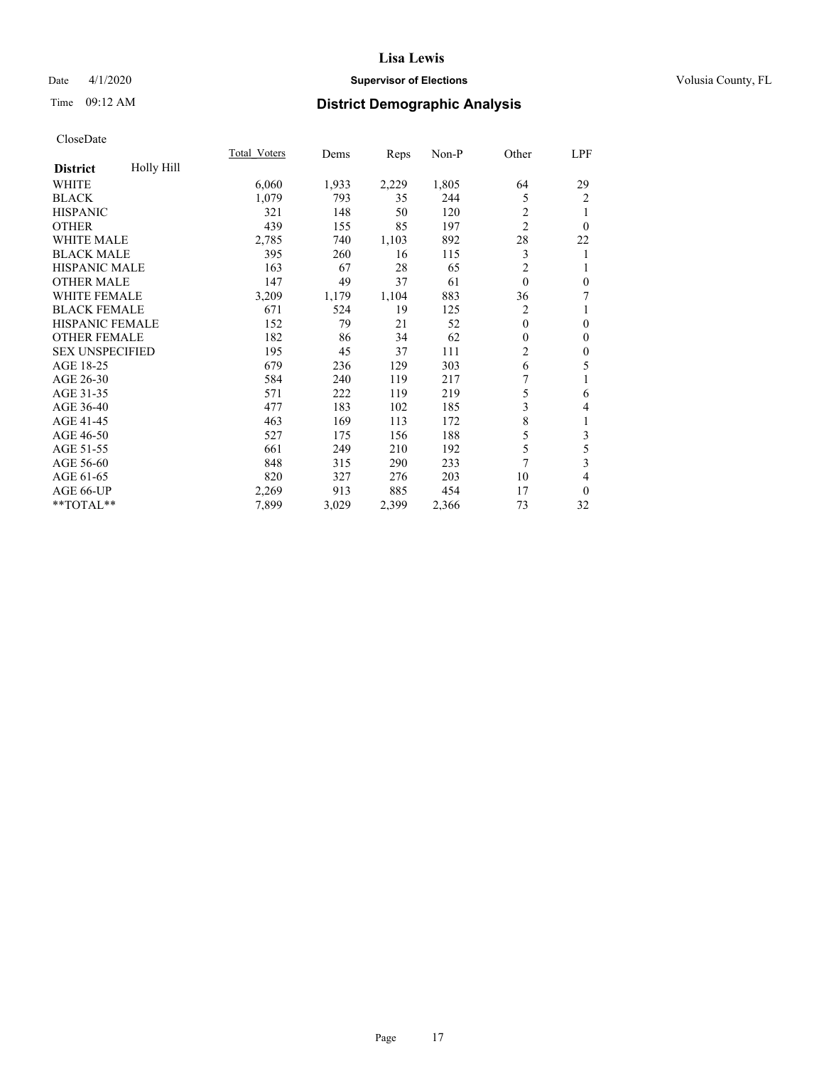# Date 4/1/2020 **Supervisor of Elections Supervisor of Elections** Volusia County, FL

# Time 09:12 AM **District Demographic Analysis**

|                        |            | Total Voters | Dems  | Reps  | Non-P | Other          | LPF                     |
|------------------------|------------|--------------|-------|-------|-------|----------------|-------------------------|
| <b>District</b>        | Holly Hill |              |       |       |       |                |                         |
| WHITE                  |            | 6,060        | 1,933 | 2,229 | 1,805 | 64             | 29                      |
| <b>BLACK</b>           |            | 1,079        | 793   | 35    | 244   | 5              | $\overline{2}$          |
| <b>HISPANIC</b>        |            | 321          | 148   | 50    | 120   | 2              |                         |
| <b>OTHER</b>           |            | 439          | 155   | 85    | 197   | $\overline{2}$ | $\theta$                |
| WHITE MALE             |            | 2,785        | 740   | 1,103 | 892   | 28             | 22                      |
| <b>BLACK MALE</b>      |            | 395          | 260   | 16    | 115   | 3              | 1                       |
| <b>HISPANIC MALE</b>   |            | 163          | 67    | 28    | 65    | $\overline{2}$ | 1                       |
| <b>OTHER MALE</b>      |            | 147          | 49    | 37    | 61    | $\mathbf{0}$   | $\mathbf{0}$            |
| <b>WHITE FEMALE</b>    |            | 3,209        | 1,179 | 1,104 | 883   | 36             | 7                       |
| <b>BLACK FEMALE</b>    |            | 671          | 524   | 19    | 125   | 2              | 1                       |
| <b>HISPANIC FEMALE</b> |            | 152          | 79    | 21    | 52    | $\theta$       | $\mathbf{0}$            |
| <b>OTHER FEMALE</b>    |            | 182          | 86    | 34    | 62    | 0              | $\mathbf{0}$            |
| <b>SEX UNSPECIFIED</b> |            | 195          | 45    | 37    | 111   | 2              | $\mathbf{0}$            |
| AGE 18-25              |            | 679          | 236   | 129   | 303   | 6              | 5                       |
| AGE 26-30              |            | 584          | 240   | 119   | 217   | 7              |                         |
| AGE 31-35              |            | 571          | 222   | 119   | 219   | 5              | 6                       |
| AGE 36-40              |            | 477          | 183   | 102   | 185   | 3              | 4                       |
| AGE 41-45              |            | 463          | 169   | 113   | 172   | 8              | 1                       |
| AGE 46-50              |            | 527          | 175   | 156   | 188   | 5              | 3                       |
| AGE 51-55              |            | 661          | 249   | 210   | 192   | 5              | 5                       |
| AGE 56-60              |            | 848          | 315   | 290   | 233   | $\overline{7}$ | $\overline{\mathbf{3}}$ |
| AGE 61-65              |            | 820          | 327   | 276   | 203   | 10             | 4                       |
| AGE 66-UP              |            | 2,269        | 913   | 885   | 454   | 17             | $\theta$                |
| **TOTAL**              |            | 7,899        | 3,029 | 2,399 | 2,366 | 73             | 32                      |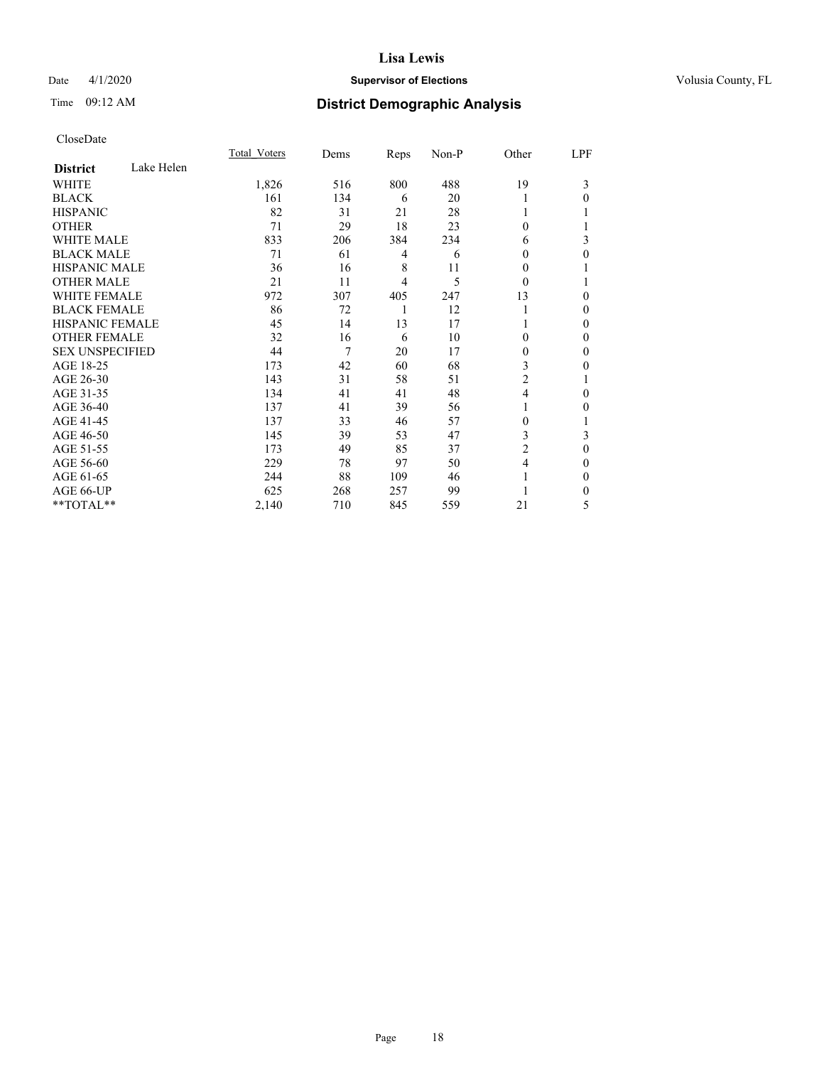# Date 4/1/2020 **Supervisor of Elections Supervisor of Elections** Volusia County, FL

# Time 09:12 AM **District Demographic Analysis**

|                        |            | Total Voters | Dems | Reps | Non-P | Other          | LPF |
|------------------------|------------|--------------|------|------|-------|----------------|-----|
| <b>District</b>        | Lake Helen |              |      |      |       |                |     |
| WHITE                  |            | 1,826        | 516  | 800  | 488   | 19             | 3   |
| <b>BLACK</b>           |            | 161          | 134  | 6    | 20    | 1              | 0   |
| <b>HISPANIC</b>        |            | 82           | 31   | 21   | 28    | 1              |     |
| <b>OTHER</b>           |            | 71           | 29   | 18   | 23    | $\theta$       |     |
| <b>WHITE MALE</b>      |            | 833          | 206  | 384  | 234   | 6              | 3   |
| <b>BLACK MALE</b>      |            | 71           | 61   | 4    | 6     | $\theta$       | 0   |
| <b>HISPANIC MALE</b>   |            | 36           | 16   | 8    | 11    | 0              |     |
| <b>OTHER MALE</b>      |            | 21           | 11   | 4    | 5     | $\theta$       |     |
| <b>WHITE FEMALE</b>    |            | 972          | 307  | 405  | 247   | 13             | 0   |
| <b>BLACK FEMALE</b>    |            | 86           | 72   | 1    | 12    | 1              | 0   |
| <b>HISPANIC FEMALE</b> |            | 45           | 14   | 13   | 17    |                | 0   |
| <b>OTHER FEMALE</b>    |            | 32           | 16   | 6    | 10    | $\theta$       | 0   |
| <b>SEX UNSPECIFIED</b> |            | 44           | 7    | 20   | 17    | $\mathbf{0}$   | 0   |
| AGE 18-25              |            | 173          | 42   | 60   | 68    | 3              | 0   |
| AGE 26-30              |            | 143          | 31   | 58   | 51    | 2              |     |
| AGE 31-35              |            | 134          | 41   | 41   | 48    | $\overline{4}$ | 0   |
| AGE 36-40              |            | 137          | 41   | 39   | 56    | 1              | 0   |
| AGE 41-45              |            | 137          | 33   | 46   | 57    | $\Omega$       |     |
| AGE 46-50              |            | 145          | 39   | 53   | 47    | 3              | 3   |
| AGE 51-55              |            | 173          | 49   | 85   | 37    | 2              | 0   |
| AGE 56-60              |            | 229          | 78   | 97   | 50    | 4              | 0   |
| AGE 61-65              |            | 244          | 88   | 109  | 46    | 1              | 0   |
| AGE 66-UP              |            | 625          | 268  | 257  | 99    |                | 0   |
| **TOTAL**              |            | 2,140        | 710  | 845  | 559   | 21             | 5   |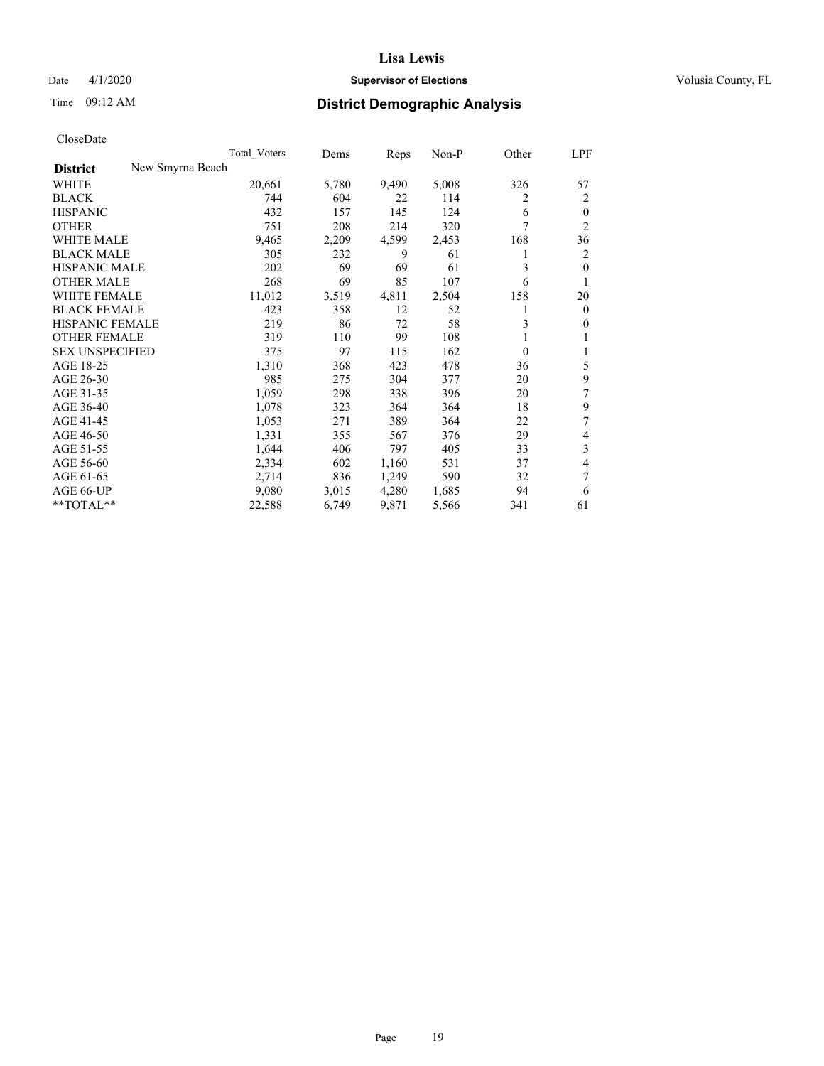# Date 4/1/2020 **Supervisor of Elections Supervisor of Elections** Volusia County, FL

# Time 09:12 AM **District Demographic Analysis**

|                                     | Total Voters | Dems  | Reps  | Non-P | Other    | LPF            |
|-------------------------------------|--------------|-------|-------|-------|----------|----------------|
| New Smyrna Beach<br><b>District</b> |              |       |       |       |          |                |
| WHITE                               | 20,661       | 5,780 | 9,490 | 5,008 | 326      | 57             |
| <b>BLACK</b>                        | 744          | 604   | 22    | 114   | 2        | 2              |
| <b>HISPANIC</b>                     | 432          | 157   | 145   | 124   | 6        | $\mathbf{0}$   |
| <b>OTHER</b>                        | 751          | 208   | 214   | 320   | 7        | $\overline{2}$ |
| <b>WHITE MALE</b>                   | 9,465        | 2,209 | 4,599 | 2,453 | 168      | 36             |
| <b>BLACK MALE</b>                   | 305          | 232   | 9     | 61    | 1        | 2              |
| <b>HISPANIC MALE</b>                | 202          | 69    | 69    | 61    | 3        | $\theta$       |
| <b>OTHER MALE</b>                   | 268          | 69    | 85    | 107   | 6        | 1              |
| <b>WHITE FEMALE</b>                 | 11,012       | 3,519 | 4,811 | 2,504 | 158      | 20             |
| <b>BLACK FEMALE</b>                 | 423          | 358   | 12    | 52    | 1        | $\mathbf{0}$   |
| <b>HISPANIC FEMALE</b>              | 219          | 86    | 72    | 58    | 3        | $\mathbf{0}$   |
| <b>OTHER FEMALE</b>                 | 319          | 110   | 99    | 108   |          | 1              |
| <b>SEX UNSPECIFIED</b>              | 375          | 97    | 115   | 162   | $\theta$ | 1              |
| AGE 18-25                           | 1,310        | 368   | 423   | 478   | 36       | 5              |
| AGE 26-30                           | 985          | 275   | 304   | 377   | 20       | 9              |
| AGE 31-35                           | 1,059        | 298   | 338   | 396   | 20       | 7              |
| AGE 36-40                           | 1,078        | 323   | 364   | 364   | 18       | 9              |
| AGE 41-45                           | 1,053        | 271   | 389   | 364   | 22       | 7              |
| AGE 46-50                           | 1,331        | 355   | 567   | 376   | 29       | 4              |
| AGE 51-55                           | 1,644        | 406   | 797   | 405   | 33       | 3              |
| AGE 56-60                           | 2,334        | 602   | 1,160 | 531   | 37       | 4              |
| AGE 61-65                           | 2,714        | 836   | 1,249 | 590   | 32       | 7              |
| AGE 66-UP                           | 9,080        | 3,015 | 4,280 | 1,685 | 94       | 6              |
| **TOTAL**                           | 22,588       | 6,749 | 9,871 | 5,566 | 341      | 61             |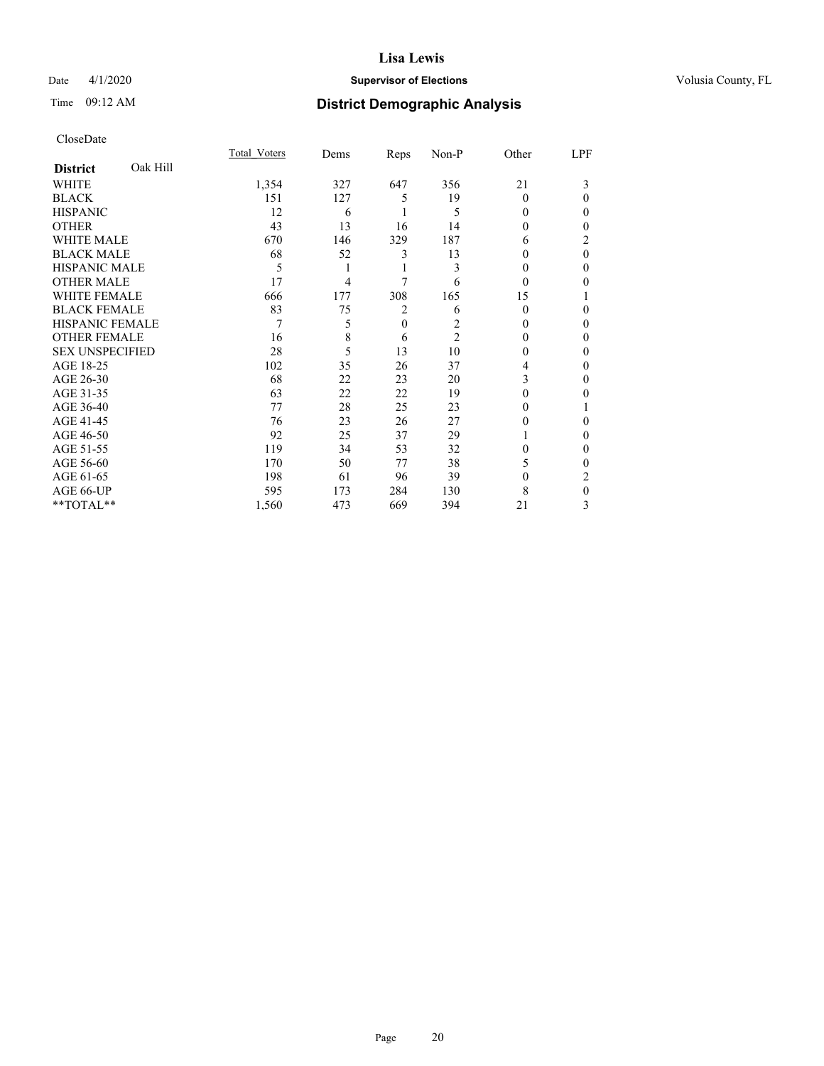# Date 4/1/2020 **Supervisor of Elections Supervisor of Elections** Volusia County, FL

# Time 09:12 AM **District Demographic Analysis**

|                        |          | Total Voters | Dems | Reps     | Non-P          | Other    | LPF      |
|------------------------|----------|--------------|------|----------|----------------|----------|----------|
| <b>District</b>        | Oak Hill |              |      |          |                |          |          |
| WHITE                  |          | 1,354        | 327  | 647      | 356            | 21       | 3        |
| <b>BLACK</b>           |          | 151          | 127  | 5        | 19             | $\Omega$ | 0        |
| <b>HISPANIC</b>        |          | 12           | 6    |          | 5              | 0        | 0        |
| <b>OTHER</b>           |          | 43           | 13   | 16       | 14             | 0        | 0        |
| WHITE MALE             |          | 670          | 146  | 329      | 187            | 6        | 2        |
| <b>BLACK MALE</b>      |          | 68           | 52   | 3        | 13             | 0        | $\theta$ |
| <b>HISPANIC MALE</b>   |          | 5            |      | 1        | 3              | 0        | 0        |
| <b>OTHER MALE</b>      |          | 17           | 4    | 7        | 6              | 0        | 0        |
| WHITE FEMALE           |          | 666          | 177  | 308      | 165            | 15       |          |
| <b>BLACK FEMALE</b>    |          | 83           | 75   | 2        | 6              | 0        | 0        |
| <b>HISPANIC FEMALE</b> |          | 7            | 5    | $\theta$ | 2              | 0        | 0        |
| <b>OTHER FEMALE</b>    |          | 16           | 8    | 6        | $\overline{2}$ | 0        | 0        |
| <b>SEX UNSPECIFIED</b> |          | 28           | 5    | 13       | 10             | 0        | 0        |
| AGE 18-25              |          | 102          | 35   | 26       | 37             | 4        | 0        |
| AGE 26-30              |          | 68           | 22   | 23       | 20             | 3        | 0        |
| AGE 31-35              |          | 63           | 22   | 22       | 19             | 0        | 0        |
| AGE 36-40              |          | 77           | 28   | 25       | 23             | 0        |          |
| AGE 41-45              |          | 76           | 23   | 26       | 27             | 0        | 0        |
| AGE 46-50              |          | 92           | 25   | 37       | 29             |          | 0        |
| AGE 51-55              |          | 119          | 34   | 53       | 32             | 0        | 0        |
| AGE 56-60              |          | 170          | 50   | 77       | 38             | 5        | 0        |
| AGE 61-65              |          | 198          | 61   | 96       | 39             | 0        | 2        |
| AGE 66-UP              |          | 595          | 173  | 284      | 130            | 8        | 0        |
| **TOTAL**              |          | 1,560        | 473  | 669      | 394            | 21       | 3        |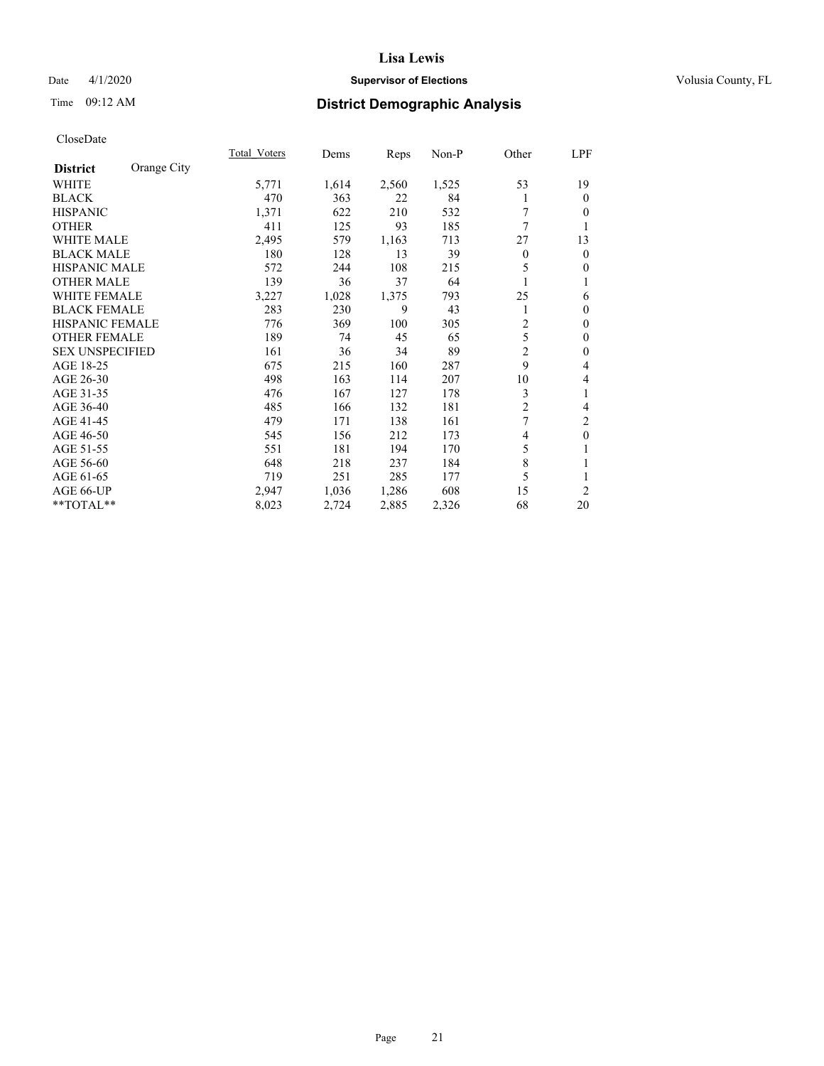# Date 4/1/2020 **Supervisor of Elections Supervisor of Elections** Volusia County, FL

# Time 09:12 AM **District Demographic Analysis**

|                        |             | Total Voters | Dems  | Reps  | Non-P | Other | LPF            |
|------------------------|-------------|--------------|-------|-------|-------|-------|----------------|
| <b>District</b>        | Orange City |              |       |       |       |       |                |
| WHITE                  |             | 5,771        | 1,614 | 2,560 | 1,525 | 53    | 19             |
| <b>BLACK</b>           |             | 470          | 363   | 22    | 84    |       | $\theta$       |
| <b>HISPANIC</b>        |             | 1,371        | 622   | 210   | 532   | 7     | 0              |
| <b>OTHER</b>           |             | 411          | 125   | 93    | 185   | 7     |                |
| <b>WHITE MALE</b>      |             | 2,495        | 579   | 1,163 | 713   | 27    | 13             |
| <b>BLACK MALE</b>      |             | 180          | 128   | 13    | 39    | 0     | $\mathbf{0}$   |
| <b>HISPANIC MALE</b>   |             | 572          | 244   | 108   | 215   | 5     | $\Omega$       |
| <b>OTHER MALE</b>      |             | 139          | 36    | 37    | 64    | 1     | 1              |
| <b>WHITE FEMALE</b>    |             | 3,227        | 1,028 | 1,375 | 793   | 25    | 6              |
| <b>BLACK FEMALE</b>    |             | 283          | 230   | 9     | 43    | 1     | $\theta$       |
| <b>HISPANIC FEMALE</b> |             | 776          | 369   | 100   | 305   | 2     | $\theta$       |
| <b>OTHER FEMALE</b>    |             | 189          | 74    | 45    | 65    | 5     | $\mathbf{0}$   |
| <b>SEX UNSPECIFIED</b> |             | 161          | 36    | 34    | 89    | 2     | $\theta$       |
| AGE 18-25              |             | 675          | 215   | 160   | 287   | 9     | 4              |
| AGE 26-30              |             | 498          | 163   | 114   | 207   | 10    | 4              |
| AGE 31-35              |             | 476          | 167   | 127   | 178   | 3     | 1              |
| AGE 36-40              |             | 485          | 166   | 132   | 181   | 2     | 4              |
| AGE 41-45              |             | 479          | 171   | 138   | 161   | 7     | $\overline{c}$ |
| AGE 46-50              |             | 545          | 156   | 212   | 173   | 4     | $\mathbf{0}$   |
| AGE 51-55              |             | 551          | 181   | 194   | 170   | 5     | 1              |
| AGE 56-60              |             | 648          | 218   | 237   | 184   | 8     |                |
| AGE 61-65              |             | 719          | 251   | 285   | 177   | 5     | 1              |
| AGE 66-UP              |             | 2,947        | 1,036 | 1,286 | 608   | 15    | $\overline{2}$ |
| **TOTAL**              |             | 8,023        | 2,724 | 2,885 | 2,326 | 68    | 20             |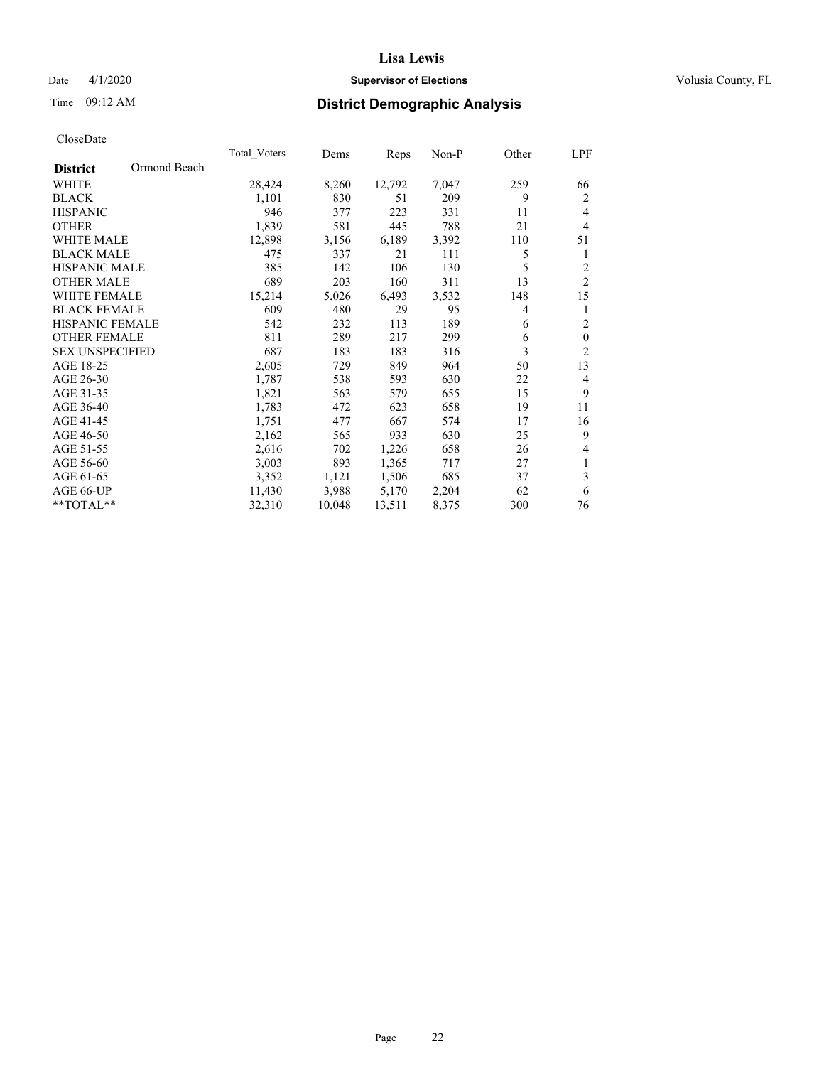# Date 4/1/2020 **Supervisor of Elections Supervisor of Elections** Volusia County, FL

# Time 09:12 AM **District Demographic Analysis**

| Ormond Beach<br><b>District</b> | 28,424 |        | Reps   |       |     |                  |
|---------------------------------|--------|--------|--------|-------|-----|------------------|
|                                 |        |        |        |       |     |                  |
| WHITE                           |        | 8,260  | 12,792 | 7,047 | 259 | 66               |
| <b>BLACK</b>                    | 1,101  | 830    | 51     | 209   | 9   | 2                |
| <b>HISPANIC</b>                 | 946    | 377    | 223    | 331   | 11  | $\overline{4}$   |
| <b>OTHER</b>                    | 1,839  | 581    | 445    | 788   | 21  | $\overline{4}$   |
| <b>WHITE MALE</b>               | 12,898 | 3,156  | 6,189  | 3,392 | 110 | 51               |
| <b>BLACK MALE</b>               | 475    | 337    | 21     | 111   | 5   | 1                |
| <b>HISPANIC MALE</b>            | 385    | 142    | 106    | 130   | 5   | $\overline{2}$   |
| <b>OTHER MALE</b>               | 689    | 203    | 160    | 311   | 13  | $\mathfrak{2}$   |
| WHITE FEMALE                    | 15,214 | 5,026  | 6,493  | 3,532 | 148 | 15               |
| <b>BLACK FEMALE</b>             | 609    | 480    | 29     | 95    | 4   | 1                |
| HISPANIC FEMALE                 | 542    | 232    | 113    | 189   | 6   | $\overline{c}$   |
| <b>OTHER FEMALE</b>             | 811    | 289    | 217    | 299   | 6   | $\boldsymbol{0}$ |
| <b>SEX UNSPECIFIED</b>          | 687    | 183    | 183    | 316   | 3   | $\overline{2}$   |
| AGE 18-25                       | 2,605  | 729    | 849    | 964   | 50  | 13               |
| AGE 26-30                       | 1,787  | 538    | 593    | 630   | 22  | $\overline{4}$   |
| AGE 31-35                       | 1,821  | 563    | 579    | 655   | 15  | 9                |
| AGE 36-40                       | 1,783  | 472    | 623    | 658   | 19  | 11               |
| AGE 41-45                       | 1,751  | 477    | 667    | 574   | 17  | 16               |
| AGE 46-50                       | 2,162  | 565    | 933    | 630   | 25  | 9                |
| AGE 51-55                       | 2,616  | 702    | 1,226  | 658   | 26  | 4                |
| AGE 56-60                       | 3,003  | 893    | 1,365  | 717   | 27  | 1                |
| AGE 61-65                       | 3,352  | 1,121  | 1,506  | 685   | 37  | 3                |
| AGE 66-UP                       | 11,430 | 3,988  | 5,170  | 2,204 | 62  | 6                |
| **TOTAL**                       | 32,310 | 10,048 | 13,511 | 8,375 | 300 | 76               |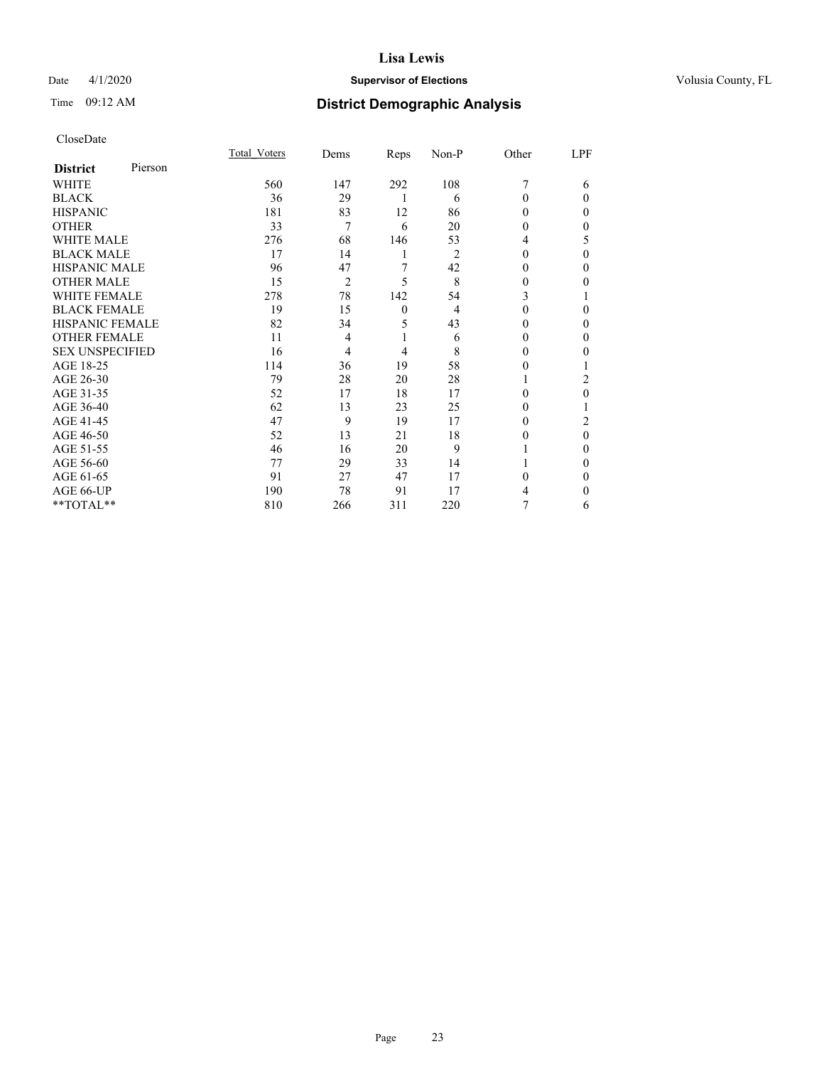# Date 4/1/2020 **Supervisor of Elections Supervisor of Elections** Volusia County, FL

| CloseDate |
|-----------|
|-----------|

|                        |         | Total Voters | Dems           | Reps         | Non-P | Other    | LPF    |
|------------------------|---------|--------------|----------------|--------------|-------|----------|--------|
| <b>District</b>        | Pierson |              |                |              |       |          |        |
| WHITE                  |         | 560          | 147            | 292          | 108   | 7        | 6      |
| <b>BLACK</b>           |         | 36           | 29             | 1            | 6     | $\Omega$ | 0      |
| <b>HISPANIC</b>        |         | 181          | 83             | 12           | 86    | 0        | 0      |
| OTHER                  |         | 33           | 7              | 6            | 20    | 0        | 0      |
| <b>WHITE MALE</b>      |         | 276          | 68             | 146          | 53    | 4        | 5      |
| <b>BLACK MALE</b>      |         | 17           | 14             | 1            | 2     | 0        | 0      |
| <b>HISPANIC MALE</b>   |         | 96           | 47             | 7            | 42    | 0        | 0      |
| OTHER MALE             |         | 15           | $\overline{2}$ | 5            | 8     | 0        | 0      |
| <b>WHITE FEMALE</b>    |         | 278          | 78             | 142          | 54    | 3        |        |
| <b>BLACK FEMALE</b>    |         | 19           | 15             | $\mathbf{0}$ | 4     | $\theta$ | 0      |
| <b>HISPANIC FEMALE</b> |         | 82           | 34             | 5            | 43    | 0        | 0      |
| <b>OTHER FEMALE</b>    |         | 11           | 4              | 1            | 6     | 0        | 0      |
| <b>SEX UNSPECIFIED</b> |         | 16           | 4              | 4            | 8     | 0        | 0      |
| AGE 18-25              |         | 114          | 36             | 19           | 58    | 0        |        |
| AGE 26-30              |         | 79           | 28             | 20           | 28    |          | 2      |
| AGE 31-35              |         | 52           | 17             | 18           | 17    | 0        | 0      |
| AGE 36-40              |         | 62           | 13             | 23           | 25    | 0        |        |
| AGE 41-45              |         | 47           | 9              | 19           | 17    | 0        | 2      |
| AGE 46-50              |         | 52           | 13             | 21           | 18    | 0        | 0      |
| AGE 51-55              |         | 46           | 16             | 20           | 9     |          | 0      |
| AGE 56-60              |         | 77           | 29             | 33           | 14    |          | 0      |
| AGE 61-65              |         | 91           | 27             | 47           | 17    | 0        | 0      |
| AGE 66-UP              |         | 190          | 78             | 91           | 17    | 4        | $_{0}$ |
| **TOTAL**              |         | 810          | 266            | 311          | 220   |          | 6      |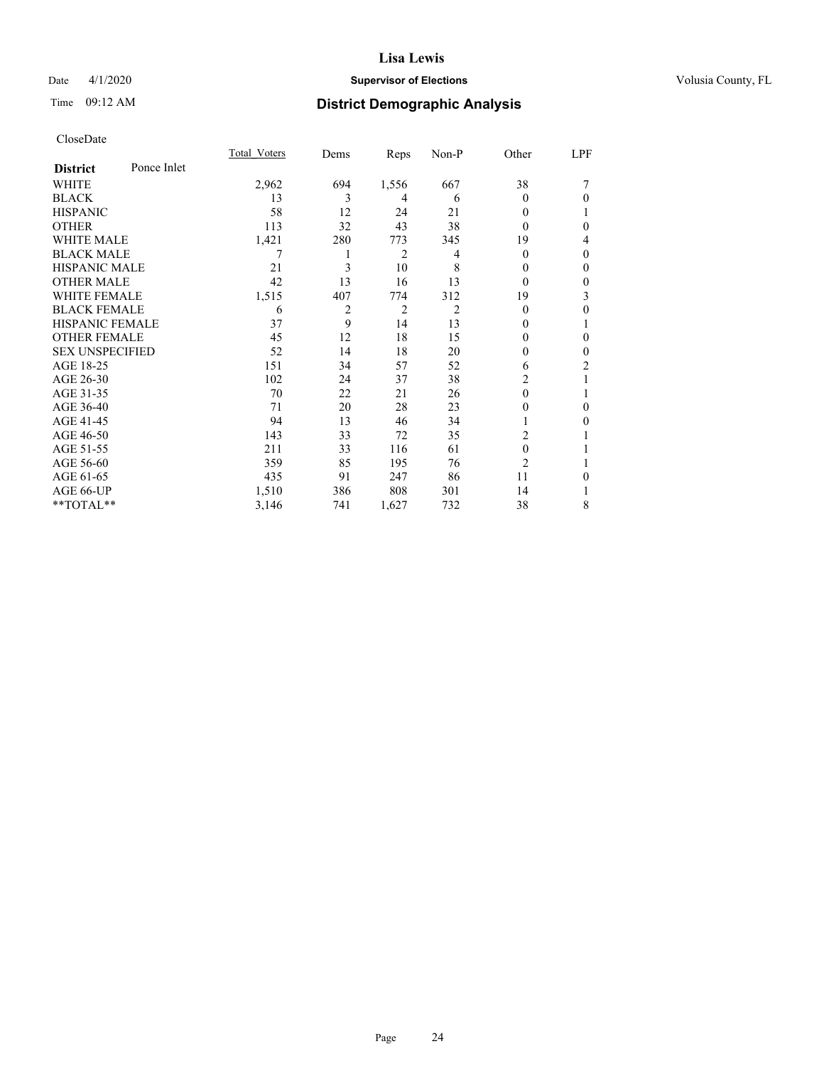# Date 4/1/2020 **Supervisor of Elections Supervisor of Elections** Volusia County, FL

# Time 09:12 AM **District Demographic Analysis**

|                        |             | Total Voters | Dems | Reps           | Non-P          | Other          | LPF          |
|------------------------|-------------|--------------|------|----------------|----------------|----------------|--------------|
| <b>District</b>        | Ponce Inlet |              |      |                |                |                |              |
| <b>WHITE</b>           |             | 2,962        | 694  | 1,556          | 667            | 38             | 7            |
| <b>BLACK</b>           |             | 13           | 3    | 4              | 6              | $\theta$       | $\theta$     |
| <b>HISPANIC</b>        |             | 58           | 12   | 24             | 21             | $\theta$       |              |
| <b>OTHER</b>           |             | 113          | 32   | 43             | 38             | $\theta$       | $\theta$     |
| <b>WHITE MALE</b>      |             | 1,421        | 280  | 773            | 345            | 19             | 4            |
| <b>BLACK MALE</b>      |             |              | 1    | 2              | 4              | $\theta$       | $\theta$     |
| <b>HISPANIC MALE</b>   |             | 21           | 3    | 10             | 8              | $\theta$       | $\theta$     |
| <b>OTHER MALE</b>      |             | 42           | 13   | 16             | 13             | $\theta$       | $\mathbf{0}$ |
| <b>WHITE FEMALE</b>    |             | 1,515        | 407  | 774            | 312            | 19             | 3            |
| <b>BLACK FEMALE</b>    |             | 6            | 2    | $\overline{c}$ | $\overline{2}$ | $\theta$       | $\theta$     |
| <b>HISPANIC FEMALE</b> |             | 37           | 9    | 14             | 13             | 0              |              |
| <b>OTHER FEMALE</b>    |             | 45           | 12   | 18             | 15             | $\Omega$       | $\theta$     |
| <b>SEX UNSPECIFIED</b> |             | 52           | 14   | 18             | 20             | 0              | $\theta$     |
| AGE 18-25              |             | 151          | 34   | 57             | 52             | 6              | 2            |
| AGE 26-30              |             | 102          | 24   | 37             | 38             | $\overline{c}$ | 1            |
| AGE 31-35              |             | 70           | 22   | 21             | 26             | 0              | 1            |
| AGE 36-40              |             | 71           | 20   | 28             | 23             | 0              | $\theta$     |
| AGE 41-45              |             | 94           | 13   | 46             | 34             |                | $\Omega$     |
| AGE 46-50              |             | 143          | 33   | 72             | 35             | 2              |              |
| AGE 51-55              |             | 211          | 33   | 116            | 61             | $\theta$       |              |
| AGE 56-60              |             | 359          | 85   | 195            | 76             | $\overline{2}$ |              |
| AGE 61-65              |             | 435          | 91   | 247            | 86             | 11             | $\theta$     |
| AGE 66-UP              |             | 1,510        | 386  | 808            | 301            | 14             |              |
| **TOTAL**              |             | 3,146        | 741  | 1,627          | 732            | 38             | 8            |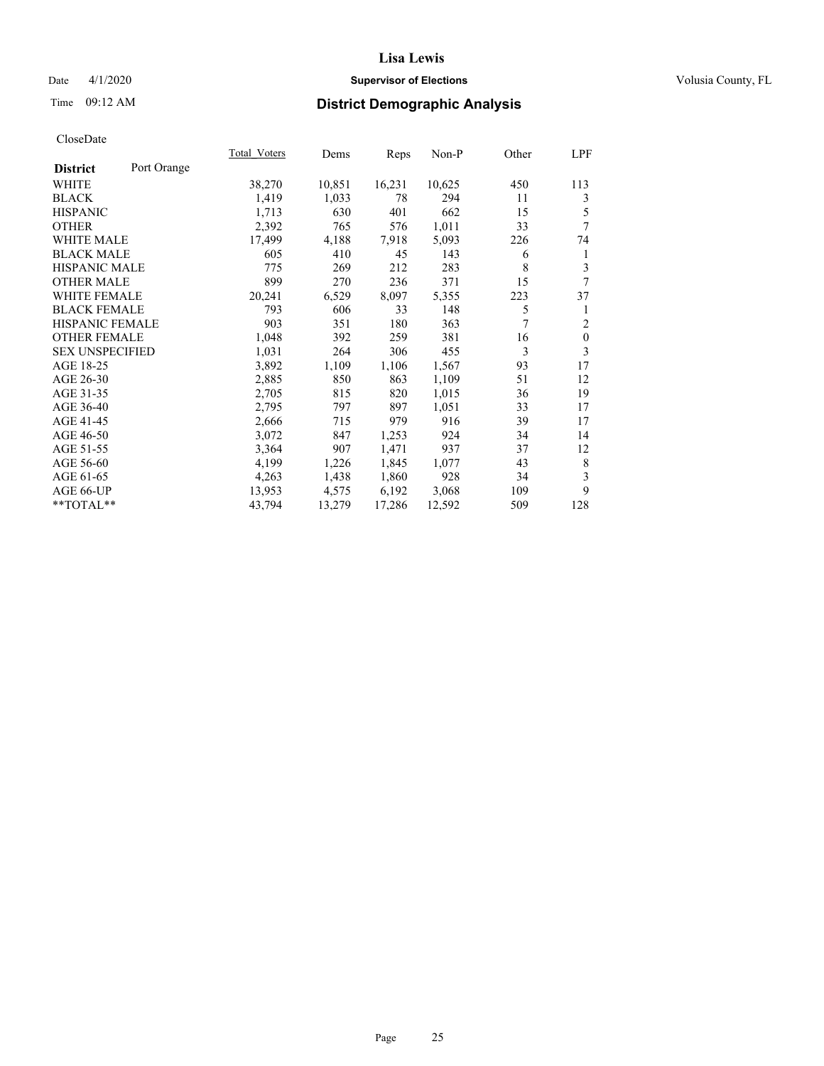# Date 4/1/2020 **Supervisor of Elections Supervisor of Elections** Volusia County, FL

# Time 09:12 AM **District Demographic Analysis**

| Total Voters | Dems   |        | Non-P  | Other | LPF            |
|--------------|--------|--------|--------|-------|----------------|
|              |        |        |        |       |                |
| 38,270       | 10,851 | 16,231 | 10,625 | 450   | 113            |
| 1,419        | 1,033  | 78     | 294    | 11    | 3              |
| 1,713        | 630    | 401    | 662    | 15    | 5              |
| 2,392        | 765    | 576    | 1,011  | 33    | $\overline{7}$ |
| 17,499       | 4,188  | 7,918  | 5,093  | 226   | 74             |
| 605          | 410    | 45     | 143    | 6     | 1              |
| 775          | 269    | 212    | 283    | 8     | 3              |
| 899          | 270    | 236    | 371    | 15    | 7              |
| 20,241       | 6,529  | 8,097  | 5,355  | 223   | 37             |
| 793          | 606    | 33     | 148    | 5     | 1              |
| 903          | 351    | 180    | 363    | 7     | $\overline{2}$ |
| 1,048        | 392    | 259    | 381    | 16    | $\mathbf{0}$   |
| 1,031        | 264    | 306    | 455    | 3     | 3              |
| 3,892        | 1,109  | 1,106  | 1,567  | 93    | 17             |
| 2,885        | 850    | 863    | 1,109  | 51    | 12             |
| 2,705        | 815    | 820    | 1,015  | 36    | 19             |
| 2,795        | 797    | 897    | 1,051  | 33    | 17             |
| 2,666        | 715    | 979    | 916    | 39    | 17             |
| 3,072        | 847    | 1,253  | 924    | 34    | 14             |
| 3,364        | 907    | 1,471  | 937    | 37    | 12             |
| 4,199        | 1,226  | 1,845  | 1,077  | 43    | 8              |
| 4,263        | 1,438  | 1,860  | 928    | 34    | 3              |
| 13,953       | 4,575  | 6,192  | 3,068  | 109   | 9              |
| 43,794       | 13,279 | 17,286 | 12,592 | 509   | 128            |
|              |        |        | Reps   |       |                |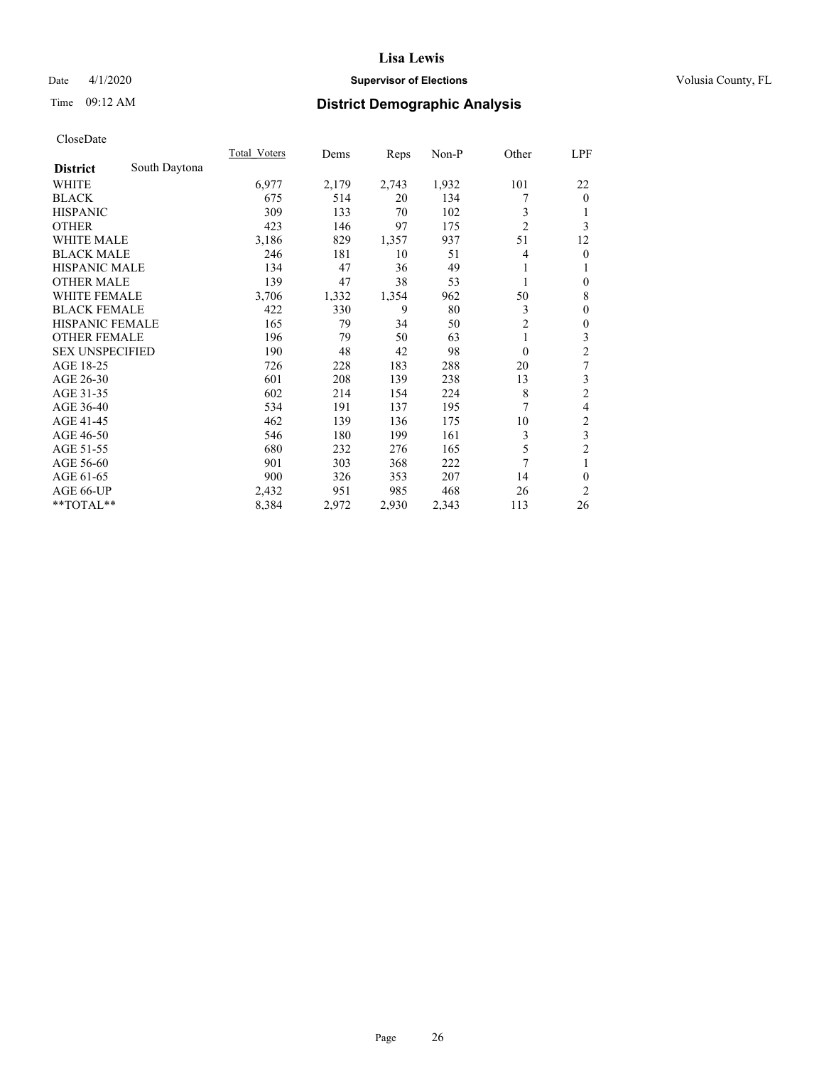# Date 4/1/2020 **Supervisor of Elections Supervisor of Elections** Volusia County, FL

# Time 09:12 AM **District Demographic Analysis**

|                        |               | Total Voters | Dems  | Reps  | Non-P | Other          | LPF                     |
|------------------------|---------------|--------------|-------|-------|-------|----------------|-------------------------|
| <b>District</b>        | South Daytona |              |       |       |       |                |                         |
| WHITE                  |               | 6,977        | 2,179 | 2,743 | 1,932 | 101            | 22                      |
| <b>BLACK</b>           |               | 675          | 514   | 20    | 134   | 7              | $\mathbf{0}$            |
| <b>HISPANIC</b>        |               | 309          | 133   | 70    | 102   | 3              | 1                       |
| <b>OTHER</b>           |               | 423          | 146   | 97    | 175   | $\overline{2}$ | 3                       |
| WHITE MALE             |               | 3,186        | 829   | 1,357 | 937   | 51             | 12                      |
| <b>BLACK MALE</b>      |               | 246          | 181   | 10    | 51    | 4              | $\mathbf{0}$            |
| <b>HISPANIC MALE</b>   |               | 134          | 47    | 36    | 49    | 1              | 1                       |
| <b>OTHER MALE</b>      |               | 139          | 47    | 38    | 53    | 1              | $\mathbf{0}$            |
| <b>WHITE FEMALE</b>    |               | 3,706        | 1,332 | 1,354 | 962   | 50             | 8                       |
| <b>BLACK FEMALE</b>    |               | 422          | 330   | 9     | 80    | 3              | $\mathbf{0}$            |
| <b>HISPANIC FEMALE</b> |               | 165          | 79    | 34    | 50    | $\overline{2}$ | $\mathbf{0}$            |
| <b>OTHER FEMALE</b>    |               | 196          | 79    | 50    | 63    |                | 3                       |
| <b>SEX UNSPECIFIED</b> |               | 190          | 48    | 42    | 98    | $\theta$       | $\overline{c}$          |
| AGE 18-25              |               | 726          | 228   | 183   | 288   | 20             | $\boldsymbol{7}$        |
| AGE 26-30              |               | 601          | 208   | 139   | 238   | 13             | 3                       |
| AGE 31-35              |               | 602          | 214   | 154   | 224   | 8              | $\overline{c}$          |
| AGE 36-40              |               | 534          | 191   | 137   | 195   | 7              | 4                       |
| AGE 41-45              |               | 462          | 139   | 136   | 175   | 10             | $\overline{\mathbf{c}}$ |
| AGE 46-50              |               | 546          | 180   | 199   | 161   | 3              | $\overline{\mathbf{3}}$ |
| AGE 51-55              |               | 680          | 232   | 276   | 165   | 5              | $\overline{c}$          |
| AGE 56-60              |               | 901          | 303   | 368   | 222   | $\overline{7}$ | 1                       |
| AGE 61-65              |               | 900          | 326   | 353   | 207   | 14             | $\theta$                |
| AGE 66-UP              |               | 2,432        | 951   | 985   | 468   | 26             | 2                       |
| **TOTAL**              |               | 8,384        | 2,972 | 2,930 | 2,343 | 113            | 26                      |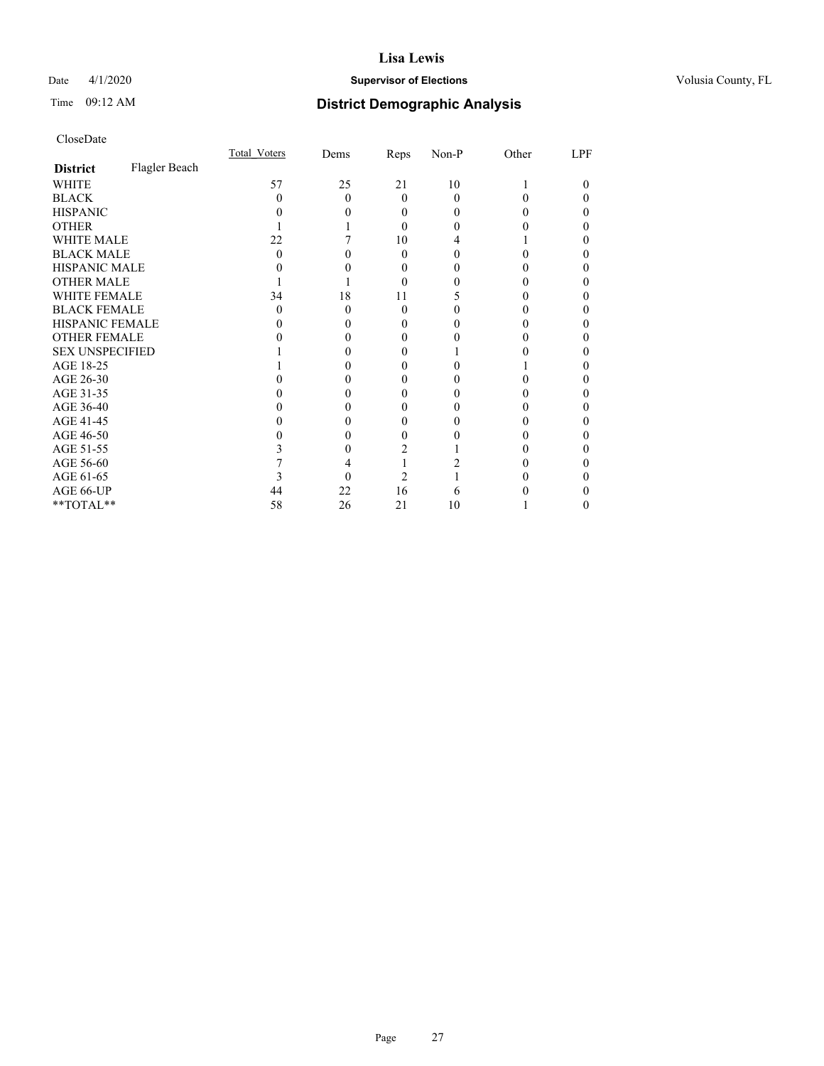# Date 4/1/2020 **Supervisor of Elections Supervisor of Elections** Volusia County, FL

# Time 09:12 AM **District Demographic Analysis**

|                        |               | Total Voters | Dems | Reps     | Non-P | Other | LPF |
|------------------------|---------------|--------------|------|----------|-------|-------|-----|
| <b>District</b>        | Flagler Beach |              |      |          |       |       |     |
| WHITE                  |               | 57           | 25   | 21       | 10    |       | 0   |
| <b>BLACK</b>           |               | 0            | 0    | $\Omega$ | 0     |       |     |
| <b>HISPANIC</b>        |               |              |      | $\theta$ | 0     |       | 0   |
| <b>OTHER</b>           |               |              |      | $\Omega$ | 0     |       |     |
| WHITE MALE             |               | 22           |      | 10       | 4     |       |     |
| <b>BLACK MALE</b>      |               | 0            |      | $\Omega$ | 0     |       |     |
| <b>HISPANIC MALE</b>   |               |              |      | 0        |       |       |     |
| <b>OTHER MALE</b>      |               |              |      | $\Omega$ |       |       | 0   |
| WHITE FEMALE           |               | 34           | 18   | 11       |       |       |     |
| <b>BLACK FEMALE</b>    |               | $\theta$     | 0    | $\Omega$ |       |       | 0   |
| <b>HISPANIC FEMALE</b> |               |              |      | $\theta$ |       |       |     |
| <b>OTHER FEMALE</b>    |               |              |      | 0        |       |       |     |
| <b>SEX UNSPECIFIED</b> |               |              |      |          |       |       |     |
| AGE 18-25              |               |              |      | 0        |       |       |     |
| AGE 26-30              |               |              |      | $_{0}$   |       |       | 0   |
| AGE 31-35              |               |              |      |          |       |       |     |
| AGE 36-40              |               |              |      | 0        |       |       | 0   |
| AGE 41-45              |               |              |      | 0        |       |       |     |
| AGE 46-50              |               |              |      | 0        |       |       | 0   |
| AGE 51-55              |               |              |      |          |       |       |     |
| AGE 56-60              |               |              |      |          |       |       |     |
| AGE 61-65              |               |              |      | 2        |       |       |     |
| AGE 66-UP              |               | 44           | 22   | 16       | 6     |       |     |
| **TOTAL**              |               | 58           | 26   | 21       | 10    |       | 0   |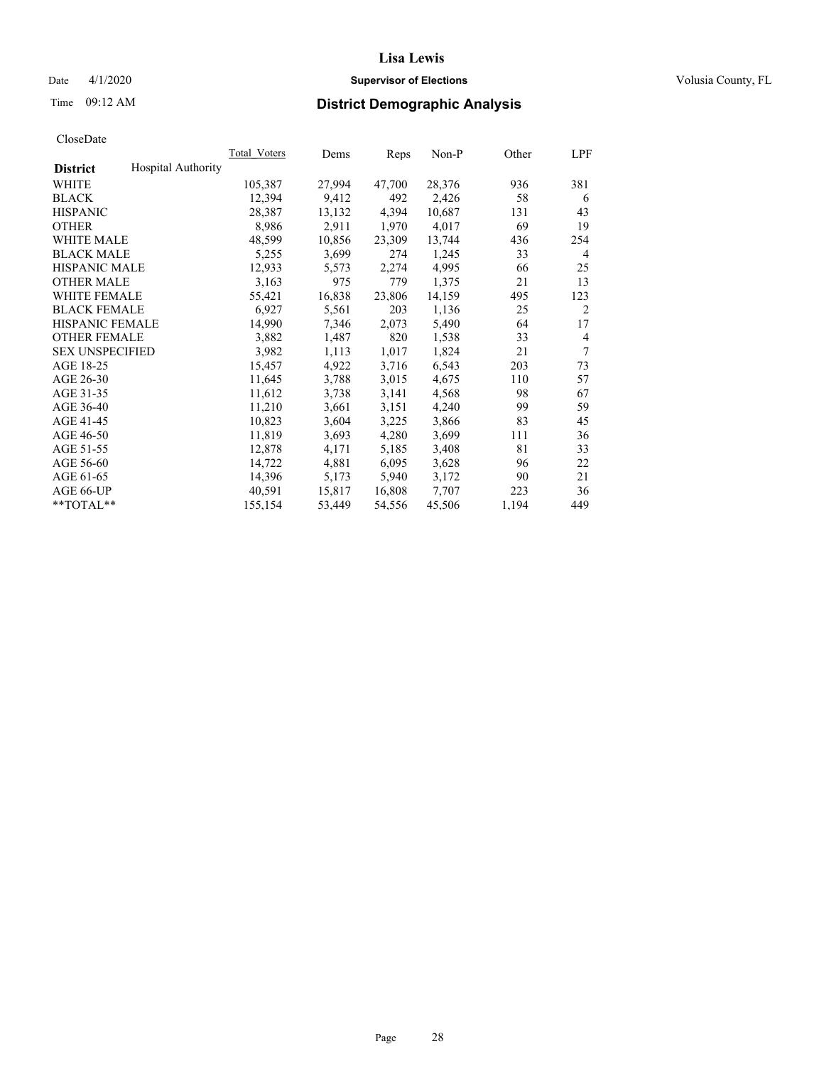# Date 4/1/2020 **Supervisor of Elections Supervisor of Elections** Volusia County, FL

# Time 09:12 AM **District Demographic Analysis**

|                        |                           | Total Voters | Dems   | Reps   | Non-P  | Other | LPF            |
|------------------------|---------------------------|--------------|--------|--------|--------|-------|----------------|
| <b>District</b>        | <b>Hospital Authority</b> |              |        |        |        |       |                |
| WHITE                  |                           | 105,387      | 27,994 | 47,700 | 28,376 | 936   | 381            |
| <b>BLACK</b>           |                           | 12,394       | 9,412  | 492    | 2,426  | 58    | 6              |
| <b>HISPANIC</b>        |                           | 28,387       | 13,132 | 4,394  | 10,687 | 131   | 43             |
| <b>OTHER</b>           |                           | 8,986        | 2,911  | 1,970  | 4,017  | 69    | 19             |
| WHITE MALE             |                           | 48,599       | 10,856 | 23,309 | 13,744 | 436   | 254            |
| <b>BLACK MALE</b>      |                           | 5,255        | 3,699  | 274    | 1,245  | 33    | 4              |
| <b>HISPANIC MALE</b>   |                           | 12,933       | 5,573  | 2,274  | 4,995  | 66    | 25             |
| <b>OTHER MALE</b>      |                           | 3,163        | 975    | 779    | 1,375  | 21    | 13             |
| <b>WHITE FEMALE</b>    |                           | 55,421       | 16,838 | 23,806 | 14,159 | 495   | 123            |
| <b>BLACK FEMALE</b>    |                           | 6,927        | 5,561  | 203    | 1,136  | 25    | 2              |
| <b>HISPANIC FEMALE</b> |                           | 14,990       | 7,346  | 2,073  | 5,490  | 64    | 17             |
| <b>OTHER FEMALE</b>    |                           | 3,882        | 1,487  | 820    | 1,538  | 33    | $\overline{4}$ |
| <b>SEX UNSPECIFIED</b> |                           | 3,982        | 1,113  | 1,017  | 1,824  | 21    | 7              |
| AGE 18-25              |                           | 15,457       | 4,922  | 3,716  | 6,543  | 203   | 73             |
| AGE 26-30              |                           | 11,645       | 3,788  | 3,015  | 4,675  | 110   | 57             |
| AGE 31-35              |                           | 11,612       | 3,738  | 3,141  | 4,568  | 98    | 67             |
| AGE 36-40              |                           | 11,210       | 3,661  | 3,151  | 4,240  | 99    | 59             |
| AGE 41-45              |                           | 10,823       | 3,604  | 3,225  | 3,866  | 83    | 45             |
| AGE 46-50              |                           | 11,819       | 3,693  | 4,280  | 3,699  | 111   | 36             |
| AGE 51-55              |                           | 12,878       | 4,171  | 5,185  | 3,408  | 81    | 33             |
| AGE 56-60              |                           | 14,722       | 4,881  | 6,095  | 3,628  | 96    | 22             |
| AGE 61-65              |                           | 14,396       | 5,173  | 5,940  | 3,172  | 90    | 21             |
| AGE 66-UP              |                           | 40,591       | 15,817 | 16,808 | 7,707  | 223   | 36             |
| $*$ TOTAL $*$          |                           | 155,154      | 53,449 | 54,556 | 45,506 | 1,194 | 449            |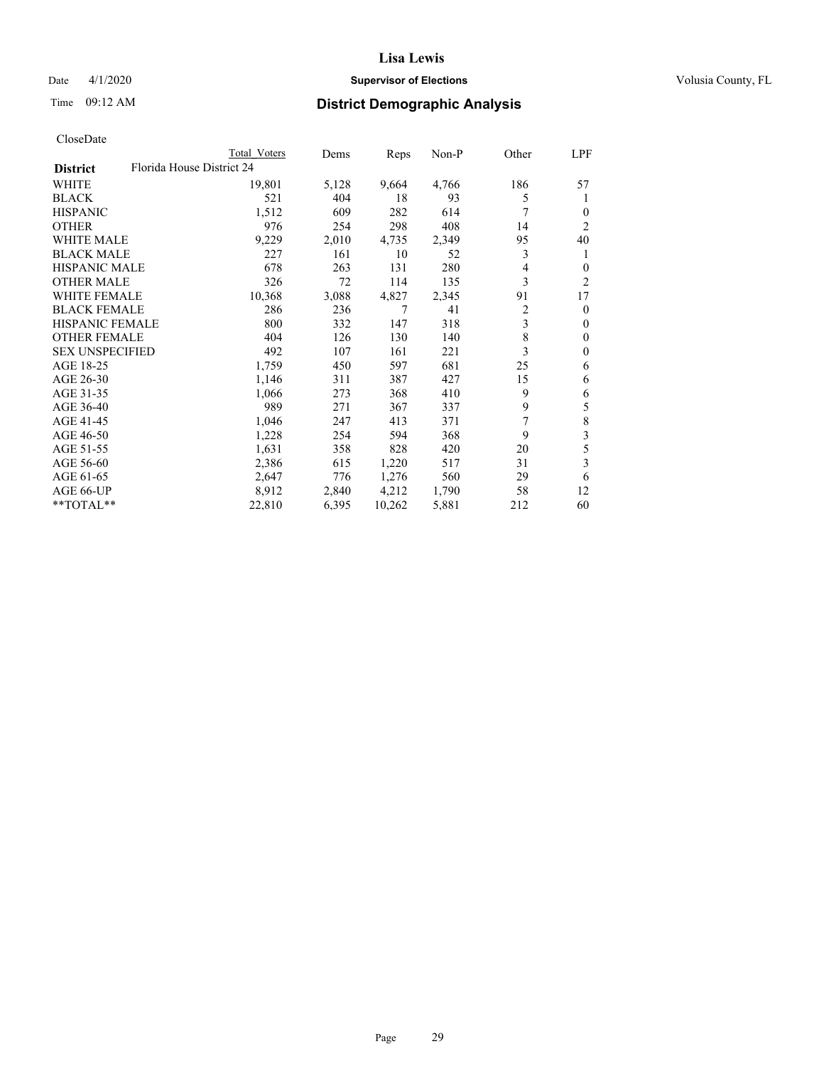# Date 4/1/2020 **Supervisor of Elections Supervisor of Elections** Volusia County, FL

| CloseDate |
|-----------|
|-----------|

|                        |                           | Total Voters | Dems  | Reps   | Non-P | Other | LPF            |
|------------------------|---------------------------|--------------|-------|--------|-------|-------|----------------|
| <b>District</b>        | Florida House District 24 |              |       |        |       |       |                |
| WHITE                  |                           | 19,801       | 5,128 | 9,664  | 4,766 | 186   | 57             |
| <b>BLACK</b>           |                           | 521          | 404   | 18     | 93    | 5     | 1              |
| <b>HISPANIC</b>        |                           | 1,512        | 609   | 282    | 614   | 7     | 0              |
| <b>OTHER</b>           |                           | 976          | 254   | 298    | 408   | 14    | 2              |
| <b>WHITE MALE</b>      |                           | 9,229        | 2,010 | 4,735  | 2,349 | 95    | 40             |
| <b>BLACK MALE</b>      |                           | 227          | 161   | 10     | 52    | 3     | 1              |
| <b>HISPANIC MALE</b>   |                           | 678          | 263   | 131    | 280   | 4     | 0              |
| <b>OTHER MALE</b>      |                           | 326          | 72    | 114    | 135   | 3     | $\overline{c}$ |
| <b>WHITE FEMALE</b>    |                           | 10,368       | 3,088 | 4,827  | 2,345 | 91    | 17             |
| <b>BLACK FEMALE</b>    |                           | 286          | 236   | 7      | 41    | 2     | $\theta$       |
| <b>HISPANIC FEMALE</b> |                           | 800          | 332   | 147    | 318   | 3     | $\mathbf{0}$   |
| <b>OTHER FEMALE</b>    |                           | 404          | 126   | 130    | 140   | 8     | $\theta$       |
| <b>SEX UNSPECIFIED</b> |                           | 492          | 107   | 161    | 221   | 3     | $\theta$       |
| AGE 18-25              |                           | 1,759        | 450   | 597    | 681   | 25    | 6              |
| AGE 26-30              |                           | 1,146        | 311   | 387    | 427   | 15    | 6              |
| AGE 31-35              |                           | 1,066        | 273   | 368    | 410   | 9     | 6              |
| AGE 36-40              |                           | 989          | 271   | 367    | 337   | 9     | 5              |
| AGE 41-45              |                           | 1,046        | 247   | 413    | 371   | 7     | $\,$ $\,$      |
| AGE 46-50              |                           | 1,228        | 254   | 594    | 368   | 9     | 3              |
| AGE 51-55              |                           | 1,631        | 358   | 828    | 420   | 20    | 5              |
| AGE 56-60              |                           | 2,386        | 615   | 1,220  | 517   | 31    | 3              |
| AGE 61-65              |                           | 2,647        | 776   | 1,276  | 560   | 29    | 6              |
| AGE 66-UP              |                           | 8,912        | 2,840 | 4,212  | 1,790 | 58    | 12             |
| **TOTAL**              |                           | 22,810       | 6,395 | 10,262 | 5,881 | 212   | 60             |
|                        |                           |              |       |        |       |       |                |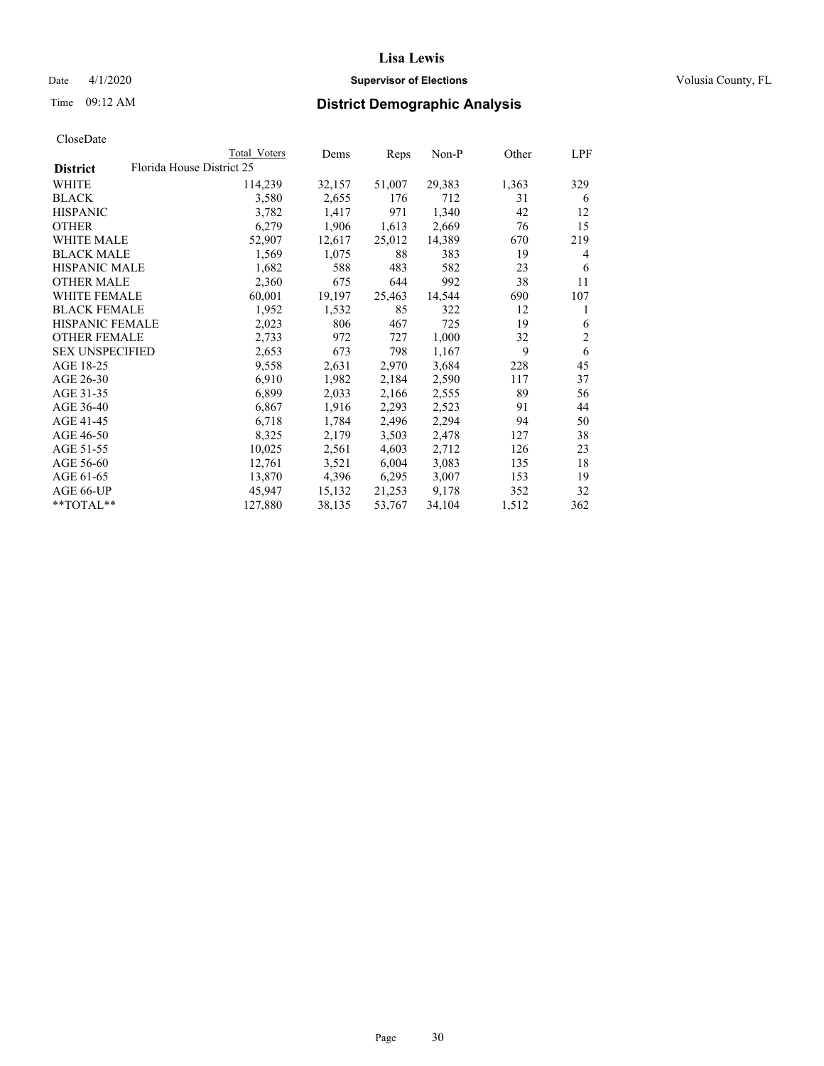# Date 4/1/2020 **Supervisor of Elections Supervisor of Elections** Volusia County, FL

# Time 09:12 AM **District Demographic Analysis**

|                        | Total Voters              | Dems   | Reps   | Non-P  | Other | LPF            |
|------------------------|---------------------------|--------|--------|--------|-------|----------------|
| <b>District</b>        | Florida House District 25 |        |        |        |       |                |
| WHITE                  | 114,239                   | 32,157 | 51,007 | 29,383 | 1,363 | 329            |
| <b>BLACK</b>           | 3,580                     | 2,655  | 176    | 712    | 31    | 6              |
| <b>HISPANIC</b>        | 3,782                     | 1,417  | 971    | 1,340  | 42    | 12             |
| <b>OTHER</b>           | 6,279                     | 1,906  | 1,613  | 2,669  | 76    | 15             |
| WHITE MALE             | 52,907                    | 12,617 | 25,012 | 14,389 | 670   | 219            |
| <b>BLACK MALE</b>      | 1,569                     | 1,075  | 88     | 383    | 19    | 4              |
| <b>HISPANIC MALE</b>   | 1,682                     | 588    | 483    | 582    | 23    | 6              |
| <b>OTHER MALE</b>      | 2,360                     | 675    | 644    | 992    | 38    | 11             |
| <b>WHITE FEMALE</b>    | 60,001                    | 19,197 | 25,463 | 14,544 | 690   | 107            |
| <b>BLACK FEMALE</b>    | 1,952                     | 1,532  | 85     | 322    | 12    | 1              |
| <b>HISPANIC FEMALE</b> | 2,023                     | 806    | 467    | 725    | 19    | 6              |
| <b>OTHER FEMALE</b>    | 2,733                     | 972    | 727    | 1,000  | 32    | $\mathfrak{2}$ |
| <b>SEX UNSPECIFIED</b> | 2,653                     | 673    | 798    | 1,167  | 9     | 6              |
| AGE 18-25              | 9,558                     | 2,631  | 2,970  | 3,684  | 228   | 45             |
| AGE 26-30              | 6,910                     | 1,982  | 2,184  | 2,590  | 117   | 37             |
| AGE 31-35              | 6,899                     | 2,033  | 2,166  | 2,555  | 89    | 56             |
| AGE 36-40              | 6,867                     | 1,916  | 2,293  | 2,523  | 91    | 44             |
| AGE 41-45              | 6,718                     | 1,784  | 2,496  | 2,294  | 94    | 50             |
| AGE 46-50              | 8,325                     | 2,179  | 3,503  | 2,478  | 127   | 38             |
| AGE 51-55              | 10,025                    | 2,561  | 4,603  | 2,712  | 126   | 23             |
| AGE 56-60              | 12,761                    | 3,521  | 6,004  | 3,083  | 135   | 18             |
| AGE 61-65              | 13,870                    | 4,396  | 6,295  | 3,007  | 153   | 19             |
| AGE 66-UP              | 45,947                    | 15,132 | 21,253 | 9,178  | 352   | 32             |
| $*$ TOTAL $*$          | 127,880                   | 38,135 | 53,767 | 34,104 | 1,512 | 362            |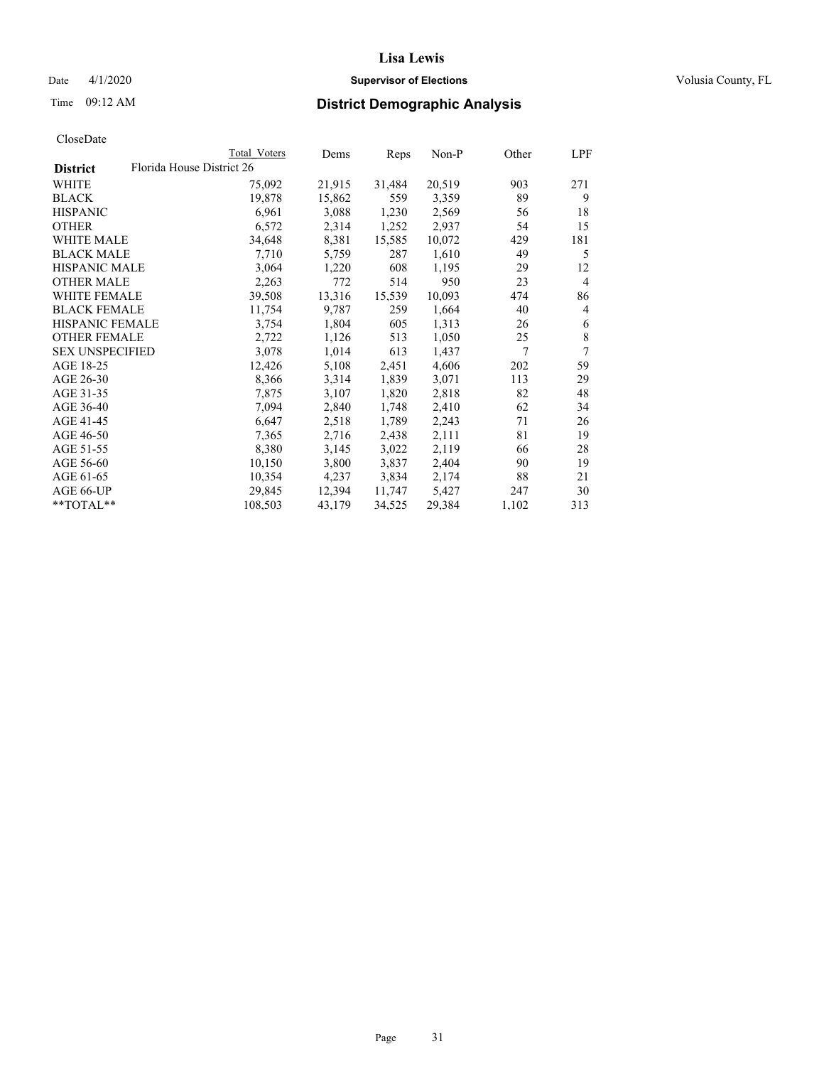# Date 4/1/2020 **Supervisor of Elections Supervisor of Elections** Volusia County, FL

|                        | Total Voters              |         | Dems   | Reps   | Non-P  | Other | LPF            |
|------------------------|---------------------------|---------|--------|--------|--------|-------|----------------|
| <b>District</b>        | Florida House District 26 |         |        |        |        |       |                |
| WHITE                  |                           | 75,092  | 21,915 | 31,484 | 20,519 | 903   | 271            |
| BLACK                  |                           | 19,878  | 15,862 | 559    | 3,359  | 89    | 9              |
| HISPANIC               |                           | 6,961   | 3,088  | 1,230  | 2,569  | 56    | 18             |
| OTHER                  |                           | 6,572   | 2,314  | 1,252  | 2,937  | 54    | 15             |
| WHITE MALE             |                           | 34,648  | 8,381  | 15,585 | 10,072 | 429   | 181            |
| BLACK MALE             |                           | 7,710   | 5,759  | 287    | 1,610  | 49    | 5              |
| HISPANIC MALE          |                           | 3,064   | 1,220  | 608    | 1,195  | 29    | 12             |
| <b>OTHER MALE</b>      |                           | 2,263   | 772    | 514    | 950    | 23    | $\overline{4}$ |
| WHITE FEMALE           |                           | 39,508  | 13,316 | 15,539 | 10,093 | 474   | 86             |
| BLACK FEMALE           |                           | 11,754  | 9,787  | 259    | 1,664  | 40    | 4              |
| HISPANIC FEMALE        |                           | 3,754   | 1,804  | 605    | 1,313  | 26    | 6              |
| OTHER FEMALE           |                           | 2,722   | 1,126  | 513    | 1,050  | 25    | 8              |
| <b>SEX UNSPECIFIED</b> |                           | 3,078   | 1,014  | 613    | 1,437  | 7     | 7              |
| AGE 18-25              |                           | 12,426  | 5,108  | 2,451  | 4,606  | 202   | 59             |
| AGE 26-30              |                           | 8,366   | 3,314  | 1,839  | 3,071  | 113   | 29             |
| AGE 31-35              |                           | 7,875   | 3,107  | 1,820  | 2,818  | 82    | 48             |
| AGE 36-40              |                           | 7,094   | 2,840  | 1,748  | 2,410  | 62    | 34             |
| AGE 41-45              |                           | 6,647   | 2,518  | 1,789  | 2,243  | 71    | 26             |
| AGE 46-50              |                           | 7,365   | 2,716  | 2,438  | 2,111  | 81    | 19             |
| AGE 51-55              |                           | 8,380   | 3,145  | 3,022  | 2,119  | 66    | 28             |
| AGE 56-60              |                           | 10,150  | 3,800  | 3,837  | 2,404  | 90    | 19             |
| AGE 61-65              |                           | 10,354  | 4,237  | 3,834  | 2,174  | 88    | 21             |
| AGE 66-UP              |                           | 29,845  | 12,394 | 11,747 | 5,427  | 247   | 30             |
| **TOTAL**              |                           | 108,503 | 43,179 | 34,525 | 29,384 | 1,102 | 313            |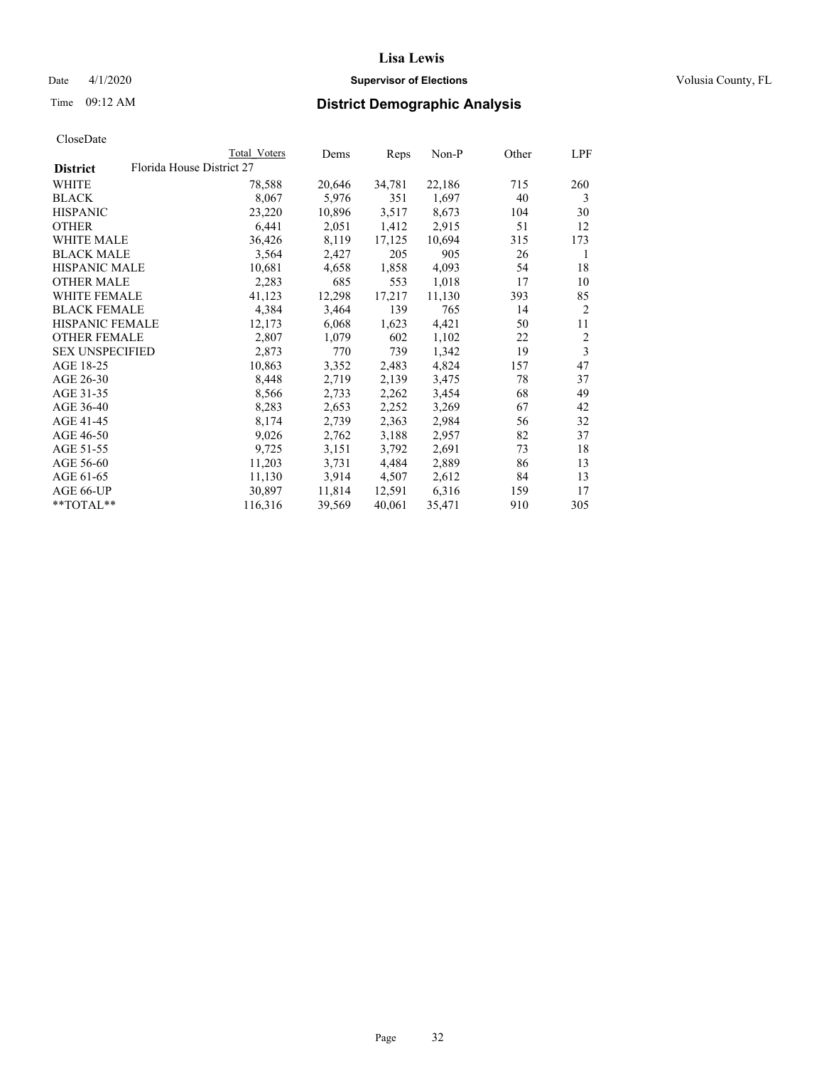# Date 4/1/2020 **Supervisor of Elections Supervisor of Elections** Volusia County, FL

|                        | Total Voters              | Dems   | Reps   | Non-P  | Other | LPF |
|------------------------|---------------------------|--------|--------|--------|-------|-----|
| <b>District</b>        | Florida House District 27 |        |        |        |       |     |
| WHITE                  | 78,588                    | 20,646 | 34,781 | 22,186 | 715   | 260 |
| BLACK                  | 8,067                     | 5,976  | 351    | 1,697  | 40    | 3   |
| HISPANIC               | 23,220                    | 10,896 | 3,517  | 8,673  | 104   | 30  |
| OTHER                  | 6,441                     | 2,051  | 1,412  | 2,915  | 51    | 12  |
| WHITE MALE             | 36,426                    | 8,119  | 17,125 | 10,694 | 315   | 173 |
| BLACK MALE             | 3,564                     | 2,427  | 205    | 905    | 26    | 1   |
| HISPANIC MALE          | 10,681                    | 4,658  | 1,858  | 4,093  | 54    | 18  |
| OTHER MALE             | 2,283                     | 685    | 553    | 1,018  | 17    | 10  |
| WHITE FEMALE           | 41,123                    | 12,298 | 17,217 | 11,130 | 393   | 85  |
| BLACK FEMALE           | 4,384                     | 3,464  | 139    | 765    | 14    | 2   |
| HISPANIC FEMALE        | 12,173                    | 6,068  | 1,623  | 4,421  | 50    | 11  |
| OTHER FEMALE           | 2,807                     | 1,079  | 602    | 1,102  | 22    | 2   |
| <b>SEX UNSPECIFIED</b> | 2,873                     | 770    | 739    | 1,342  | 19    | 3   |
| AGE 18-25              | 10,863                    | 3,352  | 2,483  | 4,824  | 157   | 47  |
| AGE 26-30              | 8,448                     | 2,719  | 2,139  | 3,475  | 78    | 37  |
| AGE 31-35              | 8,566                     | 2,733  | 2,262  | 3,454  | 68    | 49  |
| AGE 36-40              | 8,283                     | 2,653  | 2,252  | 3,269  | 67    | 42  |
| AGE 41-45              | 8,174                     | 2,739  | 2,363  | 2,984  | 56    | 32  |
| AGE 46-50              | 9,026                     | 2,762  | 3,188  | 2,957  | 82    | 37  |
| AGE 51-55              | 9,725                     | 3,151  | 3,792  | 2,691  | 73    | 18  |
| AGE 56-60              | 11,203                    | 3,731  | 4,484  | 2,889  | 86    | 13  |
| AGE 61-65              | 11,130                    | 3,914  | 4,507  | 2,612  | 84    | 13  |
| AGE 66-UP              | 30,897                    | 11,814 | 12,591 | 6,316  | 159   | 17  |
| **TOTAL**              | 116,316                   | 39,569 | 40,061 | 35,471 | 910   | 305 |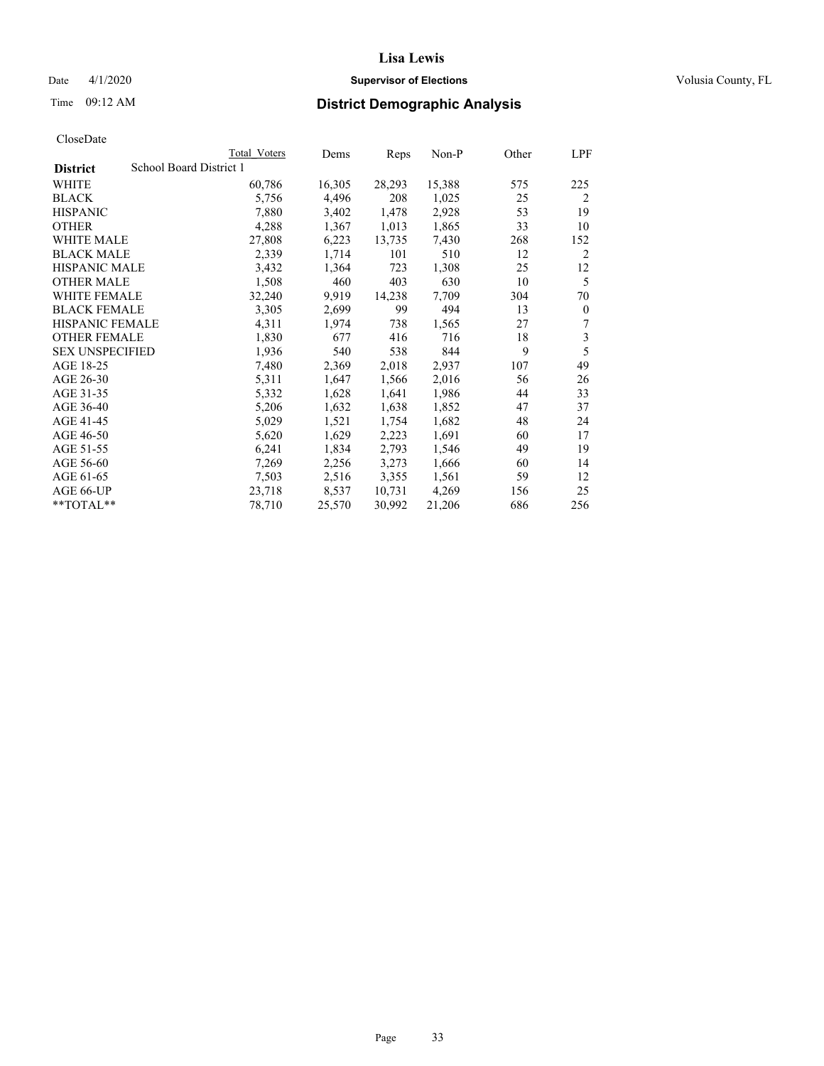# Date 4/1/2020 **Supervisor of Elections Supervisor of Elections** Volusia County, FL

# Time 09:12 AM **District Demographic Analysis**

|                                            | Total Voters | Dems   | Reps   | $Non-P$ | Other | LPF            |
|--------------------------------------------|--------------|--------|--------|---------|-------|----------------|
| School Board District 1<br><b>District</b> |              |        |        |         |       |                |
| WHITE                                      | 60,786       | 16,305 | 28,293 | 15,388  | 575   | 225            |
| <b>BLACK</b>                               | 5,756        | 4,496  | 208    | 1,025   | 25    | $\overline{2}$ |
| <b>HISPANIC</b>                            | 7,880        | 3,402  | 1,478  | 2,928   | 53    | 19             |
| <b>OTHER</b>                               | 4,288        | 1,367  | 1,013  | 1,865   | 33    | 10             |
| WHITE MALE                                 | 27,808       | 6,223  | 13,735 | 7,430   | 268   | 152            |
| <b>BLACK MALE</b>                          | 2,339        | 1,714  | 101    | 510     | 12    | 2              |
| <b>HISPANIC MALE</b>                       | 3,432        | 1,364  | 723    | 1,308   | 25    | 12             |
| <b>OTHER MALE</b>                          | 1,508        | 460    | 403    | 630     | 10    | 5              |
| WHITE FEMALE                               | 32,240       | 9,919  | 14,238 | 7,709   | 304   | 70             |
| <b>BLACK FEMALE</b>                        | 3,305        | 2,699  | 99     | 494     | 13    | $\mathbf{0}$   |
| <b>HISPANIC FEMALE</b>                     | 4,311        | 1,974  | 738    | 1,565   | 27    | 7              |
| <b>OTHER FEMALE</b>                        | 1,830        | 677    | 416    | 716     | 18    | 3              |
| <b>SEX UNSPECIFIED</b>                     | 1,936        | 540    | 538    | 844     | 9     | 5              |
| AGE 18-25                                  | 7,480        | 2,369  | 2,018  | 2,937   | 107   | 49             |
| AGE 26-30                                  | 5,311        | 1,647  | 1,566  | 2,016   | 56    | 26             |
| AGE 31-35                                  | 5,332        | 1,628  | 1,641  | 1,986   | 44    | 33             |
| AGE 36-40                                  | 5,206        | 1,632  | 1,638  | 1,852   | 47    | 37             |
| AGE 41-45                                  | 5,029        | 1,521  | 1,754  | 1,682   | 48    | 24             |
| AGE 46-50                                  | 5,620        | 1,629  | 2,223  | 1,691   | 60    | 17             |
| AGE 51-55                                  | 6,241        | 1,834  | 2,793  | 1,546   | 49    | 19             |
| AGE 56-60                                  | 7,269        | 2,256  | 3,273  | 1,666   | 60    | 14             |
| AGE 61-65                                  | 7,503        | 2,516  | 3,355  | 1,561   | 59    | 12             |
| AGE 66-UP                                  | 23,718       | 8,537  | 10,731 | 4,269   | 156   | 25             |
| $*$ $TOTAL**$                              | 78,710       | 25,570 | 30,992 | 21,206  | 686   | 256            |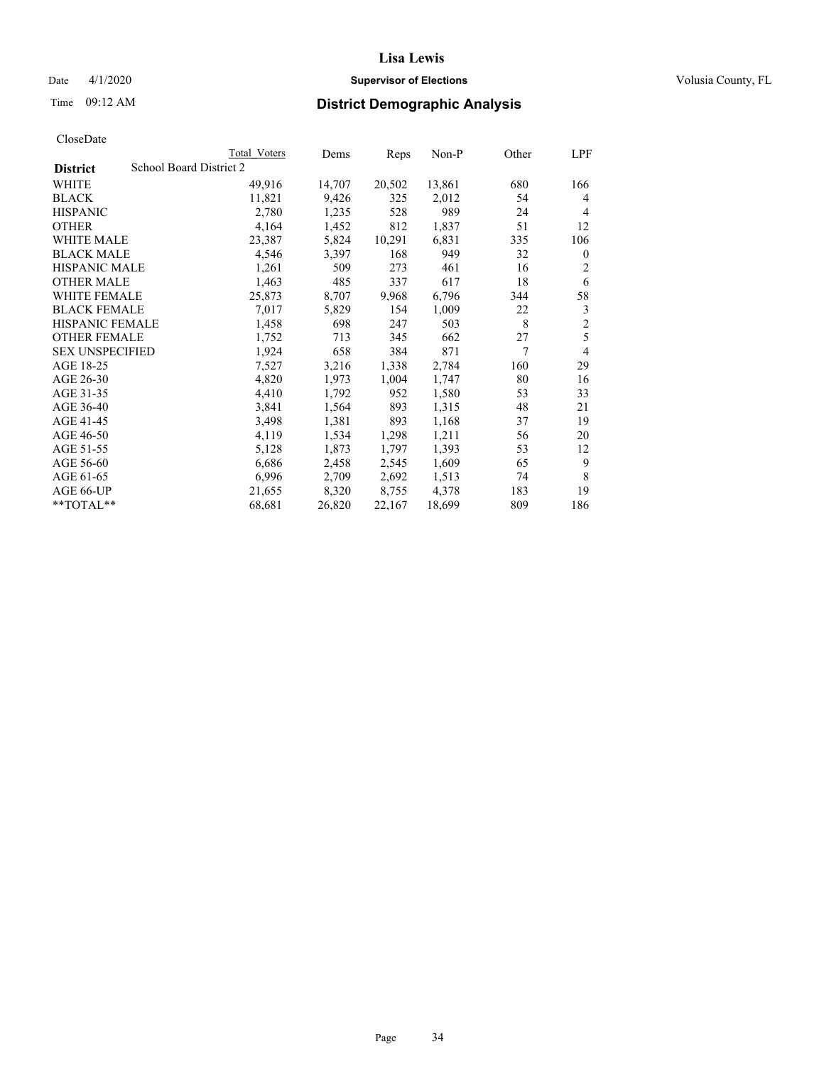# Date 4/1/2020 **Supervisor of Elections Supervisor of Elections** Volusia County, FL

# Time 09:12 AM **District Demographic Analysis**

|                                            | Total Voters | Dems   | Reps   | $Non-P$ | Other | LPF            |
|--------------------------------------------|--------------|--------|--------|---------|-------|----------------|
| School Board District 2<br><b>District</b> |              |        |        |         |       |                |
| WHITE                                      | 49,916       | 14,707 | 20,502 | 13,861  | 680   | 166            |
| <b>BLACK</b>                               | 11,821       | 9,426  | 325    | 2,012   | 54    | 4              |
| <b>HISPANIC</b>                            | 2,780        | 1,235  | 528    | 989     | 24    | 4              |
| <b>OTHER</b>                               | 4,164        | 1,452  | 812    | 1,837   | 51    | 12             |
| WHITE MALE                                 | 23,387       | 5,824  | 10,291 | 6,831   | 335   | 106            |
| <b>BLACK MALE</b>                          | 4,546        | 3,397  | 168    | 949     | 32    | $\mathbf{0}$   |
| <b>HISPANIC MALE</b>                       | 1,261        | 509    | 273    | 461     | 16    | 2              |
| <b>OTHER MALE</b>                          | 1,463        | 485    | 337    | 617     | 18    | 6              |
| WHITE FEMALE                               | 25,873       | 8,707  | 9,968  | 6,796   | 344   | 58             |
| <b>BLACK FEMALE</b>                        | 7,017        | 5,829  | 154    | 1,009   | 22    | 3              |
| HISPANIC FEMALE                            | 1,458        | 698    | 247    | 503     | 8     | $\overline{c}$ |
| <b>OTHER FEMALE</b>                        | 1,752        | 713    | 345    | 662     | 27    | 5              |
| <b>SEX UNSPECIFIED</b>                     | 1,924        | 658    | 384    | 871     | 7     | 4              |
| AGE 18-25                                  | 7,527        | 3,216  | 1,338  | 2,784   | 160   | 29             |
| AGE 26-30                                  | 4,820        | 1,973  | 1,004  | 1,747   | 80    | 16             |
| AGE 31-35                                  | 4,410        | 1,792  | 952    | 1,580   | 53    | 33             |
| AGE 36-40                                  | 3,841        | 1,564  | 893    | 1,315   | 48    | 21             |
| AGE 41-45                                  | 3,498        | 1,381  | 893    | 1,168   | 37    | 19             |
| AGE 46-50                                  | 4,119        | 1,534  | 1,298  | 1,211   | 56    | 20             |
| AGE 51-55                                  | 5,128        | 1,873  | 1,797  | 1,393   | 53    | 12             |
| AGE 56-60                                  | 6,686        | 2,458  | 2,545  | 1,609   | 65    | 9              |
| AGE 61-65                                  | 6,996        | 2,709  | 2,692  | 1,513   | 74    | 8              |
| AGE 66-UP                                  | 21,655       | 8,320  | 8,755  | 4,378   | 183   | 19             |
| **TOTAL**                                  | 68,681       | 26,820 | 22,167 | 18,699  | 809   | 186            |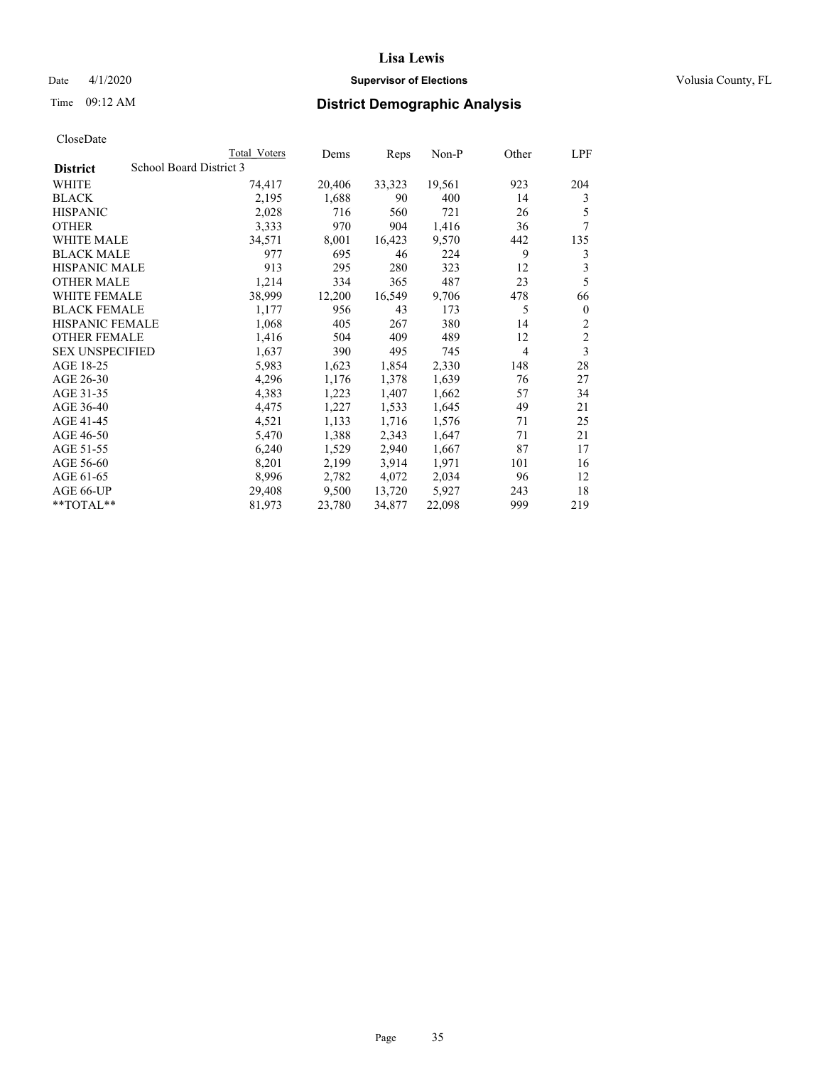# Date 4/1/2020 **Supervisor of Elections Supervisor of Elections** Volusia County, FL

# Time 09:12 AM **District Demographic Analysis**

|                        | Total Voters            | Dems   | Reps   | Non-P  | Other | LPF            |
|------------------------|-------------------------|--------|--------|--------|-------|----------------|
| <b>District</b>        | School Board District 3 |        |        |        |       |                |
| WHITE                  | 74,417                  | 20,406 | 33,323 | 19,561 | 923   | 204            |
| <b>BLACK</b>           | 2,195                   | 1,688  | 90     | 400    | 14    | 3              |
| <b>HISPANIC</b>        | 2,028                   | 716    | 560    | 721    | 26    | 5              |
| <b>OTHER</b>           | 3,333                   | 970    | 904    | 1,416  | 36    | 7              |
| <b>WHITE MALE</b>      | 34,571                  | 8,001  | 16,423 | 9,570  | 442   | 135            |
| <b>BLACK MALE</b>      | 977                     | 695    | 46     | 224    | 9     | 3              |
| <b>HISPANIC MALE</b>   | 913                     | 295    | 280    | 323    | 12    | 3              |
| <b>OTHER MALE</b>      | 1,214                   | 334    | 365    | 487    | 23    | 5              |
| <b>WHITE FEMALE</b>    | 38,999                  | 12,200 | 16,549 | 9,706  | 478   | 66             |
| <b>BLACK FEMALE</b>    | 1,177                   | 956    | 43     | 173    | 5     | $\mathbf{0}$   |
| <b>HISPANIC FEMALE</b> | 1,068                   | 405    | 267    | 380    | 14    | $\overline{2}$ |
| <b>OTHER FEMALE</b>    | 1,416                   | 504    | 409    | 489    | 12    | $\overline{c}$ |
| <b>SEX UNSPECIFIED</b> | 1,637                   | 390    | 495    | 745    | 4     | 3              |
| AGE 18-25              | 5,983                   | 1,623  | 1,854  | 2,330  | 148   | 28             |
| AGE 26-30              | 4,296                   | 1,176  | 1,378  | 1,639  | 76    | 27             |
| AGE 31-35              | 4,383                   | 1,223  | 1,407  | 1,662  | 57    | 34             |
| AGE 36-40              | 4,475                   | 1,227  | 1,533  | 1,645  | 49    | 21             |
| AGE 41-45              | 4,521                   | 1,133  | 1,716  | 1,576  | 71    | 25             |
| AGE 46-50              | 5,470                   | 1,388  | 2,343  | 1,647  | 71    | 21             |
| AGE 51-55              | 6,240                   | 1,529  | 2,940  | 1,667  | 87    | 17             |
| AGE 56-60              | 8,201                   | 2,199  | 3,914  | 1,971  | 101   | 16             |
| AGE 61-65              | 8,996                   | 2,782  | 4,072  | 2,034  | 96    | 12             |
| AGE 66-UP              | 29,408                  | 9,500  | 13,720 | 5,927  | 243   | 18             |
| $*$ TOTAL $*$          | 81,973                  | 23,780 | 34,877 | 22,098 | 999   | 219            |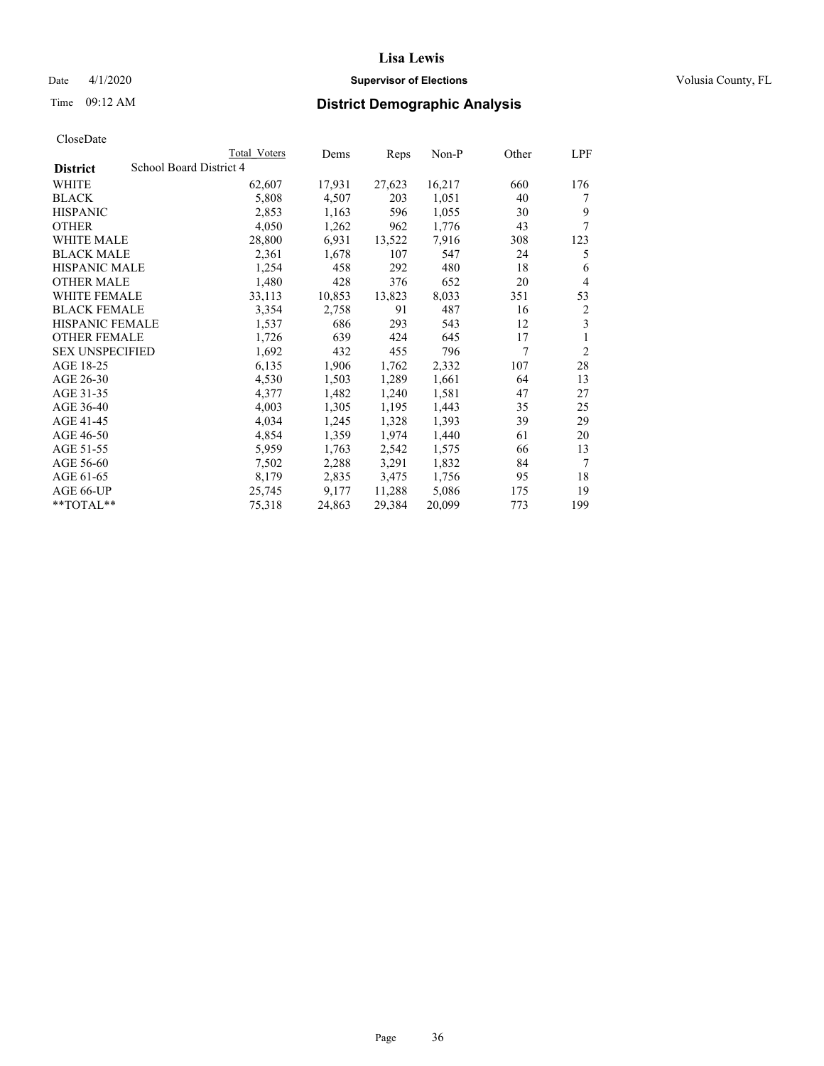# Date 4/1/2020 **Supervisor of Elections Supervisor of Elections** Volusia County, FL

# Time 09:12 AM **District Demographic Analysis**

|                        |                         | Total Voters | Dems   | Reps   | Non-P  | Other | LPF            |
|------------------------|-------------------------|--------------|--------|--------|--------|-------|----------------|
| <b>District</b>        | School Board District 4 |              |        |        |        |       |                |
| WHITE                  |                         | 62,607       | 17,931 | 27,623 | 16,217 | 660   | 176            |
| <b>BLACK</b>           |                         | 5,808        | 4,507  | 203    | 1,051  | 40    | 7              |
| <b>HISPANIC</b>        |                         | 2,853        | 1,163  | 596    | 1,055  | 30    | 9              |
| <b>OTHER</b>           |                         | 4,050        | 1,262  | 962    | 1,776  | 43    | 7              |
| WHITE MALE             |                         | 28,800       | 6,931  | 13,522 | 7,916  | 308   | 123            |
| <b>BLACK MALE</b>      |                         | 2,361        | 1,678  | 107    | 547    | 24    | 5              |
| <b>HISPANIC MALE</b>   |                         | 1,254        | 458    | 292    | 480    | 18    | 6              |
| <b>OTHER MALE</b>      |                         | 1,480        | 428    | 376    | 652    | 20    | 4              |
| WHITE FEMALE           |                         | 33,113       | 10,853 | 13,823 | 8,033  | 351   | 53             |
| <b>BLACK FEMALE</b>    |                         | 3,354        | 2,758  | 91     | 487    | 16    | 2              |
| <b>HISPANIC FEMALE</b> |                         | 1,537        | 686    | 293    | 543    | 12    | 3              |
| <b>OTHER FEMALE</b>    |                         | 1,726        | 639    | 424    | 645    | 17    | 1              |
| <b>SEX UNSPECIFIED</b> |                         | 1,692        | 432    | 455    | 796    | 7     | $\overline{2}$ |
| AGE 18-25              |                         | 6,135        | 1,906  | 1,762  | 2,332  | 107   | 28             |
| AGE 26-30              |                         | 4,530        | 1,503  | 1,289  | 1,661  | 64    | 13             |
| AGE 31-35              |                         | 4,377        | 1,482  | 1,240  | 1,581  | 47    | 27             |
| AGE 36-40              |                         | 4,003        | 1,305  | 1,195  | 1,443  | 35    | 25             |
| AGE 41-45              |                         | 4,034        | 1,245  | 1,328  | 1,393  | 39    | 29             |
| AGE 46-50              |                         | 4,854        | 1,359  | 1,974  | 1,440  | 61    | 20             |
| AGE 51-55              |                         | 5,959        | 1,763  | 2,542  | 1,575  | 66    | 13             |
| AGE 56-60              |                         | 7,502        | 2,288  | 3,291  | 1,832  | 84    | 7              |
| AGE 61-65              |                         | 8,179        | 2,835  | 3,475  | 1,756  | 95    | 18             |
| AGE 66-UP              |                         | 25,745       | 9,177  | 11,288 | 5,086  | 175   | 19             |
| $*$ $TOTAL**$          |                         | 75,318       | 24,863 | 29,384 | 20,099 | 773   | 199            |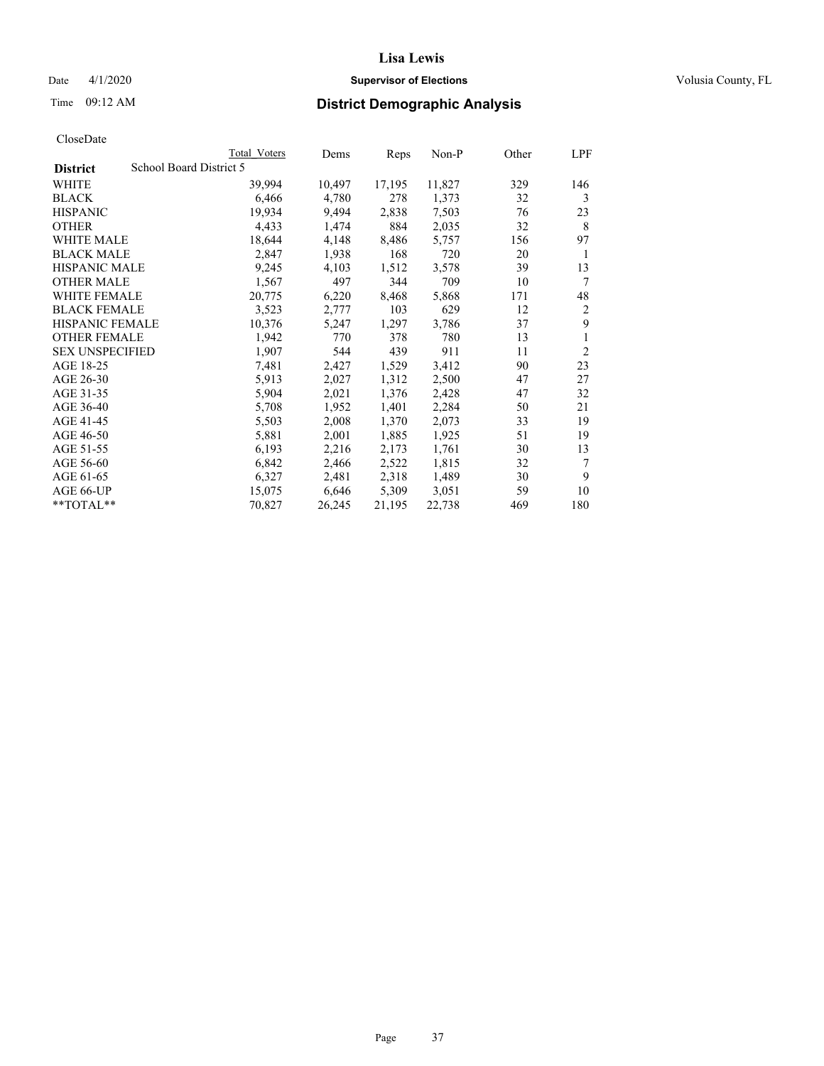# Date 4/1/2020 **Supervisor of Elections Supervisor of Elections** Volusia County, FL

# Time 09:12 AM **District Demographic Analysis**

|                        |                         | Total Voters | Dems   | Reps   | $Non-P$ | Other | LPF            |
|------------------------|-------------------------|--------------|--------|--------|---------|-------|----------------|
| <b>District</b>        | School Board District 5 |              |        |        |         |       |                |
| WHITE                  |                         | 39,994       | 10,497 | 17,195 | 11,827  | 329   | 146            |
| <b>BLACK</b>           |                         | 6,466        | 4,780  | 278    | 1,373   | 32    | 3              |
| <b>HISPANIC</b>        |                         | 19,934       | 9,494  | 2,838  | 7,503   | 76    | 23             |
| <b>OTHER</b>           |                         | 4,433        | 1,474  | 884    | 2,035   | 32    | 8              |
| WHITE MALE             |                         | 18,644       | 4,148  | 8,486  | 5,757   | 156   | 97             |
| <b>BLACK MALE</b>      |                         | 2,847        | 1,938  | 168    | 720     | 20    | 1              |
| <b>HISPANIC MALE</b>   |                         | 9,245        | 4,103  | 1,512  | 3,578   | 39    | 13             |
| <b>OTHER MALE</b>      |                         | 1,567        | 497    | 344    | 709     | 10    | 7              |
| <b>WHITE FEMALE</b>    |                         | 20,775       | 6,220  | 8,468  | 5,868   | 171   | 48             |
| <b>BLACK FEMALE</b>    |                         | 3,523        | 2,777  | 103    | 629     | 12    | $\overline{2}$ |
| HISPANIC FEMALE        |                         | 10,376       | 5,247  | 1,297  | 3,786   | 37    | 9              |
| <b>OTHER FEMALE</b>    |                         | 1,942        | 770    | 378    | 780     | 13    | 1              |
| <b>SEX UNSPECIFIED</b> |                         | 1,907        | 544    | 439    | 911     | 11    | $\overline{c}$ |
| AGE 18-25              |                         | 7,481        | 2,427  | 1,529  | 3,412   | 90    | 23             |
| AGE 26-30              |                         | 5,913        | 2,027  | 1,312  | 2,500   | 47    | 27             |
| AGE 31-35              |                         | 5,904        | 2,021  | 1,376  | 2,428   | 47    | 32             |
| AGE 36-40              |                         | 5,708        | 1,952  | 1,401  | 2,284   | 50    | 21             |
| AGE 41-45              |                         | 5,503        | 2,008  | 1,370  | 2,073   | 33    | 19             |
| AGE 46-50              |                         | 5,881        | 2,001  | 1,885  | 1,925   | 51    | 19             |
| AGE 51-55              |                         | 6,193        | 2,216  | 2,173  | 1,761   | 30    | 13             |
| AGE 56-60              |                         | 6,842        | 2,466  | 2,522  | 1,815   | 32    | 7              |
| AGE 61-65              |                         | 6,327        | 2,481  | 2,318  | 1,489   | 30    | 9              |
| AGE 66-UP              |                         | 15,075       | 6,646  | 5,309  | 3,051   | 59    | 10             |
| $*$ TOTAL $*$          |                         | 70,827       | 26,245 | 21,195 | 22,738  | 469   | 180            |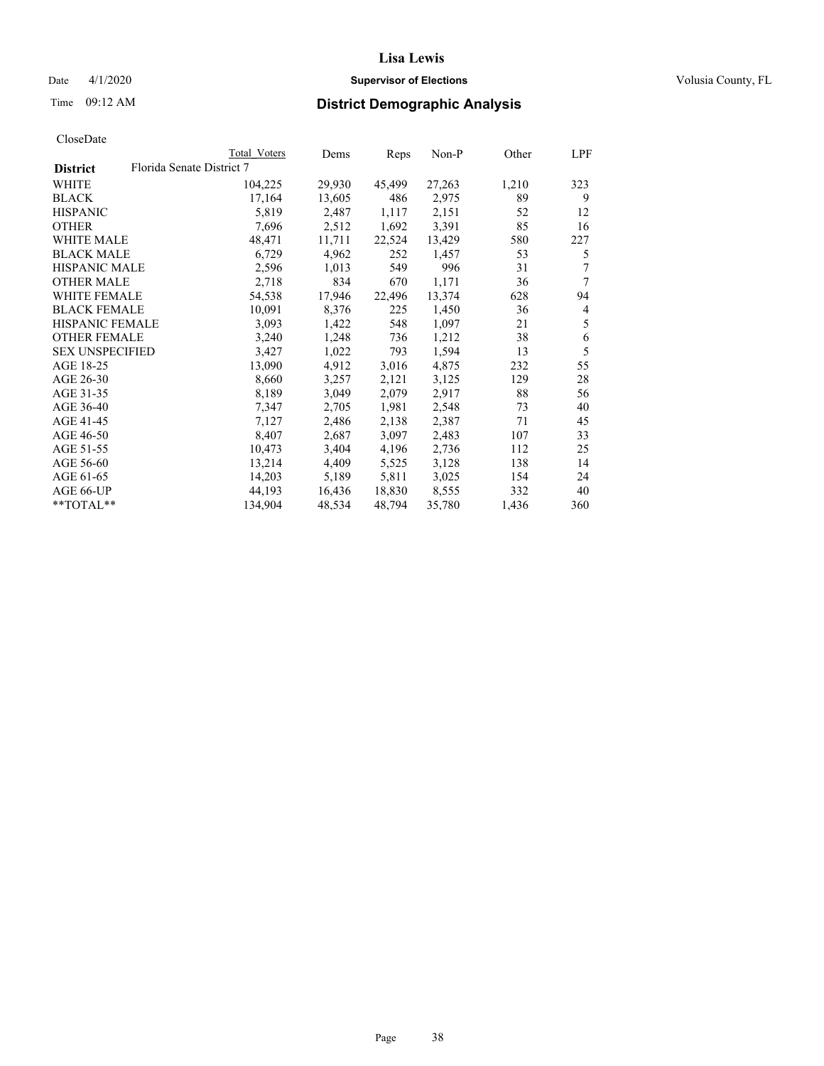# Date 4/1/2020 **Supervisor of Elections Supervisor of Elections** Volusia County, FL

# Time 09:12 AM **District Demographic Analysis**

|                        |                           | Total Voters | Dems   | Reps   | Non-P  | Other | LPF            |
|------------------------|---------------------------|--------------|--------|--------|--------|-------|----------------|
| <b>District</b>        | Florida Senate District 7 |              |        |        |        |       |                |
| WHITE                  |                           | 104,225      | 29,930 | 45,499 | 27,263 | 1,210 | 323            |
| <b>BLACK</b>           |                           | 17,164       | 13,605 | 486    | 2,975  | 89    | 9              |
| <b>HISPANIC</b>        |                           | 5,819        | 2,487  | 1,117  | 2,151  | 52    | 12             |
| <b>OTHER</b>           |                           | 7,696        | 2,512  | 1,692  | 3,391  | 85    | 16             |
| <b>WHITE MALE</b>      |                           | 48,471       | 11,711 | 22,524 | 13,429 | 580   | 227            |
| <b>BLACK MALE</b>      |                           | 6,729        | 4,962  | 252    | 1,457  | 53    | 5              |
| <b>HISPANIC MALE</b>   |                           | 2,596        | 1,013  | 549    | 996    | 31    | 7              |
| <b>OTHER MALE</b>      |                           | 2,718        | 834    | 670    | 1,171  | 36    | 7              |
| <b>WHITE FEMALE</b>    |                           | 54,538       | 17,946 | 22,496 | 13,374 | 628   | 94             |
| <b>BLACK FEMALE</b>    |                           | 10,091       | 8,376  | 225    | 1,450  | 36    | $\overline{4}$ |
| <b>HISPANIC FEMALE</b> |                           | 3,093        | 1,422  | 548    | 1,097  | 21    | 5              |
| <b>OTHER FEMALE</b>    |                           | 3,240        | 1,248  | 736    | 1,212  | 38    | 6              |
| <b>SEX UNSPECIFIED</b> |                           | 3,427        | 1,022  | 793    | 1,594  | 13    | 5              |
| AGE 18-25              |                           | 13,090       | 4,912  | 3,016  | 4,875  | 232   | 55             |
| AGE 26-30              |                           | 8,660        | 3,257  | 2,121  | 3,125  | 129   | 28             |
| AGE 31-35              |                           | 8,189        | 3,049  | 2,079  | 2,917  | 88    | 56             |
| AGE 36-40              |                           | 7,347        | 2,705  | 1,981  | 2,548  | 73    | 40             |
| AGE 41-45              |                           | 7,127        | 2,486  | 2,138  | 2,387  | 71    | 45             |
| AGE 46-50              |                           | 8,407        | 2,687  | 3,097  | 2,483  | 107   | 33             |
| AGE 51-55              |                           | 10,473       | 3,404  | 4,196  | 2,736  | 112   | 25             |
| AGE 56-60              |                           | 13,214       | 4,409  | 5,525  | 3,128  | 138   | 14             |
| AGE 61-65              |                           | 14,203       | 5,189  | 5,811  | 3,025  | 154   | 24             |
| AGE 66-UP              |                           | 44.193       | 16,436 | 18,830 | 8,555  | 332   | 40             |
| $*$ TOTAL $*$          |                           | 134,904      | 48,534 | 48,794 | 35,780 | 1,436 | 360            |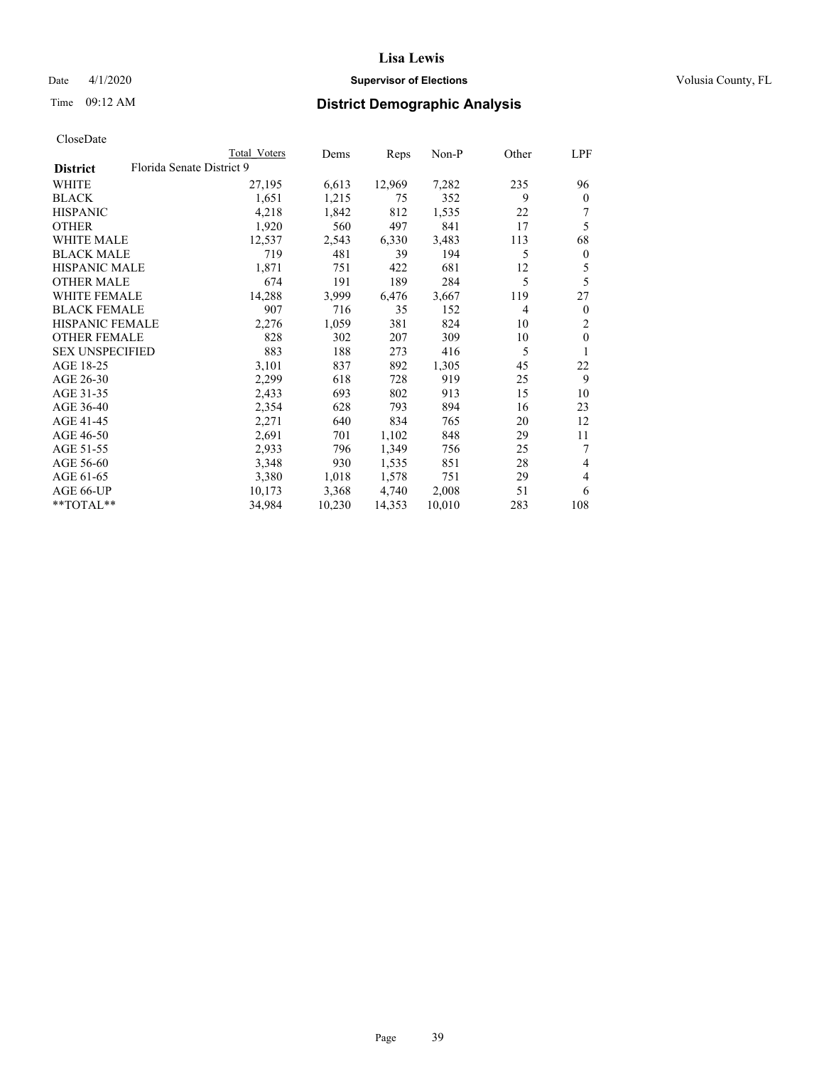# Date 4/1/2020 **Supervisor of Elections Supervisor of Elections** Volusia County, FL

# Time 09:12 AM **District Demographic Analysis**

|                                              | Total Voters | Dems   | Reps   | Non-P  | Other          | LPF          |
|----------------------------------------------|--------------|--------|--------|--------|----------------|--------------|
| Florida Senate District 9<br><b>District</b> |              |        |        |        |                |              |
| WHITE                                        | 27,195       | 6,613  | 12,969 | 7,282  | 235            | 96           |
| <b>BLACK</b>                                 | 1,651        | 1,215  | 75     | 352    | 9              | $\mathbf{0}$ |
| <b>HISPANIC</b>                              | 4,218        | 1,842  | 812    | 1,535  | 22             |              |
| <b>OTHER</b>                                 | 1,920        | 560    | 497    | 841    | 17             | 5            |
| WHITE MALE                                   | 12,537       | 2,543  | 6,330  | 3,483  | 113            | 68           |
| <b>BLACK MALE</b>                            | 719          | 481    | 39     | 194    | 5              | $\mathbf{0}$ |
| <b>HISPANIC MALE</b>                         | 1,871        | 751    | 422    | 681    | 12             | 5            |
| <b>OTHER MALE</b>                            | 674          | 191    | 189    | 284    | 5              | 5            |
| WHITE FEMALE                                 | 14,288       | 3,999  | 6,476  | 3,667  | 119            | 27           |
| <b>BLACK FEMALE</b>                          | 907          | 716    | 35     | 152    | $\overline{4}$ | $\mathbf{0}$ |
| <b>HISPANIC FEMALE</b>                       | 2,276        | 1,059  | 381    | 824    | 10             | 2            |
| <b>OTHER FEMALE</b>                          | 828          | 302    | 207    | 309    | 10             | $\theta$     |
| <b>SEX UNSPECIFIED</b>                       | 883          | 188    | 273    | 416    | 5              | 1            |
| AGE 18-25                                    | 3,101        | 837    | 892    | 1,305  | 45             | 22           |
| AGE 26-30                                    | 2,299        | 618    | 728    | 919    | 25             | 9            |
| AGE 31-35                                    | 2,433        | 693    | 802    | 913    | 15             | 10           |
| AGE 36-40                                    | 2,354        | 628    | 793    | 894    | 16             | 23           |
| AGE 41-45                                    | 2,271        | 640    | 834    | 765    | 20             | 12           |
| AGE 46-50                                    | 2,691        | 701    | 1,102  | 848    | 29             | 11           |
| AGE 51-55                                    | 2,933        | 796    | 1,349  | 756    | 25             | 7            |
| AGE 56-60                                    | 3,348        | 930    | 1,535  | 851    | 28             | 4            |
| AGE 61-65                                    | 3,380        | 1,018  | 1,578  | 751    | 29             | 4            |
| AGE 66-UP                                    | 10,173       | 3,368  | 4,740  | 2,008  | 51             | 6            |
| $*$ $TOTAL**$                                | 34,984       | 10,230 | 14,353 | 10,010 | 283            | 108          |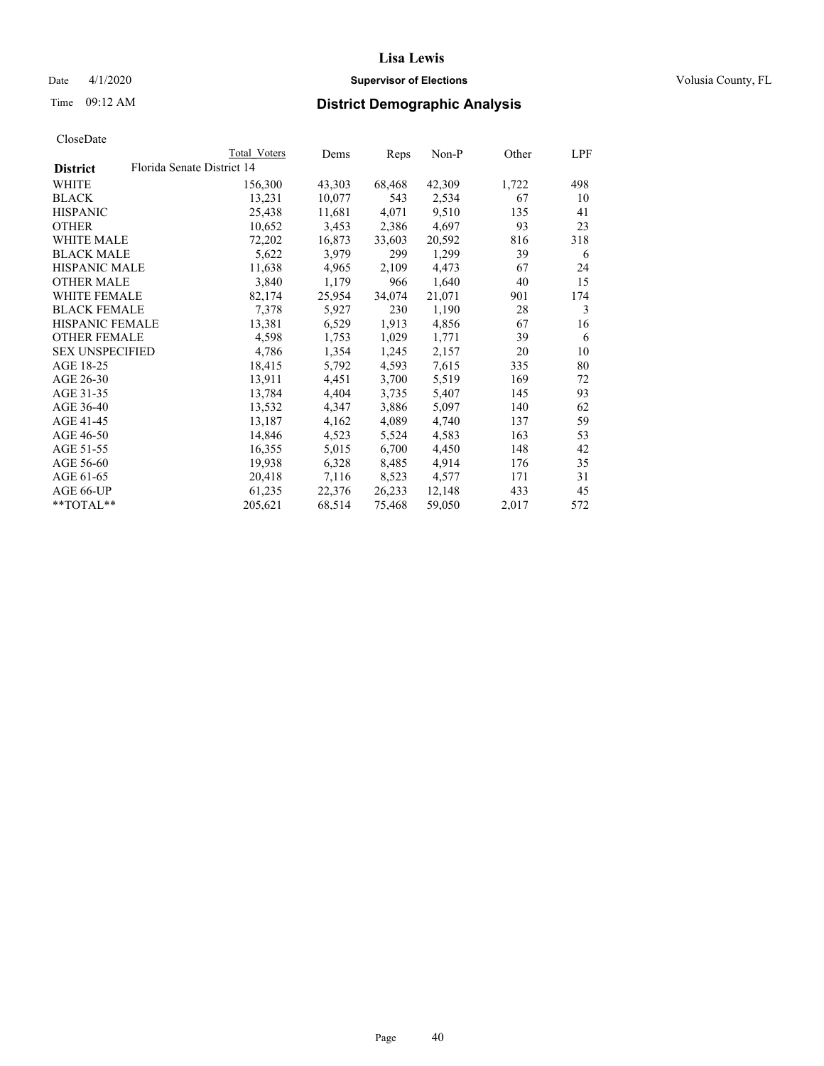# Date 4/1/2020 **Supervisor of Elections Supervisor of Elections** Volusia County, FL

|                        | Total Voters               | Dems   | Reps   | Non-P  | Other | LPF |
|------------------------|----------------------------|--------|--------|--------|-------|-----|
| <b>District</b>        | Florida Senate District 14 |        |        |        |       |     |
| WHITE                  | 156,300                    | 43,303 | 68,468 | 42,309 | 1,722 | 498 |
| BLACK                  | 13,231                     | 10,077 | 543    | 2,534  | 67    | 10  |
| HISPANIC               | 25,438                     | 11,681 | 4,071  | 9,510  | 135   | 41  |
| OTHER                  | 10,652                     | 3,453  | 2,386  | 4,697  | 93    | 23  |
| WHITE MALE             | 72,202                     | 16,873 | 33,603 | 20,592 | 816   | 318 |
| BLACK MALE             | 5,622                      | 3,979  | 299    | 1,299  | 39    | 6   |
| HISPANIC MALE          | 11,638                     | 4,965  | 2,109  | 4,473  | 67    | 24  |
| <b>OTHER MALE</b>      | 3,840                      | 1,179  | 966    | 1,640  | 40    | 15  |
| WHITE FEMALE           | 82,174                     | 25,954 | 34,074 | 21,071 | 901   | 174 |
| BLACK FEMALE           | 7,378                      | 5,927  | 230    | 1,190  | 28    | 3   |
| HISPANIC FEMALE        | 13,381                     | 6,529  | 1,913  | 4,856  | 67    | 16  |
| OTHER FEMALE           | 4,598                      | 1,753  | 1,029  | 1,771  | 39    | 6   |
| <b>SEX UNSPECIFIED</b> | 4,786                      | 1,354  | 1,245  | 2,157  | 20    | 10  |
| AGE 18-25              | 18,415                     | 5,792  | 4,593  | 7,615  | 335   | 80  |
| AGE 26-30              | 13,911                     | 4,451  | 3,700  | 5,519  | 169   | 72  |
| AGE 31-35              | 13,784                     | 4,404  | 3,735  | 5,407  | 145   | 93  |
| AGE 36-40              | 13,532                     | 4,347  | 3,886  | 5,097  | 140   | 62  |
| AGE 41-45              | 13,187                     | 4,162  | 4,089  | 4,740  | 137   | 59  |
| AGE 46-50              | 14,846                     | 4,523  | 5,524  | 4,583  | 163   | 53  |
| AGE 51-55              | 16,355                     | 5,015  | 6,700  | 4,450  | 148   | 42  |
| AGE 56-60              | 19,938                     | 6,328  | 8,485  | 4,914  | 176   | 35  |
| AGE 61-65              | 20,418                     | 7,116  | 8,523  | 4,577  | 171   | 31  |
| AGE 66-UP              | 61,235                     | 22,376 | 26,233 | 12,148 | 433   | 45  |
| **TOTAL**              | 205,621                    | 68,514 | 75,468 | 59,050 | 2,017 | 572 |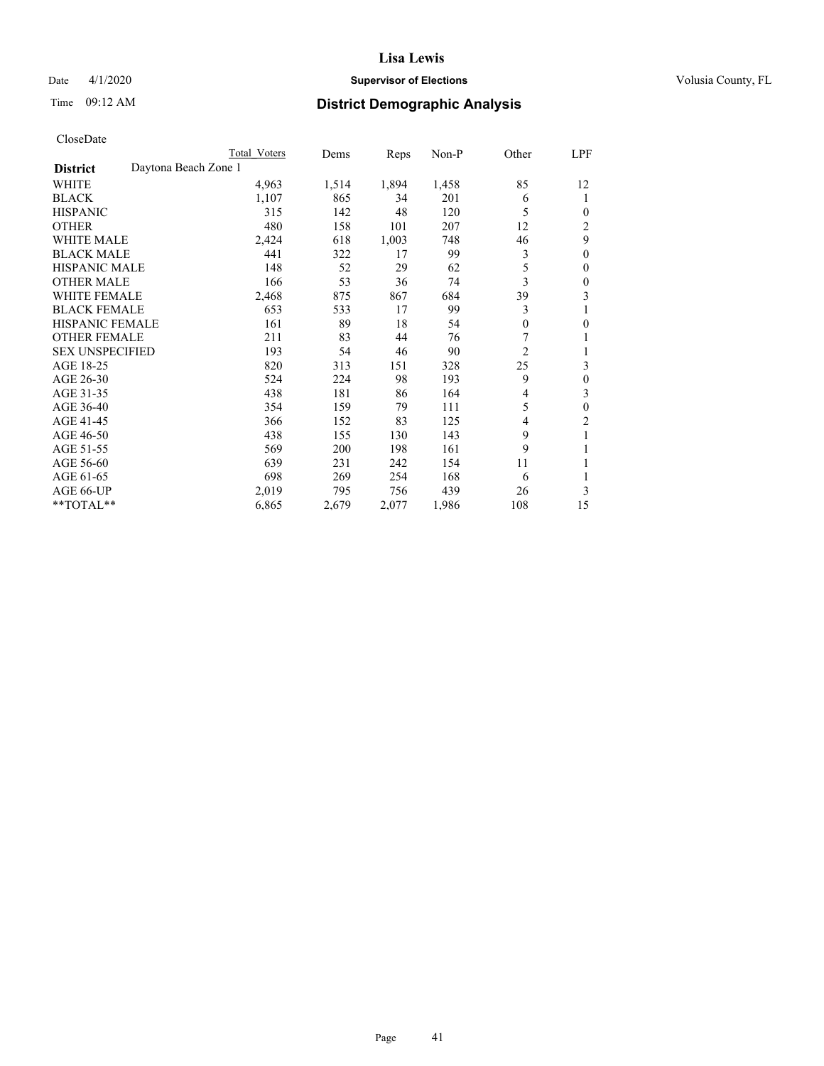# Date 4/1/2020 **Supervisor of Elections Supervisor of Elections** Volusia County, FL

# Time 09:12 AM **District Demographic Analysis**

|                                         | Total Voters | Dems  | Reps  | $Non-P$ | Other          | LPF            |
|-----------------------------------------|--------------|-------|-------|---------|----------------|----------------|
| Daytona Beach Zone 1<br><b>District</b> |              |       |       |         |                |                |
| WHITE                                   | 4,963        | 1,514 | 1,894 | 1,458   | 85             | 12             |
| <b>BLACK</b>                            | 1,107        | 865   | 34    | 201     | 6              | 1              |
| <b>HISPANIC</b>                         | 315          | 142   | 48    | 120     | 5              | $\theta$       |
| <b>OTHER</b>                            | 480          | 158   | 101   | 207     | 12             | $\overline{c}$ |
| <b>WHITE MALE</b>                       | 2,424        | 618   | 1,003 | 748     | 46             | 9              |
| <b>BLACK MALE</b>                       | 441          | 322   | 17    | 99      | 3              | $\mathbf{0}$   |
| <b>HISPANIC MALE</b>                    | 148          | 52    | 29    | 62      | 5              | $\theta$       |
| <b>OTHER MALE</b>                       | 166          | 53    | 36    | 74      | 3              | $\mathbf{0}$   |
| <b>WHITE FEMALE</b>                     | 2,468        | 875   | 867   | 684     | 39             | 3              |
| <b>BLACK FEMALE</b>                     | 653          | 533   | 17    | 99      | 3              | 1              |
| <b>HISPANIC FEMALE</b>                  | 161          | 89    | 18    | 54      | $\theta$       | $\theta$       |
| <b>OTHER FEMALE</b>                     | 211          | 83    | 44    | 76      | 7              | 1              |
| <b>SEX UNSPECIFIED</b>                  | 193          | 54    | 46    | 90      | $\overline{2}$ | 1              |
| AGE 18-25                               | 820          | 313   | 151   | 328     | 25             | 3              |
| AGE 26-30                               | 524          | 224   | 98    | 193     | 9              | $\theta$       |
| AGE 31-35                               | 438          | 181   | 86    | 164     | 4              | 3              |
| AGE 36-40                               | 354          | 159   | 79    | 111     | 5              | $\theta$       |
| AGE 41-45                               | 366          | 152   | 83    | 125     | 4              | $\overline{2}$ |
| AGE 46-50                               | 438          | 155   | 130   | 143     | 9              | 1              |
| AGE 51-55                               | 569          | 200   | 198   | 161     | 9              | 1              |
| AGE 56-60                               | 639          | 231   | 242   | 154     | 11             | 1              |
| AGE 61-65                               | 698          | 269   | 254   | 168     | 6              |                |
| AGE 66-UP                               | 2,019        | 795   | 756   | 439     | 26             | 3              |
| **TOTAL**                               | 6,865        | 2,679 | 2,077 | 1,986   | 108            | 15             |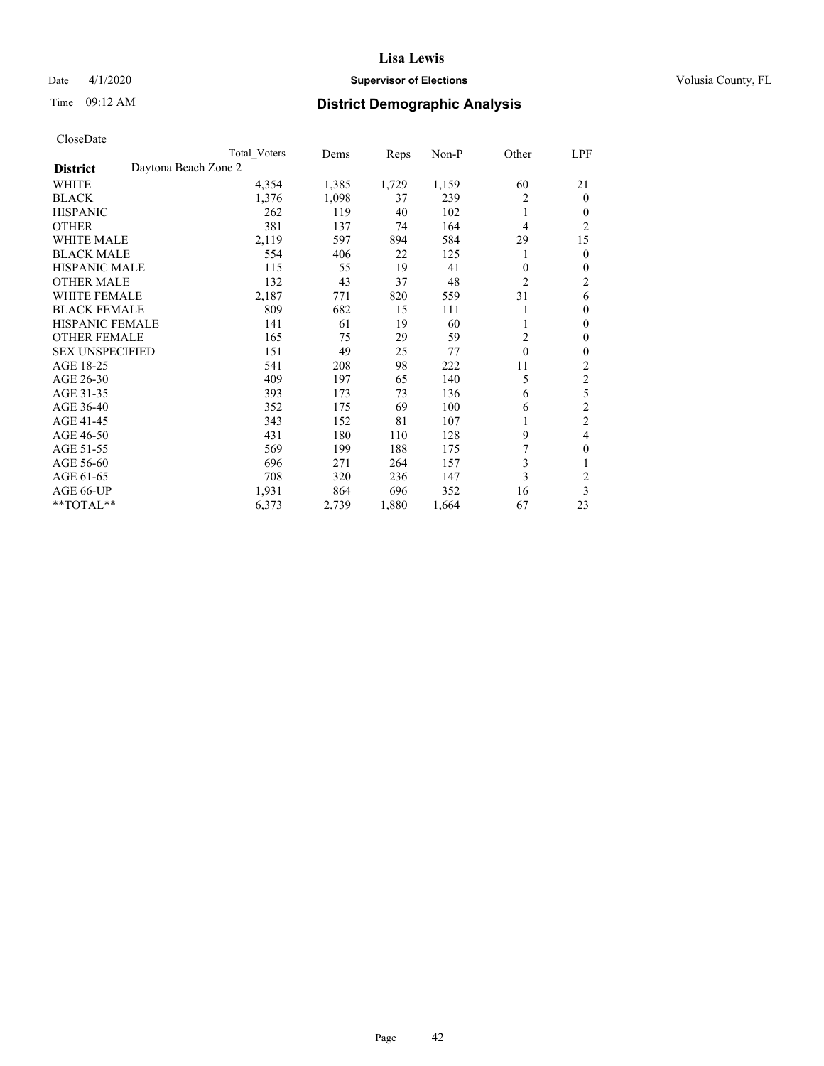# Date 4/1/2020 **Supervisor of Elections Supervisor of Elections** Volusia County, FL

# Time 09:12 AM **District Demographic Analysis**

|                        | Total Voters         | Dems  | Reps  | Non-P | Other          | LPF            |
|------------------------|----------------------|-------|-------|-------|----------------|----------------|
| <b>District</b>        | Daytona Beach Zone 2 |       |       |       |                |                |
| WHITE                  | 4,354                | 1,385 | 1,729 | 1,159 | 60             | 21             |
| <b>BLACK</b>           | 1,376                | 1,098 | 37    | 239   | 2              | $\mathbf{0}$   |
| <b>HISPANIC</b>        | 262                  | 119   | 40    | 102   | 1              | $\Omega$       |
| <b>OTHER</b>           | 381                  | 137   | 74    | 164   | 4              | $\overline{2}$ |
| <b>WHITE MALE</b>      | 2,119                | 597   | 894   | 584   | 29             | 15             |
| <b>BLACK MALE</b>      | 554                  | 406   | 22    | 125   | 1              | $\theta$       |
| <b>HISPANIC MALE</b>   | 115                  | 55    | 19    | 41    | $\mathbf{0}$   | $\theta$       |
| <b>OTHER MALE</b>      | 132                  | 43    | 37    | 48    | $\overline{2}$ | $\overline{c}$ |
| <b>WHITE FEMALE</b>    | 2,187                | 771   | 820   | 559   | 31             | 6              |
| <b>BLACK FEMALE</b>    | 809                  | 682   | 15    | 111   |                | $\theta$       |
| <b>HISPANIC FEMALE</b> | 141                  | 61    | 19    | 60    |                | $\theta$       |
| <b>OTHER FEMALE</b>    | 165                  | 75    | 29    | 59    | $\overline{c}$ | $\theta$       |
| <b>SEX UNSPECIFIED</b> | 151                  | 49    | 25    | 77    | $\mathbf{0}$   | $\theta$       |
| AGE 18-25              | 541                  | 208   | 98    | 222   | 11             | $\overline{2}$ |
| AGE 26-30              | 409                  | 197   | 65    | 140   | 5              | 2              |
| AGE 31-35              | 393                  | 173   | 73    | 136   | 6              | 5              |
| AGE 36-40              | 352                  | 175   | 69    | 100   | 6              | $\overline{c}$ |
| AGE 41-45              | 343                  | 152   | 81    | 107   |                | $\overline{c}$ |
| AGE 46-50              | 431                  | 180   | 110   | 128   | 9              | 4              |
| AGE 51-55              | 569                  | 199   | 188   | 175   |                | $\theta$       |
| AGE 56-60              | 696                  | 271   | 264   | 157   | 3              |                |
| AGE 61-65              | 708                  | 320   | 236   | 147   | 3              | $\overline{2}$ |
| AGE 66-UP              | 1,931                | 864   | 696   | 352   | 16             | 3              |
| **TOTAL**              | 6,373                | 2,739 | 1,880 | 1,664 | 67             | 23             |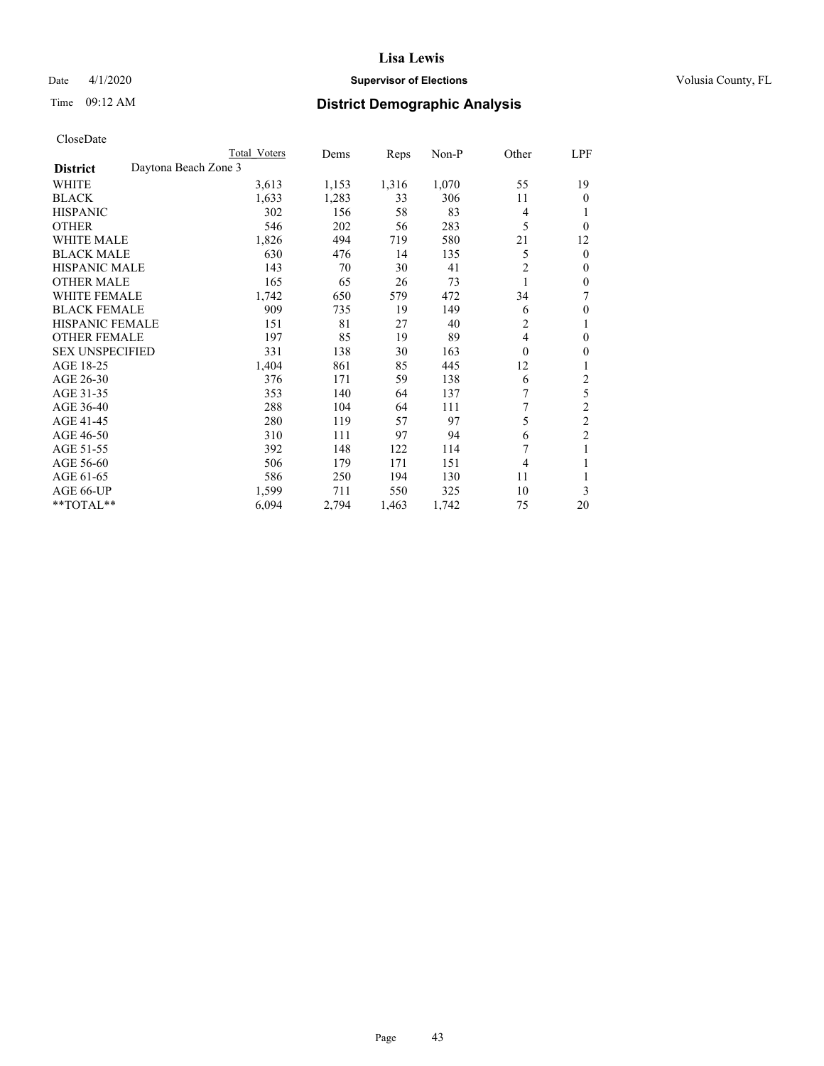# Date 4/1/2020 **Supervisor of Elections Supervisor of Elections** Volusia County, FL

# Time 09:12 AM **District Demographic Analysis**

|                                         | Total Voters | Dems  | Reps  | $Non-P$ | Other            | LPF              |
|-----------------------------------------|--------------|-------|-------|---------|------------------|------------------|
| Daytona Beach Zone 3<br><b>District</b> |              |       |       |         |                  |                  |
| WHITE                                   | 3,613        | 1,153 | 1,316 | 1,070   | 55               | 19               |
| <b>BLACK</b>                            | 1,633        | 1,283 | 33    | 306     | 11               | $\theta$         |
| <b>HISPANIC</b>                         | 302          | 156   | 58    | 83      | 4                | 1                |
| <b>OTHER</b>                            | 546          | 202   | 56    | 283     | 5                | $\theta$         |
| <b>WHITE MALE</b>                       | 1,826        | 494   | 719   | 580     | 21               | 12               |
| <b>BLACK MALE</b>                       | 630          | 476   | 14    | 135     | 5                | $\mathbf{0}$     |
| <b>HISPANIC MALE</b>                    | 143          | 70    | 30    | 41      | 2                | $\mathbf{0}$     |
| <b>OTHER MALE</b>                       | 165          | 65    | 26    | 73      | 1                | $\theta$         |
| <b>WHITE FEMALE</b>                     | 1,742        | 650   | 579   | 472     | 34               | 7                |
| <b>BLACK FEMALE</b>                     | 909          | 735   | 19    | 149     | 6                | $\theta$         |
| <b>HISPANIC FEMALE</b>                  | 151          | 81    | 27    | 40      | 2                | 1                |
| <b>OTHER FEMALE</b>                     | 197          | 85    | 19    | 89      | 4                | $\theta$         |
| <b>SEX UNSPECIFIED</b>                  | 331          | 138   | 30    | 163     | $\boldsymbol{0}$ | $\boldsymbol{0}$ |
| AGE 18-25                               | 1,404        | 861   | 85    | 445     | 12               | 1                |
| AGE 26-30                               | 376          | 171   | 59    | 138     | 6                | 2                |
| AGE 31-35                               | 353          | 140   | 64    | 137     | 7                | 5                |
| AGE 36-40                               | 288          | 104   | 64    | 111     | 7                | $\overline{2}$   |
| AGE 41-45                               | 280          | 119   | 57    | 97      | 5                | $\mathfrak{2}$   |
| AGE 46-50                               | 310          | 111   | 97    | 94      | 6                | $\overline{2}$   |
| AGE 51-55                               | 392          | 148   | 122   | 114     | 7                | 1                |
| AGE 56-60                               | 506          | 179   | 171   | 151     | 4                | 1                |
| AGE 61-65                               | 586          | 250   | 194   | 130     | 11               |                  |
| AGE 66-UP                               | 1,599        | 711   | 550   | 325     | 10               | 3                |
| $*$ TOTAL $*$                           | 6,094        | 2,794 | 1,463 | 1,742   | 75               | 20               |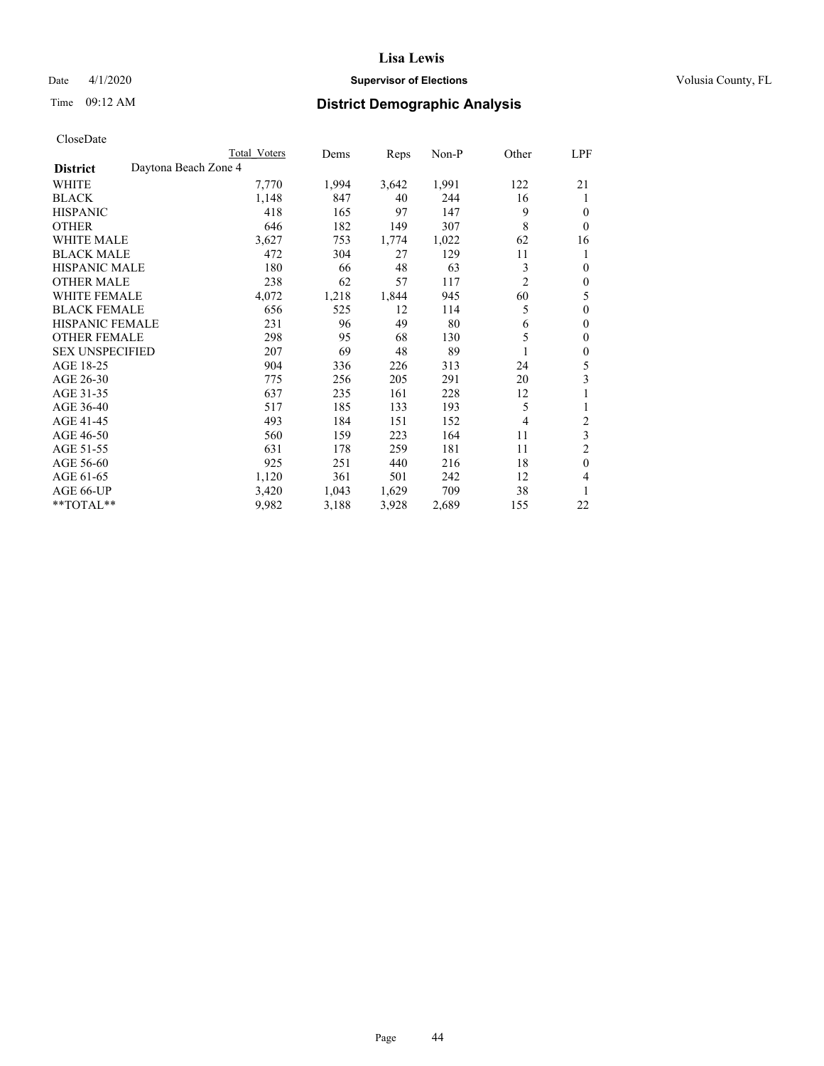# Date 4/1/2020 **Supervisor of Elections Supervisor of Elections** Volusia County, FL

# Time 09:12 AM **District Demographic Analysis**

| Total Voters         | Dems  |       |       |                | <u>LPF</u>       |
|----------------------|-------|-------|-------|----------------|------------------|
| Daytona Beach Zone 4 |       |       |       |                |                  |
| 7,770                | 1,994 | 3,642 | 1,991 | 122            | 21               |
| 1,148                | 847   | 40    | 244   | 16             | 1                |
| 418                  | 165   | 97    | 147   | 9              | $\theta$         |
| 646                  | 182   | 149   | 307   | 8              | $\theta$         |
| 3,627                | 753   | 1,774 | 1,022 | 62             | 16               |
| 472                  | 304   | 27    | 129   | 11             | 1                |
| 180                  | 66    | 48    | 63    | 3              | $\mathbf{0}$     |
| 238                  | 62    | 57    | 117   | $\overline{c}$ | $\mathbf{0}$     |
| 4,072                | 1,218 | 1,844 | 945   | 60             | 5                |
| 656                  | 525   | 12    | 114   | 5              | $\mathbf{0}$     |
| 231                  | 96    | 49    | 80    | 6              | $\mathbf{0}$     |
| 298                  | 95    | 68    | 130   | 5              | $\mathbf{0}$     |
| 207                  | 69    | 48    | 89    |                | $\mathbf{0}$     |
| 904                  | 336   | 226   | 313   | 24             | 5                |
| 775                  | 256   | 205   | 291   | 20             | 3                |
| 637                  | 235   | 161   | 228   | 12             | 1                |
| 517                  | 185   | 133   | 193   | 5              | 1                |
| 493                  | 184   | 151   | 152   | 4              | 2                |
| 560                  | 159   | 223   | 164   | 11             | 3                |
| 631                  | 178   | 259   | 181   | 11             | $\overline{2}$   |
| 925                  | 251   | 440   | 216   | 18             | $\theta$         |
| 1,120                | 361   | 501   | 242   | 12             | 4                |
| 3,420                | 1,043 | 1,629 | 709   | 38             | 1                |
| 9,982                | 3,188 | 3,928 | 2,689 | 155            | 22               |
|                      |       |       |       | Reps           | Other<br>$Non-P$ |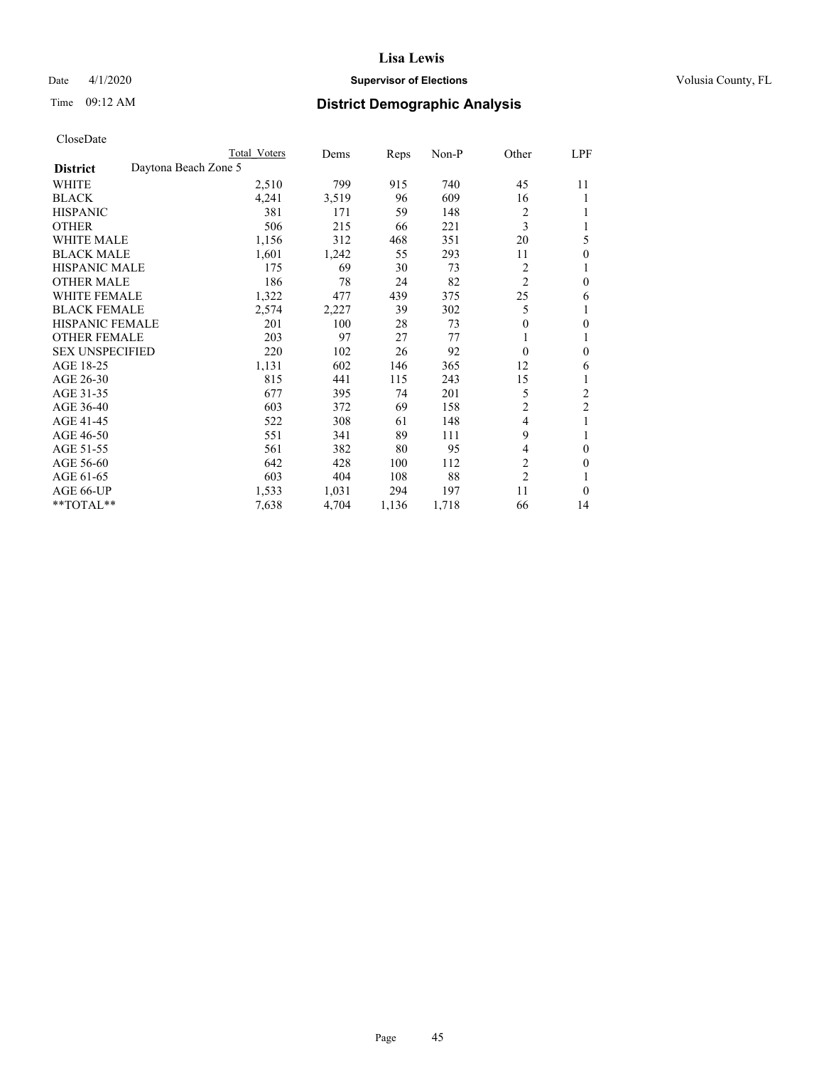# Date 4/1/2020 **Supervisor of Elections Supervisor of Elections** Volusia County, FL

| CloseDate |
|-----------|
|-----------|

|                                         | Total Voters | Dems  | Reps  | Non-P | Other            | LPF            |
|-----------------------------------------|--------------|-------|-------|-------|------------------|----------------|
| Daytona Beach Zone 5<br><b>District</b> |              |       |       |       |                  |                |
| WHITE                                   | 2,510        | 799   | 915   | 740   | 45               | 11             |
| <b>BLACK</b>                            | 4,241        | 3,519 | 96    | 609   | 16               |                |
| <b>HISPANIC</b>                         | 381          | 171   | 59    | 148   | 2                |                |
| <b>OTHER</b>                            | 506          | 215   | 66    | 221   | 3                |                |
| <b>WHITE MALE</b>                       | 1,156        | 312   | 468   | 351   | 20               | 5              |
| <b>BLACK MALE</b>                       | 1,601        | 1,242 | 55    | 293   | 11               | 0              |
| <b>HISPANIC MALE</b>                    | 175          | 69    | 30    | 73    | 2                |                |
| <b>OTHER MALE</b>                       | 186          | 78    | 24    | 82    | $\overline{2}$   | 0              |
| <b>WHITE FEMALE</b>                     | 1,322        | 477   | 439   | 375   | 25               | 6              |
| <b>BLACK FEMALE</b>                     | 2,574        | 2,227 | 39    | 302   | 5                | l              |
| <b>HISPANIC FEMALE</b>                  | 201          | 100   | 28    | 73    | $\boldsymbol{0}$ | 0              |
| <b>OTHER FEMALE</b>                     | 203          | 97    | 27    | 77    |                  |                |
| <b>SEX UNSPECIFIED</b>                  | 220          | 102   | 26    | 92    | 0                | $\theta$       |
| AGE 18-25                               | 1,131        | 602   | 146   | 365   | 12               | 6              |
| AGE 26-30                               | 815          | 441   | 115   | 243   | 15               |                |
| AGE 31-35                               | 677          | 395   | 74    | 201   | 5                | 2              |
| AGE 36-40                               | 603          | 372   | 69    | 158   | 2                | $\overline{c}$ |
| AGE 41-45                               | 522          | 308   | 61    | 148   | 4                |                |
| AGE 46-50                               | 551          | 341   | 89    | 111   | 9                |                |
| AGE 51-55                               | 561          | 382   | 80    | 95    | 4                | $\theta$       |
| AGE 56-60                               | 642          | 428   | 100   | 112   | 2                | 0              |
| AGE 61-65                               | 603          | 404   | 108   | 88    | $\overline{2}$   |                |
| AGE 66-UP                               | 1,533        | 1,031 | 294   | 197   | 11               | $\Omega$       |
| **TOTAL**                               | 7,638        | 4,704 | 1,136 | 1,718 | 66               | 14             |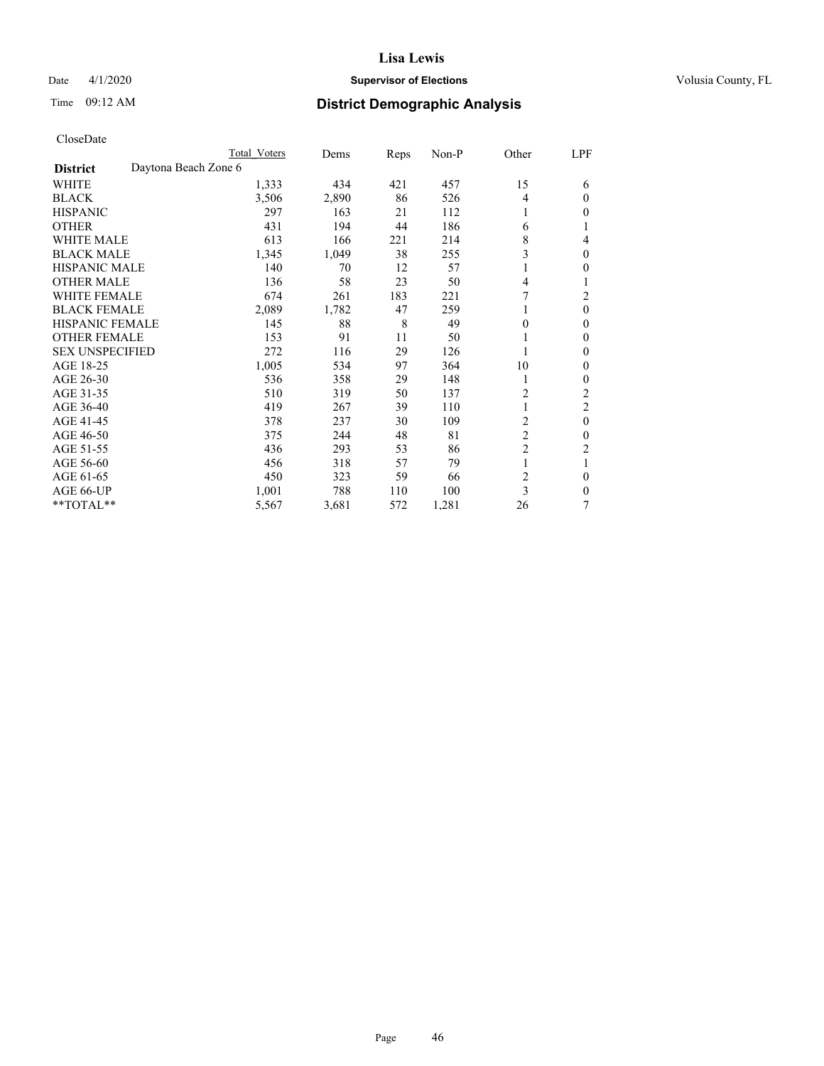# Date 4/1/2020 **Supervisor of Elections Supervisor of Elections** Volusia County, FL

# Time 09:12 AM **District Demographic Analysis**

|                        |                      | Total Voters | Dems  | Reps | Non-P | Other          | LPF            |
|------------------------|----------------------|--------------|-------|------|-------|----------------|----------------|
| <b>District</b>        | Daytona Beach Zone 6 |              |       |      |       |                |                |
| WHITE                  |                      | 1,333        | 434   | 421  | 457   | 15             | 6              |
| <b>BLACK</b>           |                      | 3,506        | 2,890 | 86   | 526   | 4              | $\Omega$       |
| <b>HISPANIC</b>        |                      | 297          | 163   | 21   | 112   | 1              | 0              |
| <b>OTHER</b>           |                      | 431          | 194   | 44   | 186   | 6              |                |
| WHITE MALE             |                      | 613          | 166   | 221  | 214   | 8              | 4              |
| <b>BLACK MALE</b>      |                      | 1,345        | 1,049 | 38   | 255   | 3              | $\mathbf{0}$   |
| <b>HISPANIC MALE</b>   |                      | 140          | 70    | 12   | 57    | 1              | 0              |
| <b>OTHER MALE</b>      |                      | 136          | 58    | 23   | 50    | 4              | 1              |
| <b>WHITE FEMALE</b>    |                      | 674          | 261   | 183  | 221   |                | 2              |
| <b>BLACK FEMALE</b>    |                      | 2,089        | 1,782 | 47   | 259   | 1              | $\theta$       |
| <b>HISPANIC FEMALE</b> |                      | 145          | 88    | 8    | 49    | $\theta$       | 0              |
| <b>OTHER FEMALE</b>    |                      | 153          | 91    | 11   | 50    | 1              | 0              |
| <b>SEX UNSPECIFIED</b> |                      | 272          | 116   | 29   | 126   |                | 0              |
| AGE 18-25              |                      | 1,005        | 534   | 97   | 364   | 10             | 0              |
| AGE 26-30              |                      | 536          | 358   | 29   | 148   | 1              | 0              |
| AGE 31-35              |                      | 510          | 319   | 50   | 137   | $\overline{c}$ | $\overline{c}$ |
| AGE 36-40              |                      | 419          | 267   | 39   | 110   | 1              | 2              |
| AGE 41-45              |                      | 378          | 237   | 30   | 109   | 2              | $\theta$       |
| AGE 46-50              |                      | 375          | 244   | 48   | 81    | $\overline{2}$ | 0              |
| AGE 51-55              |                      | 436          | 293   | 53   | 86    | $\overline{c}$ | 2              |
| AGE 56-60              |                      | 456          | 318   | 57   | 79    | 1              |                |
| AGE 61-65              |                      | 450          | 323   | 59   | 66    | $\overline{2}$ | $\theta$       |
| AGE 66-UP              |                      | 1,001        | 788   | 110  | 100   | 3              | 0              |
| **TOTAL**              |                      | 5,567        | 3,681 | 572  | 1,281 | 26             | 7              |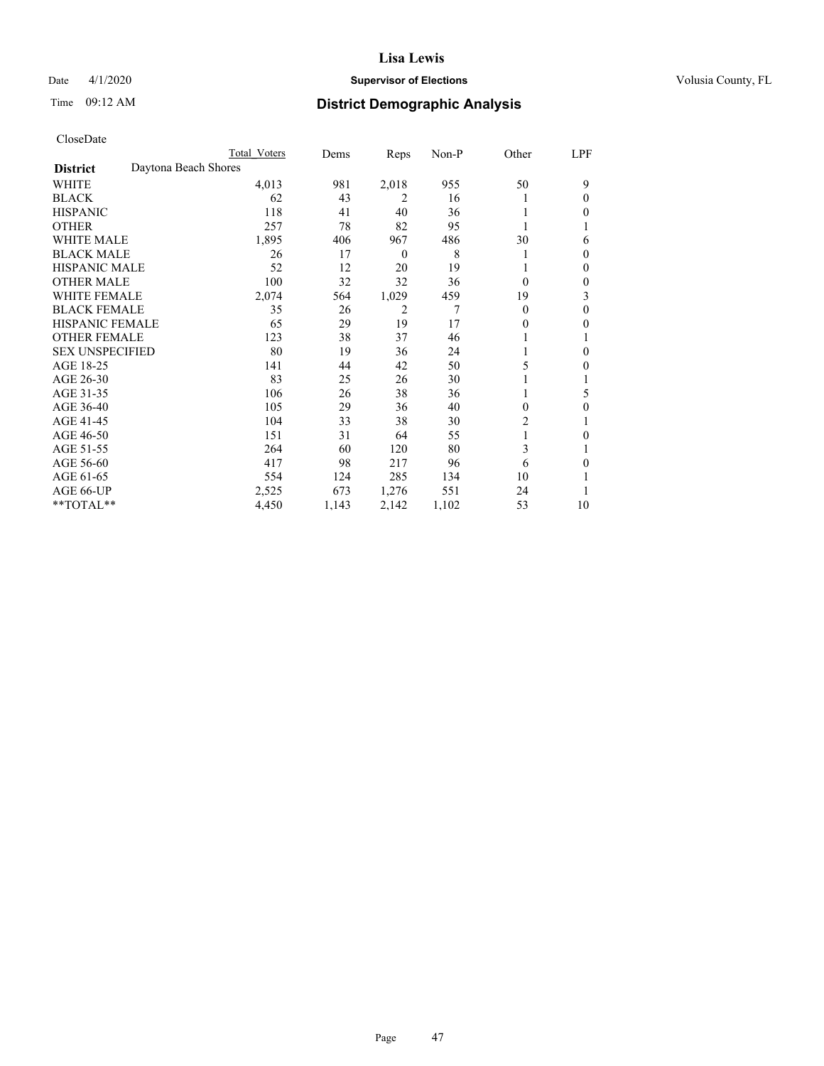# Date 4/1/2020 **Supervisor of Elections Supervisor of Elections** Volusia County, FL

# Time 09:12 AM **District Demographic Analysis**

|                        | Total Voters         | Dems  | Reps             | Non-P | Other    | LPF |
|------------------------|----------------------|-------|------------------|-------|----------|-----|
| <b>District</b>        | Daytona Beach Shores |       |                  |       |          |     |
| WHITE                  | 4,013                | 981   | 2,018            | 955   | 50       | 9   |
| <b>BLACK</b>           | 62                   | 43    | 2                | 16    |          | 0   |
| <b>HISPANIC</b>        | 118                  | 41    | 40               | 36    |          | 0   |
| <b>OTHER</b>           | 257                  | 78    | 82               | 95    |          |     |
| <b>WHITE MALE</b>      | 1,895                | 406   | 967              | 486   | 30       | 6   |
| <b>BLACK MALE</b>      | 26                   | 17    | $\boldsymbol{0}$ | 8     |          | 0   |
| <b>HISPANIC MALE</b>   | 52                   | 12    | 20               | 19    |          | 0   |
| <b>OTHER MALE</b>      | 100                  | 32    | 32               | 36    | $\Omega$ | 0   |
| <b>WHITE FEMALE</b>    | 2,074                | 564   | 1,029            | 459   | 19       | 3   |
| <b>BLACK FEMALE</b>    | 35                   | 26    | 2                | 7     | $\Omega$ | 0   |
| <b>HISPANIC FEMALE</b> | 65                   | 29    | 19               | 17    | 0        | 0   |
| <b>OTHER FEMALE</b>    | 123                  | 38    | 37               | 46    |          |     |
| <b>SEX UNSPECIFIED</b> | 80                   | 19    | 36               | 24    |          | 0   |
| AGE 18-25              | 141                  | 44    | 42               | 50    | 5        | 0   |
| AGE 26-30              | 83                   | 25    | 26               | 30    |          |     |
| AGE 31-35              | 106                  | 26    | 38               | 36    |          | 5   |
| AGE 36-40              | 105                  | 29    | 36               | 40    | $\theta$ | 0   |
| AGE 41-45              | 104                  | 33    | 38               | 30    | 2        |     |
| AGE 46-50              | 151                  | 31    | 64               | 55    | 1        | 0   |
| AGE 51-55              | 264                  | 60    | 120              | 80    | 3        |     |
| AGE 56-60              | 417                  | 98    | 217              | 96    | 6        | 0   |
| AGE 61-65              | 554                  | 124   | 285              | 134   | 10       |     |
| AGE 66-UP              | 2,525                | 673   | 1,276            | 551   | 24       |     |
| **TOTAL**              | 4,450                | 1,143 | 2,142            | 1,102 | 53       | 10  |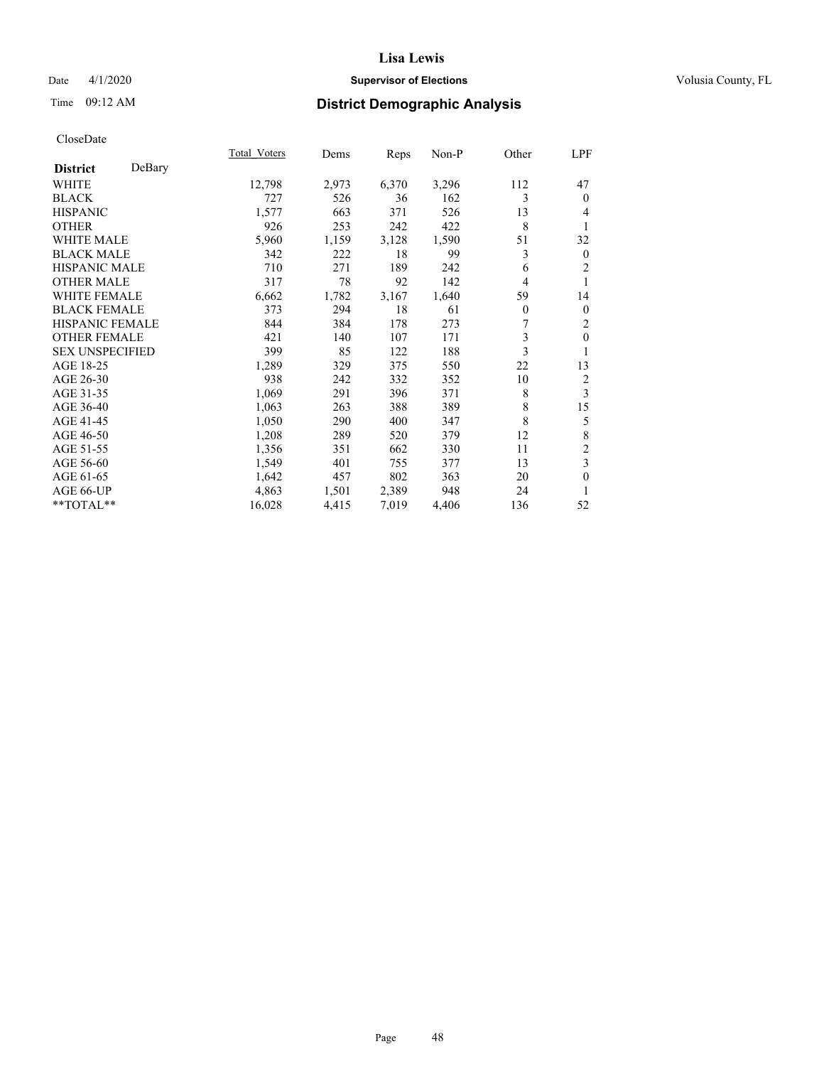# Date 4/1/2020 **Supervisor of Elections Supervisor of Elections** Volusia County, FL

# Time 09:12 AM **District Demographic Analysis**

|                        |        | Total Voters | Dems  | Reps  | Non-P | Other    | LPF                     |
|------------------------|--------|--------------|-------|-------|-------|----------|-------------------------|
| <b>District</b>        | DeBary |              |       |       |       |          |                         |
| WHITE                  |        | 12,798       | 2,973 | 6,370 | 3,296 | 112      | 47                      |
| <b>BLACK</b>           |        | 727          | 526   | 36    | 162   | 3        | $\theta$                |
| <b>HISPANIC</b>        |        | 1,577        | 663   | 371   | 526   | 13       | 4                       |
| <b>OTHER</b>           |        | 926          | 253   | 242   | 422   | 8        | 1                       |
| WHITE MALE             |        | 5,960        | 1,159 | 3,128 | 1,590 | 51       | 32                      |
| <b>BLACK MALE</b>      |        | 342          | 222   | 18    | 99    | 3        | $\mathbf{0}$            |
| <b>HISPANIC MALE</b>   |        | 710          | 271   | 189   | 242   | 6        | $\overline{c}$          |
| <b>OTHER MALE</b>      |        | 317          | 78    | 92    | 142   | 4        |                         |
| WHITE FEMALE           |        | 6,662        | 1,782 | 3,167 | 1,640 | 59       | 14                      |
| <b>BLACK FEMALE</b>    |        | 373          | 294   | 18    | 61    | $\theta$ | $\mathbf{0}$            |
| <b>HISPANIC FEMALE</b> |        | 844          | 384   | 178   | 273   | 7        | 2                       |
| <b>OTHER FEMALE</b>    |        | 421          | 140   | 107   | 171   | 3        | $\mathbf{0}$            |
| <b>SEX UNSPECIFIED</b> |        | 399          | 85    | 122   | 188   | 3        | 1                       |
| AGE 18-25              |        | 1,289        | 329   | 375   | 550   | 22       | 13                      |
| AGE 26-30              |        | 938          | 242   | 332   | 352   | 10       | 2                       |
| AGE 31-35              |        | 1,069        | 291   | 396   | 371   | 8        | 3                       |
| AGE 36-40              |        | 1,063        | 263   | 388   | 389   | 8        | 15                      |
| AGE 41-45              |        | 1,050        | 290   | 400   | 347   | 8        | 5                       |
| AGE 46-50              |        | 1,208        | 289   | 520   | 379   | 12       | 8                       |
| AGE 51-55              |        | 1,356        | 351   | 662   | 330   | 11       | $\overline{\mathbf{c}}$ |
| AGE 56-60              |        | 1,549        | 401   | 755   | 377   | 13       | 3                       |
| AGE 61-65              |        | 1,642        | 457   | 802   | 363   | 20       | $\mathbf{0}$            |
| AGE 66-UP              |        | 4,863        | 1,501 | 2,389 | 948   | 24       | 1                       |
| $*$ $TOTAL**$          |        | 16,028       | 4,415 | 7,019 | 4,406 | 136      | 52                      |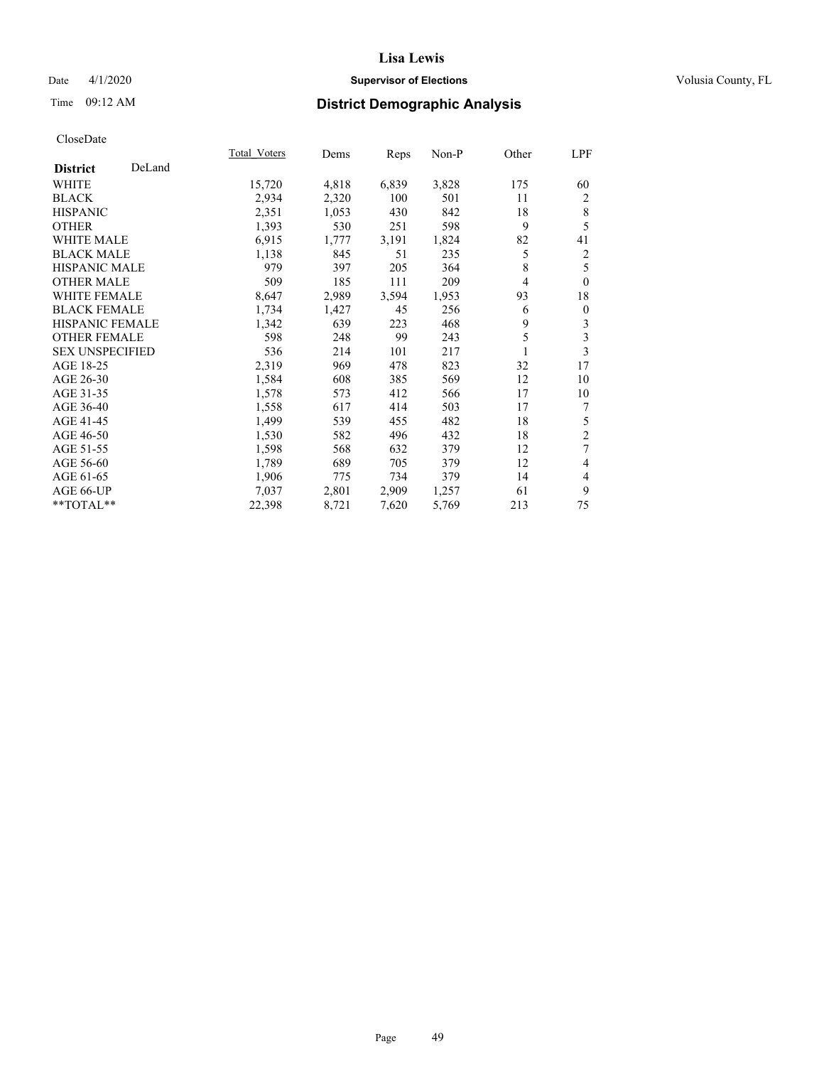# Date 4/1/2020 **Supervisor of Elections Supervisor of Elections** Volusia County, FL

# Time 09:12 AM **District Demographic Analysis**

|                           | Total Voters | Dems  | Reps  | Non-P | Other | LPF            |
|---------------------------|--------------|-------|-------|-------|-------|----------------|
| DeLand<br><b>District</b> |              |       |       |       |       |                |
| WHITE                     | 15,720       | 4,818 | 6,839 | 3,828 | 175   | 60             |
| <b>BLACK</b>              | 2,934        | 2,320 | 100   | 501   | 11    | 2              |
| <b>HISPANIC</b>           | 2,351        | 1,053 | 430   | 842   | 18    | 8              |
| <b>OTHER</b>              | 1,393        | 530   | 251   | 598   | 9     | 5              |
| WHITE MALE                | 6,915        | 1,777 | 3,191 | 1,824 | 82    | 41             |
| <b>BLACK MALE</b>         | 1,138        | 845   | 51    | 235   | 5     | $\overline{c}$ |
| <b>HISPANIC MALE</b>      | 979          | 397   | 205   | 364   | 8     | 5              |
| <b>OTHER MALE</b>         | 509          | 185   | 111   | 209   | 4     | $\theta$       |
| WHITE FEMALE              | 8,647        | 2,989 | 3,594 | 1,953 | 93    | 18             |
| <b>BLACK FEMALE</b>       | 1,734        | 1,427 | 45    | 256   | 6     | $\mathbf{0}$   |
| <b>HISPANIC FEMALE</b>    | 1,342        | 639   | 223   | 468   | 9     | 3              |
| <b>OTHER FEMALE</b>       | 598          | 248   | 99    | 243   | 5     | 3              |
| <b>SEX UNSPECIFIED</b>    | 536          | 214   | 101   | 217   | 1     | 3              |
| AGE 18-25                 | 2,319        | 969   | 478   | 823   | 32    | 17             |
| AGE 26-30                 | 1,584        | 608   | 385   | 569   | 12    | 10             |
| AGE 31-35                 | 1,578        | 573   | 412   | 566   | 17    | 10             |
| AGE 36-40                 | 1,558        | 617   | 414   | 503   | 17    | 7              |
| AGE 41-45                 | 1,499        | 539   | 455   | 482   | 18    | 5              |
| AGE 46-50                 | 1,530        | 582   | 496   | 432   | 18    | $\overline{2}$ |
| AGE 51-55                 | 1,598        | 568   | 632   | 379   | 12    | 7              |
| AGE 56-60                 | 1,789        | 689   | 705   | 379   | 12    | 4              |
| AGE 61-65                 | 1,906        | 775   | 734   | 379   | 14    | 4              |
| AGE 66-UP                 | 7,037        | 2,801 | 2,909 | 1,257 | 61    | 9              |
| $*$ $TOTAL**$             | 22,398       | 8,721 | 7,620 | 5,769 | 213   | 75             |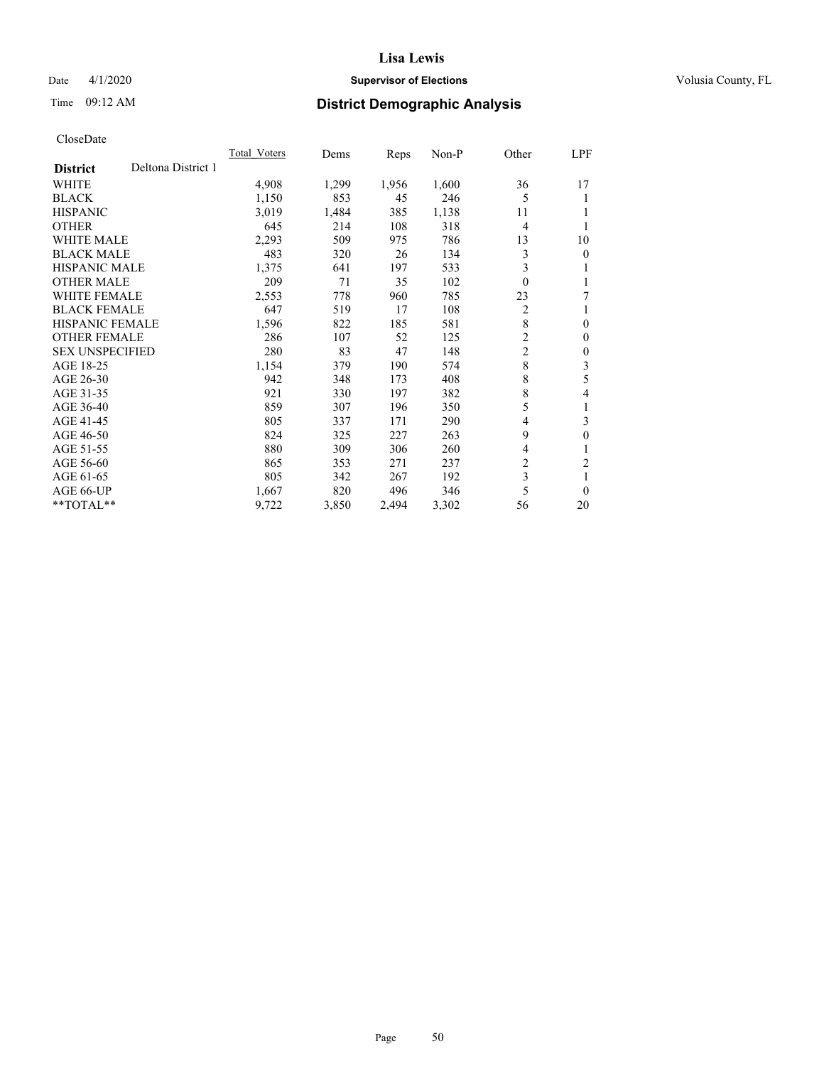# Date 4/1/2020 **Supervisor of Elections Supervisor of Elections** Volusia County, FL

# Time 09:12 AM **District Demographic Analysis**

|                        |                    | Total Voters | Dems  | Reps  | $Non-P$ | Other          | LPF              |
|------------------------|--------------------|--------------|-------|-------|---------|----------------|------------------|
| <b>District</b>        | Deltona District 1 |              |       |       |         |                |                  |
| WHITE                  |                    | 4,908        | 1,299 | 1,956 | 1,600   | 36             | 17               |
| <b>BLACK</b>           |                    | 1,150        | 853   | 45    | 246     | 5              | 1                |
| <b>HISPANIC</b>        |                    | 3,019        | 1,484 | 385   | 1,138   | 11             |                  |
| <b>OTHER</b>           |                    | 645          | 214   | 108   | 318     | 4              |                  |
| <b>WHITE MALE</b>      |                    | 2,293        | 509   | 975   | 786     | 13             | 10               |
| <b>BLACK MALE</b>      |                    | 483          | 320   | 26    | 134     | 3              | $\overline{0}$   |
| <b>HISPANIC MALE</b>   |                    | 1,375        | 641   | 197   | 533     | 3              | 1                |
| <b>OTHER MALE</b>      |                    | 209          | 71    | 35    | 102     | $\theta$       | 1                |
| WHITE FEMALE           |                    | 2,553        | 778   | 960   | 785     | 23             | 7                |
| <b>BLACK FEMALE</b>    |                    | 647          | 519   | 17    | 108     | $\overline{2}$ | 1                |
| <b>HISPANIC FEMALE</b> |                    | 1,596        | 822   | 185   | 581     | $\,$ 8 $\,$    | $\theta$         |
| <b>OTHER FEMALE</b>    |                    | 286          | 107   | 52    | 125     | 2              | $\mathbf{0}$     |
| <b>SEX UNSPECIFIED</b> |                    | 280          | 83    | 47    | 148     | $\overline{c}$ | $\theta$         |
| AGE 18-25              |                    | 1,154        | 379   | 190   | 574     | 8              | 3                |
| AGE 26-30              |                    | 942          | 348   | 173   | 408     | 8              | 5                |
| AGE 31-35              |                    | 921          | 330   | 197   | 382     | 8              | 4                |
| AGE 36-40              |                    | 859          | 307   | 196   | 350     | 5              | 1                |
| AGE 41-45              |                    | 805          | 337   | 171   | 290     | 4              | 3                |
| AGE 46-50              |                    | 824          | 325   | 227   | 263     | 9              | $\boldsymbol{0}$ |
| AGE 51-55              |                    | 880          | 309   | 306   | 260     | 4              | 1                |
| AGE 56-60              |                    | 865          | 353   | 271   | 237     | 2              | $\overline{c}$   |
| AGE 61-65              |                    | 805          | 342   | 267   | 192     | 3              | 1                |
| AGE 66-UP              |                    | 1,667        | 820   | 496   | 346     | 5              | $\theta$         |
| **TOTAL**              |                    | 9,722        | 3,850 | 2,494 | 3,302   | 56             | 20               |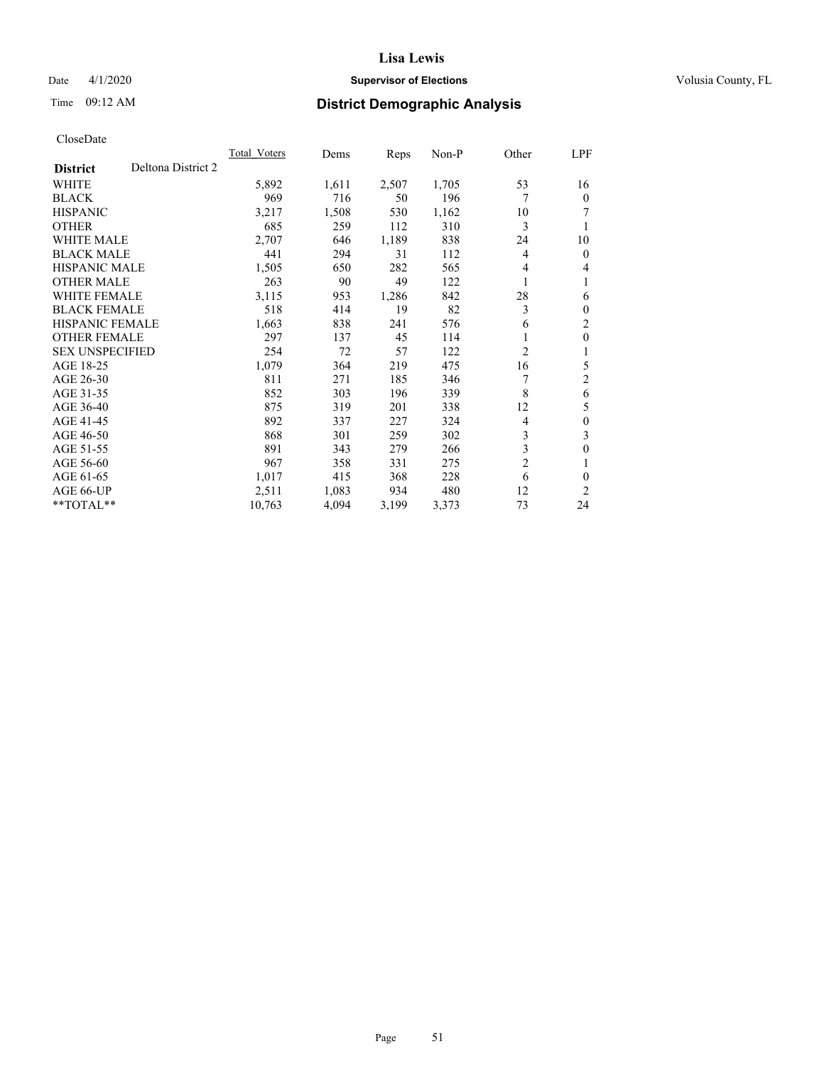# Date 4/1/2020 **Supervisor of Elections Supervisor of Elections** Volusia County, FL

# Time 09:12 AM **District Demographic Analysis**

| Total Voters | Dems  | Reps  | $Non-P$ | Other          | LPF          |
|--------------|-------|-------|---------|----------------|--------------|
|              |       |       |         |                |              |
| 5,892        | 1,611 | 2,507 | 1,705   | 53             | 16           |
| 969          | 716   | 50    | 196     | 7              | $\Omega$     |
| 3,217        | 1,508 | 530   | 1,162   | 10             | 7            |
| 685          | 259   | 112   | 310     | 3              |              |
| 2,707        | 646   | 1,189 | 838     | 24             | 10           |
| 441          | 294   | 31    | 112     | 4              | 0            |
| 1,505        | 650   | 282   | 565     | 4              | 4            |
| 263          | 90    | 49    | 122     | 1              | 1            |
| 3,115        | 953   | 1,286 | 842     | 28             | 6            |
| 518          | 414   | 19    | 82      | 3              | 0            |
| 1,663        | 838   | 241   | 576     | 6              | 2            |
| 297          | 137   | 45    | 114     | 1              | 0            |
| 254          | 72    | 57    | 122     | $\overline{2}$ |              |
| 1,079        | 364   | 219   | 475     | 16             | 5            |
| 811          | 271   | 185   | 346     |                | 2            |
| 852          | 303   | 196   | 339     | 8              | 6            |
| 875          | 319   | 201   | 338     | 12             | 5            |
| 892          | 337   | 227   | 324     | 4              | $\mathbf{0}$ |
| 868          | 301   | 259   | 302     | 3              | 3            |
| 891          | 343   | 279   | 266     |                | 0            |
| 967          | 358   | 331   | 275     | $\overline{2}$ |              |
| 1,017        | 415   | 368   | 228     | 6              | 0            |
| 2,511        | 1,083 | 934   | 480     | 12             | 2            |
| 10,763       | 4,094 | 3,199 | 3,373   | 73             | 24           |
|              |       |       |         |                | 3            |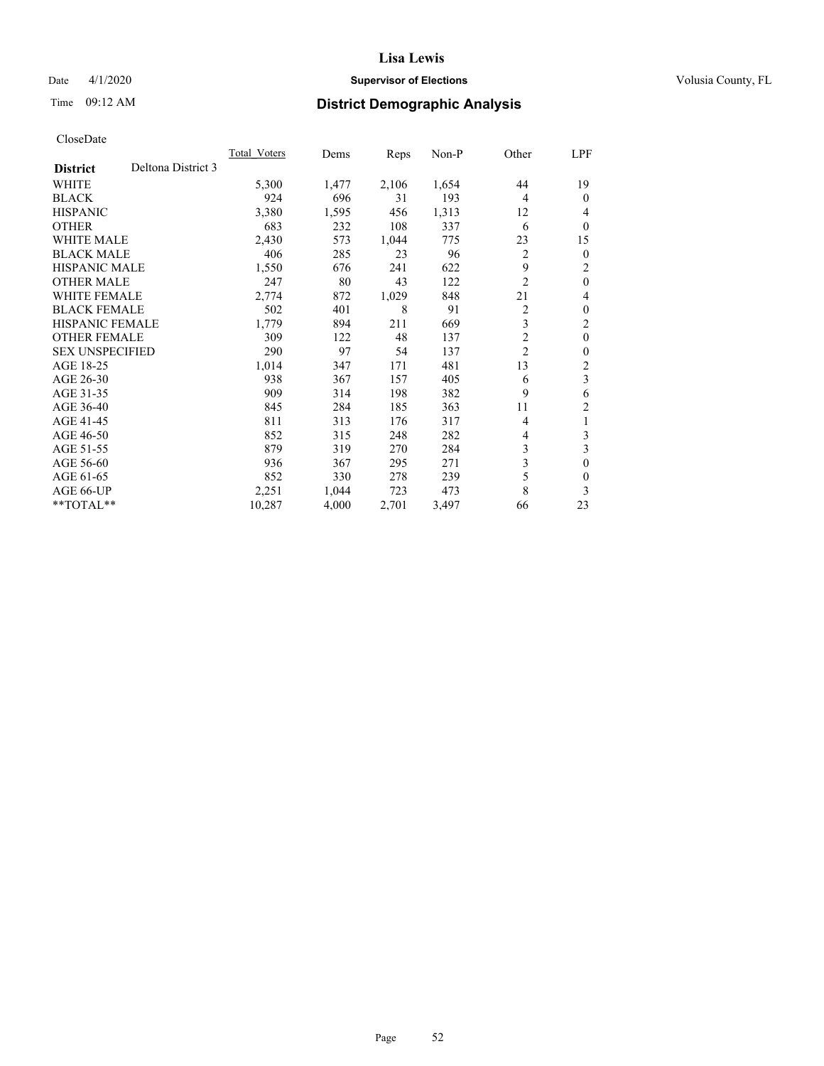# Date 4/1/2020 **Supervisor of Elections Supervisor of Elections** Volusia County, FL

# Time 09:12 AM **District Demographic Analysis**

|                        |                    | <b>Total Voters</b> | Dems  | Reps  | $Non-P$ | Other          | LPF      |
|------------------------|--------------------|---------------------|-------|-------|---------|----------------|----------|
| <b>District</b>        | Deltona District 3 |                     |       |       |         |                |          |
| WHITE                  |                    | 5,300               | 1,477 | 2,106 | 1,654   | 44             | 19       |
| <b>BLACK</b>           |                    | 924                 | 696   | 31    | 193     | 4              | $\theta$ |
| <b>HISPANIC</b>        |                    | 3,380               | 1,595 | 456   | 1,313   | 12             | 4        |
| <b>OTHER</b>           |                    | 683                 | 232   | 108   | 337     | 6              | $\theta$ |
| <b>WHITE MALE</b>      |                    | 2,430               | 573   | 1,044 | 775     | 23             | 15       |
| <b>BLACK MALE</b>      |                    | 406                 | 285   | 23    | 96      | 2              | $\theta$ |
| HISPANIC MALE          |                    | 1,550               | 676   | 241   | 622     | 9              | 2        |
| <b>OTHER MALE</b>      |                    | 247                 | 80    | 43    | 122     | $\overline{2}$ | $\theta$ |
| <b>WHITE FEMALE</b>    |                    | 2,774               | 872   | 1,029 | 848     | 21             | 4        |
| <b>BLACK FEMALE</b>    |                    | 502                 | 401   | 8     | 91      | 2              | $\theta$ |
| <b>HISPANIC FEMALE</b> |                    | 1,779               | 894   | 211   | 669     | 3              | 2        |
| <b>OTHER FEMALE</b>    |                    | 309                 | 122   | 48    | 137     | 2              | $\theta$ |
| <b>SEX UNSPECIFIED</b> |                    | 290                 | 97    | 54    | 137     | $\overline{c}$ | $\theta$ |
| AGE 18-25              |                    | 1,014               | 347   | 171   | 481     | 13             | 2        |
| AGE 26-30              |                    | 938                 | 367   | 157   | 405     | 6              | 3        |
| AGE 31-35              |                    | 909                 | 314   | 198   | 382     | 9              | 6        |
| AGE 36-40              |                    | 845                 | 284   | 185   | 363     | 11             | 2        |
| AGE 41-45              |                    | 811                 | 313   | 176   | 317     | 4              | 1        |
| AGE 46-50              |                    | 852                 | 315   | 248   | 282     | 4              | 3        |
| AGE 51-55              |                    | 879                 | 319   | 270   | 284     | 3              | 3        |
| AGE 56-60              |                    | 936                 | 367   | 295   | 271     | 3              | $\theta$ |
| AGE 61-65              |                    | 852                 | 330   | 278   | 239     | 5              | $\theta$ |
| AGE 66-UP              |                    | 2,251               | 1,044 | 723   | 473     | 8              | 3        |
| **TOTAL**              |                    | 10,287              | 4,000 | 2,701 | 3,497   | 66             | 23       |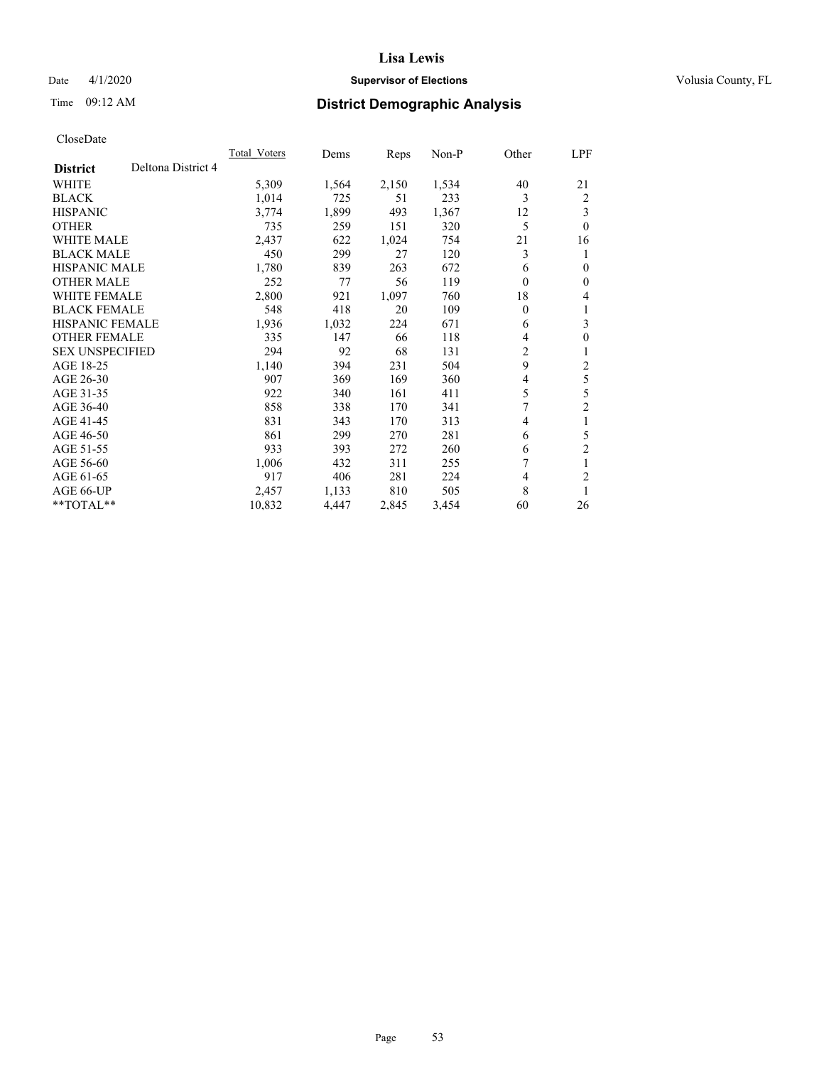# Date 4/1/2020 **Supervisor of Elections Supervisor of Elections** Volusia County, FL

# Time 09:12 AM **District Demographic Analysis**

|                                       | Total Voters | Dems  | Reps  | $Non-P$ | Other    | LPF            |
|---------------------------------------|--------------|-------|-------|---------|----------|----------------|
| Deltona District 4<br><b>District</b> |              |       |       |         |          |                |
| WHITE                                 | 5,309        | 1,564 | 2,150 | 1,534   | 40       | 21             |
| <b>BLACK</b>                          | 1,014        | 725   | 51    | 233     | 3        | 2              |
| <b>HISPANIC</b>                       | 3,774        | 1,899 | 493   | 1,367   | 12       | 3              |
| <b>OTHER</b>                          | 735          | 259   | 151   | 320     | 5        | $\theta$       |
| <b>WHITE MALE</b>                     | 2,437        | 622   | 1,024 | 754     | 21       | 16             |
| <b>BLACK MALE</b>                     | 450          | 299   | 27    | 120     | 3        | 1              |
| <b>HISPANIC MALE</b>                  | 1,780        | 839   | 263   | 672     | 6        | $\theta$       |
| <b>OTHER MALE</b>                     | 252          | 77    | 56    | 119     | $\theta$ | $\mathbf{0}$   |
| WHITE FEMALE                          | 2,800        | 921   | 1,097 | 760     | 18       | 4              |
| <b>BLACK FEMALE</b>                   | 548          | 418   | 20    | 109     | $\theta$ | 1              |
| <b>HISPANIC FEMALE</b>                | 1,936        | 1,032 | 224   | 671     | 6        | 3              |
| <b>OTHER FEMALE</b>                   | 335          | 147   | 66    | 118     | 4        | $\mathbf{0}$   |
| <b>SEX UNSPECIFIED</b>                | 294          | 92    | 68    | 131     | 2        | 1              |
| AGE 18-25                             | 1,140        | 394   | 231   | 504     | 9        | 2              |
| AGE 26-30                             | 907          | 369   | 169   | 360     | 4        | 5              |
| AGE 31-35                             | 922          | 340   | 161   | 411     | 5        | 5              |
| AGE 36-40                             | 858          | 338   | 170   | 341     | 7        | $\overline{2}$ |
| AGE 41-45                             | 831          | 343   | 170   | 313     | 4        | 1              |
| AGE 46-50                             | 861          | 299   | 270   | 281     | 6        | 5              |
| AGE 51-55                             | 933          | 393   | 272   | 260     | 6        | $\overline{2}$ |
| AGE 56-60                             | 1,006        | 432   | 311   | 255     | 7        | 1              |
| AGE 61-65                             | 917          | 406   | 281   | 224     | 4        | $\overline{2}$ |
| AGE 66-UP                             | 2,457        | 1,133 | 810   | 505     | 8        | 1              |
| **TOTAL**                             | 10,832       | 4,447 | 2,845 | 3,454   | 60       | 26             |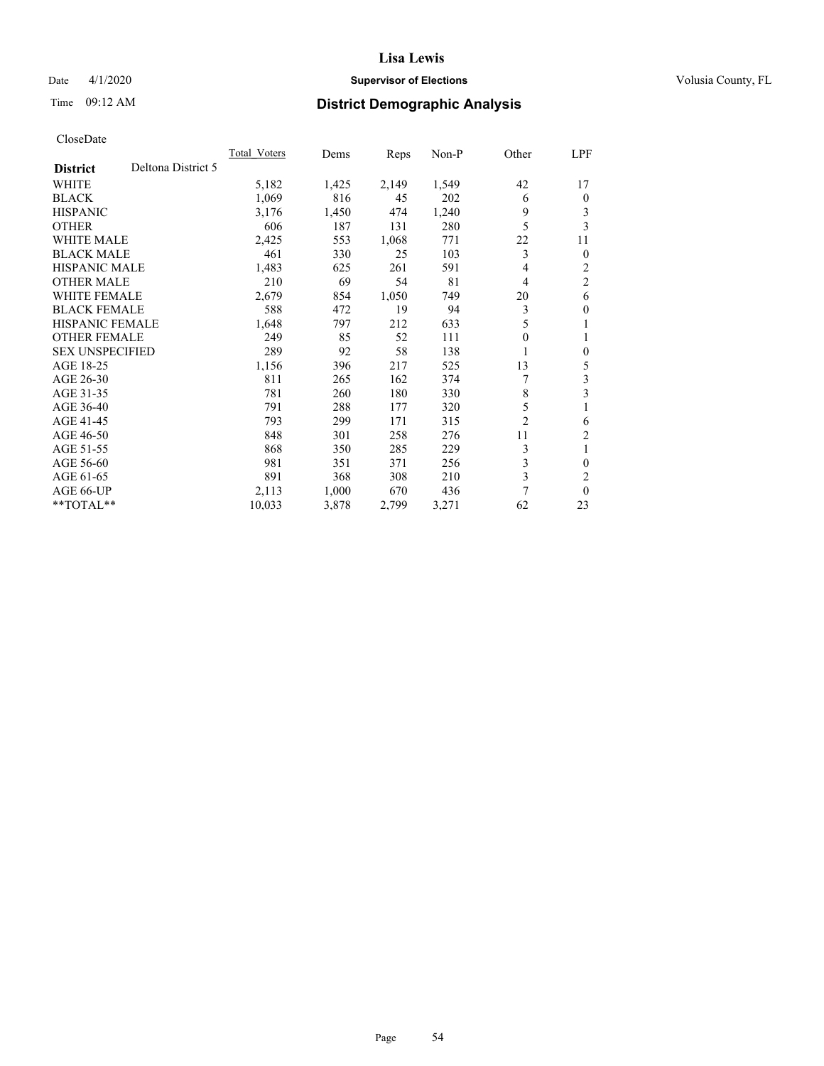# Date 4/1/2020 **Supervisor of Elections Supervisor of Elections** Volusia County, FL

# Time 09:12 AM **District Demographic Analysis**

|                                       | <b>Total Voters</b> | Dems  | Reps  | $Non-P$ | Other          | LPF            |
|---------------------------------------|---------------------|-------|-------|---------|----------------|----------------|
| Deltona District 5<br><b>District</b> |                     |       |       |         |                |                |
| <b>WHITE</b>                          | 5,182               | 1,425 | 2,149 | 1,549   | 42             | 17             |
| <b>BLACK</b>                          | 1,069               | 816   | 45    | 202     | 6              | $\mathbf{0}$   |
| <b>HISPANIC</b>                       | 3,176               | 1,450 | 474   | 1,240   | 9              | 3              |
| <b>OTHER</b>                          | 606                 | 187   | 131   | 280     | 5              | 3              |
| <b>WHITE MALE</b>                     | 2,425               | 553   | 1,068 | 771     | 22             | 11             |
| <b>BLACK MALE</b>                     | 461                 | 330   | 25    | 103     | 3              | $\theta$       |
| <b>HISPANIC MALE</b>                  | 1,483               | 625   | 261   | 591     | 4              | 2              |
| <b>OTHER MALE</b>                     | 210                 | 69    | 54    | 81      | 4              | $\overline{2}$ |
| <b>WHITE FEMALE</b>                   | 2,679               | 854   | 1,050 | 749     | 20             | 6              |
| <b>BLACK FEMALE</b>                   | 588                 | 472   | 19    | 94      | 3              | $\theta$       |
| <b>HISPANIC FEMALE</b>                | 1,648               | 797   | 212   | 633     | 5              | 1              |
| <b>OTHER FEMALE</b>                   | 249                 | 85    | 52    | 111     | 0              | 1              |
| <b>SEX UNSPECIFIED</b>                | 289                 | 92    | 58    | 138     |                | $\theta$       |
| AGE 18-25                             | 1,156               | 396   | 217   | 525     | 13             | 5              |
| AGE 26-30                             | 811                 | 265   | 162   | 374     |                | 3              |
| AGE 31-35                             | 781                 | 260   | 180   | 330     | 8              | 3              |
| AGE 36-40                             | 791                 | 288   | 177   | 320     | 5              |                |
| AGE 41-45                             | 793                 | 299   | 171   | 315     | $\overline{c}$ | 6              |
| AGE 46-50                             | 848                 | 301   | 258   | 276     | 11             | $\overline{c}$ |
| AGE 51-55                             | 868                 | 350   | 285   | 229     | 3              | 1              |
| AGE 56-60                             | 981                 | 351   | 371   | 256     | 3              | 0              |
| AGE 61-65                             | 891                 | 368   | 308   | 210     | 3              | $\overline{c}$ |
| AGE 66-UP                             | 2,113               | 1,000 | 670   | 436     | 7              | $\theta$       |
| $*$ TOTAL $*$                         | 10,033              | 3,878 | 2,799 | 3,271   | 62             | 23             |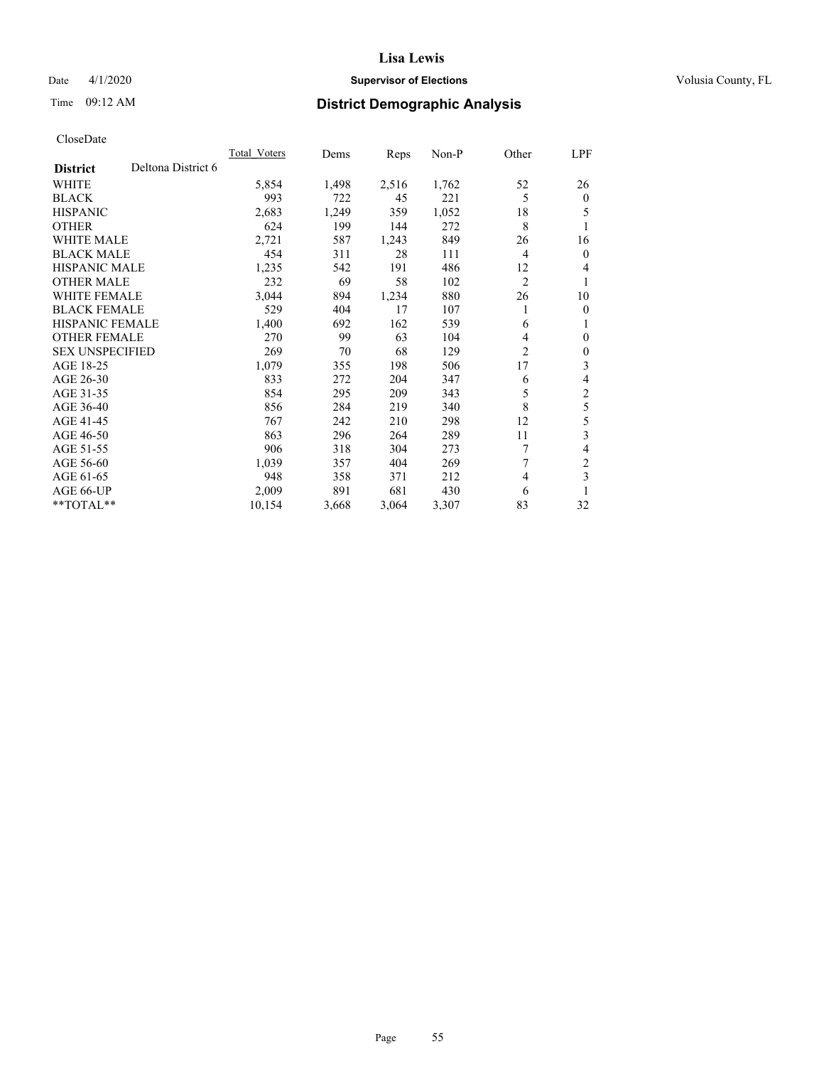# Date 4/1/2020 **Supervisor of Elections Supervisor of Elections** Volusia County, FL

# Time 09:12 AM **District Demographic Analysis**

|                        |                    | Total Voters | Dems  | Reps  | Non-P | Other          | LPF              |
|------------------------|--------------------|--------------|-------|-------|-------|----------------|------------------|
| <b>District</b>        | Deltona District 6 |              |       |       |       |                |                  |
| WHITE                  |                    | 5,854        | 1,498 | 2,516 | 1,762 | 52             | 26               |
| <b>BLACK</b>           |                    | 993          | 722   | 45    | 221   | 5              | $\mathbf{0}$     |
| <b>HISPANIC</b>        |                    | 2,683        | 1,249 | 359   | 1,052 | 18             | 5                |
| <b>OTHER</b>           |                    | 624          | 199   | 144   | 272   | 8              | 1                |
| <b>WHITE MALE</b>      |                    | 2,721        | 587   | 1,243 | 849   | 26             | 16               |
| <b>BLACK MALE</b>      |                    | 454          | 311   | 28    | 111   | 4              | $\mathbf{0}$     |
| HISPANIC MALE          |                    | 1,235        | 542   | 191   | 486   | 12             | 4                |
| <b>OTHER MALE</b>      |                    | 232          | 69    | 58    | 102   | $\overline{c}$ | 1                |
| <b>WHITE FEMALE</b>    |                    | 3,044        | 894   | 1,234 | 880   | 26             | 10               |
| <b>BLACK FEMALE</b>    |                    | 529          | 404   | 17    | 107   | 1              | $\mathbf{0}$     |
| <b>HISPANIC FEMALE</b> |                    | 1,400        | 692   | 162   | 539   | 6              | 1                |
| <b>OTHER FEMALE</b>    |                    | 270          | 99    | 63    | 104   | 4              | $\mathbf{0}$     |
| <b>SEX UNSPECIFIED</b> |                    | 269          | 70    | 68    | 129   | 2              | $\boldsymbol{0}$ |
| AGE 18-25              |                    | 1,079        | 355   | 198   | 506   | 17             | 3                |
| AGE 26-30              |                    | 833          | 272   | 204   | 347   | 6              | 4                |
| AGE 31-35              |                    | 854          | 295   | 209   | 343   | 5              | $\boldsymbol{2}$ |
| AGE 36-40              |                    | 856          | 284   | 219   | 340   | 8              | 5                |
| AGE 41-45              |                    | 767          | 242   | 210   | 298   | 12             | 5                |
| AGE 46-50              |                    | 863          | 296   | 264   | 289   | 11             | 3                |
| AGE 51-55              |                    | 906          | 318   | 304   | 273   | 7              | 4                |
| AGE 56-60              |                    | 1,039        | 357   | 404   | 269   | 7              | $\overline{2}$   |
| AGE 61-65              |                    | 948          | 358   | 371   | 212   | 4              | 3                |
| AGE 66-UP              |                    | 2,009        | 891   | 681   | 430   | 6              | 1                |
| $*$ TOTAL $*$          |                    | 10,154       | 3,668 | 3,064 | 3,307 | 83             | 32               |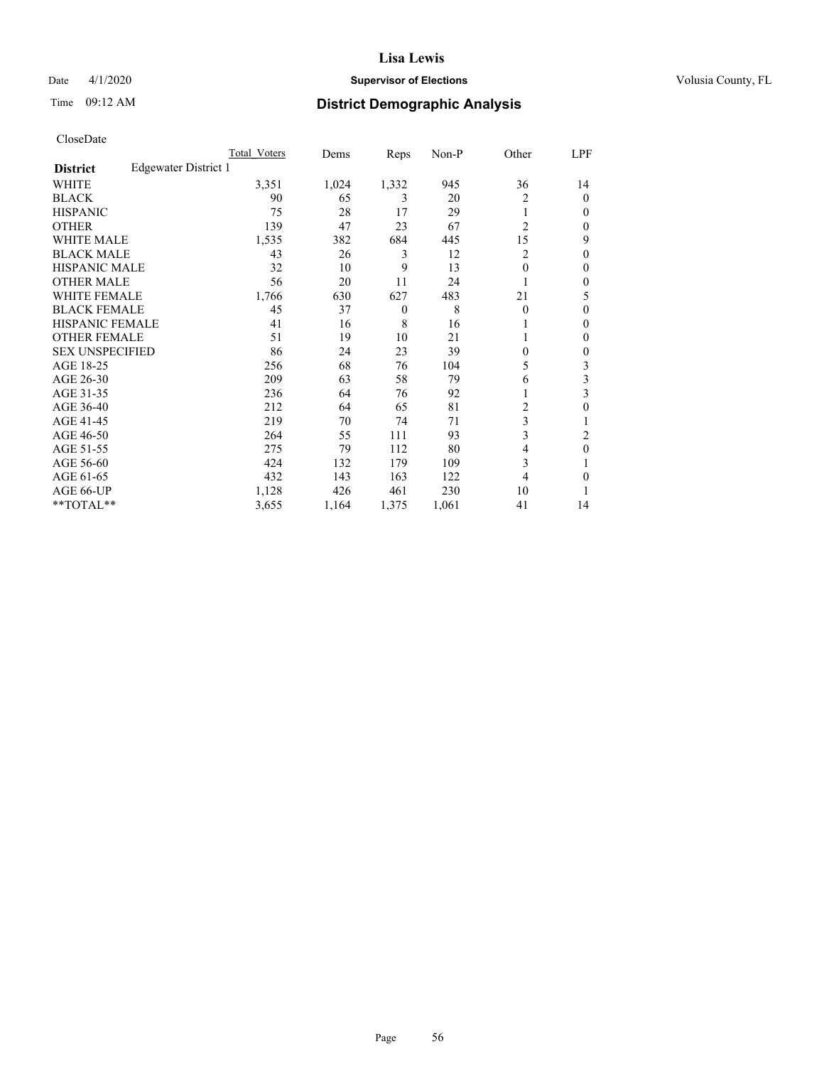# Date 4/1/2020 **Supervisor of Elections Supervisor of Elections** Volusia County, FL

# Time 09:12 AM **District Demographic Analysis**

|                        |                      | Total Voters | Dems  | Reps           | Non-P | Other          | LPF    |
|------------------------|----------------------|--------------|-------|----------------|-------|----------------|--------|
| <b>District</b>        | Edgewater District 1 |              |       |                |       |                |        |
| WHITE                  |                      | 3,351        | 1,024 | 1,332          | 945   | 36             | 14     |
| <b>BLACK</b>           |                      | 90           | 65    | 3              | 20    | 2              | 0      |
| <b>HISPANIC</b>        |                      | 75           | 28    | 17             | 29    | 1              | $_{0}$ |
| <b>OTHER</b>           |                      | 139          | 47    | 23             | 67    | $\overline{2}$ | 0      |
| WHITE MALE             |                      | 1,535        | 382   | 684            | 445   | 15             | 9      |
| <b>BLACK MALE</b>      |                      | 43           | 26    | 3              | 12    | 2              | 0      |
| <b>HISPANIC MALE</b>   |                      | 32           | 10    | 9              | 13    | 0              | 0      |
| <b>OTHER MALE</b>      |                      | 56           | 20    | 11             | 24    |                | 0      |
| WHITE FEMALE           |                      | 1,766        | 630   | 627            | 483   | 21             | 5      |
| <b>BLACK FEMALE</b>    |                      | 45           | 37    | $\overline{0}$ | 8     | $\Omega$       | 0      |
| <b>HISPANIC FEMALE</b> |                      | 41           | 16    | 8              | 16    |                | 0      |
| <b>OTHER FEMALE</b>    |                      | 51           | 19    | 10             | 21    |                | 0      |
| <b>SEX UNSPECIFIED</b> |                      | 86           | 24    | 23             | 39    | 0              | 0      |
| AGE 18-25              |                      | 256          | 68    | 76             | 104   | 5              | 3      |
| AGE 26-30              |                      | 209          | 63    | 58             | 79    | 6              | 3      |
| AGE 31-35              |                      | 236          | 64    | 76             | 92    |                | 3      |
| AGE 36-40              |                      | 212          | 64    | 65             | 81    | 2              | 0      |
| AGE 41-45              |                      | 219          | 70    | 74             | 71    | 3              |        |
| AGE 46-50              |                      | 264          | 55    | 111            | 93    | 3              | 2      |
| AGE 51-55              |                      | 275          | 79    | 112            | 80    | 4              | 0      |
| AGE 56-60              |                      | 424          | 132   | 179            | 109   | 3              |        |
| AGE 61-65              |                      | 432          | 143   | 163            | 122   | 4              | 0      |
| AGE 66-UP              |                      | 1,128        | 426   | 461            | 230   | 10             |        |
| **TOTAL**              |                      | 3,655        | 1,164 | 1,375          | 1,061 | 41             | 14     |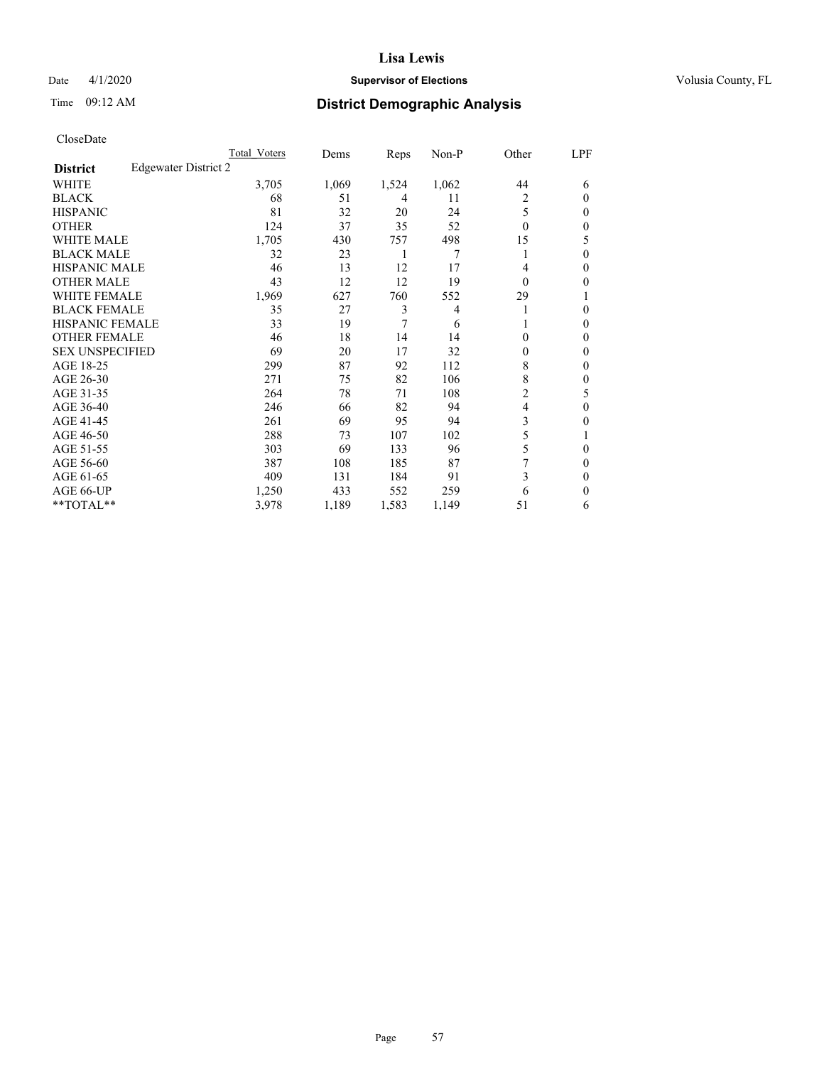# Date 4/1/2020 **Supervisor of Elections Supervisor of Elections** Volusia County, FL

# Time 09:12 AM **District Demographic Analysis**

|                        |                      | Total Voters | Dems  | Reps  | Non-P | Other    | LPF    |
|------------------------|----------------------|--------------|-------|-------|-------|----------|--------|
| <b>District</b>        | Edgewater District 2 |              |       |       |       |          |        |
| WHITE                  |                      | 3,705        | 1,069 | 1,524 | 1,062 | 44       | 6      |
| <b>BLACK</b>           |                      | 68           | 51    | 4     | 11    | 2        | 0      |
| <b>HISPANIC</b>        |                      | 81           | 32    | 20    | 24    | 5        | $_{0}$ |
| <b>OTHER</b>           |                      | 124          | 37    | 35    | 52    | $\Omega$ | 0      |
| <b>WHITE MALE</b>      |                      | 1,705        | 430   | 757   | 498   | 15       | 5      |
| <b>BLACK MALE</b>      |                      | 32           | 23    | 1     | 7     |          | 0      |
| <b>HISPANIC MALE</b>   |                      | 46           | 13    | 12    | 17    | 4        | 0      |
| <b>OTHER MALE</b>      |                      | 43           | 12    | 12    | 19    | $\theta$ | 0      |
| <b>WHITE FEMALE</b>    |                      | 1,969        | 627   | 760   | 552   | 29       |        |
| <b>BLACK FEMALE</b>    |                      | 35           | 27    | 3     | 4     |          | 0      |
| <b>HISPANIC FEMALE</b> |                      | 33           | 19    | 7     | 6     |          | 0      |
| <b>OTHER FEMALE</b>    |                      | 46           | 18    | 14    | 14    | 0        | 0      |
| <b>SEX UNSPECIFIED</b> |                      | 69           | 20    | 17    | 32    | 0        | 0      |
| AGE 18-25              |                      | 299          | 87    | 92    | 112   | 8        | 0      |
| AGE 26-30              |                      | 271          | 75    | 82    | 106   | 8        | 0      |
| AGE 31-35              |                      | 264          | 78    | 71    | 108   | 2        | 5      |
| AGE 36-40              |                      | 246          | 66    | 82    | 94    | 4        | 0      |
| AGE 41-45              |                      | 261          | 69    | 95    | 94    | 3        | 0      |
| AGE 46-50              |                      | 288          | 73    | 107   | 102   | 5        |        |
| AGE 51-55              |                      | 303          | 69    | 133   | 96    | 5        | 0      |
| AGE 56-60              |                      | 387          | 108   | 185   | 87    | 7        | 0      |
| AGE 61-65              |                      | 409          | 131   | 184   | 91    | 3        | 0      |
| AGE 66-UP              |                      | 1,250        | 433   | 552   | 259   | 6        | 0      |
| **TOTAL**              |                      | 3,978        | 1,189 | 1,583 | 1,149 | 51       | 6      |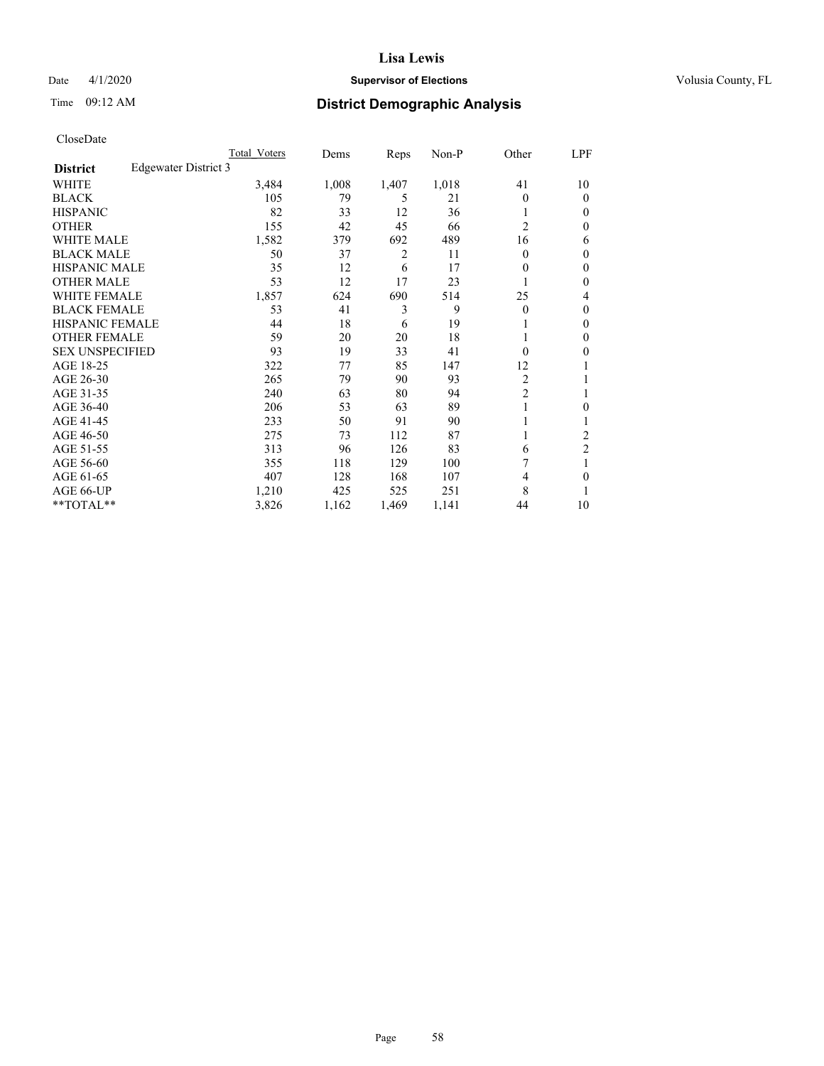# Date 4/1/2020 **Supervisor of Elections Supervisor of Elections** Volusia County, FL

# Time 09:12 AM **District Demographic Analysis**

|                        |                      | Total Voters | Dems  | Reps  | Non-P | Other          | LPF            |
|------------------------|----------------------|--------------|-------|-------|-------|----------------|----------------|
| <b>District</b>        | Edgewater District 3 |              |       |       |       |                |                |
| WHITE                  |                      | 3,484        | 1,008 | 1,407 | 1,018 | 41             | 10             |
| <b>BLACK</b>           |                      | 105          | 79    | 5     | 21    | 0              | $\theta$       |
| <b>HISPANIC</b>        |                      | 82           | 33    | 12    | 36    |                | $\Omega$       |
| <b>OTHER</b>           |                      | 155          | 42    | 45    | 66    | $\overline{2}$ | 0              |
| <b>WHITE MALE</b>      |                      | 1,582        | 379   | 692   | 489   | 16             | 6              |
| <b>BLACK MALE</b>      |                      | 50           | 37    | 2     | 11    | 0              | $\mathbf{0}$   |
| <b>HISPANIC MALE</b>   |                      | 35           | 12    | 6     | 17    | 0              | $\theta$       |
| <b>OTHER MALE</b>      |                      | 53           | 12    | 17    | 23    | 1              | 0              |
| WHITE FEMALE           |                      | 1,857        | 624   | 690   | 514   | 25             | 4              |
| <b>BLACK FEMALE</b>    |                      | 53           | 41    | 3     | 9     | 0              | $\mathbf{0}$   |
| <b>HISPANIC FEMALE</b> |                      | 44           | 18    | 6     | 19    |                | 0              |
| <b>OTHER FEMALE</b>    |                      | 59           | 20    | 20    | 18    |                | 0              |
| <b>SEX UNSPECIFIED</b> |                      | 93           | 19    | 33    | 41    | 0              | 0              |
| AGE 18-25              |                      | 322          | 77    | 85    | 147   | 12             |                |
| AGE 26-30              |                      | 265          | 79    | 90    | 93    | 2              | 1              |
| AGE 31-35              |                      | 240          | 63    | 80    | 94    | $\overline{c}$ |                |
| AGE 36-40              |                      | 206          | 53    | 63    | 89    |                | 0              |
| AGE 41-45              |                      | 233          | 50    | 91    | 90    |                |                |
| AGE 46-50              |                      | 275          | 73    | 112   | 87    |                | 2              |
| AGE 51-55              |                      | 313          | 96    | 126   | 83    | 6              | $\overline{c}$ |
| AGE 56-60              |                      | 355          | 118   | 129   | 100   |                |                |
| AGE 61-65              |                      | 407          | 128   | 168   | 107   | 4              | 0              |
| AGE 66-UP              |                      | 1,210        | 425   | 525   | 251   | 8              |                |
| **TOTAL**              |                      | 3,826        | 1,162 | 1,469 | 1,141 | 44             | 10             |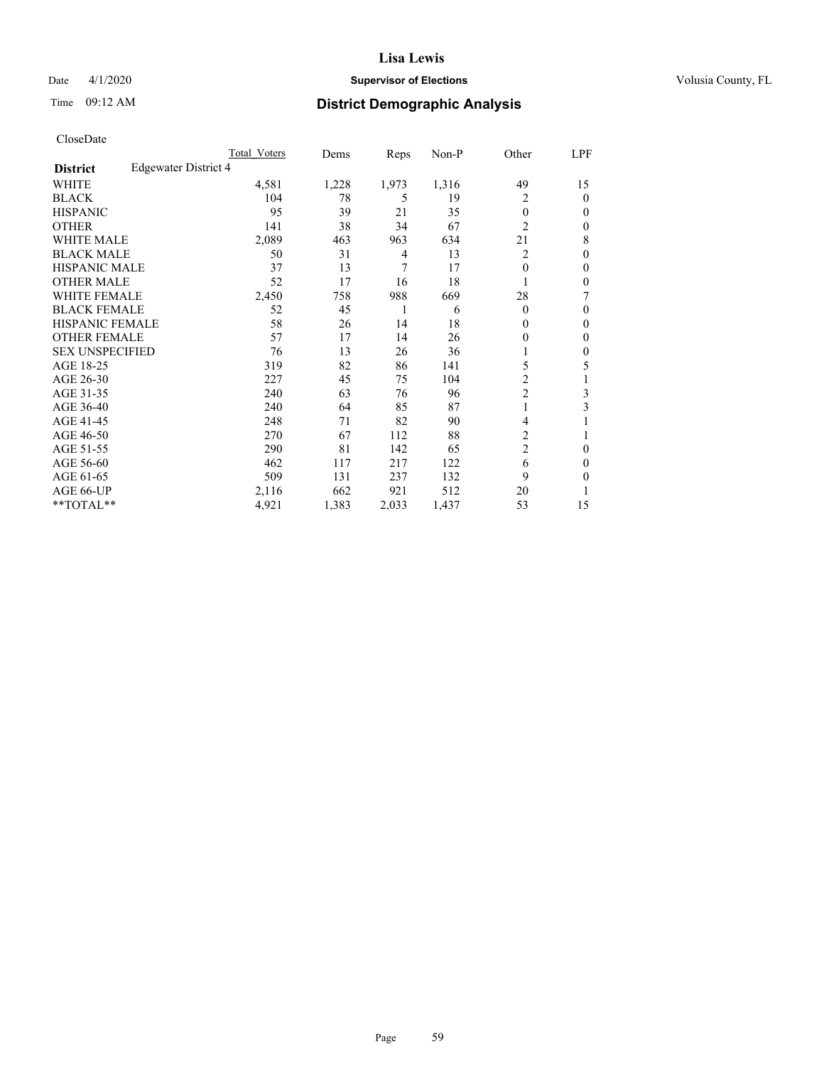# Date 4/1/2020 **Supervisor of Elections Supervisor of Elections** Volusia County, FL

# Time 09:12 AM **District Demographic Analysis**

| Total Voters | Dems                 | Reps           | $Non-P$ | Other          | LPF |
|--------------|----------------------|----------------|---------|----------------|-----|
|              |                      |                |         |                |     |
| 4,581        | 1,228                | 1,973          | 1,316   | 49             | 15  |
| 104          | 78                   | 5              | 19      | 2              | 0   |
| 95           | 39                   | 21             | 35      | $\theta$       | 0   |
| 141          | 38                   | 34             | 67      | $\overline{c}$ | 0   |
| 2,089        | 463                  | 963            | 634     | 21             | 8   |
| 50           | 31                   | $\overline{4}$ | 13      | 2              | 0   |
| 37           | 13                   | 7              | 17      | $\theta$       | 0   |
| 52           | 17                   | 16             | 18      |                | 0   |
| 2,450        | 758                  | 988            | 669     | 28             | 7   |
| 52           | 45                   | 1              | 6       | $\theta$       | 0   |
| 58           | 26                   | 14             | 18      | 0              | 0   |
| 57           | 17                   | 14             | 26      | 0              | 0   |
| 76           | 13                   | 26             | 36      |                | 0   |
| 319          | 82                   | 86             | 141     | 5              | 5   |
| 227          | 45                   | 75             | 104     | 2              | 1   |
| 240          | 63                   | 76             | 96      | $\overline{2}$ | 3   |
| 240          | 64                   | 85             | 87      | 1              | 3   |
| 248          | 71                   | 82             | 90      | 4              |     |
| 270          | 67                   | 112            | 88      | $\overline{c}$ |     |
| 290          | 81                   | 142            | 65      | $\overline{2}$ | 0   |
| 462          | 117                  | 217            | 122     | 6              | 0   |
| 509          | 131                  | 237            | 132     | 9              | 0   |
| 2,116        | 662                  | 921            | 512     | 20             |     |
| 4,921        | 1,383                | 2,033          | 1,437   | 53             | 15  |
|              | Edgewater District 4 |                |         |                |     |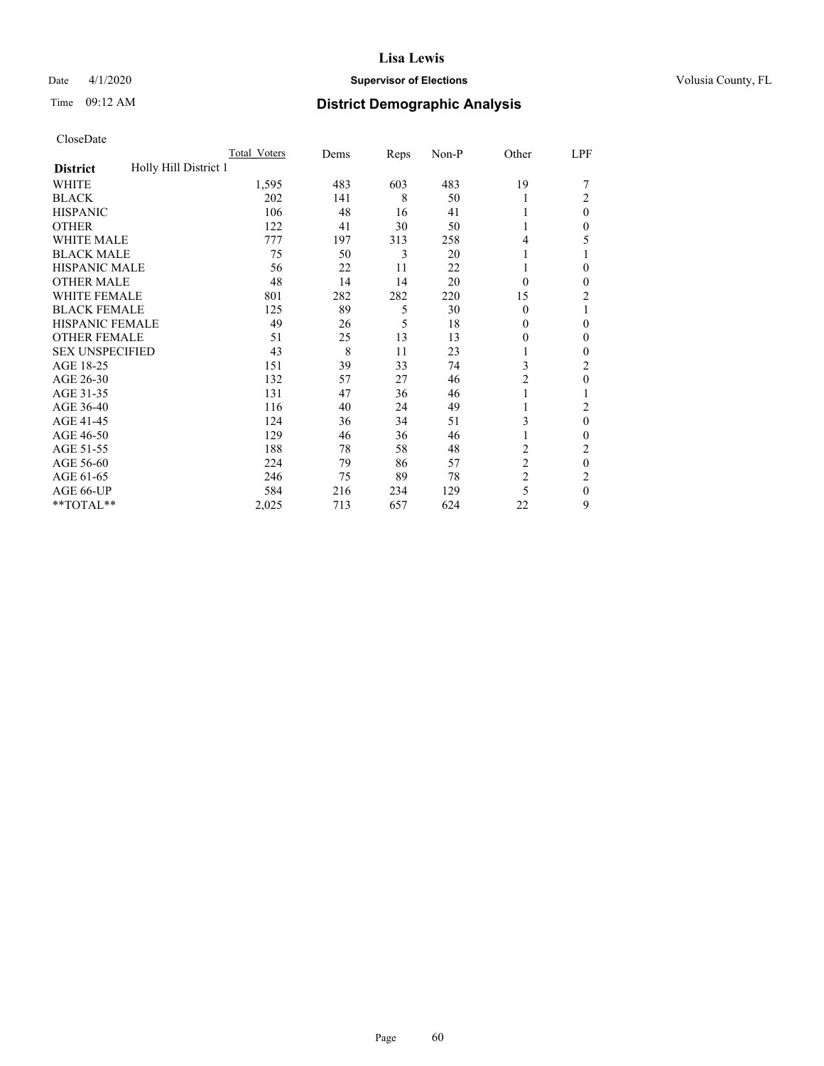# Date 4/1/2020 **Supervisor of Elections Supervisor of Elections** Volusia County, FL

# Time 09:12 AM **District Demographic Analysis**

|                                          | Total Voters | Dems | Reps | Non-P | Other          | LPF            |
|------------------------------------------|--------------|------|------|-------|----------------|----------------|
| Holly Hill District 1<br><b>District</b> |              |      |      |       |                |                |
| WHITE                                    | 1,595        | 483  | 603  | 483   | 19             |                |
| <b>BLACK</b>                             | 202          | 141  | 8    | 50    |                | 2              |
| <b>HISPANIC</b>                          | 106          | 48   | 16   | 41    |                | $\Omega$       |
| <b>OTHER</b>                             | 122          | 41   | 30   | 50    |                | 0              |
| WHITE MALE                               | 777          | 197  | 313  | 258   | 4              | 5              |
| <b>BLACK MALE</b>                        | 75           | 50   | 3    | 20    |                |                |
| <b>HISPANIC MALE</b>                     | 56           | 22   | 11   | 22    |                | 0              |
| <b>OTHER MALE</b>                        | 48           | 14   | 14   | 20    | $\Omega$       | 0              |
| <b>WHITE FEMALE</b>                      | 801          | 282  | 282  | 220   | 15             | $\overline{2}$ |
| <b>BLACK FEMALE</b>                      | 125          | 89   | 5    | 30    | $\Omega$       |                |
| <b>HISPANIC FEMALE</b>                   | 49           | 26   | 5    | 18    | 0              | 0              |
| <b>OTHER FEMALE</b>                      | 51           | 25   | 13   | 13    | 0              | 0              |
| <b>SEX UNSPECIFIED</b>                   | 43           | 8    | 11   | 23    |                | 0              |
| AGE 18-25                                | 151          | 39   | 33   | 74    | 3              | 2              |
| AGE 26-30                                | 132          | 57   | 27   | 46    | 2              | 0              |
| AGE 31-35                                | 131          | 47   | 36   | 46    |                |                |
| AGE 36-40                                | 116          | 40   | 24   | 49    |                | 2              |
| AGE 41-45                                | 124          | 36   | 34   | 51    | 3              | $\theta$       |
| AGE 46-50                                | 129          | 46   | 36   | 46    |                | 0              |
| AGE 51-55                                | 188          | 78   | 58   | 48    | $\overline{c}$ | 2              |
| AGE 56-60                                | 224          | 79   | 86   | 57    | $\overline{c}$ | $\theta$       |
| AGE 61-65                                | 246          | 75   | 89   | 78    | $\overline{2}$ | 2              |
| AGE 66-UP                                | 584          | 216  | 234  | 129   | 5              | $\Omega$       |
| **TOTAL**                                | 2,025        | 713  | 657  | 624   | 22             | 9              |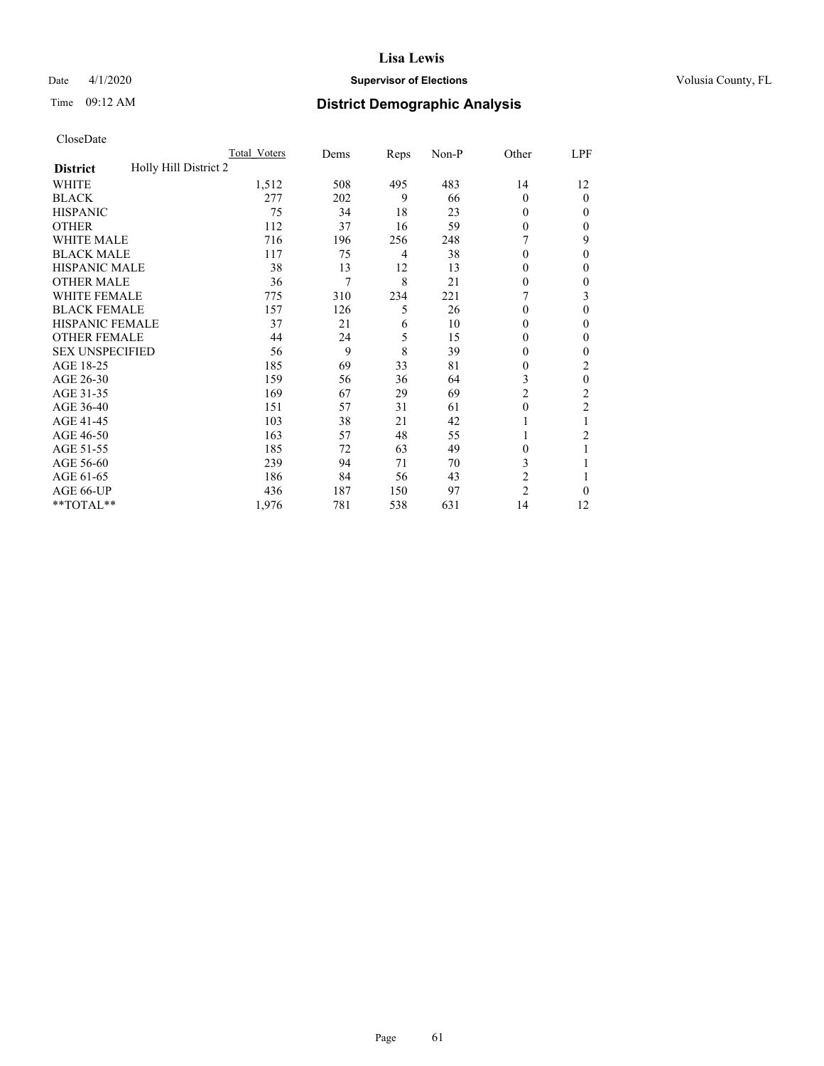# Date 4/1/2020 **Supervisor of Elections Supervisor of Elections** Volusia County, FL

| CloseDate |
|-----------|
|-----------|

|                                          | Total Voters | Dems | Reps           | Non-P | Other          | LPF            |
|------------------------------------------|--------------|------|----------------|-------|----------------|----------------|
| Holly Hill District 2<br><b>District</b> |              |      |                |       |                |                |
| WHITE                                    | 1,512        | 508  | 495            | 483   | 14             | 12             |
| <b>BLACK</b>                             | 277          | 202  | 9              | 66    | $\theta$       | $\mathbf{0}$   |
| <b>HISPANIC</b>                          | 75           | 34   | 18             | 23    | $\Omega$       | 0              |
| <b>OTHER</b>                             | 112          | 37   | 16             | 59    | $\theta$       | 0              |
| <b>WHITE MALE</b>                        | 716          | 196  | 256            | 248   |                | 9              |
| <b>BLACK MALE</b>                        | 117          | 75   | $\overline{4}$ | 38    | $\Omega$       | 0              |
| <b>HISPANIC MALE</b>                     | 38           | 13   | 12             | 13    | $\Omega$       | 0              |
| <b>OTHER MALE</b>                        | 36           | 7    | 8              | 21    | $\mathbf{0}$   | 0              |
| <b>WHITE FEMALE</b>                      | 775          | 310  | 234            | 221   |                | 3              |
| <b>BLACK FEMALE</b>                      | 157          | 126  | 5              | 26    | $\Omega$       | 0              |
| <b>HISPANIC FEMALE</b>                   | 37           | 21   | 6              | 10    | $\Omega$       | 0              |
| <b>OTHER FEMALE</b>                      | 44           | 24   | 5              | 15    | $\Omega$       | 0              |
| <b>SEX UNSPECIFIED</b>                   | 56           | 9    | 8              | 39    | $\Omega$       | 0              |
| AGE 18-25                                | 185          | 69   | 33             | 81    | 0              | 2              |
| AGE 26-30                                | 159          | 56   | 36             | 64    | 3              | 0              |
| AGE 31-35                                | 169          | 67   | 29             | 69    | $\overline{c}$ | $\overline{c}$ |
| AGE 36-40                                | 151          | 57   | 31             | 61    | $\theta$       | $\overline{2}$ |
| AGE 41-45                                | 103          | 38   | 21             | 42    |                |                |
| AGE 46-50                                | 163          | 57   | 48             | 55    |                | $\overline{c}$ |
| AGE 51-55                                | 185          | 72   | 63             | 49    | $\Omega$       |                |
| AGE 56-60                                | 239          | 94   | 71             | 70    | 3              |                |
| AGE 61-65                                | 186          | 84   | 56             | 43    | $\overline{c}$ |                |
| AGE 66-UP                                | 436          | 187  | 150            | 97    | $\overline{c}$ | 0              |
| **TOTAL**                                | 1,976        | 781  | 538            | 631   | 14             | 12             |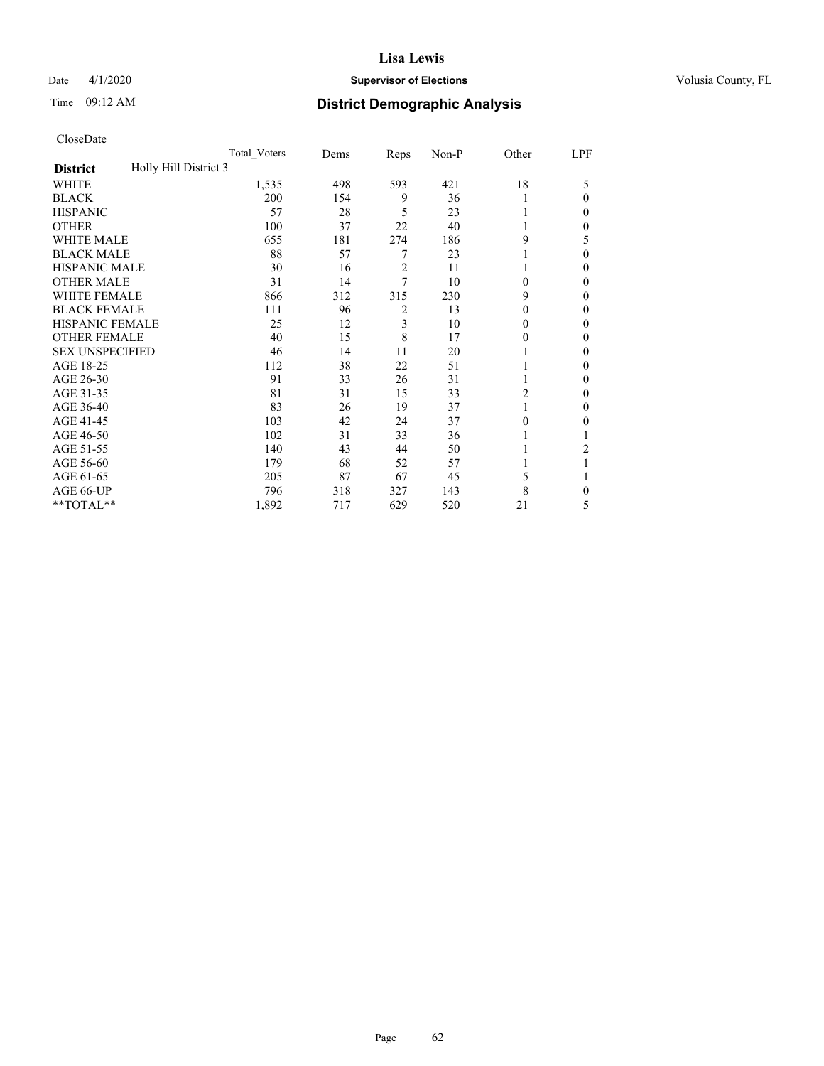# Date 4/1/2020 **Supervisor of Elections Supervisor of Elections** Volusia County, FL

| CloseDate |
|-----------|
|-----------|

|                                          | Total Voters | Dems | Reps           | Non-P | Other            | LPF          |
|------------------------------------------|--------------|------|----------------|-------|------------------|--------------|
| Holly Hill District 3<br><b>District</b> |              |      |                |       |                  |              |
| <b>WHITE</b>                             | 1,535        | 498  | 593            | 421   | 18               | 5            |
| <b>BLACK</b>                             | 200          | 154  | 9              | 36    | 1                | $\mathbf{0}$ |
| <b>HISPANIC</b>                          | 57           | 28   | 5              | 23    | 1                | 0            |
| <b>OTHER</b>                             | 100          | 37   | 22             | 40    |                  | 0            |
| <b>WHITE MALE</b>                        | 655          | 181  | 274            | 186   | 9                | 5            |
| <b>BLACK MALE</b>                        | 88           | 57   | 7              | 23    |                  | 0            |
| <b>HISPANIC MALE</b>                     | 30           | 16   | $\overline{c}$ | 11    |                  | 0            |
| <b>OTHER MALE</b>                        | 31           | 14   | 7              | 10    | $\mathbf{0}$     | $\mathbf{0}$ |
| <b>WHITE FEMALE</b>                      | 866          | 312  | 315            | 230   | 9                | 0            |
| <b>BLACK FEMALE</b>                      | 111          | 96   | 2              | 13    | $\boldsymbol{0}$ | 0            |
| <b>HISPANIC FEMALE</b>                   | 25           | 12   | 3              | 10    | $\mathbf{0}$     | 0            |
| <b>OTHER FEMALE</b>                      | 40           | 15   | 8              | 17    | $\mathbf{0}$     | 0            |
| <b>SEX UNSPECIFIED</b>                   | 46           | 14   | 11             | 20    |                  | $\theta$     |
| AGE 18-25                                | 112          | 38   | 22             | 51    |                  | 0            |
| AGE 26-30                                | 91           | 33   | 26             | 31    | 1                | 0            |
| AGE 31-35                                | 81           | 31   | 15             | 33    | $\overline{c}$   | 0            |
| AGE 36-40                                | 83           | 26   | 19             | 37    |                  | 0            |
| AGE 41-45                                | 103          | 42   | 24             | 37    | $\theta$         | 0            |
| AGE 46-50                                | 102          | 31   | 33             | 36    |                  |              |
| AGE 51-55                                | 140          | 43   | 44             | 50    |                  | 2            |
| AGE 56-60                                | 179          | 68   | 52             | 57    |                  |              |
| AGE 61-65                                | 205          | 87   | 67             | 45    | 5                |              |
| AGE 66-UP                                | 796          | 318  | 327            | 143   | 8                | 0            |
| **TOTAL**                                | 1,892        | 717  | 629            | 520   | 21               | 5            |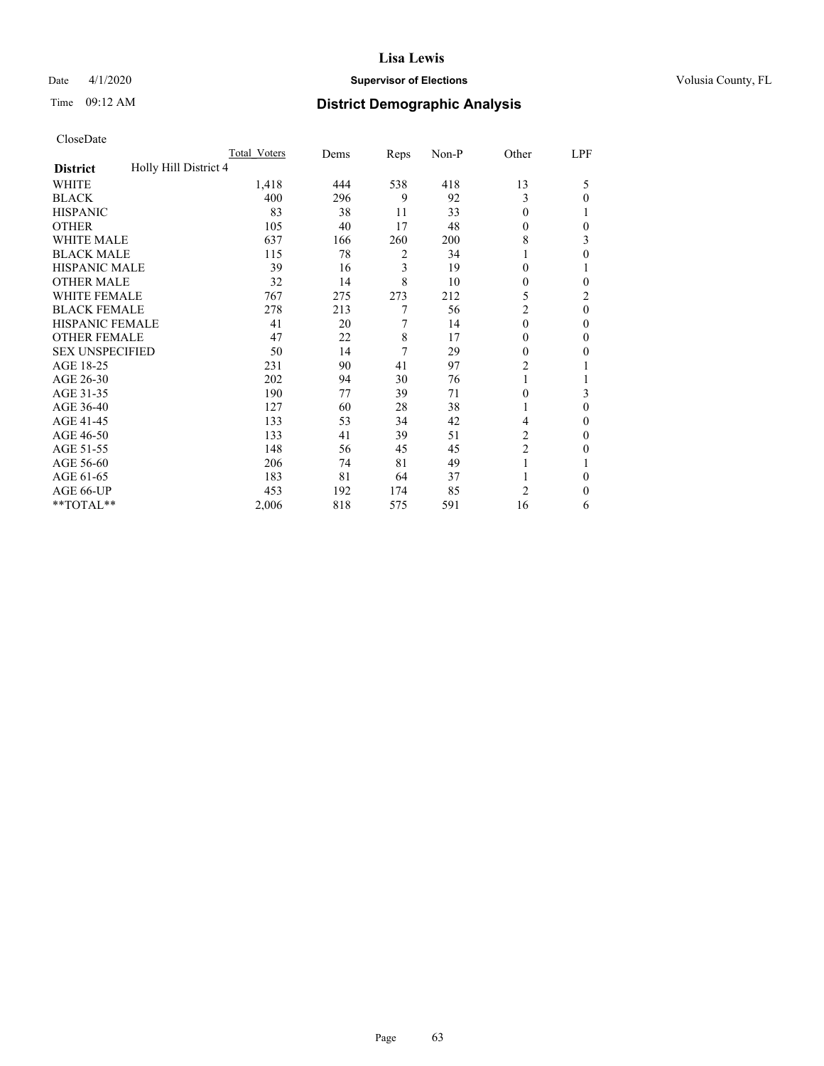# Date 4/1/2020 **Supervisor of Elections Supervisor of Elections** Volusia County, FL

# Time 09:12 AM **District Demographic Analysis**

|                                          | Total Voters | Dems | Reps | Non-P | Other          | LPF      |
|------------------------------------------|--------------|------|------|-------|----------------|----------|
| Holly Hill District 4<br><b>District</b> |              |      |      |       |                |          |
| WHITE                                    | 1,418        | 444  | 538  | 418   | 13             | 5        |
| <b>BLACK</b>                             | 400          | 296  | 9    | 92    | 3              | $\Omega$ |
| <b>HISPANIC</b>                          | 83           | 38   | 11   | 33    | $\theta$       |          |
| <b>OTHER</b>                             | 105          | 40   | 17   | 48    | $\theta$       | 0        |
| WHITE MALE                               | 637          | 166  | 260  | 200   | 8              | 3        |
| <b>BLACK MALE</b>                        | 115          | 78   | 2    | 34    | 1              | $\theta$ |
| <b>HISPANIC MALE</b>                     | 39           | 16   | 3    | 19    | $\theta$       |          |
| <b>OTHER MALE</b>                        | 32           | 14   | 8    | 10    | $\mathbf{0}$   | 0        |
| <b>WHITE FEMALE</b>                      | 767          | 275  | 273  | 212   | 5              | 2        |
| <b>BLACK FEMALE</b>                      | 278          | 213  | 7    | 56    | $\overline{c}$ | $\theta$ |
| <b>HISPANIC FEMALE</b>                   | 41           | 20   | 7    | 14    | $\theta$       | 0        |
| <b>OTHER FEMALE</b>                      | 47           | 22   | 8    | 17    | $\theta$       | $\Omega$ |
| <b>SEX UNSPECIFIED</b>                   | 50           | 14   | 7    | 29    | $\theta$       | 0        |
| AGE 18-25                                | 231          | 90   | 41   | 97    | $\overline{c}$ |          |
| AGE 26-30                                | 202          | 94   | 30   | 76    | 1              |          |
| AGE 31-35                                | 190          | 77   | 39   | 71    | $\theta$       | 3        |
| AGE 36-40                                | 127          | 60   | 28   | 38    | 1              | $\theta$ |
| AGE 41-45                                | 133          | 53   | 34   | 42    | 4              | 0        |
| AGE 46-50                                | 133          | 41   | 39   | 51    | 2              | $\Omega$ |
| AGE 51-55                                | 148          | 56   | 45   | 45    | $\overline{c}$ | 0        |
| AGE 56-60                                | 206          | 74   | 81   | 49    |                |          |
| AGE 61-65                                | 183          | 81   | 64   | 37    |                | $\theta$ |
| AGE 66-UP                                | 453          | 192  | 174  | 85    | 2              | $\Omega$ |
| **TOTAL**                                | 2,006        | 818  | 575  | 591   | 16             | 6        |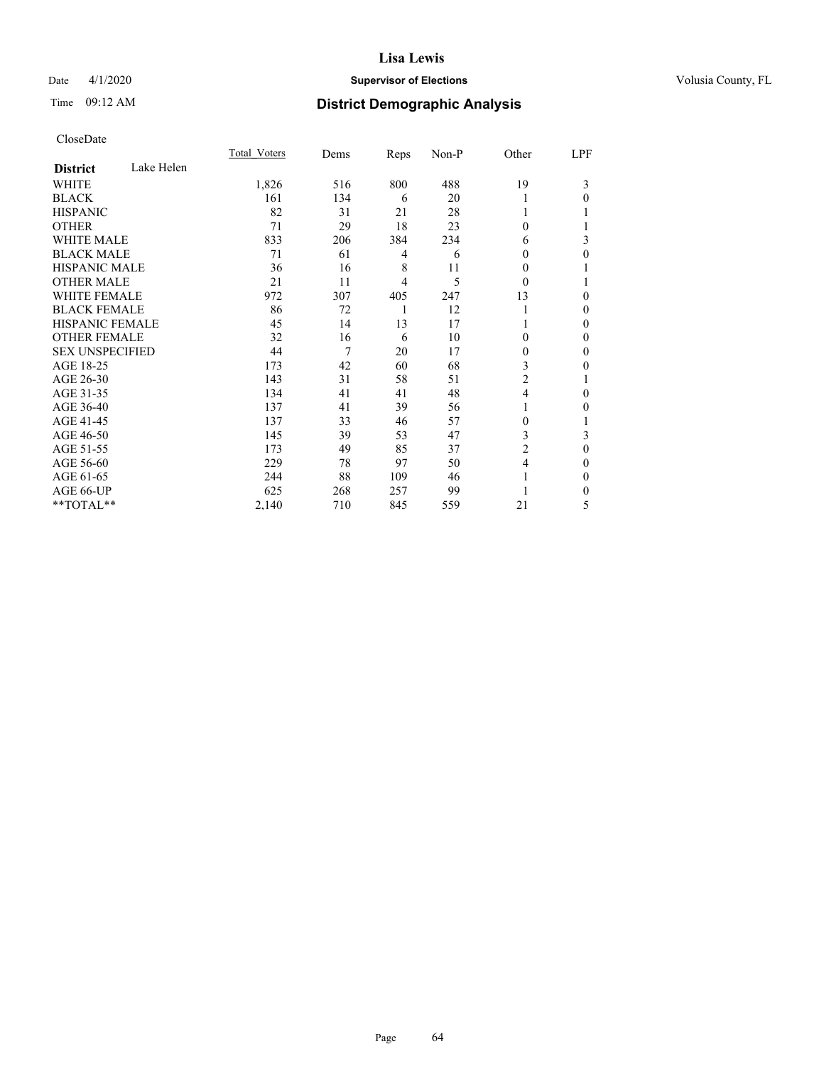# Date 4/1/2020 **Supervisor of Elections Supervisor of Elections** Volusia County, FL

# Time 09:12 AM **District Demographic Analysis**

|                        |            | Total Voters | Dems | Reps | Non-P | Other          | LPF |
|------------------------|------------|--------------|------|------|-------|----------------|-----|
| <b>District</b>        | Lake Helen |              |      |      |       |                |     |
| WHITE                  |            | 1,826        | 516  | 800  | 488   | 19             | 3   |
| <b>BLACK</b>           |            | 161          | 134  | 6    | 20    | 1              | 0   |
| <b>HISPANIC</b>        |            | 82           | 31   | 21   | 28    | 1              |     |
| <b>OTHER</b>           |            | 71           | 29   | 18   | 23    | $\theta$       |     |
| <b>WHITE MALE</b>      |            | 833          | 206  | 384  | 234   | 6              | 3   |
| <b>BLACK MALE</b>      |            | 71           | 61   | 4    | 6     | $\theta$       | 0   |
| <b>HISPANIC MALE</b>   |            | 36           | 16   | 8    | 11    | 0              |     |
| <b>OTHER MALE</b>      |            | 21           | 11   | 4    | 5     | $\theta$       |     |
| <b>WHITE FEMALE</b>    |            | 972          | 307  | 405  | 247   | 13             | 0   |
| <b>BLACK FEMALE</b>    |            | 86           | 72   | 1    | 12    | 1              | 0   |
| <b>HISPANIC FEMALE</b> |            | 45           | 14   | 13   | 17    |                | 0   |
| <b>OTHER FEMALE</b>    |            | 32           | 16   | 6    | 10    | $\theta$       | 0   |
| <b>SEX UNSPECIFIED</b> |            | 44           | 7    | 20   | 17    | $\mathbf{0}$   | 0   |
| AGE 18-25              |            | 173          | 42   | 60   | 68    | 3              | 0   |
| AGE 26-30              |            | 143          | 31   | 58   | 51    | 2              |     |
| AGE 31-35              |            | 134          | 41   | 41   | 48    | $\overline{4}$ | 0   |
| AGE 36-40              |            | 137          | 41   | 39   | 56    | 1              | 0   |
| AGE 41-45              |            | 137          | 33   | 46   | 57    | $\Omega$       |     |
| AGE 46-50              |            | 145          | 39   | 53   | 47    | 3              | 3   |
| AGE 51-55              |            | 173          | 49   | 85   | 37    | 2              | 0   |
| AGE 56-60              |            | 229          | 78   | 97   | 50    | 4              | 0   |
| AGE 61-65              |            | 244          | 88   | 109  | 46    | 1              | 0   |
| AGE 66-UP              |            | 625          | 268  | 257  | 99    |                | 0   |
| **TOTAL**              |            | 2,140        | 710  | 845  | 559   | 21             | 5   |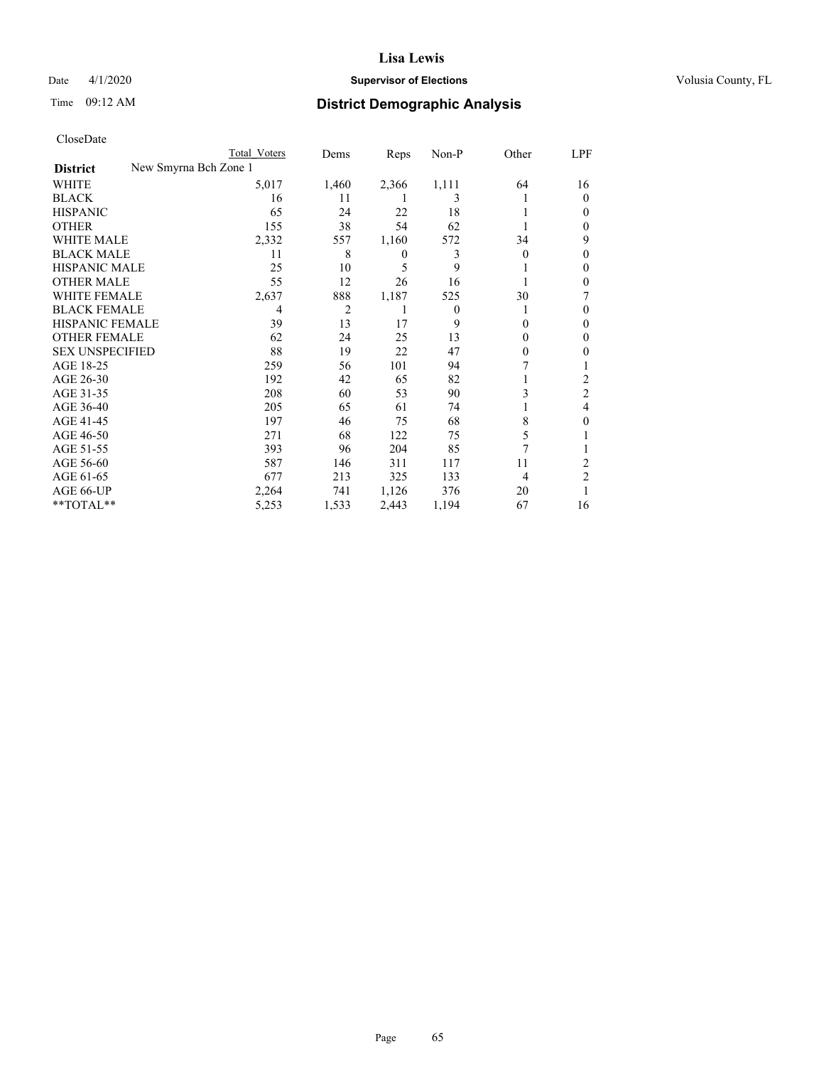# Date 4/1/2020 **Supervisor of Elections Supervisor of Elections** Volusia County, FL

| CloseDate |
|-----------|
|-----------|

|                        |                       | Total Voters | Dems           | Reps         | $Non-P$  | Other    | <u>LPF</u>     |
|------------------------|-----------------------|--------------|----------------|--------------|----------|----------|----------------|
| <b>District</b>        | New Smyrna Bch Zone 1 |              |                |              |          |          |                |
| WHITE                  |                       | 5,017        | 1,460          | 2,366        | 1,111    | 64       | 16             |
| <b>BLACK</b>           |                       | 16           | 11             |              | 3        |          | $\Omega$       |
| <b>HISPANIC</b>        |                       | 65           | 24             | 22           | 18       |          | 0              |
| <b>OTHER</b>           |                       | 155          | 38             | 54           | 62       |          | 0              |
| <b>WHITE MALE</b>      |                       | 2,332        | 557            | 1,160        | 572      | 34       | 9              |
| <b>BLACK MALE</b>      |                       | 11           | 8              | $\mathbf{0}$ | 3        | 0        | 0              |
| <b>HISPANIC MALE</b>   |                       | 25           | 10             | 5            | 9        |          | 0              |
| <b>OTHER MALE</b>      |                       | 55           | 12             | 26           | 16       |          | 0              |
| <b>WHITE FEMALE</b>    |                       | 2,637        | 888            | 1,187        | 525      | 30       |                |
| <b>BLACK FEMALE</b>    |                       | 4            | $\overline{2}$ | 1            | $\theta$ |          | 0              |
| HISPANIC FEMALE        |                       | 39           | 13             | 17           | 9        | $\Omega$ | 0              |
| <b>OTHER FEMALE</b>    |                       | 62           | 24             | 25           | 13       | 0        | 0              |
| <b>SEX UNSPECIFIED</b> |                       | 88           | 19             | 22           | 47       | $\Omega$ | 0              |
| AGE 18-25              |                       | 259          | 56             | 101          | 94       |          |                |
| AGE 26-30              |                       | 192          | 42             | 65           | 82       |          | 2              |
| AGE 31-35              |                       | 208          | 60             | 53           | 90       | 3        | $\overline{2}$ |
| AGE 36-40              |                       | 205          | 65             | 61           | 74       |          | 4              |
| AGE 41-45              |                       | 197          | 46             | 75           | 68       | 8        | 0              |
| AGE 46-50              |                       | 271          | 68             | 122          | 75       | 5        |                |
| AGE 51-55              |                       | 393          | 96             | 204          | 85       |          |                |
| AGE 56-60              |                       | 587          | 146            | 311          | 117      | 11       | 2              |
| AGE 61-65              |                       | 677          | 213            | 325          | 133      | 4        | $\overline{2}$ |
| AGE 66-UP              |                       | 2,264        | 741            | 1,126        | 376      | 20       |                |
| **TOTAL**              |                       | 5,253        | 1,533          | 2,443        | 1,194    | 67       | 16             |
|                        |                       |              |                |              |          |          |                |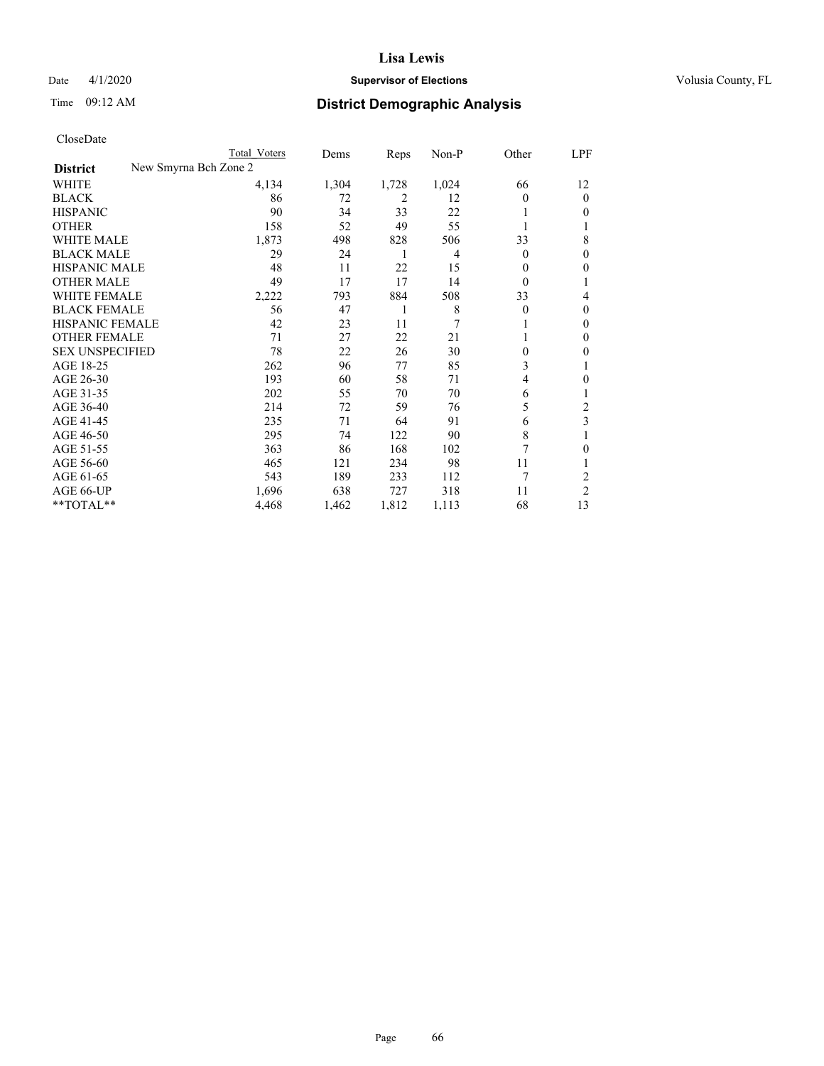# Date 4/1/2020 **Supervisor of Elections Supervisor of Elections** Volusia County, FL

| CloseDate |
|-----------|
|-----------|

| New Smyrna Bch Zone 2<br><b>District</b><br>4,134<br>1,304<br>1,728<br>1,024<br>WHITE<br>66<br><b>BLACK</b><br>86<br>2<br>72<br>12<br>0<br>33<br><b>HISPANIC</b><br>90<br>22<br>34 | 12<br>$\theta$ |
|------------------------------------------------------------------------------------------------------------------------------------------------------------------------------------|----------------|
|                                                                                                                                                                                    |                |
|                                                                                                                                                                                    |                |
|                                                                                                                                                                                    |                |
|                                                                                                                                                                                    | 0              |
| 49<br><b>OTHER</b><br>158<br>52<br>55                                                                                                                                              | 1              |
| <b>WHITE MALE</b><br>1,873<br>828<br>498<br>506<br>33                                                                                                                              | 8              |
| <b>BLACK MALE</b><br>29<br>24<br>4<br>$\overline{0}$<br>1                                                                                                                          | 0              |
| <b>HISPANIC MALE</b><br>22<br>48<br>11<br>15<br>0                                                                                                                                  | 0              |
| 49<br>17<br><b>OTHER MALE</b><br>17<br>14<br>$\Omega$                                                                                                                              |                |
| <b>WHITE FEMALE</b><br>884<br>508<br>2,222<br>793<br>33                                                                                                                            | 4              |
| <b>BLACK FEMALE</b><br>56<br>8<br>47<br>1<br>0                                                                                                                                     | $\theta$       |
| 7<br><b>HISPANIC FEMALE</b><br>42<br>23<br>11                                                                                                                                      | $\mathbf{0}$   |
| <b>OTHER FEMALE</b><br>27<br>22<br>71<br>21                                                                                                                                        | $\mathbf{0}$   |
| <b>SEX UNSPECIFIED</b><br>78<br>22<br>26<br>30<br>$\theta$                                                                                                                         | 0              |
| AGE 18-25<br>3<br>262<br>85<br>96<br>77                                                                                                                                            |                |
| 193<br>AGE 26-30<br>60<br>58<br>71<br>4                                                                                                                                            | 0              |
| AGE 31-35<br>202<br>55<br>70<br>70<br>6                                                                                                                                            | 1              |
| AGE 36-40<br>214<br>72<br>59<br>5<br>76                                                                                                                                            | 2              |
| AGE 41-45<br>235<br>71<br>91<br>64<br>6                                                                                                                                            | 3              |
| 8<br>AGE 46-50<br>295<br>122<br>90<br>74                                                                                                                                           |                |
| 7<br>AGE 51-55<br>363<br>168<br>86<br>102                                                                                                                                          | 0              |
| AGE 56-60<br>465<br>234<br>11<br>121<br>98                                                                                                                                         | 1              |
| 7<br>AGE 61-65<br>543<br>189<br>233<br>112                                                                                                                                         | 2              |
| AGE 66-UP<br>727<br>1,696<br>638<br>318<br>11                                                                                                                                      | $\overline{2}$ |
| **TOTAL**<br>68<br>4,468<br>1,462<br>1,812<br>1,113                                                                                                                                | 13             |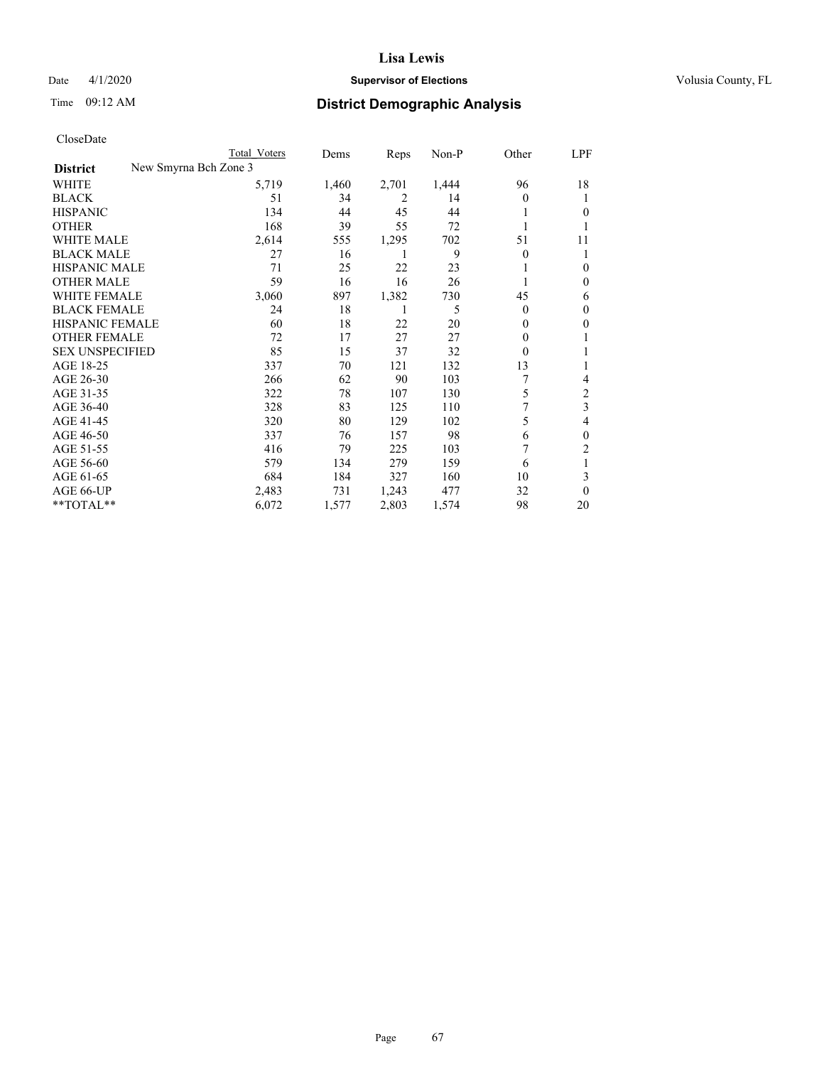# Date 4/1/2020 **Supervisor of Elections Supervisor of Elections** Volusia County, FL

| CloseDate |
|-----------|
|-----------|

|                        |                       | Total Voters | Dems  | Reps  | Non-P | Other    | LPF            |
|------------------------|-----------------------|--------------|-------|-------|-------|----------|----------------|
| <b>District</b>        | New Smyrna Bch Zone 3 |              |       |       |       |          |                |
| WHITE                  |                       | 5,719        | 1,460 | 2,701 | 1,444 | 96       | 18             |
| <b>BLACK</b>           |                       | 51           | 34    | 2     | 14    | 0        | T              |
| <b>HISPANIC</b>        |                       | 134          | 44    | 45    | 44    |          | 0              |
| <b>OTHER</b>           |                       | 168          | 39    | 55    | 72    |          |                |
| <b>WHITE MALE</b>      |                       | 2,614        | 555   | 1,295 | 702   | 51       | 11             |
| <b>BLACK MALE</b>      |                       | 27           | 16    | 1     | 9     | $\Omega$ |                |
| <b>HISPANIC MALE</b>   |                       | 71           | 25    | 22    | 23    |          | $\Omega$       |
| <b>OTHER MALE</b>      |                       | 59           | 16    | 16    | 26    |          | $\Omega$       |
| WHITE FEMALE           |                       | 3,060        | 897   | 1,382 | 730   | 45       | 6              |
| <b>BLACK FEMALE</b>    |                       | 24           | 18    | 1     | 5     | $\Omega$ | $\Omega$       |
| HISPANIC FEMALE        |                       | 60           | 18    | 22    | 20    | $\Omega$ | $\Omega$       |
| <b>OTHER FEMALE</b>    |                       | 72           | 17    | 27    | 27    | 0        |                |
| <b>SEX UNSPECIFIED</b> |                       | 85           | 15    | 37    | 32    | 0        |                |
| AGE 18-25              |                       | 337          | 70    | 121   | 132   | 13       |                |
| AGE 26-30              |                       | 266          | 62    | 90    | 103   |          | 4              |
| AGE 31-35              |                       | 322          | 78    | 107   | 130   | 5        | 2              |
| AGE 36-40              |                       | 328          | 83    | 125   | 110   | 7        | 3              |
| AGE 41-45              |                       | 320          | 80    | 129   | 102   | 5        | 4              |
| AGE 46-50              |                       | 337          | 76    | 157   | 98    | 6        | $\theta$       |
| AGE 51-55              |                       | 416          | 79    | 225   | 103   | 7        | $\overline{2}$ |
| AGE 56-60              |                       | 579          | 134   | 279   | 159   | 6        | 1              |
| AGE 61-65              |                       | 684          | 184   | 327   | 160   | 10       | 3              |
| AGE 66-UP              |                       | 2,483        | 731   | 1,243 | 477   | 32       | $\theta$       |
| **TOTAL**              |                       | 6,072        | 1,577 | 2,803 | 1,574 | 98       | 20             |
|                        |                       |              |       |       |       |          |                |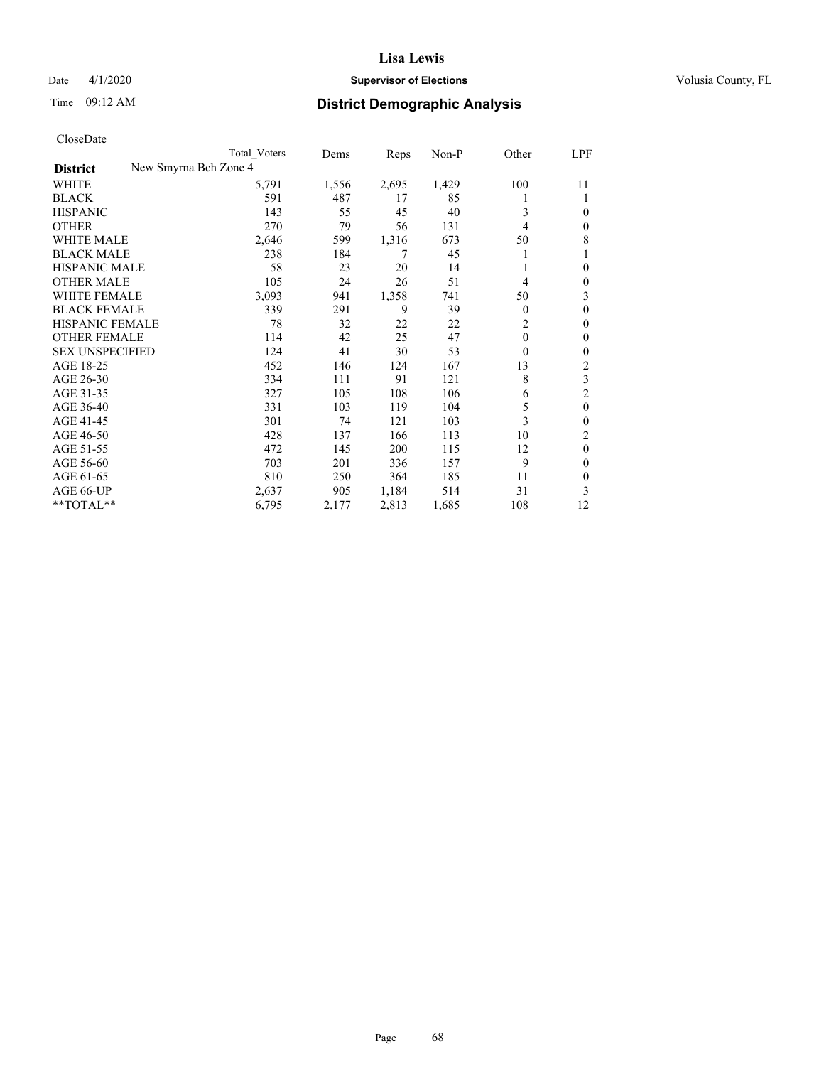# Date 4/1/2020 **Supervisor of Elections Supervisor of Elections** Volusia County, FL

|                                          | Total Voters | Dems  | Reps  | Non-P | Other          | LPF          |
|------------------------------------------|--------------|-------|-------|-------|----------------|--------------|
| New Smyrna Bch Zone 4<br><b>District</b> |              |       |       |       |                |              |
| WHITE                                    | 5,791        | 1,556 | 2,695 | 1,429 | 100            | 11           |
| <b>BLACK</b>                             | 591          | 487   | 17    | 85    |                |              |
| <b>HISPANIC</b>                          | 143          | 55    | 45    | 40    | 3              | $\Omega$     |
| <b>OTHER</b>                             | 270          | 79    | 56    | 131   | 4              | 0            |
| <b>WHITE MALE</b>                        | 2,646        | 599   | 1,316 | 673   | 50             | 8            |
| <b>BLACK MALE</b>                        | 238          | 184   | 7     | 45    |                |              |
| <b>HISPANIC MALE</b>                     | 58           | 23    | 20    | 14    |                | 0            |
| <b>OTHER MALE</b>                        | 105          | 24    | 26    | 51    | 4              | 0            |
| <b>WHITE FEMALE</b>                      | 3,093        | 941   | 1,358 | 741   | 50             | 3            |
| <b>BLACK FEMALE</b>                      | 339          | 291   | 9     | 39    | $\Omega$       | 0            |
| <b>HISPANIC FEMALE</b>                   | 78           | 32    | 22    | 22    | $\overline{c}$ | 0            |
| <b>OTHER FEMALE</b>                      | 114          | 42    | 25    | 47    | $\theta$       | 0            |
| <b>SEX UNSPECIFIED</b>                   | 124          | 41    | 30    | 53    | $\theta$       | 0            |
| AGE 18-25                                | 452          | 146   | 124   | 167   | 13             | 2            |
| AGE 26-30                                | 334          | 111   | 91    | 121   | 8              | 3            |
| AGE 31-35                                | 327          | 105   | 108   | 106   | 6              | 2            |
| AGE 36-40                                | 331          | 103   | 119   | 104   | 5              | $\mathbf{0}$ |
| AGE 41-45                                | 301          | 74    | 121   | 103   | 3              | 0            |
| AGE 46-50                                | 428          | 137   | 166   | 113   | 10             | 2            |
| AGE 51-55                                | 472          | 145   | 200   | 115   | 12             | $\theta$     |
| AGE 56-60                                | 703          | 201   | 336   | 157   | 9              | 0            |
| AGE 61-65                                | 810          | 250   | 364   | 185   | 11             | $\theta$     |
| AGE 66-UP                                | 2,637        | 905   | 1,184 | 514   | 31             | 3            |
| **TOTAL**                                | 6,795        | 2,177 | 2,813 | 1,685 | 108            | 12           |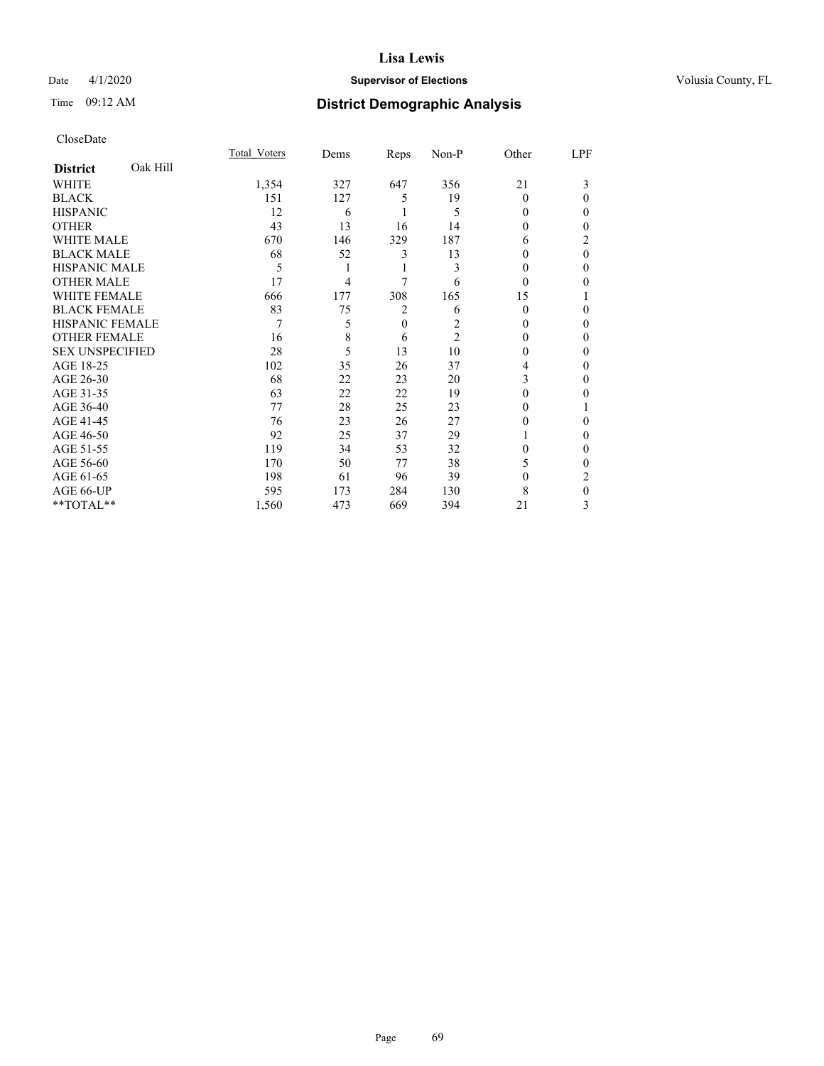# Date 4/1/2020 **Supervisor of Elections Supervisor of Elections** Volusia County, FL

# Time 09:12 AM **District Demographic Analysis**

|                        |          | Total Voters | Dems | Reps     | Non-P          | Other  | LPF      |
|------------------------|----------|--------------|------|----------|----------------|--------|----------|
| <b>District</b>        | Oak Hill |              |      |          |                |        |          |
| WHITE                  |          | 1,354        | 327  | 647      | 356            | 21     | 3        |
| <b>BLACK</b>           |          | 151          | 127  | 5        | 19             | 0      | 0        |
| <b>HISPANIC</b>        |          | 12           | 6    |          | 5              | 0      | 0        |
| <b>OTHER</b>           |          | 43           | 13   | 16       | 14             | 0      | 0        |
| WHITE MALE             |          | 670          | 146  | 329      | 187            | 6      | 2        |
| <b>BLACK MALE</b>      |          | 68           | 52   | 3        | 13             | $_{0}$ | $\theta$ |
| <b>HISPANIC MALE</b>   |          | 5            |      |          | 3              | $_{0}$ | 0        |
| <b>OTHER MALE</b>      |          | 17           | 4    | 7        | 6              | 0      | 0        |
| WHITE FEMALE           |          | 666          | 177  | 308      | 165            | 15     |          |
| <b>BLACK FEMALE</b>    |          | 83           | 75   | 2        | 6              | 0      | 0        |
| <b>HISPANIC FEMALE</b> |          | 7            | 5    | $\theta$ | 2              | 0      | 0        |
| <b>OTHER FEMALE</b>    |          | 16           | 8    | 6        | $\overline{2}$ | 0      | 0        |
| <b>SEX UNSPECIFIED</b> |          | 28           | 5    | 13       | 10             | $_{0}$ | 0        |
| AGE 18-25              |          | 102          | 35   | 26       | 37             | 4      | 0        |
| AGE 26-30              |          | 68           | 22   | 23       | 20             | 3      | 0        |
| AGE 31-35              |          | 63           | 22   | 22       | 19             | 0      | 0        |
| AGE 36-40              |          | 77           | 28   | 25       | 23             | 0      |          |
| AGE 41-45              |          | 76           | 23   | 26       | 27             | 0      | 0        |
| AGE 46-50              |          | 92           | 25   | 37       | 29             |        | 0        |
| AGE 51-55              |          | 119          | 34   | 53       | 32             | 0      | 0        |
| AGE 56-60              |          | 170          | 50   | 77       | 38             | 5      | 0        |
| AGE 61-65              |          | 198          | 61   | 96       | 39             | 0      | 2        |
| AGE 66-UP              |          | 595          | 173  | 284      | 130            | 8      | 0        |
| **TOTAL**              |          | 1,560        | 473  | 669      | 394            | 21     | 3        |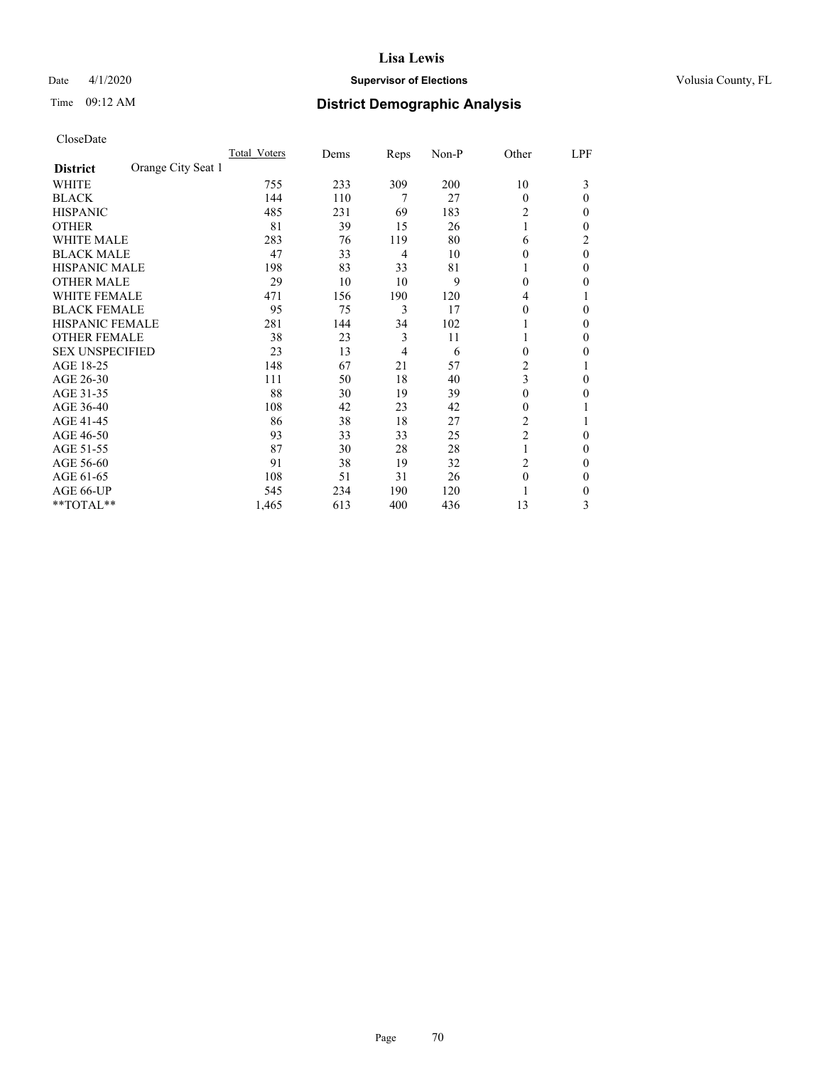# Date 4/1/2020 **Supervisor of Elections Supervisor of Elections** Volusia County, FL

# Time 09:12 AM **District Demographic Analysis**

|                                       | Total Voters | Dems | Reps           | Non-P | Other          | LPF      |
|---------------------------------------|--------------|------|----------------|-------|----------------|----------|
| Orange City Seat 1<br><b>District</b> |              |      |                |       |                |          |
| WHITE                                 | 755          | 233  | 309            | 200   | 10             | 3        |
| <b>BLACK</b>                          | 144          | 110  | 7              | 27    | $\Omega$       | 0        |
| <b>HISPANIC</b>                       | 485          | 231  | 69             | 183   | 2              | 0        |
| <b>OTHER</b>                          | 81           | 39   | 15             | 26    | 1              | 0        |
| <b>WHITE MALE</b>                     | 283          | 76   | 119            | 80    | 6              | 2        |
| <b>BLACK MALE</b>                     | 47           | 33   | $\overline{4}$ | 10    | $\Omega$       | $\theta$ |
| <b>HISPANIC MALE</b>                  | 198          | 83   | 33             | 81    |                | 0        |
| <b>OTHER MALE</b>                     | 29           | 10   | 10             | 9     | $\theta$       | 0        |
| <b>WHITE FEMALE</b>                   | 471          | 156  | 190            | 120   | 4              |          |
| <b>BLACK FEMALE</b>                   | 95           | 75   | 3              | 17    | $\Omega$       | 0        |
| <b>HISPANIC FEMALE</b>                | 281          | 144  | 34             | 102   |                | 0        |
| <b>OTHER FEMALE</b>                   | 38           | 23   | 3              | 11    | 1              | 0        |
| <b>SEX UNSPECIFIED</b>                | 23           | 13   | $\overline{4}$ | 6     | $\theta$       | 0        |
| AGE 18-25                             | 148          | 67   | 21             | 57    | $\overline{c}$ |          |
| AGE 26-30                             | 111          | 50   | 18             | 40    | 3              | 0        |
| AGE 31-35                             | 88           | 30   | 19             | 39    | 0              | 0        |
| AGE 36-40                             | 108          | 42   | 23             | 42    | $\Omega$       |          |
| AGE 41-45                             | 86           | 38   | 18             | 27    | 2              |          |
| AGE 46-50                             | 93           | 33   | 33             | 25    | $\overline{2}$ | 0        |
| AGE 51-55                             | 87           | 30   | 28             | 28    | 1              | 0        |
| AGE 56-60                             | 91           | 38   | 19             | 32    | $\overline{2}$ | 0        |
| AGE 61-65                             | 108          | 51   | 31             | 26    | $\theta$       | 0        |
| AGE 66-UP                             | 545          | 234  | 190            | 120   |                | 0        |
| **TOTAL**                             | 1,465        | 613  | 400            | 436   | 13             | 3        |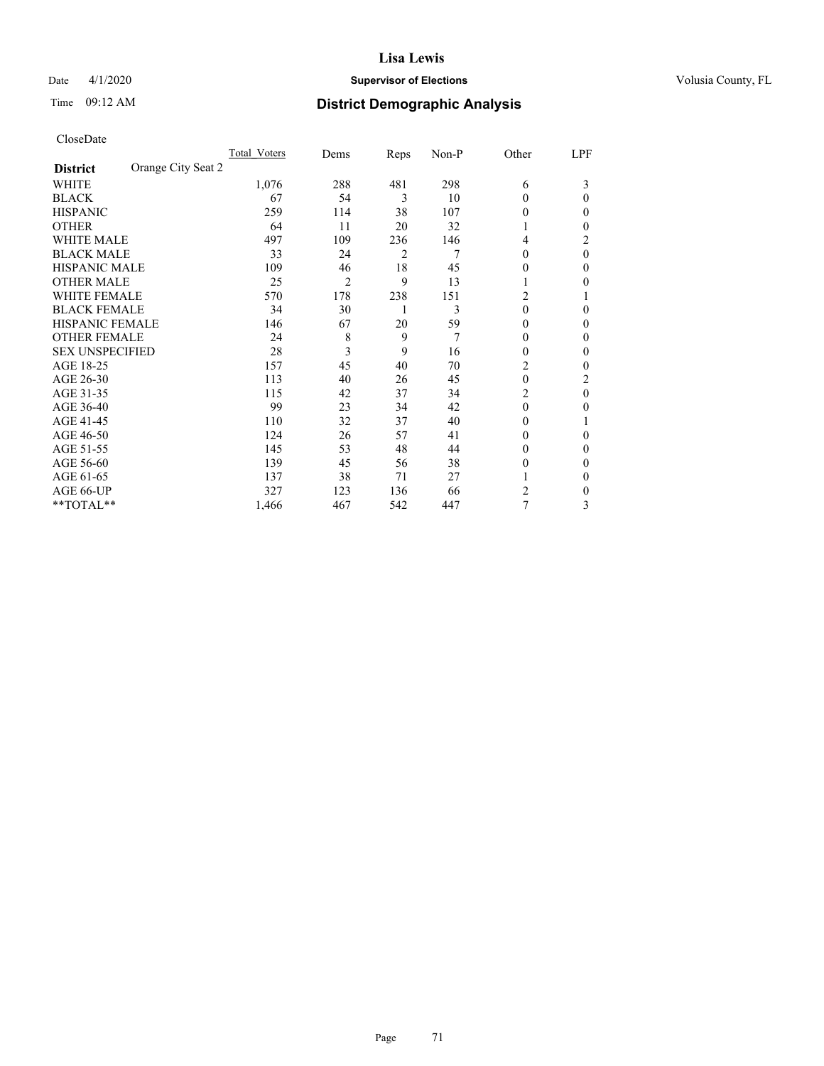# Date 4/1/2020 **Supervisor of Elections Supervisor of Elections** Volusia County, FL

# Time 09:12 AM **District Demographic Analysis**

|                                       | Total Voters | Dems | Reps | Non-P | Other          | LPF      |
|---------------------------------------|--------------|------|------|-------|----------------|----------|
| Orange City Seat 2<br><b>District</b> |              |      |      |       |                |          |
| WHITE                                 | 1,076        | 288  | 481  | 298   | 6              | 3        |
| <b>BLACK</b>                          | 67           | 54   | 3    | 10    | $\theta$       | 0        |
| <b>HISPANIC</b>                       | 259          | 114  | 38   | 107   | $\theta$       | 0        |
| <b>OTHER</b>                          | 64           | 11   | 20   | 32    | L              | 0        |
| <b>WHITE MALE</b>                     | 497          | 109  | 236  | 146   | 4              | 2        |
| <b>BLACK MALE</b>                     | 33           | 24   | 2    | 7     | $\theta$       | $\theta$ |
| HISPANIC MALE                         | 109          | 46   | 18   | 45    | $\theta$       | 0        |
| <b>OTHER MALE</b>                     | 25           | 2    | 9    | 13    | 1              | 0        |
| <b>WHITE FEMALE</b>                   | 570          | 178  | 238  | 151   | 2              |          |
| <b>BLACK FEMALE</b>                   | 34           | 30   | 1    | 3     | $\theta$       | 0        |
| <b>HISPANIC FEMALE</b>                | 146          | 67   | 20   | 59    | $\Omega$       | 0        |
| <b>OTHER FEMALE</b>                   | 24           | 8    | 9    | 7     | $\theta$       | 0        |
| <b>SEX UNSPECIFIED</b>                | 28           | 3    | 9    | 16    | $\Omega$       | 0        |
| AGE 18-25                             | 157          | 45   | 40   | 70    | 2              | 0        |
| AGE 26-30                             | 113          | 40   | 26   | 45    | $\mathbf{0}$   | 2        |
| AGE 31-35                             | 115          | 42   | 37   | 34    | $\overline{2}$ | $\theta$ |
| AGE 36-40                             | 99           | 23   | 34   | 42    | $\theta$       | 0        |
| AGE 41-45                             | 110          | 32   | 37   | 40    | $\Omega$       |          |
| AGE 46-50                             | 124          | 26   | 57   | 41    | $\theta$       | 0        |
| AGE 51-55                             | 145          | 53   | 48   | 44    | $\Omega$       | 0        |
| AGE 56-60                             | 139          | 45   | 56   | 38    | $\theta$       | 0        |
| AGE 61-65                             | 137          | 38   | 71   | 27    |                | 0        |
| AGE 66-UP                             | 327          | 123  | 136  | 66    | 2              | 0        |
| **TOTAL**                             | 1,466        | 467  | 542  | 447   | 7              | 3        |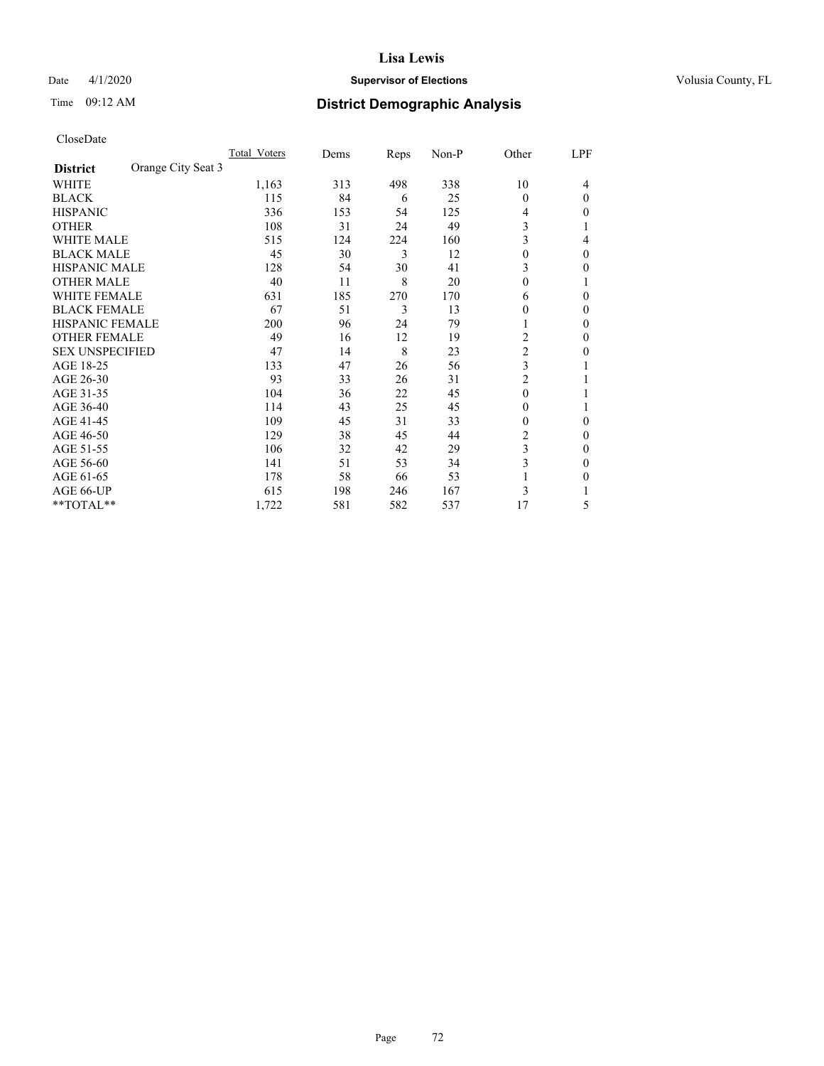# Date 4/1/2020 **Supervisor of Elections Supervisor of Elections** Volusia County, FL

# Time 09:12 AM **District Demographic Analysis**

|                        |                    | Total Voters | Dems | Reps | Non-P | Other          | LPF      |
|------------------------|--------------------|--------------|------|------|-------|----------------|----------|
| <b>District</b>        | Orange City Seat 3 |              |      |      |       |                |          |
| WHITE                  |                    | 1,163        | 313  | 498  | 338   | 10             | 4        |
| <b>BLACK</b>           |                    | 115          | 84   | 6    | 25    | $\theta$       | $\Omega$ |
| <b>HISPANIC</b>        |                    | 336          | 153  | 54   | 125   | 4              | 0        |
| <b>OTHER</b>           |                    | 108          | 31   | 24   | 49    | 3              |          |
| <b>WHITE MALE</b>      |                    | 515          | 124  | 224  | 160   | 3              | 4        |
| <b>BLACK MALE</b>      |                    | 45           | 30   | 3    | 12    | $\theta$       | $\Omega$ |
| HISPANIC MALE          |                    | 128          | 54   | 30   | 41    | 3              | 0        |
| <b>OTHER MALE</b>      |                    | 40           | 11   | 8    | 20    | $\theta$       | 1        |
| <b>WHITE FEMALE</b>    |                    | 631          | 185  | 270  | 170   | 6              | 0        |
| <b>BLACK FEMALE</b>    |                    | 67           | 51   | 3    | 13    | $\theta$       | 0        |
| <b>HISPANIC FEMALE</b> |                    | 200          | 96   | 24   | 79    | 1              | 0        |
| <b>OTHER FEMALE</b>    |                    | 49           | 16   | 12   | 19    | 2              | 0        |
| <b>SEX UNSPECIFIED</b> |                    | 47           | 14   | 8    | 23    | $\overline{c}$ | 0        |
| AGE 18-25              |                    | 133          | 47   | 26   | 56    | 3              |          |
| AGE 26-30              |                    | 93           | 33   | 26   | 31    | $\overline{c}$ |          |
| AGE 31-35              |                    | 104          | 36   | 22   | 45    | $\theta$       |          |
| AGE 36-40              |                    | 114          | 43   | 25   | 45    | $\theta$       |          |
| AGE 41-45              |                    | 109          | 45   | 31   | 33    | $\theta$       | 0        |
| AGE 46-50              |                    | 129          | 38   | 45   | 44    | 2              | 0        |
| AGE 51-55              |                    | 106          | 32   | 42   | 29    | 3              | 0        |
| AGE 56-60              |                    | 141          | 51   | 53   | 34    | 3              | 0        |
| AGE 61-65              |                    | 178          | 58   | 66   | 53    |                | 0        |
| AGE 66-UP              |                    | 615          | 198  | 246  | 167   | 3              |          |
| **TOTAL**              |                    | 1,722        | 581  | 582  | 537   | 17             | 5        |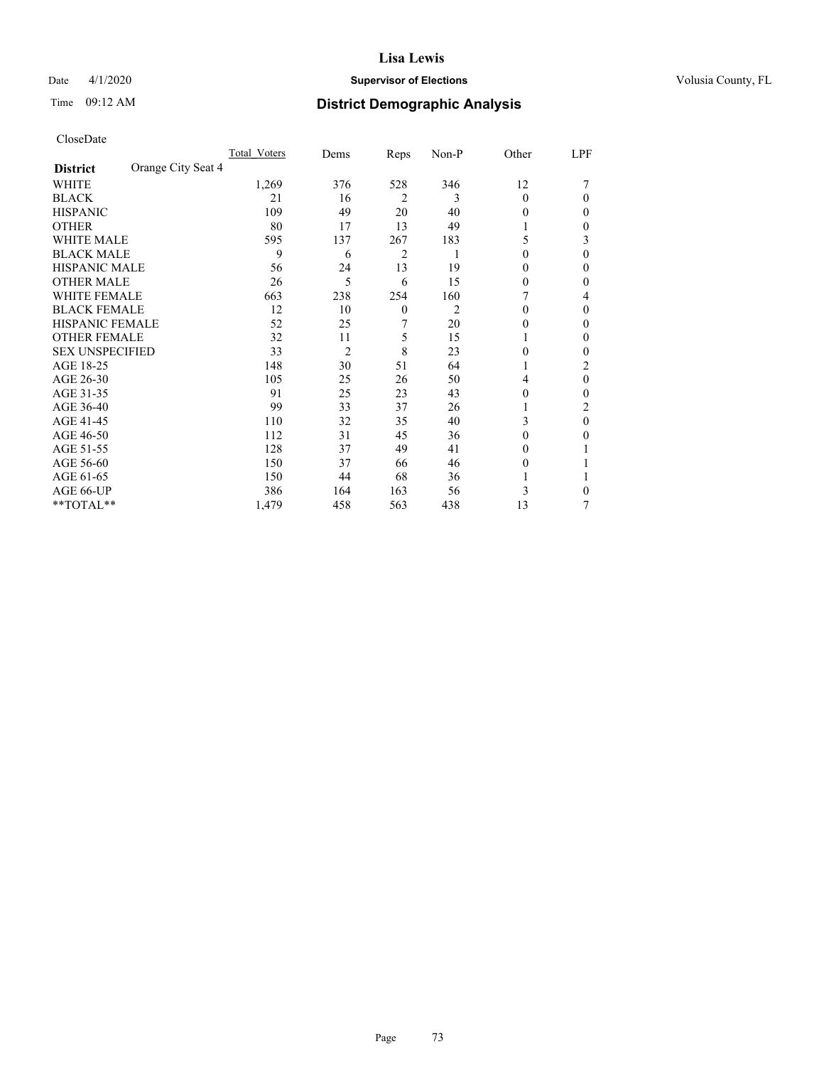# Date 4/1/2020 **Supervisor of Elections Supervisor of Elections** Volusia County, FL

# Time 09:12 AM **District Demographic Analysis**

|                                       | Total Voters | Dems           | Reps           | Non-P | Other    | LPF            |
|---------------------------------------|--------------|----------------|----------------|-------|----------|----------------|
| Orange City Seat 4<br><b>District</b> |              |                |                |       |          |                |
| WHITE                                 | 1,269        | 376            | 528            | 346   | 12       |                |
| <b>BLACK</b>                          | 21           | 16             | $\overline{2}$ | 3     | $\Omega$ | 0              |
| <b>HISPANIC</b>                       | 109          | 49             | 20             | 40    | 0        | 0              |
| <b>OTHER</b>                          | 80           | 17             | 13             | 49    |          | 0              |
| <b>WHITE MALE</b>                     | 595          | 137            | 267            | 183   | 5        | 3              |
| <b>BLACK MALE</b>                     | 9            | 6              | $\overline{2}$ | 1     | 0        | 0              |
| <b>HISPANIC MALE</b>                  | 56           | 24             | 13             | 19    | $_{0}$   | 0              |
| <b>OTHER MALE</b>                     | 26           | 5              | 6              | 15    | 0        | 0              |
| <b>WHITE FEMALE</b>                   | 663          | 238            | 254            | 160   |          | 4              |
| <b>BLACK FEMALE</b>                   | 12           | 10             | $\theta$       | 2     | 0        | 0              |
| <b>HISPANIC FEMALE</b>                | 52           | 25             | 7              | 20    | 0        | 0              |
| <b>OTHER FEMALE</b>                   | 32           | 11             | 5              | 15    | 1        | $_{0}$         |
| <b>SEX UNSPECIFIED</b>                | 33           | $\overline{2}$ | 8              | 23    | 0        | 0              |
| AGE 18-25                             | 148          | 30             | 51             | 64    |          | $\overline{c}$ |
| AGE 26-30                             | 105          | 25             | 26             | 50    | 4        | 0              |
| AGE 31-35                             | 91           | 25             | 23             | 43    | 0        | 0              |
| AGE 36-40                             | 99           | 33             | 37             | 26    | l        | 2              |
| AGE 41-45                             | 110          | 32             | 35             | 40    | 3        | 0              |
| AGE 46-50                             | 112          | 31             | 45             | 36    | $\Omega$ | 0              |
| AGE 51-55                             | 128          | 37             | 49             | 41    | 0        |                |
| AGE 56-60                             | 150          | 37             | 66             | 46    | 0        |                |
| AGE 61-65                             | 150          | 44             | 68             | 36    |          |                |
| AGE 66-UP                             | 386          | 164            | 163            | 56    | 3        | 0              |
| **TOTAL**                             | 1,479        | 458            | 563            | 438   | 13       | 7              |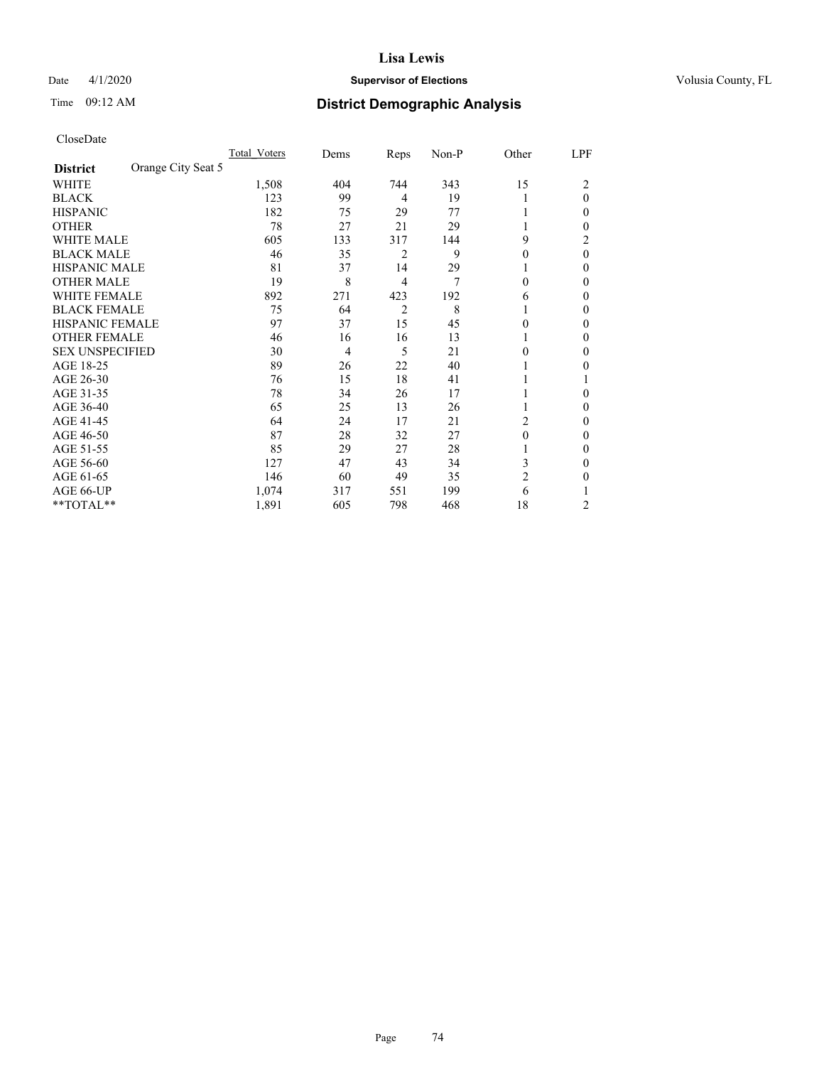# Date 4/1/2020 **Supervisor of Elections Supervisor of Elections** Volusia County, FL

# Time 09:12 AM **District Demographic Analysis**

|                        |                    | Total Voters | Dems           | Reps           | Non-P | Other          | LPF      |
|------------------------|--------------------|--------------|----------------|----------------|-------|----------------|----------|
| <b>District</b>        | Orange City Seat 5 |              |                |                |       |                |          |
| WHITE                  |                    | 1,508        | 404            | 744            | 343   | 15             | 2        |
| <b>BLACK</b>           |                    | 123          | 99             | 4              | 19    |                | $\theta$ |
| <b>HISPANIC</b>        |                    | 182          | 75             | 29             | 77    |                | 0        |
| <b>OTHER</b>           |                    | 78           | 27             | 21             | 29    |                | 0        |
| WHITE MALE             |                    | 605          | 133            | 317            | 144   | 9              | 2        |
| <b>BLACK MALE</b>      |                    | 46           | 35             | 2              | 9     | $\Omega$       | $\theta$ |
| <b>HISPANIC MALE</b>   |                    | 81           | 37             | 14             | 29    |                | 0        |
| <b>OTHER MALE</b>      |                    | 19           | 8              | 4              | 7     | $\Omega$       | 0        |
| WHITE FEMALE           |                    | 892          | 271            | 423            | 192   | 6              | 0        |
| <b>BLACK FEMALE</b>    |                    | 75           | 64             | $\overline{2}$ | 8     |                | 0        |
| <b>HISPANIC FEMALE</b> |                    | 97           | 37             | 15             | 45    | $\Omega$       | 0        |
| <b>OTHER FEMALE</b>    |                    | 46           | 16             | 16             | 13    |                | 0        |
| <b>SEX UNSPECIFIED</b> |                    | 30           | $\overline{4}$ | 5              | 21    | 0              | 0        |
| AGE 18-25              |                    | 89           | 26             | 22             | 40    |                | 0        |
| AGE 26-30              |                    | 76           | 15             | 18             | 41    |                |          |
| AGE 31-35              |                    | 78           | 34             | 26             | 17    |                | 0        |
| AGE 36-40              |                    | 65           | 25             | 13             | 26    |                | 0        |
| AGE 41-45              |                    | 64           | 24             | 17             | 21    | 2              | 0        |
| AGE 46-50              |                    | 87           | 28             | 32             | 27    | $\theta$       | 0        |
| AGE 51-55              |                    | 85           | 29             | 27             | 28    |                | 0        |
| AGE 56-60              |                    | 127          | 47             | 43             | 34    | 3              | 0        |
| AGE 61-65              |                    | 146          | 60             | 49             | 35    | $\overline{2}$ | 0        |
| AGE 66-UP              |                    | 1,074        | 317            | 551            | 199   | 6              |          |
| **TOTAL**              |                    | 1,891        | 605            | 798            | 468   | 18             | 2        |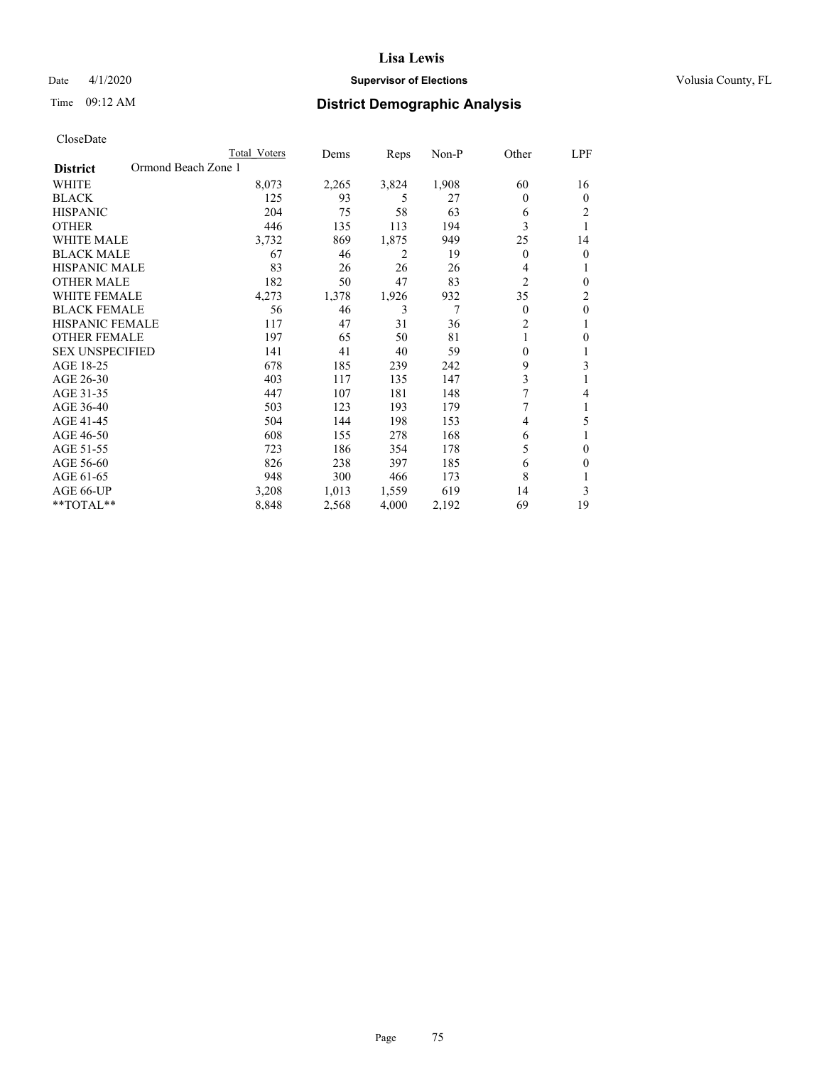# Date 4/1/2020 **Supervisor of Elections Supervisor of Elections** Volusia County, FL

# Time 09:12 AM **District Demographic Analysis**

|                                        | Total Voters | Dems  | Reps  | $Non-P$ | Other            | LPF          |
|----------------------------------------|--------------|-------|-------|---------|------------------|--------------|
| Ormond Beach Zone 1<br><b>District</b> |              |       |       |         |                  |              |
| <b>WHITE</b>                           | 8,073        | 2,265 | 3,824 | 1,908   | 60               | 16           |
| <b>BLACK</b>                           | 125          | 93    | 5     | 27      | 0                | $\theta$     |
| <b>HISPANIC</b>                        | 204          | 75    | 58    | 63      | 6                | 2            |
| <b>OTHER</b>                           | 446          | 135   | 113   | 194     | 3                | 1            |
| <b>WHITE MALE</b>                      | 3,732        | 869   | 1,875 | 949     | 25               | 14           |
| <b>BLACK MALE</b>                      | 67           | 46    | 2     | 19      | 0                | 0            |
| HISPANIC MALE                          | 83           | 26    | 26    | 26      | 4                | 1            |
| <b>OTHER MALE</b>                      | 182          | 50    | 47    | 83      | $\overline{c}$   | $\theta$     |
| <b>WHITE FEMALE</b>                    | 4,273        | 1,378 | 1,926 | 932     | 35               | 2            |
| <b>BLACK FEMALE</b>                    | 56           | 46    | 3     | 7       | 0                | $\mathbf{0}$ |
| <b>HISPANIC FEMALE</b>                 | 117          | 47    | 31    | 36      | 2                | 1            |
| <b>OTHER FEMALE</b>                    | 197          | 65    | 50    | 81      | 1                | 0            |
| <b>SEX UNSPECIFIED</b>                 | 141          | 41    | 40    | 59      | $\boldsymbol{0}$ |              |
| AGE 18-25                              | 678          | 185   | 239   | 242     | 9                | 3            |
| AGE 26-30                              | 403          | 117   | 135   | 147     | 3                | 1            |
| AGE 31-35                              | 447          | 107   | 181   | 148     | 7                | 4            |
| AGE 36-40                              | 503          | 123   | 193   | 179     | 7                | 1            |
| AGE 41-45                              | 504          | 144   | 198   | 153     | 4                | 5            |
| AGE 46-50                              | 608          | 155   | 278   | 168     | 6                |              |
| AGE 51-55                              | 723          | 186   | 354   | 178     | 5                | $\theta$     |
| AGE 56-60                              | 826          | 238   | 397   | 185     | 6                | 0            |
| AGE 61-65                              | 948          | 300   | 466   | 173     | 8                |              |
| AGE 66-UP                              | 3,208        | 1,013 | 1,559 | 619     | 14               | 3            |
| $*$ TOTAL $*$                          | 8,848        | 2,568 | 4,000 | 2,192   | 69               | 19           |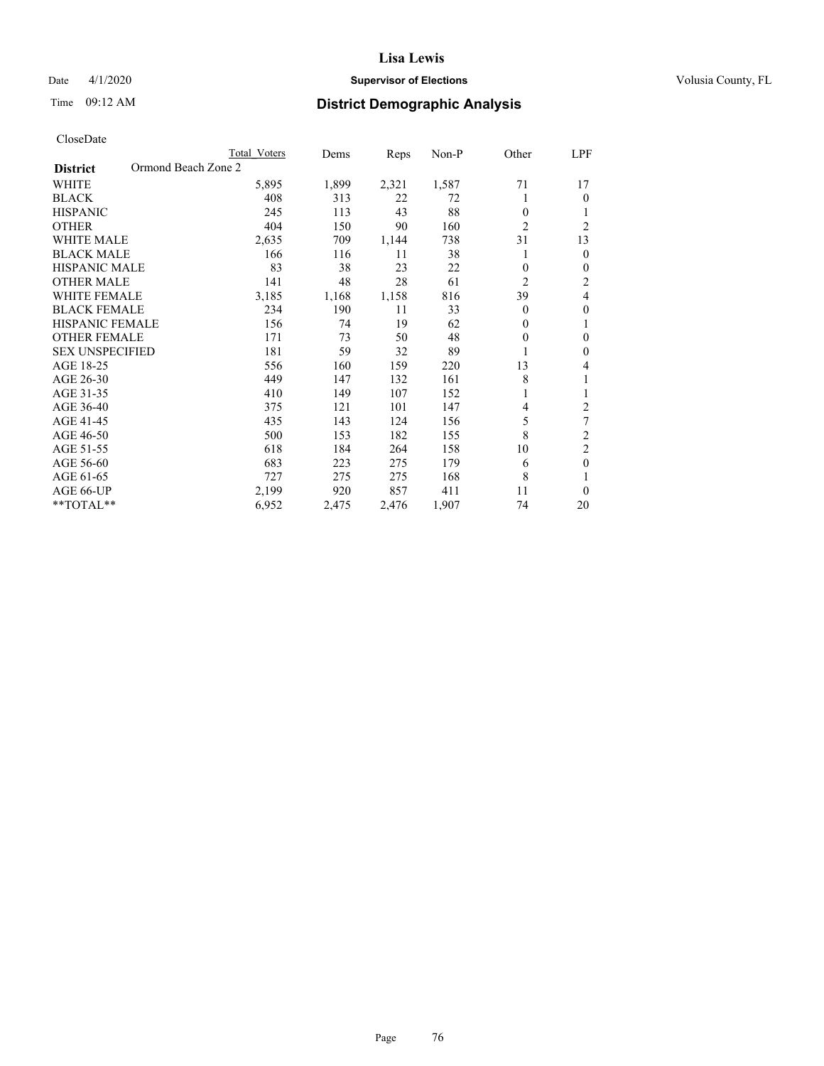# Date 4/1/2020 **Supervisor of Elections Supervisor of Elections** Volusia County, FL

# Time 09:12 AM **District Demographic Analysis**

|                                        | Total Voters | Dems  | Reps  | Non-P | Other          | LPF            |
|----------------------------------------|--------------|-------|-------|-------|----------------|----------------|
| Ormond Beach Zone 2<br><b>District</b> |              |       |       |       |                |                |
| WHITE                                  | 5,895        | 1,899 | 2,321 | 1,587 | 71             | 17             |
| <b>BLACK</b>                           | 408          | 313   | 22    | 72    |                | $\theta$       |
| <b>HISPANIC</b>                        | 245          | 113   | 43    | 88    | $\theta$       | 1              |
| <b>OTHER</b>                           | 404          | 150   | 90    | 160   | $\overline{2}$ | $\overline{2}$ |
| <b>WHITE MALE</b>                      | 2,635        | 709   | 1,144 | 738   | 31             | 13             |
| <b>BLACK MALE</b>                      | 166          | 116   | 11    | 38    |                | $\mathbf{0}$   |
| <b>HISPANIC MALE</b>                   | 83           | 38    | 23    | 22    | $\theta$       | $\theta$       |
| <b>OTHER MALE</b>                      | 141          | 48    | 28    | 61    | $\overline{2}$ | $\overline{c}$ |
| <b>WHITE FEMALE</b>                    | 3,185        | 1,168 | 1,158 | 816   | 39             | 4              |
| <b>BLACK FEMALE</b>                    | 234          | 190   | 11    | 33    | $\theta$       | $\theta$       |
| <b>HISPANIC FEMALE</b>                 | 156          | 74    | 19    | 62    | $\theta$       | 1              |
| <b>OTHER FEMALE</b>                    | 171          | 73    | 50    | 48    | $\theta$       | $\theta$       |
| <b>SEX UNSPECIFIED</b>                 | 181          | 59    | 32    | 89    |                | $\theta$       |
| AGE 18-25                              | 556          | 160   | 159   | 220   | 13             | 4              |
| AGE 26-30                              | 449          | 147   | 132   | 161   | 8              | 1              |
| AGE 31-35                              | 410          | 149   | 107   | 152   |                | 1              |
| AGE 36-40                              | 375          | 121   | 101   | 147   | 4              | 2              |
| AGE 41-45                              | 435          | 143   | 124   | 156   | 5              | 7              |
| AGE 46-50                              | 500          | 153   | 182   | 155   | 8              | $\overline{c}$ |
| AGE 51-55                              | 618          | 184   | 264   | 158   | 10             | $\overline{c}$ |
| AGE 56-60                              | 683          | 223   | 275   | 179   | 6              | $\theta$       |
| AGE 61-65                              | 727          | 275   | 275   | 168   | 8              | 1              |
| AGE 66-UP                              | 2,199        | 920   | 857   | 411   | 11             | $\theta$       |
| **TOTAL**                              | 6,952        | 2,475 | 2,476 | 1,907 | 74             | 20             |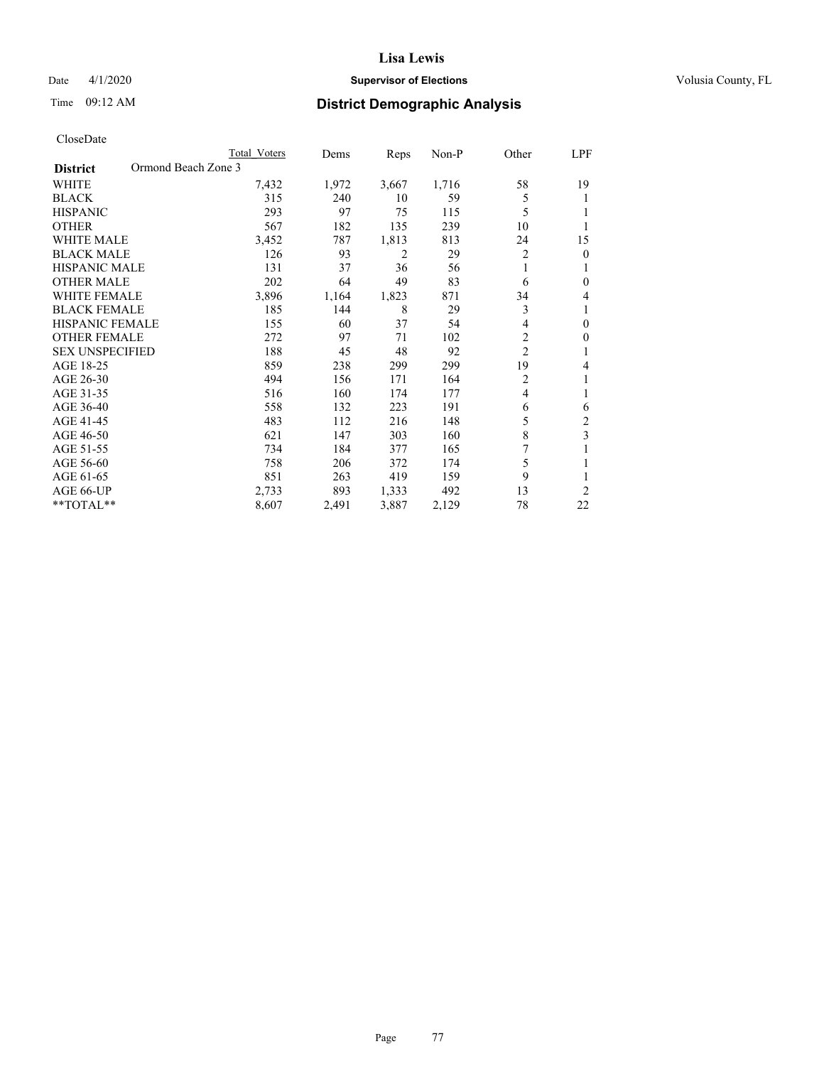# Date 4/1/2020 **Supervisor of Elections Supervisor of Elections** Volusia County, FL

# Time 09:12 AM **District Demographic Analysis**

|                                        | Total Voters | Dems  | Reps  | $Non-P$ | Other          | <u>LPF</u>   |
|----------------------------------------|--------------|-------|-------|---------|----------------|--------------|
| Ormond Beach Zone 3<br><b>District</b> |              |       |       |         |                |              |
| WHITE                                  | 7,432        | 1,972 | 3,667 | 1,716   | 58             | 19           |
| <b>BLACK</b>                           | 315          | 240   | 10    | 59      | 5              | 1            |
| <b>HISPANIC</b>                        | 293          | 97    | 75    | 115     | 5              |              |
| <b>OTHER</b>                           | 567          | 182   | 135   | 239     | 10             | 1            |
| <b>WHITE MALE</b>                      | 3,452        | 787   | 1,813 | 813     | 24             | 15           |
| <b>BLACK MALE</b>                      | 126          | 93    | 2     | 29      | 2              | $\mathbf{0}$ |
| HISPANIC MALE                          | 131          | 37    | 36    | 56      | 1              | 1            |
| <b>OTHER MALE</b>                      | 202          | 64    | 49    | 83      | 6              | $\mathbf{0}$ |
| <b>WHITE FEMALE</b>                    | 3,896        | 1,164 | 1,823 | 871     | 34             | 4            |
| <b>BLACK FEMALE</b>                    | 185          | 144   | 8     | 29      | 3              | 1            |
| <b>HISPANIC FEMALE</b>                 | 155          | 60    | 37    | 54      | 4              | $\mathbf{0}$ |
| <b>OTHER FEMALE</b>                    | 272          | 97    | 71    | 102     | 2              | $\mathbf{0}$ |
| <b>SEX UNSPECIFIED</b>                 | 188          | 45    | 48    | 92      | $\overline{c}$ | 1            |
| AGE 18-25                              | 859          | 238   | 299   | 299     | 19             | 4            |
| AGE 26-30                              | 494          | 156   | 171   | 164     | $\overline{2}$ | 1            |
| AGE 31-35                              | 516          | 160   | 174   | 177     | 4              | 1            |
| AGE 36-40                              | 558          | 132   | 223   | 191     | 6              | 6            |
| AGE 41-45                              | 483          | 112   | 216   | 148     | 5              | 2            |
| AGE 46-50                              | 621          | 147   | 303   | 160     | 8              | 3            |
| AGE 51-55                              | 734          | 184   | 377   | 165     | 7              | 1            |
| AGE 56-60                              | 758          | 206   | 372   | 174     | 5              | 1            |
| AGE 61-65                              | 851          | 263   | 419   | 159     | 9              | 1            |
| AGE 66-UP                              | 2,733        | 893   | 1,333 | 492     | 13             | 2            |
| $*$ TOTAL $*$                          | 8,607        | 2,491 | 3,887 | 2,129   | 78             | 22           |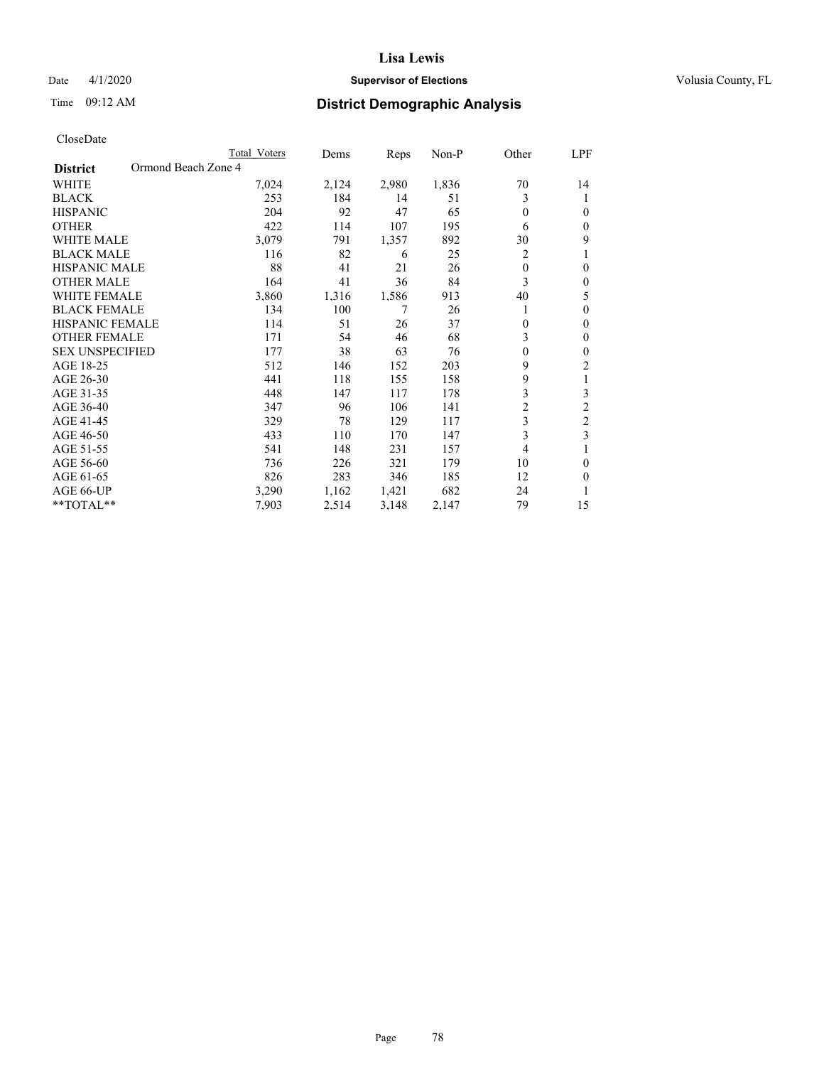# Date 4/1/2020 **Supervisor of Elections Supervisor of Elections** Volusia County, FL

# Time 09:12 AM **District Demographic Analysis**

| Total Voters | Dems                | Reps  | $Non-P$ | Other          | LPF            |
|--------------|---------------------|-------|---------|----------------|----------------|
|              |                     |       |         |                |                |
| 7,024        | 2,124               | 2,980 | 1,836   | 70             | 14             |
| 253          | 184                 | 14    | 51      | 3              | 1              |
| 204          | 92                  | 47    | 65      | $\theta$       | 0              |
| 422          | 114                 | 107   | 195     | 6              | 0              |
| 3,079        | 791                 | 1,357 | 892     | 30             | 9              |
| 116          | 82                  | 6     | 25      | 2              |                |
| 88           | 41                  | 21    | 26      | $\theta$       | 0              |
| 164          | 41                  | 36    | 84      | 3              | 0              |
| 3,860        | 1,316               | 1,586 | 913     | 40             | 5              |
| 134          | 100                 | 7     | 26      | 1              | 0              |
| 114          | 51                  | 26    | 37      | $\theta$       | 0              |
| 171          | 54                  | 46    | 68      | 3              | 0              |
| 177          | 38                  | 63    | 76      | $\theta$       | 0              |
| 512          | 146                 | 152   | 203     | 9              | 2              |
| 441          | 118                 | 155   | 158     | 9              | 1              |
| 448          | 147                 | 117   | 178     | 3              | 3              |
| 347          | 96                  | 106   | 141     | $\overline{2}$ | $\overline{2}$ |
| 329          | 78                  | 129   | 117     | 3              | $\overline{c}$ |
| 433          | 110                 | 170   | 147     |                | 3              |
| 541          | 148                 | 231   | 157     | 4              |                |
| 736          | 226                 | 321   | 179     | 10             | 0              |
| 826          | 283                 | 346   | 185     | 12             | 0              |
| 3,290        | 1,162               | 1,421 | 682     | 24             |                |
| 7,903        | 2,514               | 3,148 | 2,147   | 79             | 15             |
|              | Ormond Beach Zone 4 |       |         |                | 3              |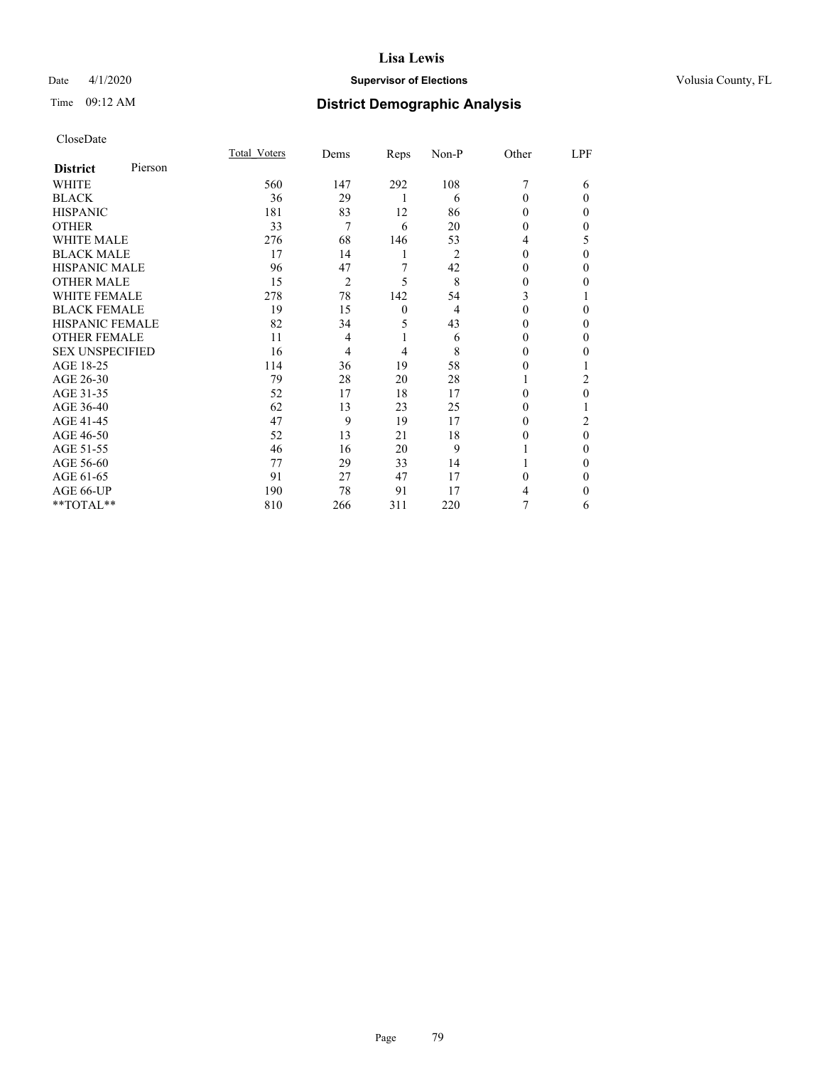# Date 4/1/2020 **Supervisor of Elections Supervisor of Elections** Volusia County, FL

# Time 09:12 AM **District Demographic Analysis**

| CloseDate |
|-----------|
|-----------|

|                        |         | Total Voters | Dems           | Reps         | $Non-P$        | Other    | LPF    |
|------------------------|---------|--------------|----------------|--------------|----------------|----------|--------|
| <b>District</b>        | Pierson |              |                |              |                |          |        |
| WHITE                  |         | 560          | 147            | 292          | 108            |          | 6      |
| <b>BLACK</b>           |         | 36           | 29             | 1            | 6              | $\Omega$ | 0      |
| <b>HISPANIC</b>        |         | 181          | 83             | 12           | 86             | $\Omega$ | $_{0}$ |
| <b>OTHER</b>           |         | 33           | 7              | 6            | 20             | 0        | 0      |
| <b>WHITE MALE</b>      |         | 276          | 68             | 146          | 53             | 4        | 5      |
| <b>BLACK MALE</b>      |         | 17           | 14             | 1            | $\overline{2}$ | 0        | 0      |
| <b>HISPANIC MALE</b>   |         | 96           | 47             | 7            | 42             | $_{0}$   | 0      |
| <b>OTHER MALE</b>      |         | 15           | $\overline{2}$ | 5            | 8              | 0        | 0      |
| <b>WHITE FEMALE</b>    |         | 278          | 78             | 142          | 54             | 3        |        |
| <b>BLACK FEMALE</b>    |         | 19           | 15             | $\mathbf{0}$ | 4              | $\Omega$ | 0      |
| <b>HISPANIC FEMALE</b> |         | 82           | 34             | 5            | 43             | 0        | 0      |
| <b>OTHER FEMALE</b>    |         | 11           | 4              | 1            | 6              | 0        | 0      |
| <b>SEX UNSPECIFIED</b> |         | 16           | 4              | 4            | 8              | 0        | $_{0}$ |
| AGE 18-25              |         | 114          | 36             | 19           | 58             | 0        |        |
| AGE 26-30              |         | 79           | 28             | 20           | 28             |          | 2      |
| AGE 31-35              |         | 52           | 17             | 18           | 17             | 0        | 0      |
| AGE 36-40              |         | 62           | 13             | 23           | 25             | 0        |        |
| AGE 41-45              |         | 47           | 9              | 19           | 17             | 0        | 2      |
| AGE 46-50              |         | 52           | 13             | 21           | 18             | $_{0}$   | 0      |
| AGE 51-55              |         | 46           | 16             | 20           | 9              |          | 0      |
| AGE 56-60              |         | 77           | 29             | 33           | 14             |          | 0      |
| AGE 61-65              |         | 91           | 27             | 47           | 17             | 0        | 0      |
| AGE 66-UP              |         | 190          | 78             | 91           | 17             | 4        | $_{0}$ |
| **TOTAL**              |         | 810          | 266            | 311          | 220            |          | 6      |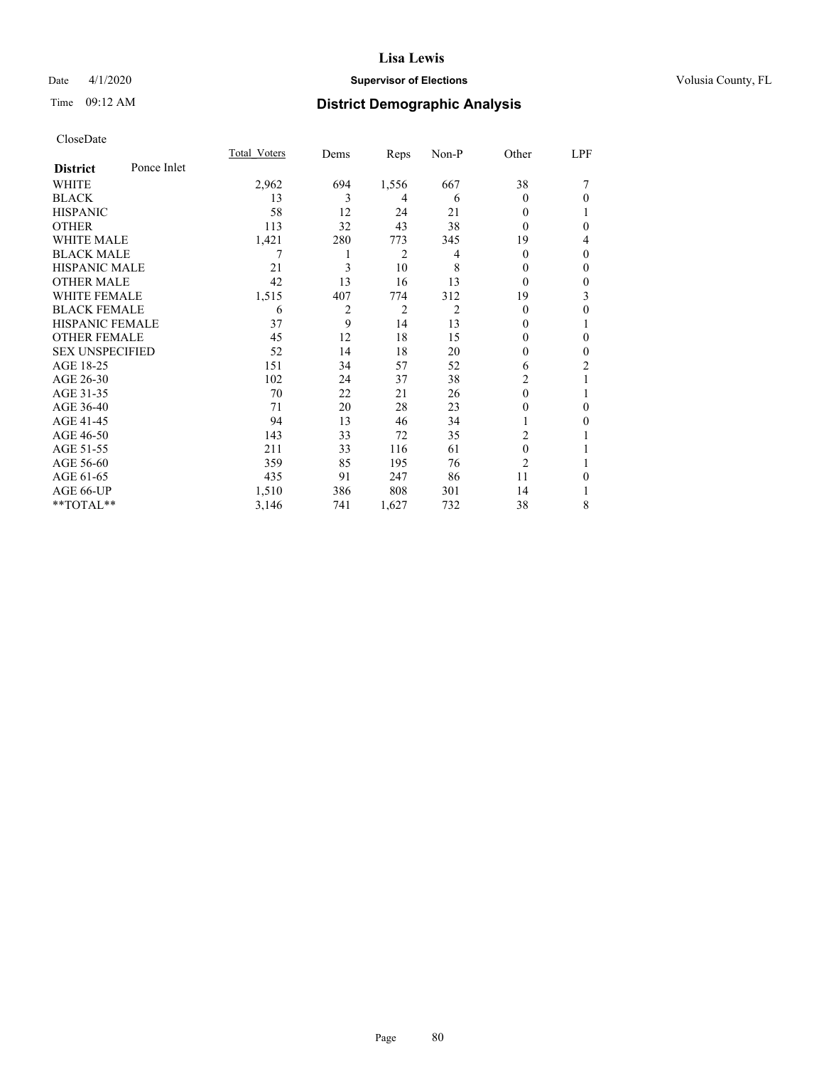# Date 4/1/2020 **Supervisor of Elections Supervisor of Elections** Volusia County, FL

# Time 09:12 AM **District Demographic Analysis**

|                        |             | Total Voters | Dems | Reps           | Non-P          | Other          | LPF          |
|------------------------|-------------|--------------|------|----------------|----------------|----------------|--------------|
| <b>District</b>        | Ponce Inlet |              |      |                |                |                |              |
| <b>WHITE</b>           |             | 2,962        | 694  | 1,556          | 667            | 38             | 7            |
| <b>BLACK</b>           |             | 13           | 3    | 4              | 6              | $\theta$       | $\theta$     |
| <b>HISPANIC</b>        |             | 58           | 12   | 24             | 21             | $\theta$       |              |
| <b>OTHER</b>           |             | 113          | 32   | 43             | 38             | $\Omega$       | $\theta$     |
| <b>WHITE MALE</b>      |             | 1,421        | 280  | 773            | 345            | 19             | 4            |
| <b>BLACK MALE</b>      |             |              | 1    | 2              | 4              | $\theta$       | $\theta$     |
| <b>HISPANIC MALE</b>   |             | 21           | 3    | 10             | 8              | $\theta$       | $\theta$     |
| <b>OTHER MALE</b>      |             | 42           | 13   | 16             | 13             | $\theta$       | $\mathbf{0}$ |
| <b>WHITE FEMALE</b>    |             | 1,515        | 407  | 774            | 312            | 19             | 3            |
| <b>BLACK FEMALE</b>    |             | 6            | 2    | $\overline{c}$ | $\overline{2}$ | $\theta$       | $\theta$     |
| <b>HISPANIC FEMALE</b> |             | 37           | 9    | 14             | 13             | 0              |              |
| <b>OTHER FEMALE</b>    |             | 45           | 12   | 18             | 15             | $\Omega$       | $\theta$     |
| <b>SEX UNSPECIFIED</b> |             | 52           | 14   | 18             | 20             | 0              | $\theta$     |
| AGE 18-25              |             | 151          | 34   | 57             | 52             | 6              | 2            |
| AGE 26-30              |             | 102          | 24   | 37             | 38             | $\overline{c}$ | 1            |
| AGE 31-35              |             | 70           | 22   | 21             | 26             | 0              | 1            |
| AGE 36-40              |             | 71           | 20   | 28             | 23             | 0              | $\theta$     |
| AGE 41-45              |             | 94           | 13   | 46             | 34             |                | $\Omega$     |
| AGE 46-50              |             | 143          | 33   | 72             | 35             | 2              |              |
| AGE 51-55              |             | 211          | 33   | 116            | 61             | $\theta$       |              |
| AGE 56-60              |             | 359          | 85   | 195            | 76             | $\overline{2}$ |              |
| AGE 61-65              |             | 435          | 91   | 247            | 86             | 11             | $\theta$     |
| AGE 66-UP              |             | 1,510        | 386  | 808            | 301            | 14             |              |
| **TOTAL**              |             | 3,146        | 741  | 1,627          | 732            | 38             | 8            |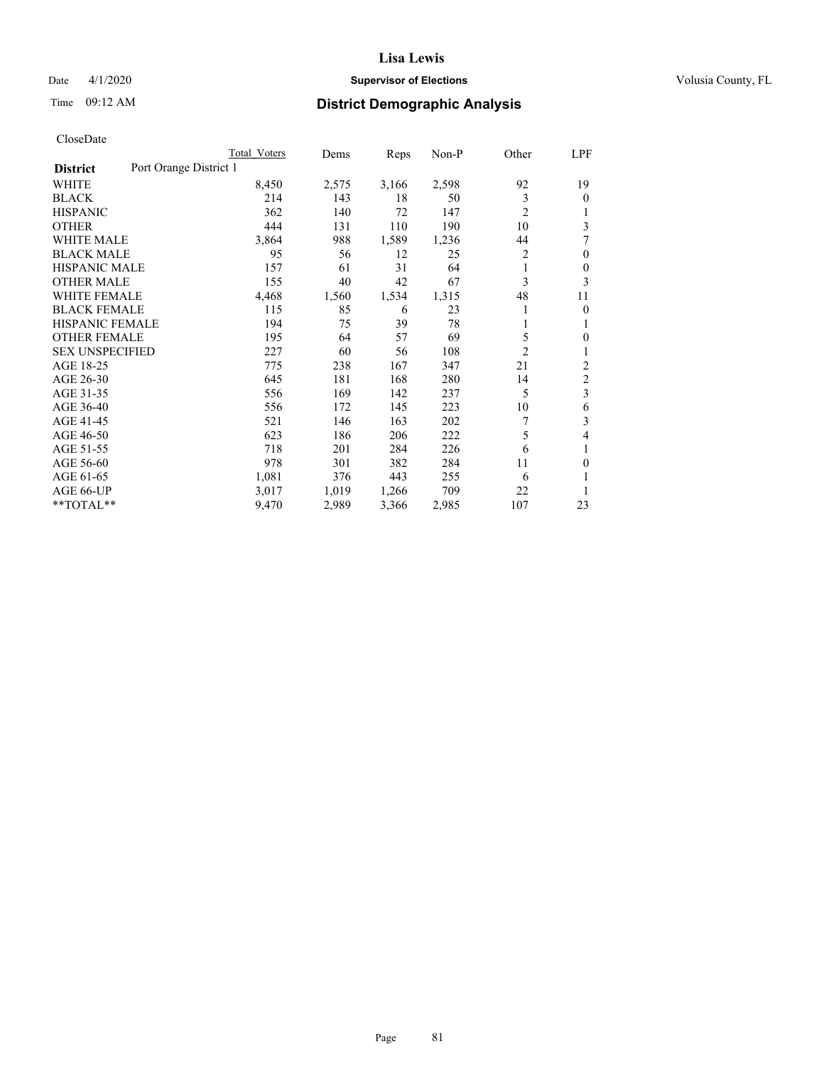# Date 4/1/2020 **Supervisor of Elections Supervisor of Elections** Volusia County, FL

# Time 09:12 AM **District Demographic Analysis**

|                        |                        | Total Voters | Dems  | Reps  | Non-P | Other          | LPF            |
|------------------------|------------------------|--------------|-------|-------|-------|----------------|----------------|
| <b>District</b>        | Port Orange District 1 |              |       |       |       |                |                |
| WHITE                  |                        | 8,450        | 2,575 | 3,166 | 2,598 | 92             | 19             |
| <b>BLACK</b>           |                        | 214          | 143   | 18    | 50    | 3              | $\mathbf{0}$   |
| <b>HISPANIC</b>        |                        | 362          | 140   | 72    | 147   | $\overline{c}$ | 1              |
| <b>OTHER</b>           |                        | 444          | 131   | 110   | 190   | 10             | 3              |
| <b>WHITE MALE</b>      |                        | 3,864        | 988   | 1,589 | 1,236 | 44             | 7              |
| <b>BLACK MALE</b>      |                        | 95           | 56    | 12    | 25    | 2              | $\theta$       |
| <b>HISPANIC MALE</b>   |                        | 157          | 61    | 31    | 64    | 1              | $\theta$       |
| <b>OTHER MALE</b>      |                        | 155          | 40    | 42    | 67    | 3              | 3              |
| WHITE FEMALE           |                        | 4,468        | 1,560 | 1,534 | 1,315 | 48             | 11             |
| <b>BLACK FEMALE</b>    |                        | 115          | 85    | 6     | 23    |                | 0              |
| <b>HISPANIC FEMALE</b> |                        | 194          | 75    | 39    | 78    |                | 1              |
| <b>OTHER FEMALE</b>    |                        | 195          | 64    | 57    | 69    | 5              | 0              |
| <b>SEX UNSPECIFIED</b> |                        | 227          | 60    | 56    | 108   | $\overline{2}$ | 1              |
| AGE 18-25              |                        | 775          | 238   | 167   | 347   | 21             | $\overline{c}$ |
| AGE 26-30              |                        | 645          | 181   | 168   | 280   | 14             | $\mathfrak{2}$ |
| AGE 31-35              |                        | 556          | 169   | 142   | 237   | 5              | $\overline{3}$ |
| AGE 36-40              |                        | 556          | 172   | 145   | 223   | 10             | 6              |
| AGE 41-45              |                        | 521          | 146   | 163   | 202   | 7              | 3              |
| AGE 46-50              |                        | 623          | 186   | 206   | 222   | 5              | 4              |
| AGE 51-55              |                        | 718          | 201   | 284   | 226   | 6              | 1              |
| AGE 56-60              |                        | 978          | 301   | 382   | 284   | 11             | $\theta$       |
| AGE 61-65              |                        | 1,081        | 376   | 443   | 255   | 6              | 1              |
| AGE 66-UP              |                        | 3,017        | 1,019 | 1,266 | 709   | 22             |                |
| $*$ TOTAL $*$          |                        | 9,470        | 2,989 | 3,366 | 2,985 | 107            | 23             |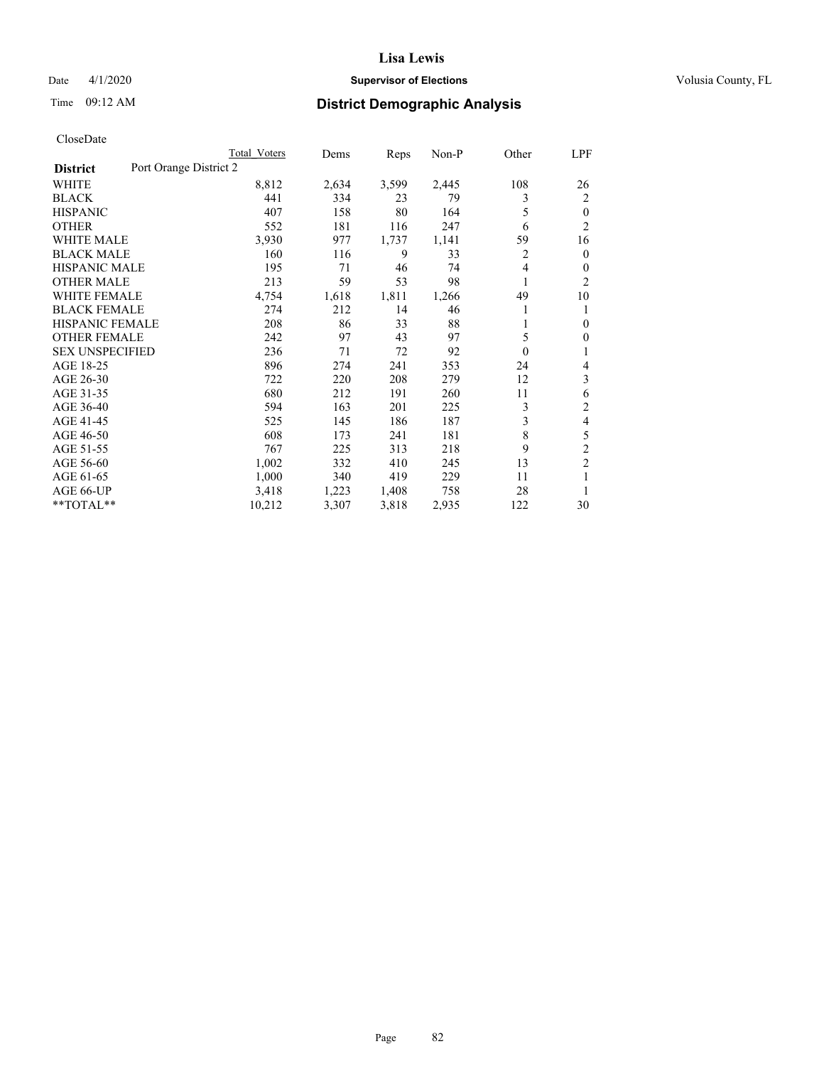# Date 4/1/2020 **Supervisor of Elections Supervisor of Elections** Volusia County, FL

# Time 09:12 AM **District Demographic Analysis**

|                                           | Total Voters | Dems  | Reps  | $Non-P$ | Other | LPF            |
|-------------------------------------------|--------------|-------|-------|---------|-------|----------------|
| Port Orange District 2<br><b>District</b> |              |       |       |         |       |                |
| WHITE                                     | 8,812        | 2,634 | 3,599 | 2,445   | 108   | 26             |
| <b>BLACK</b>                              | 441          | 334   | 23    | 79      | 3     | 2              |
| <b>HISPANIC</b>                           | 407          | 158   | 80    | 164     | 5     | $\theta$       |
| <b>OTHER</b>                              | 552          | 181   | 116   | 247     | 6     | $\overline{2}$ |
| <b>WHITE MALE</b>                         | 3,930        | 977   | 1,737 | 1,141   | 59    | 16             |
| <b>BLACK MALE</b>                         | 160          | 116   | 9     | 33      | 2     | $\mathbf{0}$   |
| <b>HISPANIC MALE</b>                      | 195          | 71    | 46    | 74      | 4     | $\mathbf{0}$   |
| <b>OTHER MALE</b>                         | 213          | 59    | 53    | 98      | 1     | $\overline{2}$ |
| <b>WHITE FEMALE</b>                       | 4,754        | 1,618 | 1,811 | 1,266   | 49    | 10             |
| <b>BLACK FEMALE</b>                       | 274          | 212   | 14    | 46      |       | 1              |
| <b>HISPANIC FEMALE</b>                    | 208          | 86    | 33    | 88      |       | $\theta$       |
| <b>OTHER FEMALE</b>                       | 242          | 97    | 43    | 97      | 5     | $\mathbf{0}$   |
| <b>SEX UNSPECIFIED</b>                    | 236          | 71    | 72    | 92      | 0     | 1              |
| AGE 18-25                                 | 896          | 274   | 241   | 353     | 24    | 4              |
| AGE 26-30                                 | 722          | 220   | 208   | 279     | 12    | 3              |
| AGE 31-35                                 | 680          | 212   | 191   | 260     | 11    | 6              |
| AGE 36-40                                 | 594          | 163   | 201   | 225     | 3     | $\overline{c}$ |
| AGE 41-45                                 | 525          | 145   | 186   | 187     | 3     | 4              |
| AGE 46-50                                 | 608          | 173   | 241   | 181     | 8     | 5              |
| AGE 51-55                                 | 767          | 225   | 313   | 218     | 9     | $\overline{2}$ |
| AGE 56-60                                 | 1,002        | 332   | 410   | 245     | 13    | $\overline{c}$ |
| AGE 61-65                                 | 1,000        | 340   | 419   | 229     | 11    | 1              |
| AGE 66-UP                                 | 3,418        | 1,223 | 1,408 | 758     | 28    | 1              |
| **TOTAL**                                 | 10,212       | 3,307 | 3,818 | 2,935   | 122   | 30             |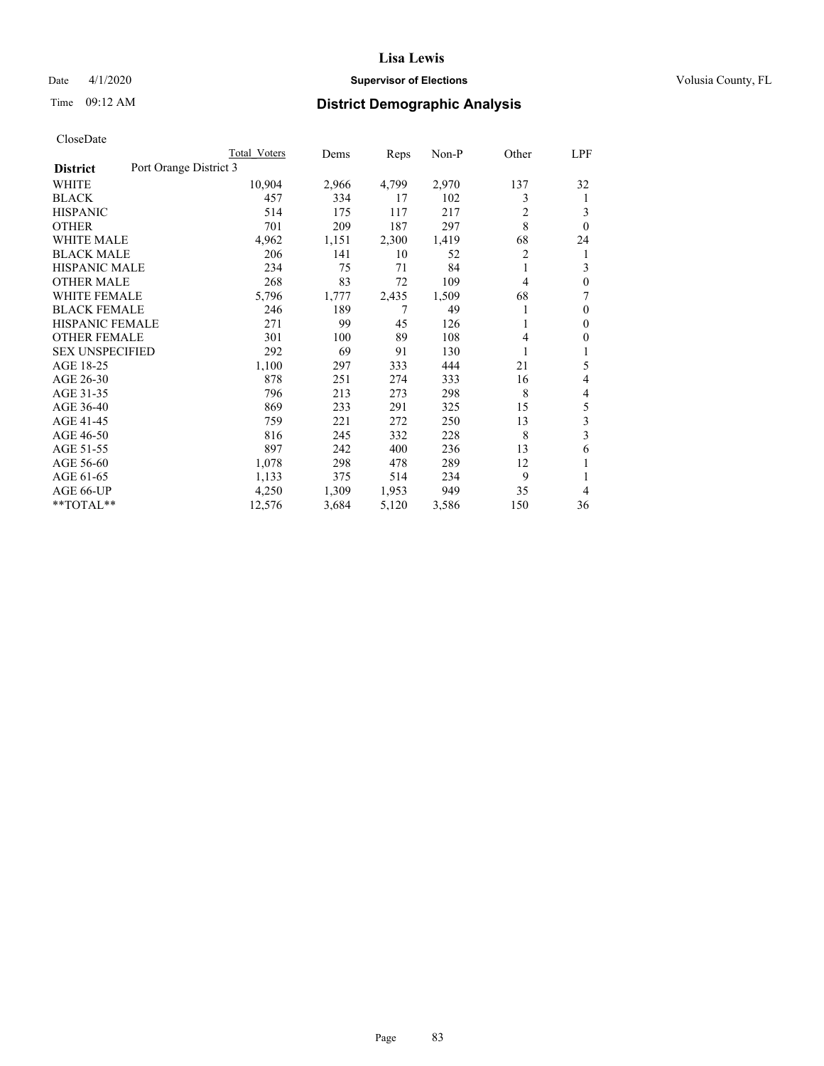# Date 4/1/2020 **Supervisor of Elections Supervisor of Elections** Volusia County, FL

# Time 09:12 AM **District Demographic Analysis**

|                                           | Total Voters | Dems  | Reps  | Non-P | Other          | LPF          |
|-------------------------------------------|--------------|-------|-------|-------|----------------|--------------|
| Port Orange District 3<br><b>District</b> |              |       |       |       |                |              |
| WHITE                                     | 10,904       | 2,966 | 4,799 | 2,970 | 137            | 32           |
| <b>BLACK</b>                              | 457          | 334   | 17    | 102   | 3              | 1            |
| <b>HISPANIC</b>                           | 514          | 175   | 117   | 217   | 2              | 3            |
| <b>OTHER</b>                              | 701          | 209   | 187   | 297   | 8              | $\theta$     |
| <b>WHITE MALE</b>                         | 4,962        | 1,151 | 2,300 | 1,419 | 68             | 24           |
| <b>BLACK MALE</b>                         | 206          | 141   | 10    | 52    | 2              | 1            |
| <b>HISPANIC MALE</b>                      | 234          | 75    | 71    | 84    | 1              | 3            |
| <b>OTHER MALE</b>                         | 268          | 83    | 72    | 109   | $\overline{4}$ | 0            |
| <b>WHITE FEMALE</b>                       | 5,796        | 1,777 | 2,435 | 1,509 | 68             | 7            |
| <b>BLACK FEMALE</b>                       | 246          | 189   | 7     | 49    |                | $\theta$     |
| <b>HISPANIC FEMALE</b>                    | 271          | 99    | 45    | 126   | 1              | $\mathbf{0}$ |
| <b>OTHER FEMALE</b>                       | 301          | 100   | 89    | 108   | 4              | 0            |
| <b>SEX UNSPECIFIED</b>                    | 292          | 69    | 91    | 130   |                |              |
| AGE 18-25                                 | 1,100        | 297   | 333   | 444   | 21             | 5            |
| AGE 26-30                                 | 878          | 251   | 274   | 333   | 16             | 4            |
| AGE 31-35                                 | 796          | 213   | 273   | 298   | 8              | 4            |
| AGE 36-40                                 | 869          | 233   | 291   | 325   | 15             | 5            |
| AGE 41-45                                 | 759          | 221   | 272   | 250   | 13             | 3            |
| AGE 46-50                                 | 816          | 245   | 332   | 228   | 8              | 3            |
| AGE 51-55                                 | 897          | 242   | 400   | 236   | 13             | 6            |
| AGE 56-60                                 | 1,078        | 298   | 478   | 289   | 12             | 1            |
| AGE 61-65                                 | 1,133        | 375   | 514   | 234   | 9              |              |
| AGE 66-UP                                 | 4,250        | 1,309 | 1,953 | 949   | 35             | 4            |
| **TOTAL**                                 | 12,576       | 3,684 | 5,120 | 3,586 | 150            | 36           |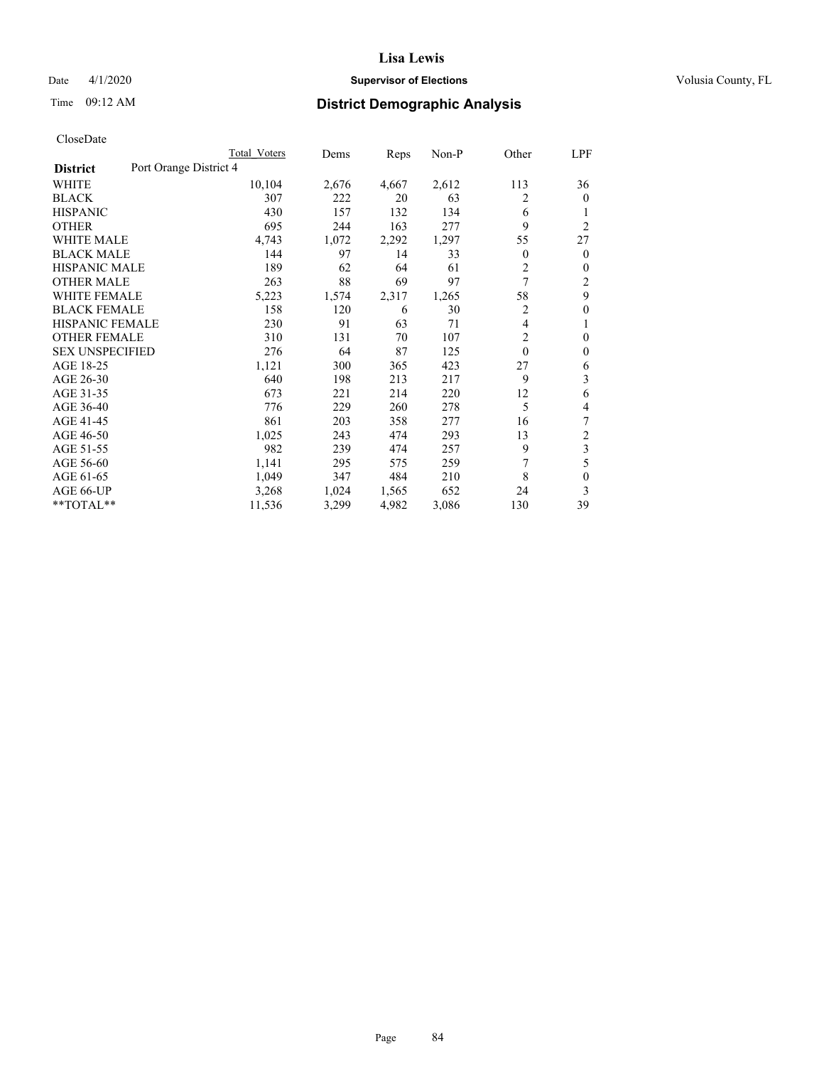# Date 4/1/2020 **Supervisor of Elections Supervisor of Elections** Volusia County, FL

# Time 09:12 AM **District Demographic Analysis**

|                                           | Total Voters | Dems  | Reps  | Non-P | Other    | LPF            |
|-------------------------------------------|--------------|-------|-------|-------|----------|----------------|
| Port Orange District 4<br><b>District</b> |              |       |       |       |          |                |
| WHITE                                     | 10,104       | 2,676 | 4,667 | 2,612 | 113      | 36             |
| <b>BLACK</b>                              | 307          | 222   | 20    | 63    | 2        | $\mathbf{0}$   |
| <b>HISPANIC</b>                           | 430          | 157   | 132   | 134   | 6        | 1              |
| <b>OTHER</b>                              | 695          | 244   | 163   | 277   | 9        | $\overline{2}$ |
| <b>WHITE MALE</b>                         | 4,743        | 1,072 | 2,292 | 1,297 | 55       | 27             |
| <b>BLACK MALE</b>                         | 144          | 97    | 14    | 33    | 0        | $\overline{0}$ |
| <b>HISPANIC MALE</b>                      | 189          | 62    | 64    | 61    | 2        | 0              |
| <b>OTHER MALE</b>                         | 263          | 88    | 69    | 97    | 7        | 2              |
| <b>WHITE FEMALE</b>                       | 5,223        | 1,574 | 2,317 | 1,265 | 58       | 9              |
| <b>BLACK FEMALE</b>                       | 158          | 120   | 6     | 30    | 2        | $\mathbf{0}$   |
| <b>HISPANIC FEMALE</b>                    | 230          | 91    | 63    | 71    | 4        | 1              |
| <b>OTHER FEMALE</b>                       | 310          | 131   | 70    | 107   | 2        | $\theta$       |
| <b>SEX UNSPECIFIED</b>                    | 276          | 64    | 87    | 125   | $\theta$ | 0              |
| AGE 18-25                                 | 1,121        | 300   | 365   | 423   | 27       | 6              |
| AGE 26-30                                 | 640          | 198   | 213   | 217   | 9        | 3              |
| AGE 31-35                                 | 673          | 221   | 214   | 220   | 12       | 6              |
| AGE 36-40                                 | 776          | 229   | 260   | 278   | 5        | 4              |
| AGE 41-45                                 | 861          | 203   | 358   | 277   | 16       | 7              |
| AGE 46-50                                 | 1,025        | 243   | 474   | 293   | 13       | $\overline{c}$ |
| AGE 51-55                                 | 982          | 239   | 474   | 257   | 9        | 3              |
| AGE 56-60                                 | 1,141        | 295   | 575   | 259   | 7        | 5              |
| AGE 61-65                                 | 1,049        | 347   | 484   | 210   | 8        | $\theta$       |
| AGE 66-UP                                 | 3,268        | 1,024 | 1,565 | 652   | 24       | 3              |
| **TOTAL**                                 | 11,536       | 3,299 | 4,982 | 3,086 | 130      | 39             |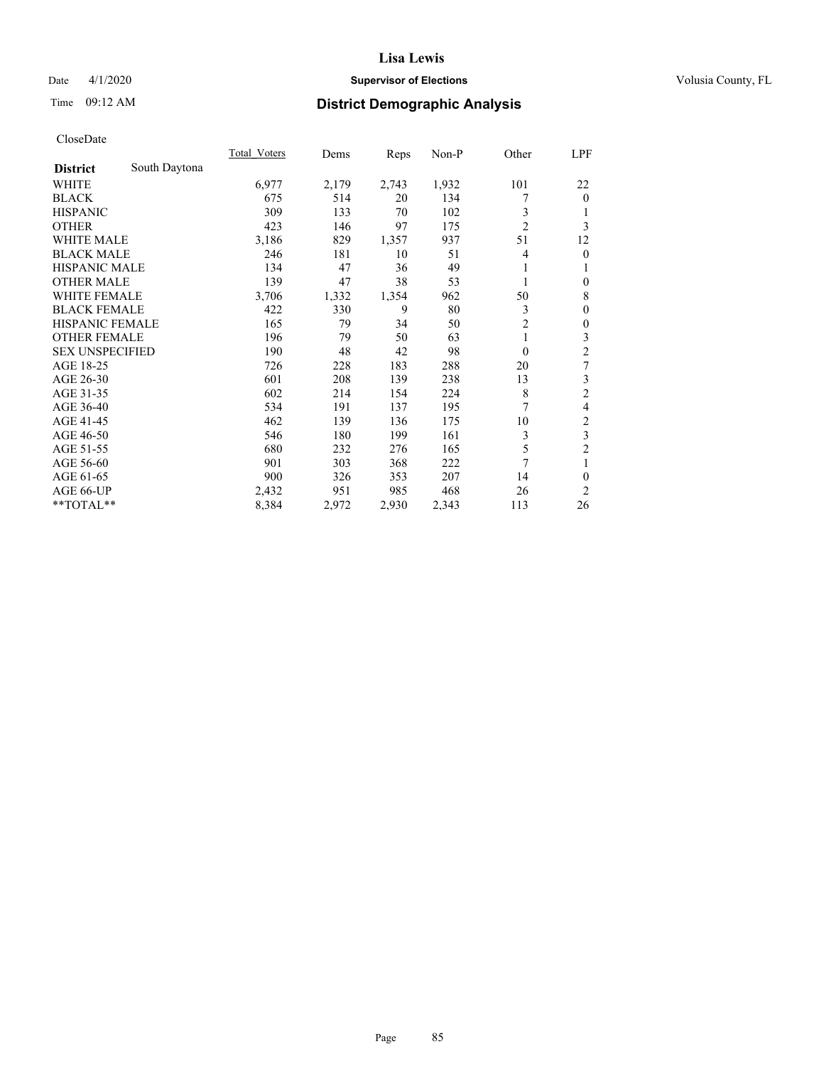# Date 4/1/2020 **Supervisor of Elections Supervisor of Elections** Volusia County, FL

# Time 09:12 AM **District Demographic Analysis**

|                        |               | <b>Total Voters</b> | Dems  | Reps  | Non-P | Other          | LPF                     |
|------------------------|---------------|---------------------|-------|-------|-------|----------------|-------------------------|
| <b>District</b>        | South Daytona |                     |       |       |       |                |                         |
| WHITE                  |               | 6,977               | 2,179 | 2,743 | 1,932 | 101            | 22                      |
| <b>BLACK</b>           |               | 675                 | 514   | 20    | 134   | 7              | $\mathbf{0}$            |
| <b>HISPANIC</b>        |               | 309                 | 133   | 70    | 102   | 3              | 1                       |
| <b>OTHER</b>           |               | 423                 | 146   | 97    | 175   | $\overline{2}$ | 3                       |
| WHITE MALE             |               | 3,186               | 829   | 1,357 | 937   | 51             | 12                      |
| <b>BLACK MALE</b>      |               | 246                 | 181   | 10    | 51    | 4              | $\mathbf{0}$            |
| <b>HISPANIC MALE</b>   |               | 134                 | 47    | 36    | 49    | 1              | 1                       |
| <b>OTHER MALE</b>      |               | 139                 | 47    | 38    | 53    | 1              | $\mathbf{0}$            |
| <b>WHITE FEMALE</b>    |               | 3,706               | 1,332 | 1,354 | 962   | 50             | 8                       |
| <b>BLACK FEMALE</b>    |               | 422                 | 330   | 9     | 80    | 3              | $\mathbf{0}$            |
| <b>HISPANIC FEMALE</b> |               | 165                 | 79    | 34    | 50    | $\overline{2}$ | $\mathbf{0}$            |
| <b>OTHER FEMALE</b>    |               | 196                 | 79    | 50    | 63    | 1              | 3                       |
| <b>SEX UNSPECIFIED</b> |               | 190                 | 48    | 42    | 98    | $\mathbf{0}$   | $\overline{c}$          |
| AGE 18-25              |               | 726                 | 228   | 183   | 288   | 20             | 7                       |
| AGE 26-30              |               | 601                 | 208   | 139   | 238   | 13             | 3                       |
| AGE 31-35              |               | 602                 | 214   | 154   | 224   | 8              | $\overline{c}$          |
| AGE 36-40              |               | 534                 | 191   | 137   | 195   | 7              | 4                       |
| AGE 41-45              |               | 462                 | 139   | 136   | 175   | 10             | $\overline{\mathbf{c}}$ |
| AGE 46-50              |               | 546                 | 180   | 199   | 161   | 3              | $\overline{\mathbf{3}}$ |
| AGE 51-55              |               | 680                 | 232   | 276   | 165   | 5              | $\overline{2}$          |
| AGE 56-60              |               | 901                 | 303   | 368   | 222   | $\overline{7}$ | 1                       |
| AGE 61-65              |               | 900                 | 326   | 353   | 207   | 14             | $\theta$                |
| AGE 66-UP              |               | 2,432               | 951   | 985   | 468   | 26             | $\overline{c}$          |
| **TOTAL**              |               | 8,384               | 2,972 | 2,930 | 2,343 | 113            | 26                      |